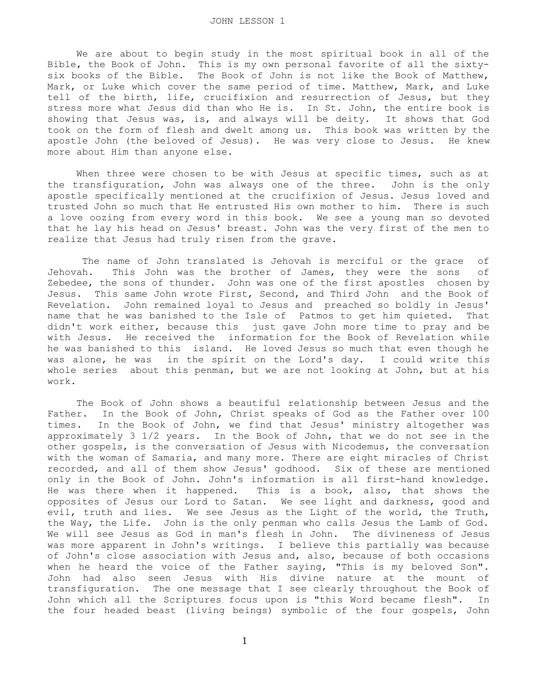We are about to begin study in the most spiritual book in all of the Bible, the Book of John. This is my own personal favorite of all the sixtysix books of the Bible. The Book of John is not like the Book of Matthew, Mark, or Luke which cover the same period of time. Matthew, Mark, and Luke tell of the birth, life, crucifixion and resurrection of Jesus, but they stress more what Jesus did than who He is. In St. John, the entire book is showing that Jesus was, is, and always will be deity. It shows that God took on the form of flesh and dwelt among us. This book was written by the apostle John (the beloved of Jesus). He was very close to Jesus. He knew more about Him than anyone else.

When three were chosen to be with Jesus at specific times, such as at the transfiguration, John was always one of the three. John is the only apostle specifically mentioned at the crucifixion of Jesus. Jesus loved and trusted John so much that He entrusted His own mother to him. There is such a love oozing from every word in this book. We see a young man so devoted that he lay his head on Jesus' breast. John was the very first of the men to realize that Jesus had truly risen from the grave.

 The name of John translated is Jehovah is merciful or the grace of Jehovah. This John was the brother of James, they were the sons of Zebedee, the sons of thunder. John was one of the first apostles chosen by Jesus. This same John wrote First, Second, and Third John and the Book of Revelation. John remained loyal to Jesus and preached so boldly in Jesus' name that he was banished to the Isle of Patmos to get him quieted. That didn't work either, because this just gave John more time to pray and be with Jesus. He received the information for the Book of Revelation while he was banished to this island. He loved Jesus so much that even though he was alone, he was in the spirit on the Lord's day. I could write this whole series about this penman, but we are not looking at John, but at his work.

 The Book of John shows a beautiful relationship between Jesus and the Father. In the Book of John, Christ speaks of God as the Father over 100 times. In the Book of John, we find that Jesus' ministry altogether was approximately 3 1/2 years. In the Book of John, that we do not see in the other gospels, is the conversation of Jesus with Nicodemus, the conversation with the woman of Samaria, and many more. There are eight miracles of Christ recorded, and all of them show Jesus' godhood. Six of these are mentioned only in the Book of John. John's information is all first-hand knowledge. He was there when it happened. This is a book, also, that shows the opposites of Jesus our Lord to Satan. We see light and darkness, good and evil, truth and lies. We see Jesus as the Light of the world, the Truth, the Way, the Life. John is the only penman who calls Jesus the Lamb of God. We will see Jesus as God in man's flesh in John. The divineness of Jesus was more apparent in John's writings. I believe this partially was because of John's close association with Jesus and, also, because of both occasions when he heard the voice of the Father saying, "This is my beloved Son". John had also seen Jesus with His divine nature at the mount of transfiguration. The one message that I see clearly throughout the Book of John which all the Scriptures focus upon is "this Word became flesh". In the four headed beast (living beings) symbolic of the four gospels, John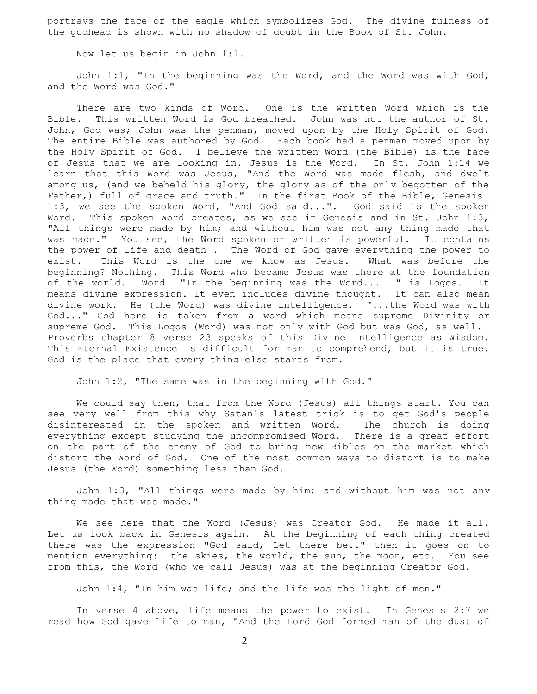portrays the face of the eagle which symbolizes God. The divine fulness of the godhead is shown with no shadow of doubt in the Book of St. John.

Now let us begin in John 1:1.

 John 1:1, "In the beginning was the Word, and the Word was with God, and the Word was God."

 There are two kinds of Word. One is the written Word which is the Bible. This written Word is God breathed. John was not the author of St. John, God was; John was the penman, moved upon by the Holy Spirit of God. The entire Bible was authored by God. Each book had a penman moved upon by the Holy Spirit of God. I believe the written Word (the Bible) is the face of Jesus that we are looking in. Jesus is the Word. In St. John 1:14 we learn that this Word was Jesus, "And the Word was made flesh, and dwelt among us, (and we beheld his glory, the glory as of the only begotten of the Father,) full of grace and truth." In the first Book of the Bible, Genesis 1:3, we see the spoken Word, "And God said...". God said is the spoken Word. This spoken Word creates, as we see in Genesis and in St. John 1:3, "All things were made by him; and without him was not any thing made that was made." You see, the Word spoken or written is powerful. It contains the power of life and death . The Word of God gave everything the power to exist. This Word is the one we know as Jesus. What was before the beginning? Nothing. This Word who became Jesus was there at the foundation of the world. Word "In the beginning was the Word... " is Logos. It means divine expression. It even includes divine thought. It can also mean divine work. He (the Word) was divine intelligence. "...the Word was with God..." God here is taken from a word which means supreme Divinity or supreme God. This Logos (Word) was not only with God but was God, as well. Proverbs chapter 8 verse 23 speaks of this Divine Intelligence as Wisdom. This Eternal Existence is difficult for man to comprehend, but it is true. God is the place that every thing else starts from.

John 1:2, "The same was in the beginning with God."

 We could say then, that from the Word (Jesus) all things start. You can see very well from this why Satan's latest trick is to get God's people<br>disinterested in the spoken and written Word. The church is doing disinterested in the spoken and written Word. everything except studying the uncompromised Word. There is a great effort on the part of the enemy of God to bring new Bibles on the market which distort the Word of God. One of the most common ways to distort is to make Jesus (the Word) something less than God.

 John 1:3, "All things were made by him; and without him was not any thing made that was made."

 We see here that the Word (Jesus) was Creator God. He made it all. Let us look back in Genesis again. At the beginning of each thing created there was the expression "God said, Let there be.." then it goes on to mention everything: the skies, the world, the sun, the moon, etc. You see from this, the Word (who we call Jesus) was at the beginning Creator God.

John 1:4, "In him was life; and the life was the light of men."

 In verse 4 above, life means the power to exist. In Genesis 2:7 we read how God gave life to man, "And the Lord God formed man of the dust of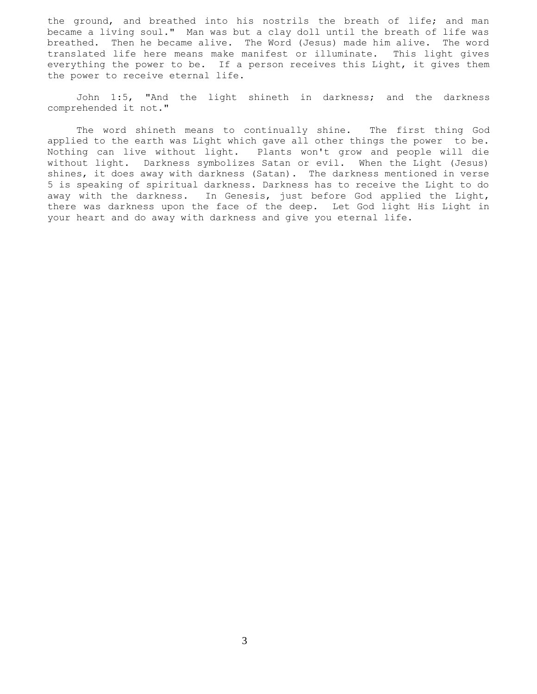the ground, and breathed into his nostrils the breath of life; and man became a living soul." Man was but a clay doll until the breath of life was breathed. Then he became alive. The Word (Jesus) made him alive. The word translated life here means make manifest or illuminate. This light gives everything the power to be. If a person receives this Light, it gives them the power to receive eternal life.

 John 1:5, "And the light shineth in darkness; and the darkness comprehended it not."

 The word shineth means to continually shine. The first thing God applied to the earth was Light which gave all other things the power to be. Nothing can live without light. Plants won't grow and people will die without light. Darkness symbolizes Satan or evil. When the Light (Jesus) shines, it does away with darkness (Satan). The darkness mentioned in verse 5 is speaking of spiritual darkness. Darkness has to receive the Light to do away with the darkness. In Genesis, just before God applied the Light, there was darkness upon the face of the deep. Let God light His Light in your heart and do away with darkness and give you eternal life.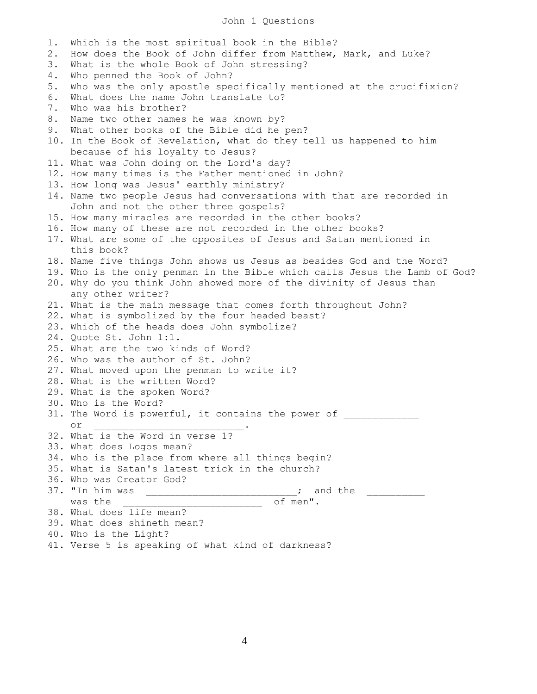## John 1 Questions

1. Which is the most spiritual book in the Bible? 2. How does the Book of John differ from Matthew, Mark, and Luke? 3. What is the whole Book of John stressing? 4. Who penned the Book of John? 5. Who was the only apostle specifically mentioned at the crucifixion? 6. What does the name John translate to? 7. Who was his brother? 8. Name two other names he was known by? 9. What other books of the Bible did he pen? 10. In the Book of Revelation, what do they tell us happened to him because of his loyalty to Jesus? 11. What was John doing on the Lord's day? 12. How many times is the Father mentioned in John? 13. How long was Jesus' earthly ministry? 14. Name two people Jesus had conversations with that are recorded in John and not the other three gospels? 15. How many miracles are recorded in the other books? 16. How many of these are not recorded in the other books? 17. What are some of the opposites of Jesus and Satan mentioned in this book? 18. Name five things John shows us Jesus as besides God and the Word? 19. Who is the only penman in the Bible which calls Jesus the Lamb of God? 20. Why do you think John showed more of the divinity of Jesus than any other writer? 21. What is the main message that comes forth throughout John? 22. What is symbolized by the four headed beast? 23. Which of the heads does John symbolize? 24. Quote St. John 1:1. 25. What are the two kinds of Word? 26. Who was the author of St. John? 27. What moved upon the penman to write it? 28. What is the written Word? 29. What is the spoken Word? 30. Who is the Word? 31. The Word is powerful, it contains the power of or  $\cdot$ 32. What is the Word in verse 1? 33. What does Logos mean? 34. Who is the place from where all things begin? 35. What is Satan's latest trick in the church? 36. Who was Creator God? 37. "In him was  $\frac{1}{\sqrt{37}}$  and the  $\frac{1}{\sqrt{37}}$  and the  $\frac{1}{\sqrt{37}}$  and the  $\frac{1}{\sqrt{37}}$ was the contract of men". 38. What does life mean? 39. What does shineth mean? 40. Who is the Light?

41. Verse 5 is speaking of what kind of darkness?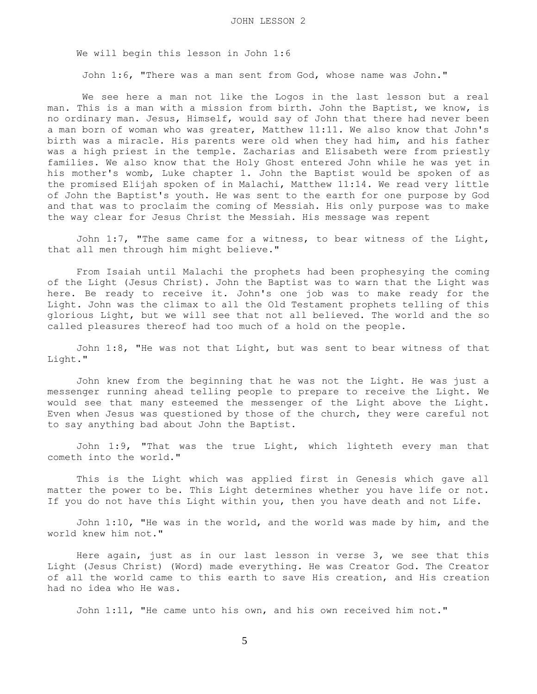We will begin this lesson in John 1:6

John 1:6, "There was a man sent from God, whose name was John."

 We see here a man not like the Logos in the last lesson but a real man. This is a man with a mission from birth. John the Baptist, we know, is no ordinary man. Jesus, Himself, would say of John that there had never been a man born of woman who was greater, Matthew 11:11. We also know that John's birth was a miracle. His parents were old when they had him, and his father was a high priest in the temple. Zacharias and Elisabeth were from priestly families. We also know that the Holy Ghost entered John while he was yet in his mother's womb, Luke chapter 1. John the Baptist would be spoken of as the promised Elijah spoken of in Malachi, Matthew 11:14. We read very little of John the Baptist's youth. He was sent to the earth for one purpose by God and that was to proclaim the coming of Messiah. His only purpose was to make the way clear for Jesus Christ the Messiah. His message was repent

 John 1:7, "The same came for a witness, to bear witness of the Light, that all men through him might believe."

 From Isaiah until Malachi the prophets had been prophesying the coming of the Light (Jesus Christ). John the Baptist was to warn that the Light was here. Be ready to receive it. John's one job was to make ready for the Light. John was the climax to all the Old Testament prophets telling of this glorious Light, but we will see that not all believed. The world and the so called pleasures thereof had too much of a hold on the people.

 John 1:8, "He was not that Light, but was sent to bear witness of that Light."

 John knew from the beginning that he was not the Light. He was just a messenger running ahead telling people to prepare to receive the Light. We would see that many esteemed the messenger of the Light above the Light. Even when Jesus was questioned by those of the church, they were careful not to say anything bad about John the Baptist.

 John 1:9, "That was the true Light, which lighteth every man that cometh into the world."

 This is the Light which was applied first in Genesis which gave all matter the power to be. This Light determines whether you have life or not. If you do not have this Light within you, then you have death and not Life.

 John 1:10, "He was in the world, and the world was made by him, and the world knew him not."

 Here again, just as in our last lesson in verse 3, we see that this Light (Jesus Christ) (Word) made everything. He was Creator God. The Creator of all the world came to this earth to save His creation, and His creation had no idea who He was.

John 1:11, "He came unto his own, and his own received him not."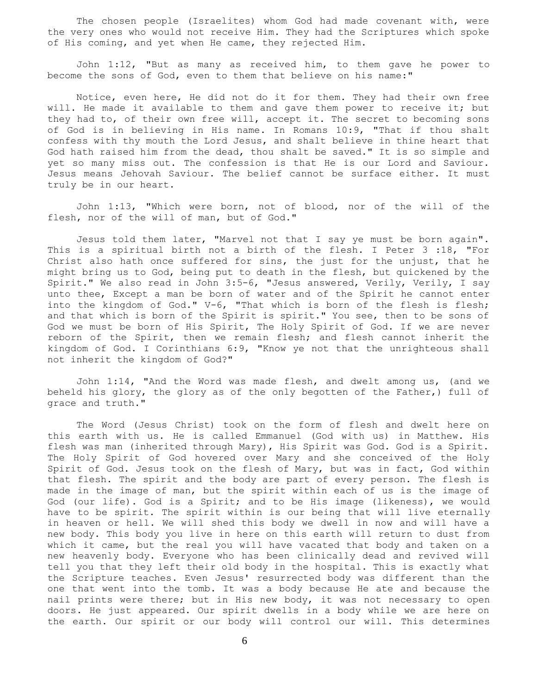The chosen people (Israelites) whom God had made covenant with, were the very ones who would not receive Him. They had the Scriptures which spoke of His coming, and yet when He came, they rejected Him.

 John 1:12, "But as many as received him, to them gave he power to become the sons of God, even to them that believe on his name:"

 Notice, even here, He did not do it for them. They had their own free will. He made it available to them and gave them power to receive it; but they had to, of their own free will, accept it. The secret to becoming sons of God is in believing in His name. In Romans 10:9, "That if thou shalt confess with thy mouth the Lord Jesus, and shalt believe in thine heart that God hath raised him from the dead, thou shalt be saved." It is so simple and yet so many miss out. The confession is that He is our Lord and Saviour. Jesus means Jehovah Saviour. The belief cannot be surface either. It must truly be in our heart.

 John 1:13, "Which were born, not of blood, nor of the will of the flesh, nor of the will of man, but of God."

 Jesus told them later, "Marvel not that I say ye must be born again". This is a spiritual birth not a birth of the flesh. I Peter 3 :18, "For Christ also hath once suffered for sins, the just for the unjust, that he might bring us to God, being put to death in the flesh, but quickened by the Spirit." We also read in John 3:5-6, "Jesus answered, Verily, Verily, I say unto thee, Except a man be born of water and of the Spirit he cannot enter into the kingdom of God." V-6, "That which is born of the flesh is flesh; and that which is born of the Spirit is spirit." You see, then to be sons of God we must be born of His Spirit, The Holy Spirit of God. If we are never reborn of the Spirit, then we remain flesh; and flesh cannot inherit the kingdom of God. I Corinthians 6:9, "Know ye not that the unrighteous shall not inherit the kingdom of God?"

 John 1:14, "And the Word was made flesh, and dwelt among us, (and we beheld his glory, the glory as of the only begotten of the Father,) full of grace and truth."

 The Word (Jesus Christ) took on the form of flesh and dwelt here on this earth with us. He is called Emmanuel (God with us) in Matthew. His flesh was man (inherited through Mary), His Spirit was God. God is a Spirit. The Holy Spirit of God hovered over Mary and she conceived of the Holy Spirit of God. Jesus took on the flesh of Mary, but was in fact, God within that flesh. The spirit and the body are part of every person. The flesh is made in the image of man, but the spirit within each of us is the image of God (our life). God is a Spirit; and to be His image (likeness), we would have to be spirit. The spirit within is our being that will live eternally in heaven or hell. We will shed this body we dwell in now and will have a new body. This body you live in here on this earth will return to dust from which it came, but the real you will have vacated that body and taken on a new heavenly body. Everyone who has been clinically dead and revived will tell you that they left their old body in the hospital. This is exactly what the Scripture teaches. Even Jesus' resurrected body was different than the one that went into the tomb. It was a body because He ate and because the nail prints were there; but in His new body, it was not necessary to open doors. He just appeared. Our spirit dwells in a body while we are here on the earth. Our spirit or our body will control our will. This determines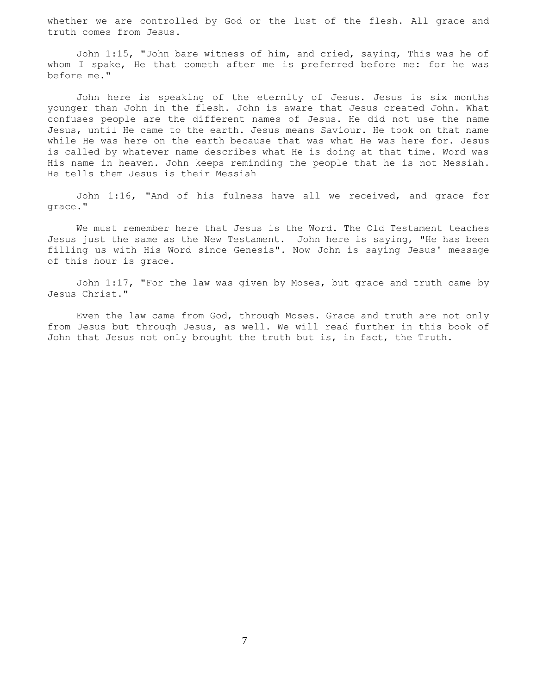whether we are controlled by God or the lust of the flesh. All grace and truth comes from Jesus.

 John 1:15, "John bare witness of him, and cried, saying, This was he of whom I spake, He that cometh after me is preferred before me: for he was before me."

 John here is speaking of the eternity of Jesus. Jesus is six months younger than John in the flesh. John is aware that Jesus created John. What confuses people are the different names of Jesus. He did not use the name Jesus, until He came to the earth. Jesus means Saviour. He took on that name while He was here on the earth because that was what He was here for. Jesus is called by whatever name describes what He is doing at that time. Word was His name in heaven. John keeps reminding the people that he is not Messiah. He tells them Jesus is their Messiah

 John 1:16, "And of his fulness have all we received, and grace for grace."

 We must remember here that Jesus is the Word. The Old Testament teaches Jesus just the same as the New Testament. John here is saying, "He has been filling us with His Word since Genesis". Now John is saying Jesus' message of this hour is grace.

 John 1:17, "For the law was given by Moses, but grace and truth came by Jesus Christ."

 Even the law came from God, through Moses. Grace and truth are not only from Jesus but through Jesus, as well. We will read further in this book of John that Jesus not only brought the truth but is, in fact, the Truth.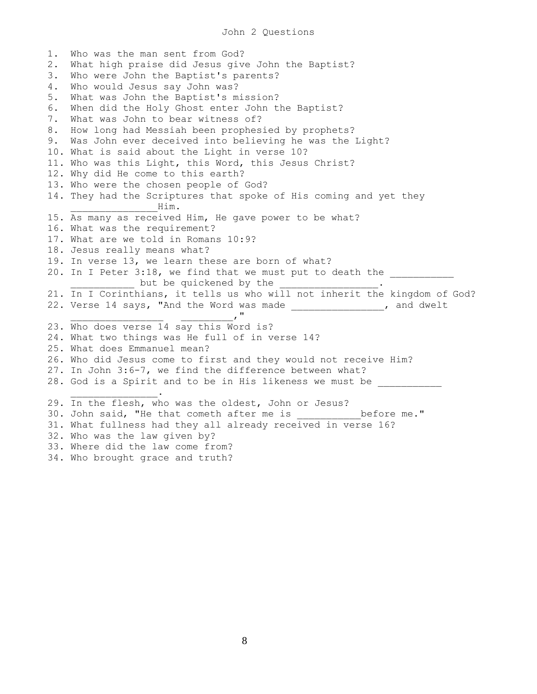1. Who was the man sent from God? 2. What high praise did Jesus give John the Baptist? 3. Who were John the Baptist's parents? 4. Who would Jesus say John was? 5. What was John the Baptist's mission? 6. When did the Holy Ghost enter John the Baptist? 7. What was John to bear witness of? 8. How long had Messiah been prophesied by prophets? 9. Was John ever deceived into believing he was the Light? 10. What is said about the Light in verse 10? 11. Who was this Light, this Word, this Jesus Christ? 12. Why did He come to this earth? 13. Who were the chosen people of God? 14. They had the Scriptures that spoke of His coming and yet they \_\_\_\_\_\_\_\_\_\_\_\_\_\_\_Him. 15. As many as received Him, He gave power to be what? 16. What was the requirement? 17. What are we told in Romans 10:9? 18. Jesus really means what? 19. In verse 13, we learn these are born of what? 20. In I Peter 3:18, we find that we must put to death the but be quickened by the 21. In I Corinthians, it tells us who will not inherit the kingdom of God? 22. Verse 14 says, "And the Word was made \_\_\_\_\_\_\_\_\_\_\_\_\_, and dwelt  $\mathbf{v}^{\mathrm{H}}$ 23. Who does verse 14 say this Word is? 24. What two things was He full of in verse 14? 25. What does Emmanuel mean? 26. Who did Jesus come to first and they would not receive Him? 27. In John 3:6-7, we find the difference between what? 28. God is a Spirit and to be in His likeness we must be  $\overline{\phantom{a}}$  . 29. In the flesh, who was the oldest, John or Jesus? 30. John said, "He that cometh after me is \_\_\_\_\_\_\_\_\_\_\_ before me." 31. What fullness had they all already received in verse 16? 32. Who was the law given by? 33. Where did the law come from?

34. Who brought grace and truth?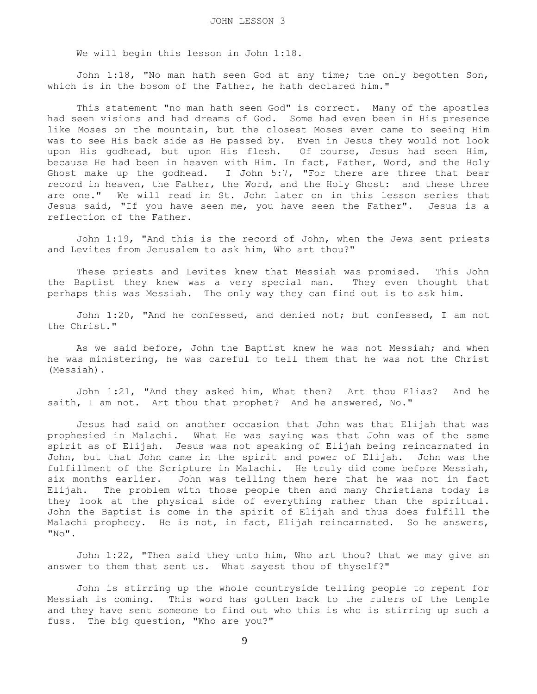We will begin this lesson in John 1:18.

 John 1:18, "No man hath seen God at any time; the only begotten Son, which is in the bosom of the Father, he hath declared him."

 This statement "no man hath seen God" is correct. Many of the apostles had seen visions and had dreams of God. Some had even been in His presence like Moses on the mountain, but the closest Moses ever came to seeing Him was to see His back side as He passed by. Even in Jesus they would not look upon His godhead, but upon His flesh. Of course, Jesus had seen Him, because He had been in heaven with Him. In fact, Father, Word, and the Holy Ghost make up the godhead. I John 5:7, "For there are three that bear record in heaven, the Father, the Word, and the Holy Ghost: and these three are one." We will read in St. John later on in this lesson series that Jesus said, "If you have seen me, you have seen the Father". Jesus is a reflection of the Father.

 John 1:19, "And this is the record of John, when the Jews sent priests and Levites from Jerusalem to ask him, Who art thou?"

 These priests and Levites knew that Messiah was promised. This John the Baptist they knew was a very special man. They even thought that perhaps this was Messiah. The only way they can find out is to ask him.

 John 1:20, "And he confessed, and denied not; but confessed, I am not the Christ."

 As we said before, John the Baptist knew he was not Messiah; and when he was ministering, he was careful to tell them that he was not the Christ (Messiah).

 John 1:21, "And they asked him, What then? Art thou Elias? And he saith, I am not. Art thou that prophet? And he answered, No."

 Jesus had said on another occasion that John was that Elijah that was prophesied in Malachi. What He was saying was that John was of the same spirit as of Elijah. Jesus was not speaking of Elijah being reincarnated in John, but that John came in the spirit and power of Elijah. John was the fulfillment of the Scripture in Malachi. He truly did come before Messiah, six months earlier. John was telling them here that he was not in fact Elijah. The problem with those people then and many Christians today is they look at the physical side of everything rather than the spiritual. John the Baptist is come in the spirit of Elijah and thus does fulfill the Malachi prophecy. He is not, in fact, Elijah reincarnated. So he answers,  $"NO"$ .

 John 1:22, "Then said they unto him, Who art thou? that we may give an answer to them that sent us. What sayest thou of thyself?"

 John is stirring up the whole countryside telling people to repent for Messiah is coming. This word has gotten back to the rulers of the temple and they have sent someone to find out who this is who is stirring up such a fuss. The big question, "Who are you?"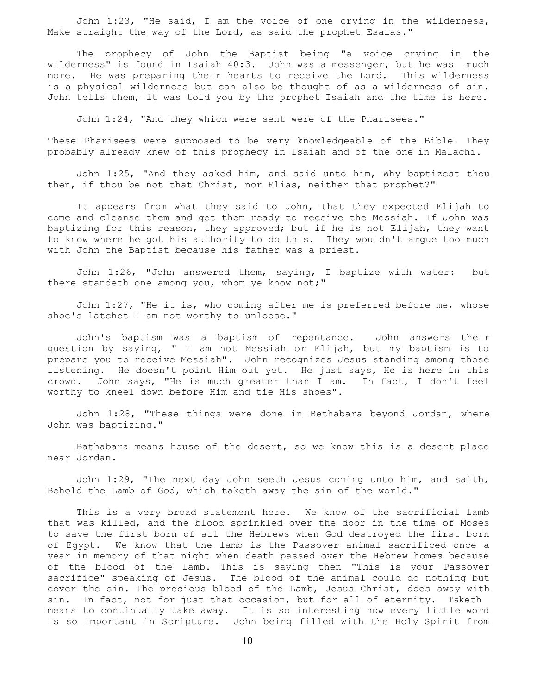John 1:23, "He said, I am the voice of one crying in the wilderness, Make straight the way of the Lord, as said the prophet Esaias."

 The prophecy of John the Baptist being "a voice crying in the wilderness" is found in Isaiah 40:3. John was a messenger, but he was much more. He was preparing their hearts to receive the Lord. This wilderness is a physical wilderness but can also be thought of as a wilderness of sin. John tells them, it was told you by the prophet Isaiah and the time is here.

John 1:24, "And they which were sent were of the Pharisees."

These Pharisees were supposed to be very knowledgeable of the Bible. They probably already knew of this prophecy in Isaiah and of the one in Malachi.

 John 1:25, "And they asked him, and said unto him, Why baptizest thou then, if thou be not that Christ, nor Elias, neither that prophet?"

 It appears from what they said to John, that they expected Elijah to come and cleanse them and get them ready to receive the Messiah. If John was baptizing for this reason, they approved; but if he is not Elijah, they want to know where he got his authority to do this. They wouldn't argue too much with John the Baptist because his father was a priest.

 John 1:26, "John answered them, saying, I baptize with water: but there standeth one among you, whom ye know not;"

 John 1:27, "He it is, who coming after me is preferred before me, whose shoe's latchet I am not worthy to unloose."

 John's baptism was a baptism of repentance. John answers their question by saying, " I am not Messiah or Elijah, but my baptism is to prepare you to receive Messiah". John recognizes Jesus standing among those listening. He doesn't point Him out yet. He just says, He is here in this crowd. John says, "He is much greater than I am. In fact, I don't feel worthy to kneel down before Him and tie His shoes".

 John 1:28, "These things were done in Bethabara beyond Jordan, where John was baptizing."

 Bathabara means house of the desert, so we know this is a desert place near Jordan.

 John 1:29, "The next day John seeth Jesus coming unto him, and saith, Behold the Lamb of God, which taketh away the sin of the world."

 This is a very broad statement here. We know of the sacrificial lamb that was killed, and the blood sprinkled over the door in the time of Moses to save the first born of all the Hebrews when God destroyed the first born of Egypt. We know that the lamb is the Passover animal sacrificed once a year in memory of that night when death passed over the Hebrew homes because of the blood of the lamb. This is saying then "This is your Passover sacrifice" speaking of Jesus. The blood of the animal could do nothing but cover the sin. The precious blood of the Lamb, Jesus Christ, does away with sin. In fact, not for just that occasion, but for all of eternity. Taketh means to continually take away. It is so interesting how every little word is so important in Scripture. John being filled with the Holy Spirit from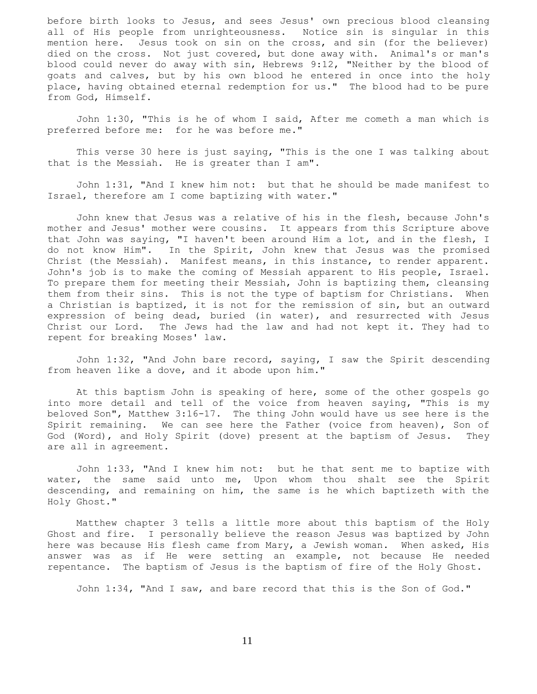before birth looks to Jesus, and sees Jesus' own precious blood cleansing all of His people from unrighteousness. Notice sin is singular in this mention here. Jesus took on sin on the cross, and sin (for the believer) died on the cross. Not just covered, but done away with. Animal's or man's blood could never do away with sin, Hebrews 9:12, "Neither by the blood of goats and calves, but by his own blood he entered in once into the holy place, having obtained eternal redemption for us." The blood had to be pure from God, Himself.

 John 1:30, "This is he of whom I said, After me cometh a man which is preferred before me: for he was before me."

 This verse 30 here is just saying, "This is the one I was talking about that is the Messiah. He is greater than I am".

 John 1:31, "And I knew him not: but that he should be made manifest to Israel, therefore am I come baptizing with water."

 John knew that Jesus was a relative of his in the flesh, because John's mother and Jesus' mother were cousins. It appears from this Scripture above that John was saying, "I haven't been around Him a lot, and in the flesh, I do not know Him". In the Spirit, John knew that Jesus was the promised Christ (the Messiah). Manifest means, in this instance, to render apparent. John's job is to make the coming of Messiah apparent to His people, Israel. To prepare them for meeting their Messiah, John is baptizing them, cleansing them from their sins. This is not the type of baptism for Christians. When a Christian is baptized, it is not for the remission of sin, but an outward expression of being dead, buried (in water), and resurrected with Jesus Christ our Lord. The Jews had the law and had not kept it. They had to repent for breaking Moses' law.

 John 1:32, "And John bare record, saying, I saw the Spirit descending from heaven like a dove, and it abode upon him."

 At this baptism John is speaking of here, some of the other gospels go into more detail and tell of the voice from heaven saying, "This is my beloved Son", Matthew 3:16-17. The thing John would have us see here is the Spirit remaining. We can see here the Father (voice from heaven), Son of God (Word), and Holy Spirit (dove) present at the baptism of Jesus. They are all in agreement.

 John 1:33, "And I knew him not: but he that sent me to baptize with water, the same said unto me, Upon whom thou shalt see the Spirit descending, and remaining on him, the same is he which baptizeth with the Holy Ghost."

 Matthew chapter 3 tells a little more about this baptism of the Holy Ghost and fire. I personally believe the reason Jesus was baptized by John here was because His flesh came from Mary, a Jewish woman. When asked, His answer was as if He were setting an example, not because He needed repentance. The baptism of Jesus is the baptism of fire of the Holy Ghost.

John 1:34, "And I saw, and bare record that this is the Son of God."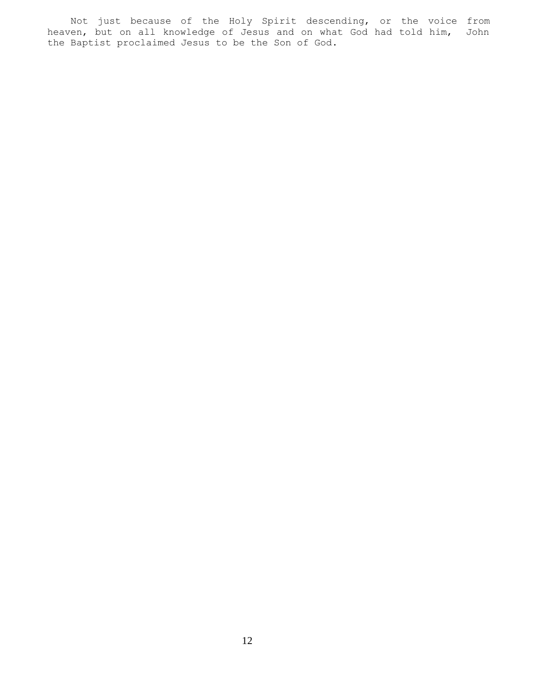Not just because of the Holy Spirit descending, or the voice from heaven, but on all knowledge of Jesus and on what God had told him, John the Baptist proclaimed Jesus to be the Son of God.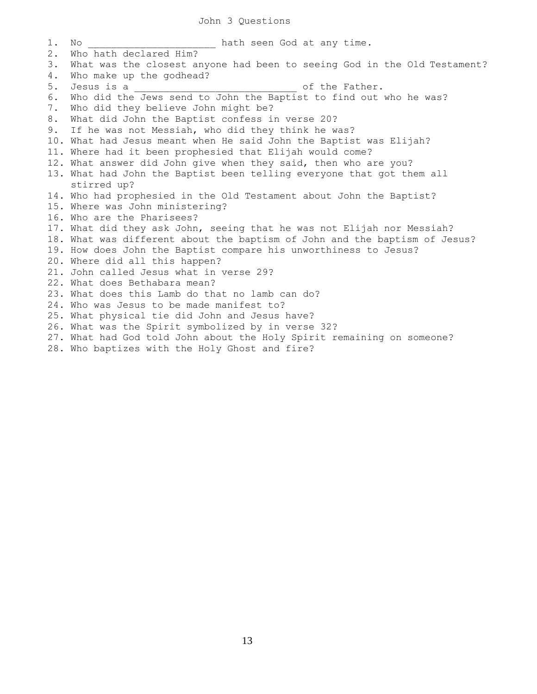1. No \_\_\_\_\_\_\_\_\_\_\_\_\_\_\_\_\_\_ hath seen God at any time. 2. Who hath declared Him? 3. What was the closest anyone had been to seeing God in the Old Testament? 4. Who make up the godhead?<br>5. Jesus is a 5. Jesus is a \_\_\_\_\_\_\_\_\_\_\_\_\_\_\_\_\_\_\_\_\_\_\_\_\_\_\_\_ of the Father. 6. Who did the Jews send to John the Baptist to find out who he was? 7. Who did they believe John might be? 8. What did John the Baptist confess in verse 20? 9. If he was not Messiah, who did they think he was? 10. What had Jesus meant when He said John the Baptist was Elijah? 11. Where had it been prophesied that Elijah would come? 12. What answer did John give when they said, then who are you? 13. What had John the Baptist been telling everyone that got them all stirred up? 14. Who had prophesied in the Old Testament about John the Baptist? 15. Where was John ministering? 16. Who are the Pharisees? 17. What did they ask John, seeing that he was not Elijah nor Messiah? 18. What was different about the baptism of John and the baptism of Jesus? 19. How does John the Baptist compare his unworthiness to Jesus? 20. Where did all this happen? 21. John called Jesus what in verse 29? 22. What does Bethabara mean? 23. What does this Lamb do that no lamb can do? 24. Who was Jesus to be made manifest to? 25. What physical tie did John and Jesus have? 26. What was the Spirit symbolized by in verse 32? 27. What had God told John about the Holy Spirit remaining on someone? 28. Who baptizes with the Holy Ghost and fire?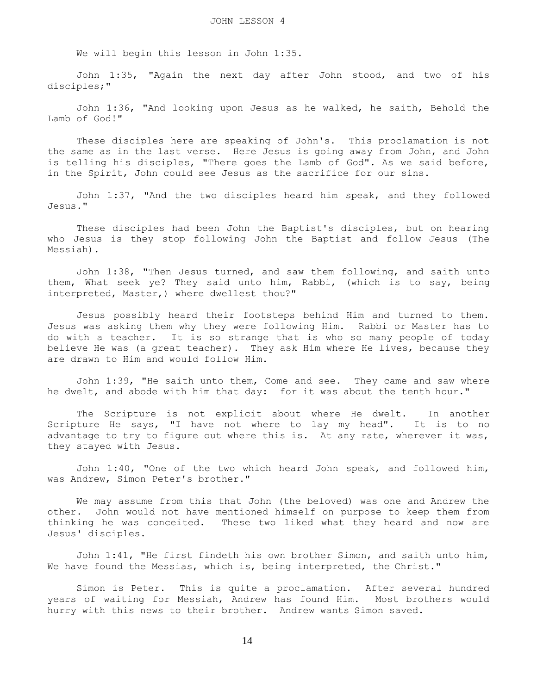We will begin this lesson in John 1:35.

 John 1:35, "Again the next day after John stood, and two of his disciples;"

 John 1:36, "And looking upon Jesus as he walked, he saith, Behold the Lamb of God!"

 These disciples here are speaking of John's. This proclamation is not the same as in the last verse. Here Jesus is going away from John, and John is telling his disciples, "There goes the Lamb of God". As we said before, in the Spirit, John could see Jesus as the sacrifice for our sins.

 John 1:37, "And the two disciples heard him speak, and they followed Jesus."

 These disciples had been John the Baptist's disciples, but on hearing who Jesus is they stop following John the Baptist and follow Jesus (The Messiah).

 John 1:38, "Then Jesus turned, and saw them following, and saith unto them, What seek ye? They said unto him, Rabbi, (which is to say, being interpreted, Master,) where dwellest thou?"

 Jesus possibly heard their footsteps behind Him and turned to them. Jesus was asking them why they were following Him. Rabbi or Master has to do with a teacher. It is so strange that is who so many people of today believe He was (a great teacher). They ask Him where He lives, because they are drawn to Him and would follow Him.

 John 1:39, "He saith unto them, Come and see. They came and saw where he dwelt, and abode with him that day: for it was about the tenth hour."

 The Scripture is not explicit about where He dwelt. In another Scripture He says, "I have not where to lay my head". It is to no advantage to try to figure out where this is. At any rate, wherever it was, they stayed with Jesus.

 John 1:40, "One of the two which heard John speak, and followed him, was Andrew, Simon Peter's brother."

 We may assume from this that John (the beloved) was one and Andrew the other. John would not have mentioned himself on purpose to keep them from thinking he was conceited. These two liked what they heard and now are Jesus' disciples.

 John 1:41, "He first findeth his own brother Simon, and saith unto him, We have found the Messias, which is, being interpreted, the Christ."

 Simon is Peter. This is quite a proclamation. After several hundred years of waiting for Messiah, Andrew has found Him. Most brothers would hurry with this news to their brother. Andrew wants Simon saved.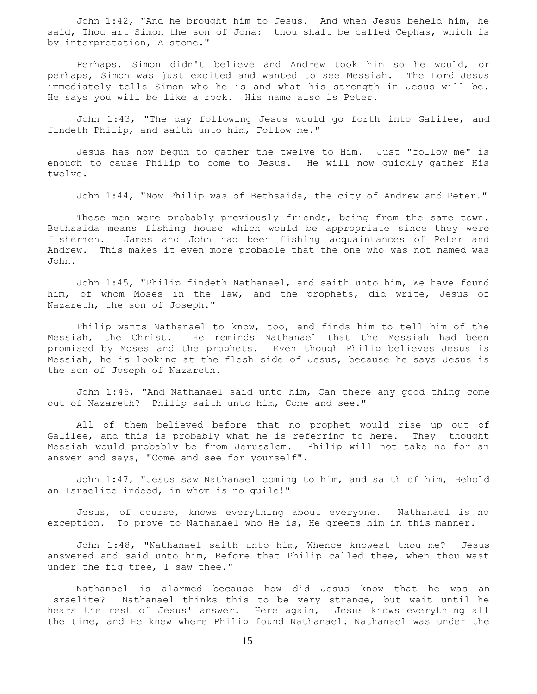John 1:42, "And he brought him to Jesus. And when Jesus beheld him, he said, Thou art Simon the son of Jona: thou shalt be called Cephas, which is by interpretation, A stone."

 Perhaps, Simon didn't believe and Andrew took him so he would, or perhaps, Simon was just excited and wanted to see Messiah. The Lord Jesus immediately tells Simon who he is and what his strength in Jesus will be. He says you will be like a rock. His name also is Peter.

 John 1:43, "The day following Jesus would go forth into Galilee, and findeth Philip, and saith unto him, Follow me."

 Jesus has now begun to gather the twelve to Him. Just "follow me" is enough to cause Philip to come to Jesus. He will now quickly gather His twelve.

John 1:44, "Now Philip was of Bethsaida, the city of Andrew and Peter."

 These men were probably previously friends, being from the same town. Bethsaida means fishing house which would be appropriate since they were fishermen. James and John had been fishing acquaintances of Peter and Andrew. This makes it even more probable that the one who was not named was John.

 John 1:45, "Philip findeth Nathanael, and saith unto him, We have found him, of whom Moses in the law, and the prophets, did write, Jesus of Nazareth, the son of Joseph."

 Philip wants Nathanael to know, too, and finds him to tell him of the Messiah, the Christ. He reminds Nathanael that the Messiah had been promised by Moses and the prophets. Even though Philip believes Jesus is Messiah, he is looking at the flesh side of Jesus, because he says Jesus is the son of Joseph of Nazareth.

 John 1:46, "And Nathanael said unto him, Can there any good thing come out of Nazareth? Philip saith unto him, Come and see."

 All of them believed before that no prophet would rise up out of Galilee, and this is probably what he is referring to here. They thought Messiah would probably be from Jerusalem. Philip will not take no for an answer and says, "Come and see for yourself".

 John 1:47, "Jesus saw Nathanael coming to him, and saith of him, Behold an Israelite indeed, in whom is no guile!"

 Jesus, of course, knows everything about everyone. Nathanael is no exception. To prove to Nathanael who He is, He greets him in this manner.

 John 1:48, "Nathanael saith unto him, Whence knowest thou me? Jesus answered and said unto him, Before that Philip called thee, when thou wast under the fig tree, I saw thee."

 Nathanael is alarmed because how did Jesus know that he was an Israelite? Nathanael thinks this to be very strange, but wait until he hears the rest of Jesus' answer. Here again, Jesus knows everything all the time, and He knew where Philip found Nathanael. Nathanael was under the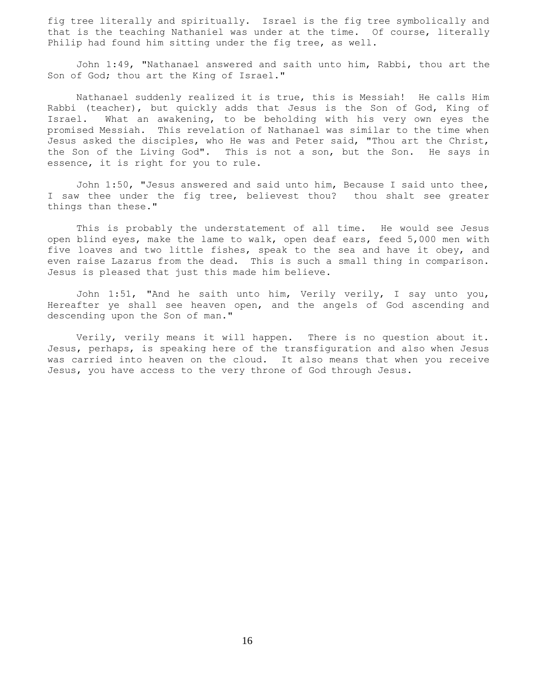fig tree literally and spiritually. Israel is the fig tree symbolically and that is the teaching Nathaniel was under at the time. Of course, literally Philip had found him sitting under the fig tree, as well.

 John 1:49, "Nathanael answered and saith unto him, Rabbi, thou art the Son of God; thou art the King of Israel."

 Nathanael suddenly realized it is true, this is Messiah! He calls Him Rabbi (teacher), but quickly adds that Jesus is the Son of God, King of Israel. What an awakening, to be beholding with his very own eyes the promised Messiah. This revelation of Nathanael was similar to the time when Jesus asked the disciples, who He was and Peter said, "Thou art the Christ, the Son of the Living God". This is not a son, but the Son. He says in essence, it is right for you to rule.

 John 1:50, "Jesus answered and said unto him, Because I said unto thee, I saw thee under the fig tree, believest thou? thou shalt see greater things than these."

 This is probably the understatement of all time. He would see Jesus open blind eyes, make the lame to walk, open deaf ears, feed 5,000 men with five loaves and two little fishes, speak to the sea and have it obey, and even raise Lazarus from the dead. This is such a small thing in comparison. Jesus is pleased that just this made him believe.

 John 1:51, "And he saith unto him, Verily verily, I say unto you, Hereafter ye shall see heaven open, and the angels of God ascending and descending upon the Son of man."

 Verily, verily means it will happen. There is no question about it. Jesus, perhaps, is speaking here of the transfiguration and also when Jesus was carried into heaven on the cloud. It also means that when you receive Jesus, you have access to the very throne of God through Jesus.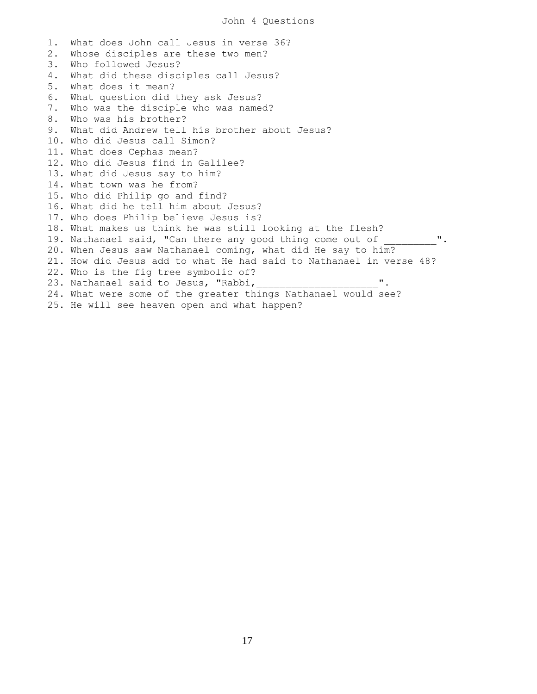1. What does John call Jesus in verse 36? 2. Whose disciples are these two men? 3. Who followed Jesus? 4. What did these disciples call Jesus? 5. What does it mean? 6. What question did they ask Jesus? 7. Who was the disciple who was named? 8. Who was his brother? 9. What did Andrew tell his brother about Jesus? 10. Who did Jesus call Simon? 11. What does Cephas mean? 12. Who did Jesus find in Galilee? 13. What did Jesus say to him? 14. What town was he from? 15. Who did Philip go and find? 16. What did he tell him about Jesus? 17. Who does Philip believe Jesus is? 18. What makes us think he was still looking at the flesh? 19. Nathanael said, "Can there any good thing come out of 20. When Jesus saw Nathanael coming, what did He say to him? 21. How did Jesus add to what He had said to Nathanael in verse 48? 22. Who is the fig tree symbolic of? 23. Nathanael said to Jesus, "Rabbi, 24. What were some of the greater things Nathanael would see? 25. He will see heaven open and what happen?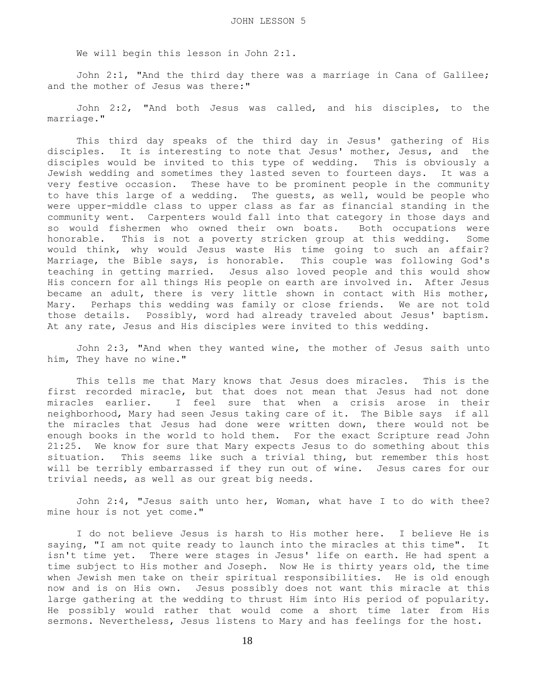We will begin this lesson in John 2:1.

 John 2:1, "And the third day there was a marriage in Cana of Galilee; and the mother of Jesus was there:"

 John 2:2, "And both Jesus was called, and his disciples, to the marriage."

 This third day speaks of the third day in Jesus' gathering of His disciples. It is interesting to note that Jesus' mother, Jesus, and the disciples would be invited to this type of wedding. This is obviously a Jewish wedding and sometimes they lasted seven to fourteen days. It was a very festive occasion. These have to be prominent people in the community to have this large of a wedding. The guests, as well, would be people who were upper-middle class to upper class as far as financial standing in the community went. Carpenters would fall into that category in those days and so would fishermen who owned their own boats. Both occupations were honorable. This is not a poverty stricken group at this wedding. Some would think, why would Jesus waste His time going to such an affair? Marriage, the Bible says, is honorable. This couple was following God's teaching in getting married. Jesus also loved people and this would show His concern for all things His people on earth are involved in. After Jesus became an adult, there is very little shown in contact with His mother, Mary. Perhaps this wedding was family or close friends. We are not told those details. Possibly, word had already traveled about Jesus' baptism. At any rate, Jesus and His disciples were invited to this wedding.

 John 2:3, "And when they wanted wine, the mother of Jesus saith unto him, They have no wine."

 This tells me that Mary knows that Jesus does miracles. This is the first recorded miracle, but that does not mean that Jesus had not done miracles earlier. I feel sure that when a crisis arose in their neighborhood, Mary had seen Jesus taking care of it. The Bible says if all the miracles that Jesus had done were written down, there would not be enough books in the world to hold them. For the exact Scripture read John 21:25. We know for sure that Mary expects Jesus to do something about this situation. This seems like such a trivial thing, but remember this host will be terribly embarrassed if they run out of wine. Jesus cares for our trivial needs, as well as our great big needs.

 John 2:4, "Jesus saith unto her, Woman, what have I to do with thee? mine hour is not yet come."

 I do not believe Jesus is harsh to His mother here. I believe He is saying, "I am not quite ready to launch into the miracles at this time". It isn't time yet. There were stages in Jesus' life on earth. He had spent a time subject to His mother and Joseph. Now He is thirty years old, the time when Jewish men take on their spiritual responsibilities. He is old enough now and is on His own. Jesus possibly does not want this miracle at this large gathering at the wedding to thrust Him into His period of popularity. He possibly would rather that would come a short time later from His sermons. Nevertheless, Jesus listens to Mary and has feelings for the host.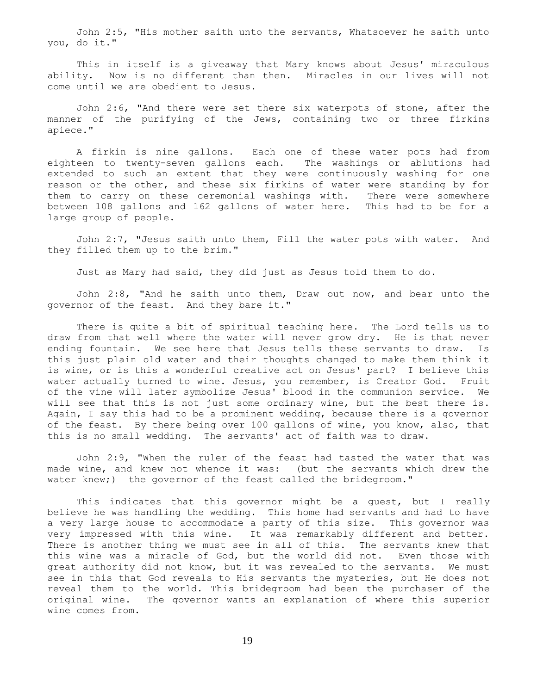John 2:5, "His mother saith unto the servants, Whatsoever he saith unto you, do it."

 This in itself is a giveaway that Mary knows about Jesus' miraculous ability. Now is no different than then. Miracles in our lives will not come until we are obedient to Jesus.

 John 2:6, "And there were set there six waterpots of stone, after the manner of the purifying of the Jews, containing two or three firkins apiece."

 A firkin is nine gallons. Each one of these water pots had from eighteen to twenty-seven gallons each. The washings or ablutions had extended to such an extent that they were continuously washing for one reason or the other, and these six firkins of water were standing by for them to carry on these ceremonial washings with. There were somewhere between 108 gallons and 162 gallons of water here. This had to be for a large group of people.

 John 2:7, "Jesus saith unto them, Fill the water pots with water. And they filled them up to the brim."

Just as Mary had said, they did just as Jesus told them to do.

 John 2:8, "And he saith unto them, Draw out now, and bear unto the governor of the feast. And they bare it."

 There is quite a bit of spiritual teaching here. The Lord tells us to draw from that well where the water will never grow dry. He is that never ending fountain. We see here that Jesus tells these servants to draw. Is this just plain old water and their thoughts changed to make them think it is wine, or is this a wonderful creative act on Jesus' part? I believe this water actually turned to wine. Jesus, you remember, is Creator God. Fruit of the vine will later symbolize Jesus' blood in the communion service. We will see that this is not just some ordinary wine, but the best there is. Again, I say this had to be a prominent wedding, because there is a governor of the feast. By there being over 100 gallons of wine, you know, also, that this is no small wedding. The servants' act of faith was to draw.

 John 2:9, "When the ruler of the feast had tasted the water that was made wine, and knew not whence it was: (but the servants which drew the water knew;) the governor of the feast called the bridegroom."

 This indicates that this governor might be a guest, but I really believe he was handling the wedding. This home had servants and had to have a very large house to accommodate a party of this size. This governor was very impressed with this wine. It was remarkably different and better. There is another thing we must see in all of this. The servants knew that this wine was a miracle of God, but the world did not. Even those with great authority did not know, but it was revealed to the servants. We must see in this that God reveals to His servants the mysteries, but He does not reveal them to the world. This bridegroom had been the purchaser of the original wine. The governor wants an explanation of where this superior wine comes from.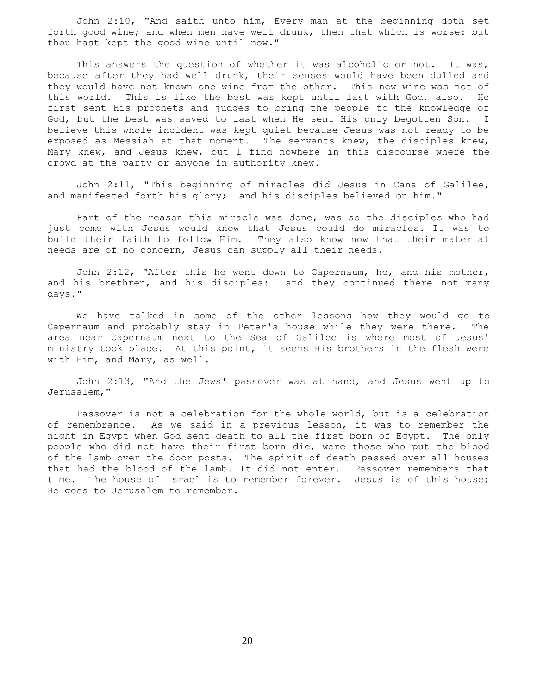John 2:10, "And saith unto him, Every man at the beginning doth set forth good wine; and when men have well drunk, then that which is worse: but thou hast kept the good wine until now."

This answers the question of whether it was alcoholic or not. It was, because after they had well drunk, their senses would have been dulled and they would have not known one wine from the other. This new wine was not of this world. This is like the best was kept until last with God, also. He first sent His prophets and judges to bring the people to the knowledge of God, but the best was saved to last when He sent His only begotten Son. I believe this whole incident was kept quiet because Jesus was not ready to be exposed as Messiah at that moment. The servants knew, the disciples knew, Mary knew, and Jesus knew, but I find nowhere in this discourse where the crowd at the party or anyone in authority knew.

 John 2:11, "This beginning of miracles did Jesus in Cana of Galilee, and manifested forth his glory; and his disciples believed on him."

 Part of the reason this miracle was done, was so the disciples who had just come with Jesus would know that Jesus could do miracles. It was to build their faith to follow Him. They also know now that their material needs are of no concern, Jesus can supply all their needs.

 John 2:12, "After this he went down to Capernaum, he, and his mother, and his brethren, and his disciples: and they continued there not many days."

 We have talked in some of the other lessons how they would go to Capernaum and probably stay in Peter's house while they were there. The area near Capernaum next to the Sea of Galilee is where most of Jesus' ministry took place. At this point, it seems His brothers in the flesh were with Him, and Mary, as well.

 John 2:13, "And the Jews' passover was at hand, and Jesus went up to Jerusalem,"

 Passover is not a celebration for the whole world, but is a celebration of remembrance. As we said in a previous lesson, it was to remember the night in Egypt when God sent death to all the first born of Egypt. The only people who did not have their first born die, were those who put the blood of the lamb over the door posts. The spirit of death passed over all houses that had the blood of the lamb. It did not enter. Passover remembers that time. The house of Israel is to remember forever. Jesus is of this house; He goes to Jerusalem to remember.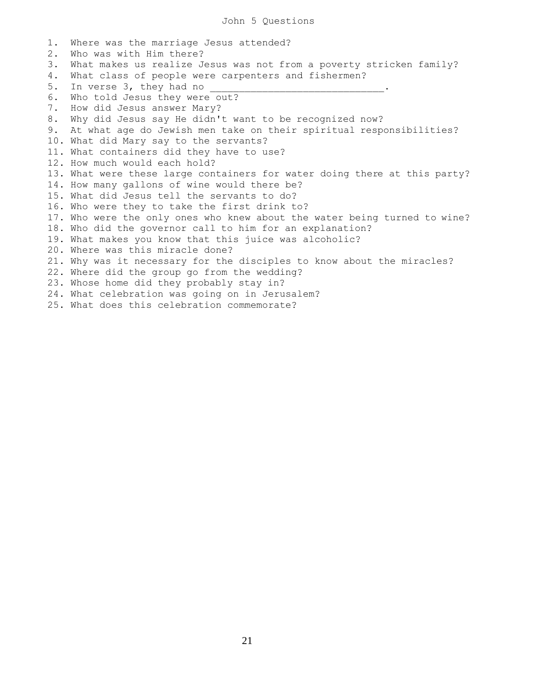1. Where was the marriage Jesus attended? 2. Who was with Him there? 3. What makes us realize Jesus was not from a poverty stricken family? 4. What class of people were carpenters and fishermen? 5. In verse 3, they had no 6. Who told Jesus they were out? 7. How did Jesus answer Mary? 8. Why did Jesus say He didn't want to be recognized now? 9. At what age do Jewish men take on their spiritual responsibilities? 10. What did Mary say to the servants? 11. What containers did they have to use? 12. How much would each hold? 13. What were these large containers for water doing there at this party? 14. How many gallons of wine would there be? 15. What did Jesus tell the servants to do? 16. Who were they to take the first drink to? 17. Who were the only ones who knew about the water being turned to wine? 18. Who did the governor call to him for an explanation? 19. What makes you know that this juice was alcoholic? 20. Where was this miracle done? 21. Why was it necessary for the disciples to know about the miracles? 22. Where did the group go from the wedding? 23. Whose home did they probably stay in? 24. What celebration was going on in Jerusalem? 25. What does this celebration commemorate?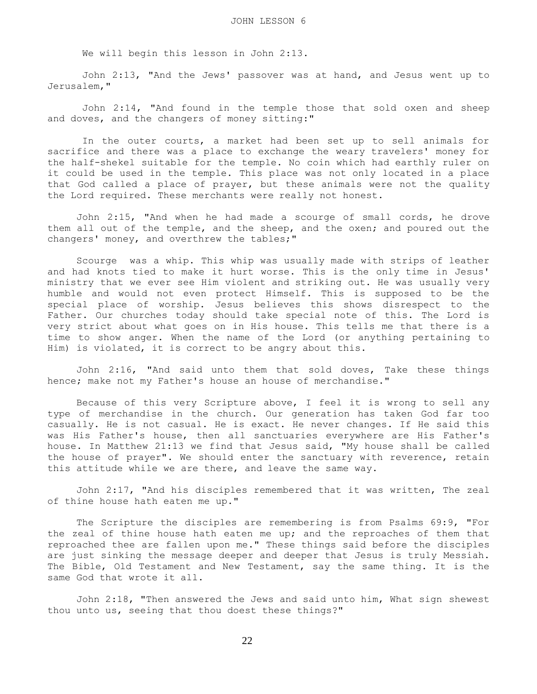We will begin this lesson in John 2:13.

 John 2:13, "And the Jews' passover was at hand, and Jesus went up to Jerusalem,"

 John 2:14, "And found in the temple those that sold oxen and sheep and doves, and the changers of money sitting:"

 In the outer courts, a market had been set up to sell animals for sacrifice and there was a place to exchange the weary travelers' money for the half-shekel suitable for the temple. No coin which had earthly ruler on it could be used in the temple. This place was not only located in a place that God called a place of prayer, but these animals were not the quality the Lord required. These merchants were really not honest.

 John 2:15, "And when he had made a scourge of small cords, he drove them all out of the temple, and the sheep, and the oxen; and poured out the changers' money, and overthrew the tables;"

 Scourge was a whip. This whip was usually made with strips of leather and had knots tied to make it hurt worse. This is the only time in Jesus' ministry that we ever see Him violent and striking out. He was usually very humble and would not even protect Himself. This is supposed to be the special place of worship. Jesus believes this shows disrespect to the Father. Our churches today should take special note of this. The Lord is very strict about what goes on in His house. This tells me that there is a time to show anger. When the name of the Lord (or anything pertaining to Him) is violated, it is correct to be angry about this.

 John 2:16, "And said unto them that sold doves, Take these things hence; make not my Father's house an house of merchandise."

 Because of this very Scripture above, I feel it is wrong to sell any type of merchandise in the church. Our generation has taken God far too casually. He is not casual. He is exact. He never changes. If He said this was His Father's house, then all sanctuaries everywhere are His Father's house. In Matthew 21:13 we find that Jesus said, "My house shall be called the house of prayer". We should enter the sanctuary with reverence, retain this attitude while we are there, and leave the same way.

 John 2:17, "And his disciples remembered that it was written, The zeal of thine house hath eaten me up."

 The Scripture the disciples are remembering is from Psalms 69:9, "For the zeal of thine house hath eaten me up; and the reproaches of them that reproached thee are fallen upon me." These things said before the disciples are just sinking the message deeper and deeper that Jesus is truly Messiah. The Bible, Old Testament and New Testament, say the same thing. It is the same God that wrote it all.

 John 2:18, "Then answered the Jews and said unto him, What sign shewest thou unto us, seeing that thou doest these things?"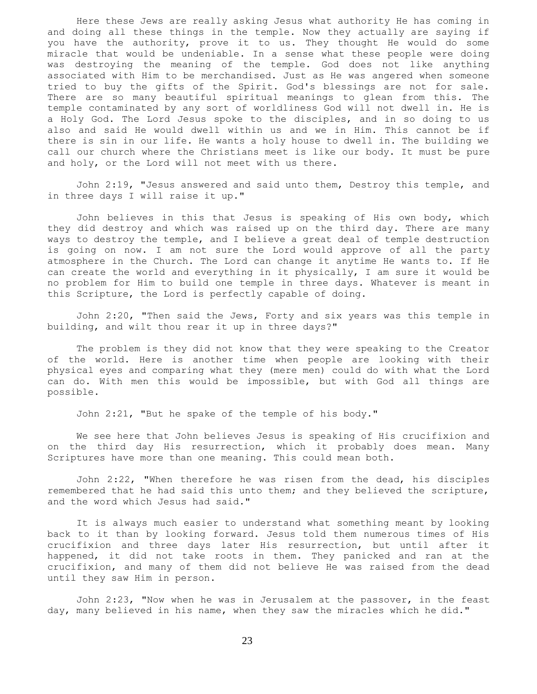Here these Jews are really asking Jesus what authority He has coming in and doing all these things in the temple. Now they actually are saying if you have the authority, prove it to us. They thought He would do some miracle that would be undeniable. In a sense what these people were doing was destroying the meaning of the temple. God does not like anything associated with Him to be merchandised. Just as He was angered when someone tried to buy the gifts of the Spirit. God's blessings are not for sale. There are so many beautiful spiritual meanings to glean from this. The temple contaminated by any sort of worldliness God will not dwell in. He is a Holy God. The Lord Jesus spoke to the disciples, and in so doing to us also and said He would dwell within us and we in Him. This cannot be if there is sin in our life. He wants a holy house to dwell in. The building we call our church where the Christians meet is like our body. It must be pure and holy, or the Lord will not meet with us there.

 John 2:19, "Jesus answered and said unto them, Destroy this temple, and in three days I will raise it up."

 John believes in this that Jesus is speaking of His own body, which they did destroy and which was raised up on the third day. There are many ways to destroy the temple, and I believe a great deal of temple destruction is going on now. I am not sure the Lord would approve of all the party atmosphere in the Church. The Lord can change it anytime He wants to. If He can create the world and everything in it physically, I am sure it would be no problem for Him to build one temple in three days. Whatever is meant in this Scripture, the Lord is perfectly capable of doing.

 John 2:20, "Then said the Jews, Forty and six years was this temple in building, and wilt thou rear it up in three days?"

 The problem is they did not know that they were speaking to the Creator of the world. Here is another time when people are looking with their physical eyes and comparing what they (mere men) could do with what the Lord can do. With men this would be impossible, but with God all things are possible.

John 2:21, "But he spake of the temple of his body."

 We see here that John believes Jesus is speaking of His crucifixion and on the third day His resurrection, which it probably does mean. Many Scriptures have more than one meaning. This could mean both.

 John 2:22, "When therefore he was risen from the dead, his disciples remembered that he had said this unto them; and they believed the scripture, and the word which Jesus had said."

 It is always much easier to understand what something meant by looking back to it than by looking forward. Jesus told them numerous times of His crucifixion and three days later His resurrection, but until after it happened, it did not take roots in them. They panicked and ran at the crucifixion, and many of them did not believe He was raised from the dead until they saw Him in person.

 John 2:23, "Now when he was in Jerusalem at the passover, in the feast day, many believed in his name, when they saw the miracles which he did."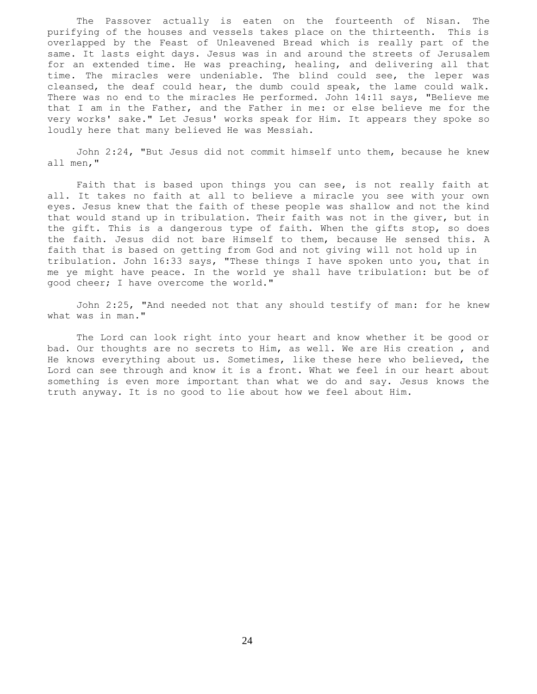The Passover actually is eaten on the fourteenth of Nisan. The purifying of the houses and vessels takes place on the thirteenth. This is overlapped by the Feast of Unleavened Bread which is really part of the same. It lasts eight days. Jesus was in and around the streets of Jerusalem for an extended time. He was preaching, healing, and delivering all that time. The miracles were undeniable. The blind could see, the leper was cleansed, the deaf could hear, the dumb could speak, the lame could walk. There was no end to the miracles He performed. John 14:11 says, "Believe me that I am in the Father, and the Father in me: or else believe me for the very works' sake." Let Jesus' works speak for Him. It appears they spoke so loudly here that many believed He was Messiah.

 John 2:24, "But Jesus did not commit himself unto them, because he knew all men,"

 Faith that is based upon things you can see, is not really faith at all. It takes no faith at all to believe a miracle you see with your own eyes. Jesus knew that the faith of these people was shallow and not the kind that would stand up in tribulation. Their faith was not in the giver, but in the gift. This is a dangerous type of faith. When the gifts stop, so does the faith. Jesus did not bare Himself to them, because He sensed this. A faith that is based on getting from God and not giving will not hold up in tribulation. John 16:33 says, "These things I have spoken unto you, that in me ye might have peace. In the world ye shall have tribulation: but be of good cheer; I have overcome the world."

 John 2:25, "And needed not that any should testify of man: for he knew what was in man."

 The Lord can look right into your heart and know whether it be good or bad. Our thoughts are no secrets to Him, as well. We are His creation , and He knows everything about us. Sometimes, like these here who believed, the Lord can see through and know it is a front. What we feel in our heart about something is even more important than what we do and say. Jesus knows the truth anyway. It is no good to lie about how we feel about Him.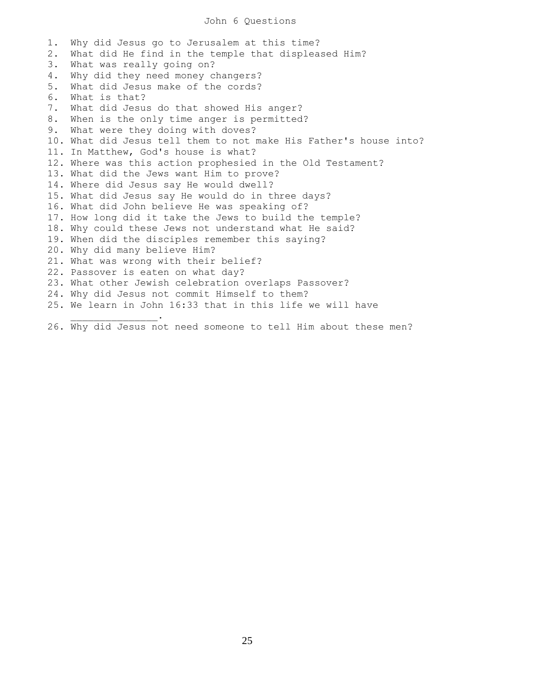## John 6 Questions

1. Why did Jesus go to Jerusalem at this time? 2. What did He find in the temple that displeased Him? 3. What was really going on? 4. Why did they need money changers? 5. What did Jesus make of the cords? 6. What is that? 7. What did Jesus do that showed His anger? 8. When is the only time anger is permitted? 9. What were they doing with doves? 10. What did Jesus tell them to not make His Father's house into? 11. In Matthew, God's house is what? 12. Where was this action prophesied in the Old Testament? 13. What did the Jews want Him to prove? 14. Where did Jesus say He would dwell? 15. What did Jesus say He would do in three days? 16. What did John believe He was speaking of? 17. How long did it take the Jews to build the temple? 18. Why could these Jews not understand what He said? 19. When did the disciples remember this saying? 20. Why did many believe Him? 21. What was wrong with their belief? 22. Passover is eaten on what day? 23. What other Jewish celebration overlaps Passover? 24. Why did Jesus not commit Himself to them? 25. We learn in John 16:33 that in this life we will have  $\mathcal{L}=\mathcal{L}=\mathcal{L}=\mathcal{L}=\mathcal{L}=\mathcal{L}=\mathcal{L}$ 

26. Why did Jesus not need someone to tell Him about these men?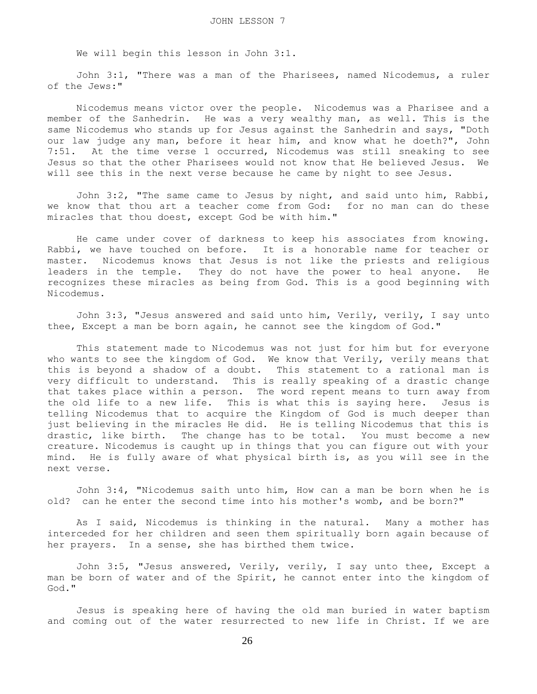We will begin this lesson in John 3:1.

 John 3:1, "There was a man of the Pharisees, named Nicodemus, a ruler of the Jews:"

 Nicodemus means victor over the people. Nicodemus was a Pharisee and a member of the Sanhedrin. He was a very wealthy man, as well. This is the same Nicodemus who stands up for Jesus against the Sanhedrin and says, "Doth our law judge any man, before it hear him, and know what he doeth?", John 7:51. At the time verse 1 occurred, Nicodemus was still sneaking to see Jesus so that the other Pharisees would not know that He believed Jesus. We will see this in the next verse because he came by night to see Jesus.

 John 3:2, "The same came to Jesus by night, and said unto him, Rabbi, we know that thou art a teacher come from God: for no man can do these miracles that thou doest, except God be with him."

 He came under cover of darkness to keep his associates from knowing. Rabbi, we have touched on before. It is a honorable name for teacher or master. Nicodemus knows that Jesus is not like the priests and religious leaders in the temple. They do not have the power to heal anyone. He recognizes these miracles as being from God. This is a good beginning with Nicodemus.

 John 3:3, "Jesus answered and said unto him, Verily, verily, I say unto thee, Except a man be born again, he cannot see the kingdom of God."

 This statement made to Nicodemus was not just for him but for everyone who wants to see the kingdom of God. We know that Verily, verily means that this is beyond a shadow of a doubt. This statement to a rational man is very difficult to understand. This is really speaking of a drastic change that takes place within a person. The word repent means to turn away from the old life to a new life. This is what this is saying here. Jesus is telling Nicodemus that to acquire the Kingdom of God is much deeper than just believing in the miracles He did. He is telling Nicodemus that this is drastic, like birth. The change has to be total. You must become a new creature. Nicodemus is caught up in things that you can figure out with your mind. He is fully aware of what physical birth is, as you will see in the next verse.

 John 3:4, "Nicodemus saith unto him, How can a man be born when he is old? can he enter the second time into his mother's womb, and be born?"

 As I said, Nicodemus is thinking in the natural. Many a mother has interceded for her children and seen them spiritually born again because of her prayers. In a sense, she has birthed them twice.

 John 3:5, "Jesus answered, Verily, verily, I say unto thee, Except a man be born of water and of the Spirit, he cannot enter into the kingdom of God."

 Jesus is speaking here of having the old man buried in water baptism and coming out of the water resurrected to new life in Christ. If we are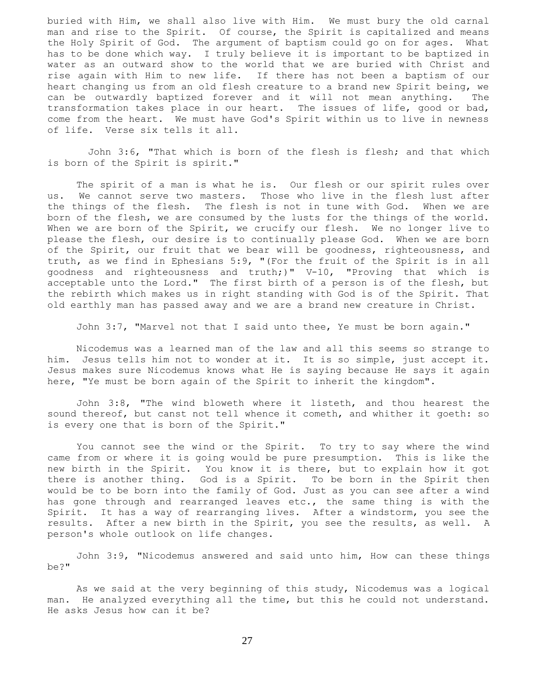buried with Him, we shall also live with Him. We must bury the old carnal man and rise to the Spirit. Of course, the Spirit is capitalized and means the Holy Spirit of God. The argument of baptism could go on for ages. What has to be done which way. I truly believe it is important to be baptized in water as an outward show to the world that we are buried with Christ and rise again with Him to new life. If there has not been a baptism of our heart changing us from an old flesh creature to a brand new Spirit being, we can be outwardly baptized forever and it will not mean anything. The transformation takes place in our heart. The issues of life, good or bad, come from the heart. We must have God's Spirit within us to live in newness of life. Verse six tells it all.

 John 3:6, "That which is born of the flesh is flesh; and that which is born of the Spirit is spirit."

 The spirit of a man is what he is. Our flesh or our spirit rules over us. We cannot serve two masters. Those who live in the flesh lust after the things of the flesh. The flesh is not in tune with God. When we are born of the flesh, we are consumed by the lusts for the things of the world. When we are born of the Spirit, we crucify our flesh. We no longer live to please the flesh, our desire is to continually please God. When we are born of the Spirit, our fruit that we bear will be goodness, righteousness, and truth, as we find in Ephesians 5:9, "(For the fruit of the Spirit is in all goodness and righteousness and truth;)" V-10, "Proving that which is acceptable unto the Lord." The first birth of a person is of the flesh, but the rebirth which makes us in right standing with God is of the Spirit. That old earthly man has passed away and we are a brand new creature in Christ.

John 3:7, "Marvel not that I said unto thee, Ye must be born again."

 Nicodemus was a learned man of the law and all this seems so strange to him. Jesus tells him not to wonder at it. It is so simple, just accept it. Jesus makes sure Nicodemus knows what He is saying because He says it again here, "Ye must be born again of the Spirit to inherit the kingdom".

 John 3:8, "The wind bloweth where it listeth, and thou hearest the sound thereof, but canst not tell whence it cometh, and whither it goeth: so is every one that is born of the Spirit."

 You cannot see the wind or the Spirit. To try to say where the wind came from or where it is going would be pure presumption. This is like the new birth in the Spirit. You know it is there, but to explain how it got there is another thing. God is a Spirit. To be born in the Spirit then would be to be born into the family of God. Just as you can see after a wind has gone through and rearranged leaves etc., the same thing is with the Spirit. It has a way of rearranging lives. After a windstorm, you see the results. After a new birth in the Spirit, you see the results, as well. A person's whole outlook on life changes.

 John 3:9, "Nicodemus answered and said unto him, How can these things be?"

 As we said at the very beginning of this study, Nicodemus was a logical man. He analyzed everything all the time, but this he could not understand. He asks Jesus how can it be?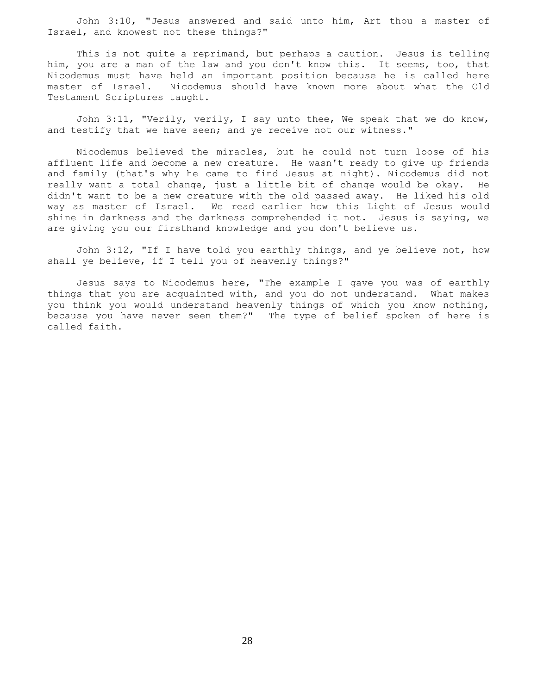John 3:10, "Jesus answered and said unto him, Art thou a master of Israel, and knowest not these things?"

 This is not quite a reprimand, but perhaps a caution. Jesus is telling him, you are a man of the law and you don't know this. It seems, too, that Nicodemus must have held an important position because he is called here master of Israel. Nicodemus should have known more about what the Old Testament Scriptures taught.

 John 3:11, "Verily, verily, I say unto thee, We speak that we do know, and testify that we have seen; and ye receive not our witness."

 Nicodemus believed the miracles, but he could not turn loose of his affluent life and become a new creature. He wasn't ready to give up friends and family (that's why he came to find Jesus at night). Nicodemus did not really want a total change, just a little bit of change would be okay. He didn't want to be a new creature with the old passed away. He liked his old way as master of Israel. We read earlier how this Light of Jesus would shine in darkness and the darkness comprehended it not. Jesus is saying, we are giving you our firsthand knowledge and you don't believe us.

 John 3:12, "If I have told you earthly things, and ye believe not, how shall ye believe, if I tell you of heavenly things?"

 Jesus says to Nicodemus here, "The example I gave you was of earthly things that you are acquainted with, and you do not understand. What makes you think you would understand heavenly things of which you know nothing, because you have never seen them?" The type of belief spoken of here is called faith.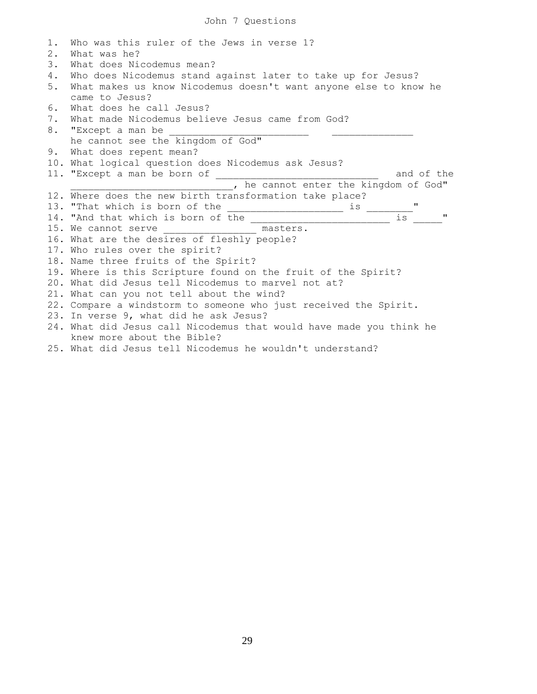| 1. | Who was this ruler of the Jews in verse 1?                          |
|----|---------------------------------------------------------------------|
| 2. | What was he?                                                        |
| 3. | What does Nicodemus mean?                                           |
| 4. | Who does Nicodemus stand against later to take up for Jesus?        |
| 5. | What makes us know Nicodemus doesn't want anyone else to know he    |
|    | came to Jesus?                                                      |
| 6. | What does he call Jesus?                                            |
| 7. | What made Nicodemus believe Jesus came from God?                    |
| 8. | "Except a man be                                                    |
|    | he cannot see the kingdom of God"                                   |
| 9. | What does repent mean?                                              |
|    | 10. What logical question does Nicodemus ask Jesus?                 |
|    | and of the                                                          |
|    | , he cannot enter the kingdom of God"                               |
|    | 12. Where does the new birth transformation take place?             |
|    | $\mathbf{H}$                                                        |
|    | $\frac{1}{1}$ $\frac{1}{1}$                                         |
|    | 15. We cannot serve _______________ masters.                        |
|    | 16. What are the desires of fleshly people?                         |
|    | 17. Who rules over the spirit?                                      |
|    | 18. Name three fruits of the Spirit?                                |
|    | 19. Where is this Scripture found on the fruit of the Spirit?       |
|    | 20. What did Jesus tell Nicodemus to marvel not at?                 |
|    | 21. What can you not tell about the wind?                           |
|    | 22. Compare a windstorm to someone who just received the Spirit.    |
|    | 23. In verse 9, what did he ask Jesus?                              |
|    | 24. What did Jesus call Nicodemus that would have made you think he |
|    | knew more about the Bible?                                          |
|    | 25. What did Jesus tell Nicodemus he wouldn't understand?           |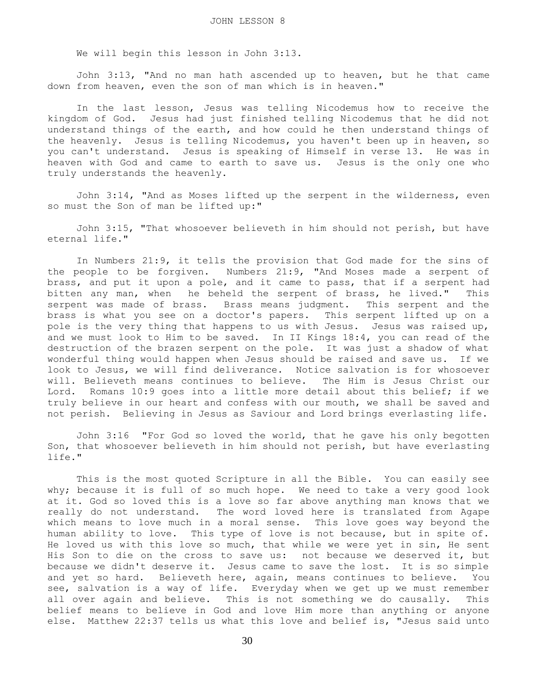We will begin this lesson in John 3:13.

 John 3:13, "And no man hath ascended up to heaven, but he that came down from heaven, even the son of man which is in heaven."

 In the last lesson, Jesus was telling Nicodemus how to receive the kingdom of God. Jesus had just finished telling Nicodemus that he did not understand things of the earth, and how could he then understand things of the heavenly. Jesus is telling Nicodemus, you haven't been up in heaven, so you can't understand. Jesus is speaking of Himself in verse 13. He was in heaven with God and came to earth to save us. Jesus is the only one who truly understands the heavenly.

 John 3:14, "And as Moses lifted up the serpent in the wilderness, even so must the Son of man be lifted up:"

 John 3:15, "That whosoever believeth in him should not perish, but have eternal life."

 In Numbers 21:9, it tells the provision that God made for the sins of the people to be forgiven. Numbers 21:9, "And Moses made a serpent of brass, and put it upon a pole, and it came to pass, that if a serpent had bitten any man, when he beheld the serpent of brass, he lived." This serpent was made of brass. Brass means judgment. This serpent and the brass is what you see on a doctor's papers. This serpent lifted up on a pole is the very thing that happens to us with Jesus. Jesus was raised up, and we must look to Him to be saved. In II Kings 18:4, you can read of the destruction of the brazen serpent on the pole. It was just a shadow of what wonderful thing would happen when Jesus should be raised and save us. If we look to Jesus, we will find deliverance. Notice salvation is for whosoever will. Believeth means continues to believe. The Him is Jesus Christ our Lord. Romans 10:9 goes into a little more detail about this belief; if we truly believe in our heart and confess with our mouth, we shall be saved and not perish. Believing in Jesus as Saviour and Lord brings everlasting life.

 John 3:16 "For God so loved the world, that he gave his only begotten Son, that whosoever believeth in him should not perish, but have everlasting life."

 This is the most quoted Scripture in all the Bible. You can easily see why; because it is full of so much hope. We need to take a very good look at it. God so loved this is a love so far above anything man knows that we really do not understand. The word loved here is translated from Agape which means to love much in a moral sense. This love goes way beyond the human ability to love. This type of love is not because, but in spite of. He loved us with this love so much, that while we were yet in sin, He sent His Son to die on the cross to save us: not because we deserved it, but because we didn't deserve it. Jesus came to save the lost. It is so simple and yet so hard. Believeth here, again, means continues to believe. You see, salvation is a way of life. Everyday when we get up we must remember all over again and believe. This is not something we do causally. This belief means to believe in God and love Him more than anything or anyone else. Matthew 22:37 tells us what this love and belief is, "Jesus said unto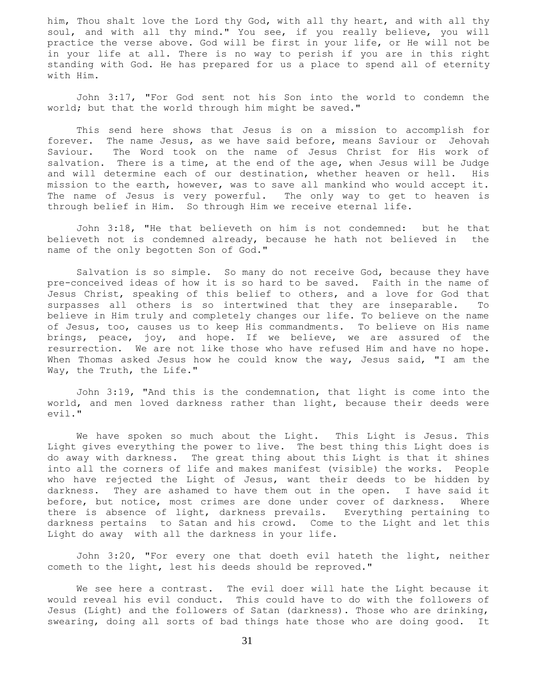him, Thou shalt love the Lord thy God, with all thy heart, and with all thy soul, and with all thy mind." You see, if you really believe, you will practice the verse above. God will be first in your life, or He will not be in your life at all. There is no way to perish if you are in this right standing with God. He has prepared for us a place to spend all of eternity with Him.

 John 3:17, "For God sent not his Son into the world to condemn the world; but that the world through him might be saved."

 This send here shows that Jesus is on a mission to accomplish for forever. The name Jesus, as we have said before, means Saviour or Jehovah Saviour. The Word took on the name of Jesus Christ for His work of salvation. There is a time, at the end of the age, when Jesus will be Judge and will determine each of our destination, whether heaven or hell. His mission to the earth, however, was to save all mankind who would accept it. The name of Jesus is very powerful. The only way to get to heaven is through belief in Him. So through Him we receive eternal life.

 John 3:18, "He that believeth on him is not condemned: but he that believeth not is condemned already, because he hath not believed in the name of the only begotten Son of God."

 Salvation is so simple. So many do not receive God, because they have pre-conceived ideas of how it is so hard to be saved. Faith in the name of Jesus Christ, speaking of this belief to others, and a love for God that surpasses all others is so intertwined that they are inseparable. To believe in Him truly and completely changes our life. To believe on the name of Jesus, too, causes us to keep His commandments. To believe on His name brings, peace, joy, and hope. If we believe, we are assured of the resurrection. We are not like those who have refused Him and have no hope. When Thomas asked Jesus how he could know the way, Jesus said, "I am the Way, the Truth, the Life."

 John 3:19, "And this is the condemnation, that light is come into the world, and men loved darkness rather than light, because their deeds were evil."

 We have spoken so much about the Light. This Light is Jesus. This Light gives everything the power to live. The best thing this Light does is do away with darkness. The great thing about this Light is that it shines into all the corners of life and makes manifest (visible) the works. People who have rejected the Light of Jesus, want their deeds to be hidden by darkness. They are ashamed to have them out in the open. I have said it before, but notice, most crimes are done under cover of darkness. Where there is absence of light, darkness prevails. Everything pertaining to darkness pertains to Satan and his crowd. Come to the Light and let this Light do away with all the darkness in your life.

 John 3:20, "For every one that doeth evil hateth the light, neither cometh to the light, lest his deeds should be reproved."

 We see here a contrast. The evil doer will hate the Light because it would reveal his evil conduct. This could have to do with the followers of Jesus (Light) and the followers of Satan (darkness). Those who are drinking, swearing, doing all sorts of bad things hate those who are doing good. It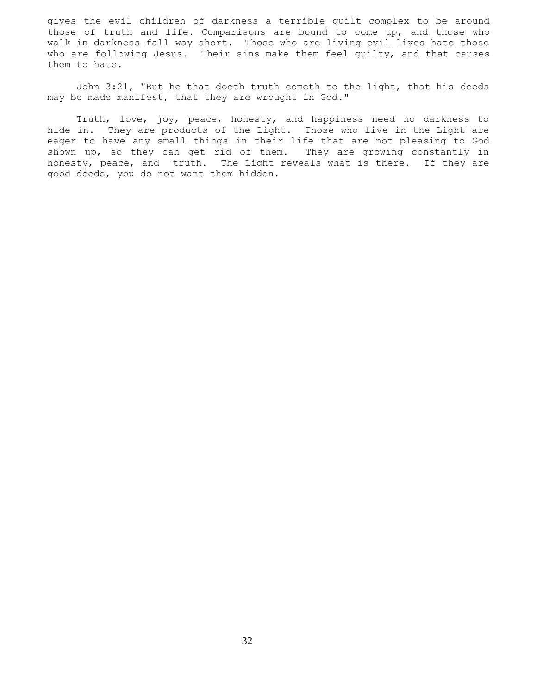gives the evil children of darkness a terrible guilt complex to be around those of truth and life. Comparisons are bound to come up, and those who walk in darkness fall way short. Those who are living evil lives hate those who are following Jesus. Their sins make them feel guilty, and that causes them to hate.

 John 3:21, "But he that doeth truth cometh to the light, that his deeds may be made manifest, that they are wrought in God."

 Truth, love, joy, peace, honesty, and happiness need no darkness to hide in. They are products of the Light. Those who live in the Light are eager to have any small things in their life that are not pleasing to God shown up, so they can get rid of them. They are growing constantly in honesty, peace, and truth. The Light reveals what is there. If they are good deeds, you do not want them hidden.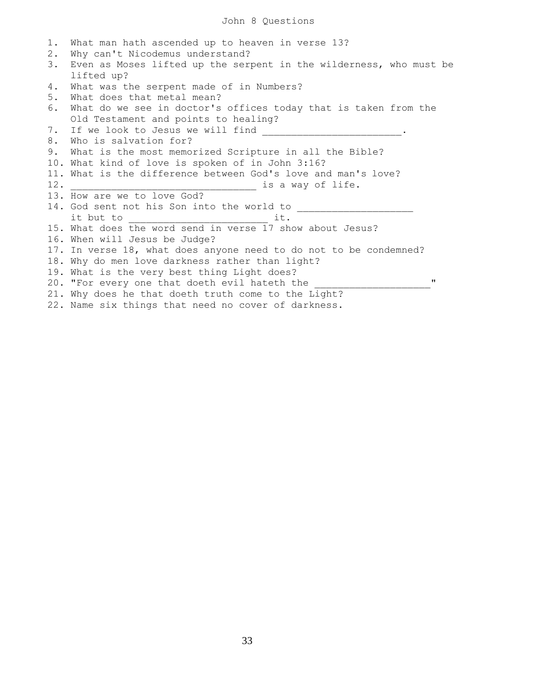## John 8 Questions

| 1.  | What man hath ascended up to heaven in verse 13?                                                                      |
|-----|-----------------------------------------------------------------------------------------------------------------------|
| 2.  | Why can't Nicodemus understand?                                                                                       |
| 3.  | Even as Moses lifted up the serpent in the wilderness, who must be                                                    |
|     | lifted up?                                                                                                            |
| 4.  | What was the serpent made of in Numbers?                                                                              |
| 5.  | What does that metal mean?                                                                                            |
| 6.  | What do we see in doctor's offices today that is taken from the                                                       |
|     | Old Testament and points to healing?                                                                                  |
| 7.  | If we look to Jesus we will find                                                                                      |
| 8.  | Who is salvation for?                                                                                                 |
| 9.  | What is the most memorized Scripture in all the Bible?                                                                |
|     | 10. What kind of love is spoken of in John 3:16?                                                                      |
|     | 11. What is the difference between God's love and man's love?                                                         |
| 12. | is a way of life.                                                                                                     |
|     | 13. How are we to love God?                                                                                           |
|     | 14. God sent not his Son into the world to                                                                            |
|     | it but to the state of the state of the state of the state of the state of the state of the state of the state<br>it. |
|     | 15. What does the word send in verse 17 show about Jesus?                                                             |
|     | 16. When will Jesus be Judge?                                                                                         |
|     | 17. In verse 18, what does anyone need to do not to be condemned?                                                     |
|     | 18. Why do men love darkness rather than light?                                                                       |
|     | 19. What is the very best thing Light does?                                                                           |
|     | 11<br>20. "For every one that doeth evil hateth the                                                                   |
|     | 21. Why does he that doeth truth come to the Light?                                                                   |
|     | 22. Name six things that need no cover of darkness.                                                                   |
|     |                                                                                                                       |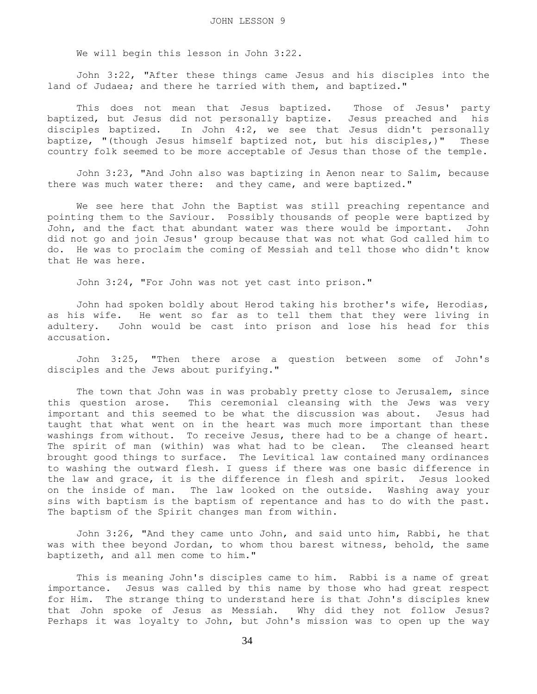We will begin this lesson in John 3:22.

 John 3:22, "After these things came Jesus and his disciples into the land of Judaea; and there he tarried with them, and baptized."

 This does not mean that Jesus baptized. Those of Jesus' party baptized, but Jesus did not personally baptize. Jesus preached and his disciples baptized. In John 4:2, we see that Jesus didn't personally baptize, "(though Jesus himself baptized not, but his disciples,)" These country folk seemed to be more acceptable of Jesus than those of the temple.

 John 3:23, "And John also was baptizing in Aenon near to Salim, because there was much water there: and they came, and were baptized."

 We see here that John the Baptist was still preaching repentance and pointing them to the Saviour. Possibly thousands of people were baptized by John, and the fact that abundant water was there would be important. John did not go and join Jesus' group because that was not what God called him to do. He was to proclaim the coming of Messiah and tell those who didn't know that He was here.

John 3:24, "For John was not yet cast into prison."

 John had spoken boldly about Herod taking his brother's wife, Herodias, as his wife. He went so far as to tell them that they were living in adultery. John would be cast into prison and lose his head for this accusation.

 John 3:25, "Then there arose a question between some of John's disciples and the Jews about purifying."

 The town that John was in was probably pretty close to Jerusalem, since this question arose. This ceremonial cleansing with the Jews was very important and this seemed to be what the discussion was about. Jesus had taught that what went on in the heart was much more important than these washings from without. To receive Jesus, there had to be a change of heart. The spirit of man (within) was what had to be clean. The cleansed heart brought good things to surface. The Levitical law contained many ordinances to washing the outward flesh. I guess if there was one basic difference in the law and grace, it is the difference in flesh and spirit. Jesus looked on the inside of man. The law looked on the outside. Washing away your sins with baptism is the baptism of repentance and has to do with the past. The baptism of the Spirit changes man from within.

 John 3:26, "And they came unto John, and said unto him, Rabbi, he that was with thee beyond Jordan, to whom thou barest witness, behold, the same baptizeth, and all men come to him."

 This is meaning John's disciples came to him. Rabbi is a name of great importance. Jesus was called by this name by those who had great respect for Him. The strange thing to understand here is that John's disciples knew that John spoke of Jesus as Messiah. Why did they not follow Jesus? Perhaps it was loyalty to John, but John's mission was to open up the way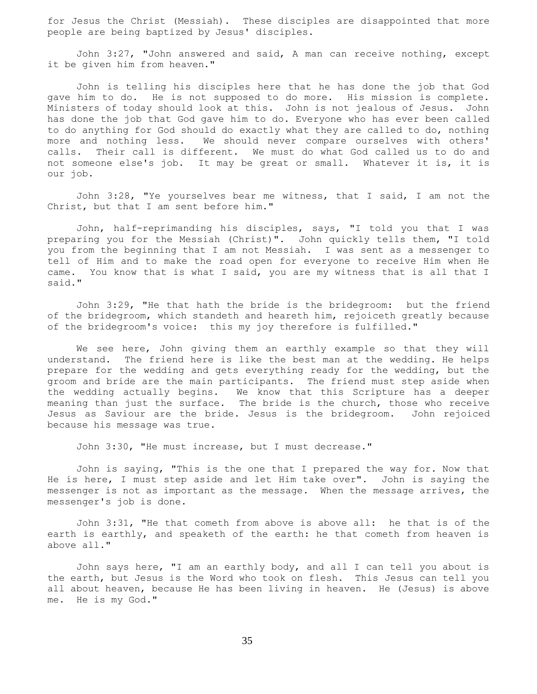for Jesus the Christ (Messiah). These disciples are disappointed that more people are being baptized by Jesus' disciples.

 John 3:27, "John answered and said, A man can receive nothing, except it be given him from heaven."

 John is telling his disciples here that he has done the job that God gave him to do. He is not supposed to do more. His mission is complete. Ministers of today should look at this. John is not jealous of Jesus. John has done the job that God gave him to do. Everyone who has ever been called to do anything for God should do exactly what they are called to do, nothing more and nothing less. We should never compare ourselves with others' calls. Their call is different. We must do what God called us to do and not someone else's job. It may be great or small. Whatever it is, it is our job.

 John 3:28, "Ye yourselves bear me witness, that I said, I am not the Christ, but that I am sent before him."

 John, half-reprimanding his disciples, says, "I told you that I was preparing you for the Messiah (Christ)". John quickly tells them, "I told you from the beginning that I am not Messiah. I was sent as a messenger to tell of Him and to make the road open for everyone to receive Him when He came. You know that is what I said, you are my witness that is all that I said."

 John 3:29, "He that hath the bride is the bridegroom: but the friend of the bridegroom, which standeth and heareth him, rejoiceth greatly because of the bridegroom's voice: this my joy therefore is fulfilled."

 We see here, John giving them an earthly example so that they will understand. The friend here is like the best man at the wedding. He helps prepare for the wedding and gets everything ready for the wedding, but the groom and bride are the main participants. The friend must step aside when the wedding actually begins. We know that this Scripture has a deeper meaning than just the surface. The bride is the church, those who receive Jesus as Saviour are the bride. Jesus is the bridegroom. John rejoiced because his message was true.

John 3:30, "He must increase, but I must decrease."

 John is saying, "This is the one that I prepared the way for. Now that He is here, I must step aside and let Him take over". John is saying the messenger is not as important as the message. When the message arrives, the messenger's job is done.

 John 3:31, "He that cometh from above is above all: he that is of the earth is earthly, and speaketh of the earth: he that cometh from heaven is above all."

 John says here, "I am an earthly body, and all I can tell you about is the earth, but Jesus is the Word who took on flesh. This Jesus can tell you all about heaven, because He has been living in heaven. He (Jesus) is above me. He is my God."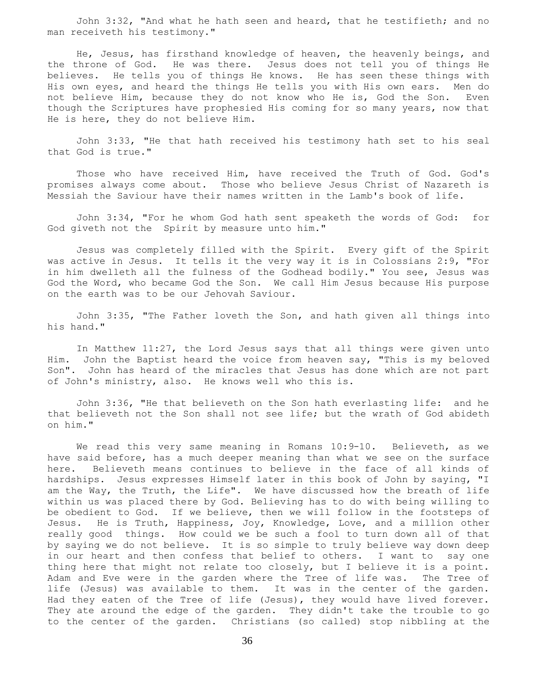John 3:32, "And what he hath seen and heard, that he testifieth; and no man receiveth his testimony."

 He, Jesus, has firsthand knowledge of heaven, the heavenly beings, and the throne of God. He was there. Jesus does not tell you of things He believes. He tells you of things He knows. He has seen these things with His own eyes, and heard the things He tells you with His own ears. Men do not believe Him, because they do not know who He is, God the Son. Even though the Scriptures have prophesied His coming for so many years, now that He is here, they do not believe Him.

 John 3:33, "He that hath received his testimony hath set to his seal that God is true."

 Those who have received Him, have received the Truth of God. God's promises always come about. Those who believe Jesus Christ of Nazareth is Messiah the Saviour have their names written in the Lamb's book of life.

 John 3:34, "For he whom God hath sent speaketh the words of God: for God giveth not the Spirit by measure unto him."

 Jesus was completely filled with the Spirit. Every gift of the Spirit was active in Jesus. It tells it the very way it is in Colossians 2:9, "For in him dwelleth all the fulness of the Godhead bodily." You see, Jesus was God the Word, who became God the Son. We call Him Jesus because His purpose on the earth was to be our Jehovah Saviour.

 John 3:35, "The Father loveth the Son, and hath given all things into his hand."

 In Matthew 11:27, the Lord Jesus says that all things were given unto Him. John the Baptist heard the voice from heaven say, "This is my beloved Son". John has heard of the miracles that Jesus has done which are not part of John's ministry, also. He knows well who this is.

 John 3:36, "He that believeth on the Son hath everlasting life: and he that believeth not the Son shall not see life; but the wrath of God abideth on him."

We read this very same meaning in Romans 10:9-10. Believeth, as we have said before, has a much deeper meaning than what we see on the surface here. Believeth means continues to believe in the face of all kinds of hardships. Jesus expresses Himself later in this book of John by saying, "I am the Way, the Truth, the Life". We have discussed how the breath of life within us was placed there by God. Believing has to do with being willing to be obedient to God. If we believe, then we will follow in the footsteps of Jesus. He is Truth, Happiness, Joy, Knowledge, Love, and a million other really good things. How could we be such a fool to turn down all of that by saying we do not believe. It is so simple to truly believe way down deep in our heart and then confess that belief to others. I want to say one thing here that might not relate too closely, but I believe it is a point. Adam and Eve were in the garden where the Tree of life was. The Tree of life (Jesus) was available to them. It was in the center of the garden. Had they eaten of the Tree of life (Jesus), they would have lived forever. They ate around the edge of the garden. They didn't take the trouble to go to the center of the garden. Christians (so called) stop nibbling at the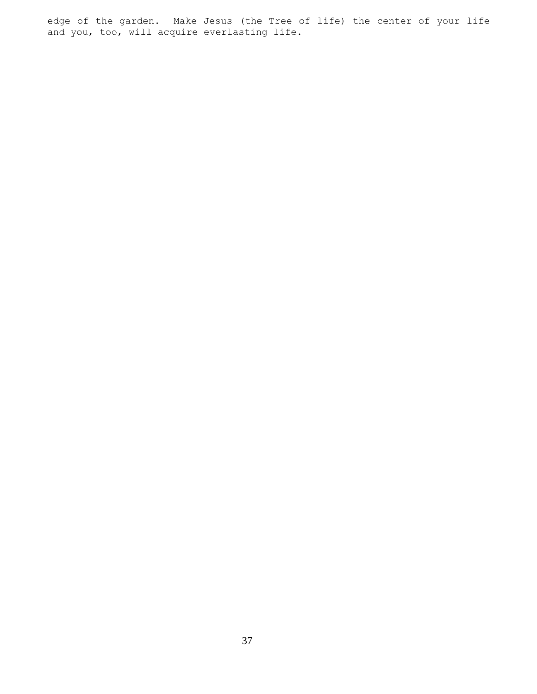edge of the garden. Make Jesus (the Tree of life) the center of your life and you, too, will acquire everlasting life.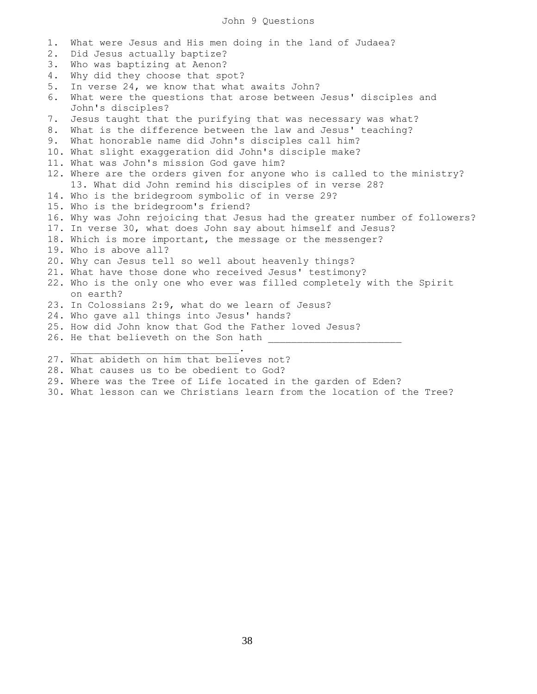### John 9 Questions

| 1. | What were Jesus and His men doing in the land of Judaea?                             |
|----|--------------------------------------------------------------------------------------|
| 2. | Did Jesus actually baptize?                                                          |
| 3. | Who was baptizing at Aenon?                                                          |
| 4. | Why did they choose that spot?                                                       |
| 5. | In verse 24, we know that what awaits John?                                          |
| 6. | What were the questions that arose between Jesus' disciples and<br>John's disciples? |
| 7. | Jesus taught that the purifying that was necessary was what?                         |
| 8. | What is the difference between the law and Jesus' teaching?                          |
| 9. | What honorable name did John's disciples call him?                                   |
|    | 10. What slight exaggeration did John's disciple make?                               |
|    | 11. What was John's mission God gave him?                                            |
|    | 12. Where are the orders given for anyone who is called to the ministry?             |
|    | 13. What did John remind his disciples of in verse 28?                               |
|    | 14. Who is the bridegroom symbolic of in verse 29?                                   |
|    | 15. Who is the bridegroom's friend?                                                  |
|    | 16. Why was John rejoicing that Jesus had the greater number of followers?           |
|    | 17. In verse 30, what does John say about himself and Jesus?                         |
|    | 18. Which is more important, the message or the messenger?                           |
|    | 19. Who is above all?                                                                |
|    | 20. Why can Jesus tell so well about heavenly things?                                |
|    | 21. What have those done who received Jesus' testimony?                              |
|    | 22. Who is the only one who ever was filled completely with the Spirit               |
|    | on earth?                                                                            |
|    | 23. In Colossians 2:9, what do we learn of Jesus?                                    |
|    | 24. Who gave all things into Jesus' hands?                                           |
|    | 25. How did John know that God the Father loved Jesus?                               |
|    | 26. He that believeth on the Son hath                                                |
|    | 27. What abideth on him that believes not?                                           |
|    | 28. What causes us to be obedient to God?                                            |

- 29. Where was the Tree of Life located in the garden of Eden?
- 30. What lesson can we Christians learn from the location of the Tree?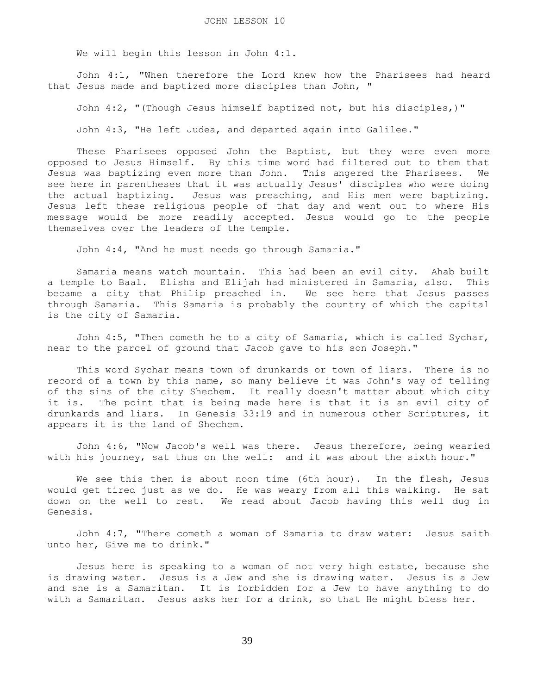We will begin this lesson in John 4:1.

 John 4:1, "When therefore the Lord knew how the Pharisees had heard that Jesus made and baptized more disciples than John, "

John 4:2, "(Though Jesus himself baptized not, but his disciples,)"

John 4:3, "He left Judea, and departed again into Galilee."

 These Pharisees opposed John the Baptist, but they were even more opposed to Jesus Himself. By this time word had filtered out to them that Jesus was baptizing even more than John. This angered the Pharisees. We see here in parentheses that it was actually Jesus' disciples who were doing the actual baptizing. Jesus was preaching, and His men were baptizing. Jesus left these religious people of that day and went out to where His message would be more readily accepted. Jesus would go to the people themselves over the leaders of the temple.

John 4:4, "And he must needs go through Samaria."

 Samaria means watch mountain. This had been an evil city. Ahab built a temple to Baal. Elisha and Elijah had ministered in Samaria, also. This became a city that Philip preached in. We see here that Jesus passes through Samaria. This Samaria is probably the country of which the capital is the city of Samaria.

 John 4:5, "Then cometh he to a city of Samaria, which is called Sychar, near to the parcel of ground that Jacob gave to his son Joseph."

 This word Sychar means town of drunkards or town of liars. There is no record of a town by this name, so many believe it was John's way of telling of the sins of the city Shechem. It really doesn't matter about which city it is. The point that is being made here is that it is an evil city of drunkards and liars. In Genesis 33:19 and in numerous other Scriptures, it appears it is the land of Shechem.

 John 4:6, "Now Jacob's well was there. Jesus therefore, being wearied with his journey, sat thus on the well: and it was about the sixth hour."

We see this then is about noon time (6th hour). In the flesh, Jesus would get tired just as we do. He was weary from all this walking. He sat down on the well to rest. We read about Jacob having this well dug in Genesis.

 John 4:7, "There cometh a woman of Samaria to draw water: Jesus saith unto her, Give me to drink."

 Jesus here is speaking to a woman of not very high estate, because she is drawing water. Jesus is a Jew and she is drawing water. Jesus is a Jew and she is a Samaritan. It is forbidden for a Jew to have anything to do with a Samaritan. Jesus asks her for a drink, so that He might bless her.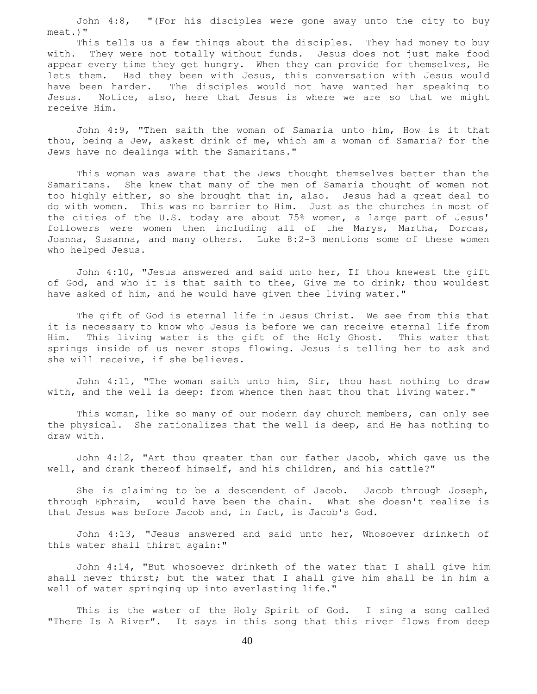John 4:8, "(For his disciples were gone away unto the city to buy meat.)"

 This tells us a few things about the disciples. They had money to buy with. They were not totally without funds. Jesus does not just make food appear every time they get hungry. When they can provide for themselves, He lets them. Had they been with Jesus, this conversation with Jesus would have been harder. The disciples would not have wanted her speaking to Jesus. Notice, also, here that Jesus is where we are so that we might receive Him.

 John 4:9, "Then saith the woman of Samaria unto him, How is it that thou, being a Jew, askest drink of me, which am a woman of Samaria? for the Jews have no dealings with the Samaritans."

 This woman was aware that the Jews thought themselves better than the Samaritans. She knew that many of the men of Samaria thought of women not too highly either, so she brought that in, also. Jesus had a great deal to do with women. This was no barrier to Him. Just as the churches in most of the cities of the U.S. today are about 75% women, a large part of Jesus' followers were women then including all of the Marys, Martha, Dorcas, Joanna, Susanna, and many others. Luke 8:2-3 mentions some of these women who helped Jesus.

 John 4:10, "Jesus answered and said unto her, If thou knewest the gift of God, and who it is that saith to thee, Give me to drink; thou wouldest have asked of him, and he would have given thee living water."

 The gift of God is eternal life in Jesus Christ. We see from this that it is necessary to know who Jesus is before we can receive eternal life from Him. This living water is the gift of the Holy Ghost. This water that springs inside of us never stops flowing. Jesus is telling her to ask and she will receive, if she believes.

 John 4:11, "The woman saith unto him, Sir, thou hast nothing to draw with, and the well is deep: from whence then hast thou that living water."

 This woman, like so many of our modern day church members, can only see the physical. She rationalizes that the well is deep, and He has nothing to draw with.

 John 4:12, "Art thou greater than our father Jacob, which gave us the well, and drank thereof himself, and his children, and his cattle?"

 She is claiming to be a descendent of Jacob. Jacob through Joseph, through Ephraim, would have been the chain. What she doesn't realize is that Jesus was before Jacob and, in fact, is Jacob's God.

 John 4:13, "Jesus answered and said unto her, Whosoever drinketh of this water shall thirst again:"

 John 4:14, "But whosoever drinketh of the water that I shall give him shall never thirst; but the water that I shall give him shall be in him a well of water springing up into everlasting life."

 This is the water of the Holy Spirit of God. I sing a song called "There Is A River". It says in this song that this river flows from deep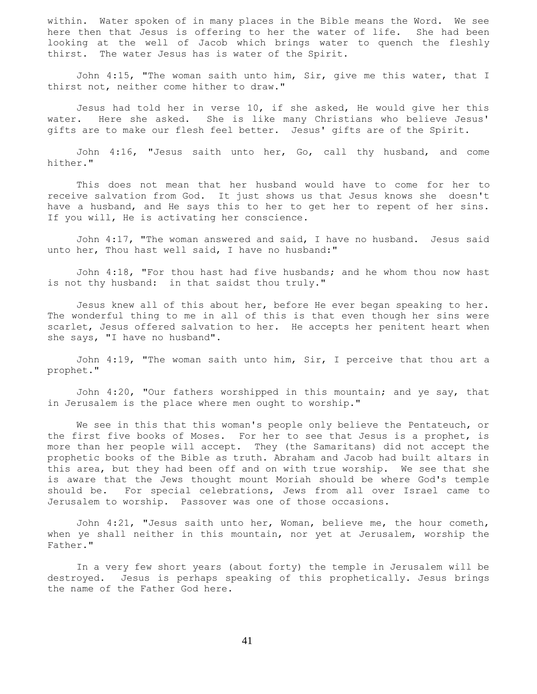within. Water spoken of in many places in the Bible means the Word. We see here then that Jesus is offering to her the water of life. She had been looking at the well of Jacob which brings water to quench the fleshly thirst. The water Jesus has is water of the Spirit.

 John 4:15, "The woman saith unto him, Sir, give me this water, that I thirst not, neither come hither to draw."

 Jesus had told her in verse 10, if she asked, He would give her this water. Here she asked. She is like many Christians who believe Jesus' gifts are to make our flesh feel better. Jesus' gifts are of the Spirit.

 John 4:16, "Jesus saith unto her, Go, call thy husband, and come hither."

 This does not mean that her husband would have to come for her to receive salvation from God. It just shows us that Jesus knows she doesn't have a husband, and He says this to her to get her to repent of her sins. If you will, He is activating her conscience.

 John 4:17, "The woman answered and said, I have no husband. Jesus said unto her, Thou hast well said, I have no husband:"

 John 4:18, "For thou hast had five husbands; and he whom thou now hast is not thy husband: in that saidst thou truly."

 Jesus knew all of this about her, before He ever began speaking to her. The wonderful thing to me in all of this is that even though her sins were scarlet, Jesus offered salvation to her. He accepts her penitent heart when she says, "I have no husband".

 John 4:19, "The woman saith unto him, Sir, I perceive that thou art a prophet."

 John 4:20, "Our fathers worshipped in this mountain; and ye say, that in Jerusalem is the place where men ought to worship."

We see in this that this woman's people only believe the Pentateuch, or the first five books of Moses. For her to see that Jesus is a prophet, is more than her people will accept. They (the Samaritans) did not accept the prophetic books of the Bible as truth. Abraham and Jacob had built altars in this area, but they had been off and on with true worship. We see that she is aware that the Jews thought mount Moriah should be where God's temple should be. For special celebrations, Jews from all over Israel came to Jerusalem to worship. Passover was one of those occasions.

 John 4:21, "Jesus saith unto her, Woman, believe me, the hour cometh, when ye shall neither in this mountain, nor yet at Jerusalem, worship the Father."

 In a very few short years (about forty) the temple in Jerusalem will be destroyed. Jesus is perhaps speaking of this prophetically. Jesus brings the name of the Father God here.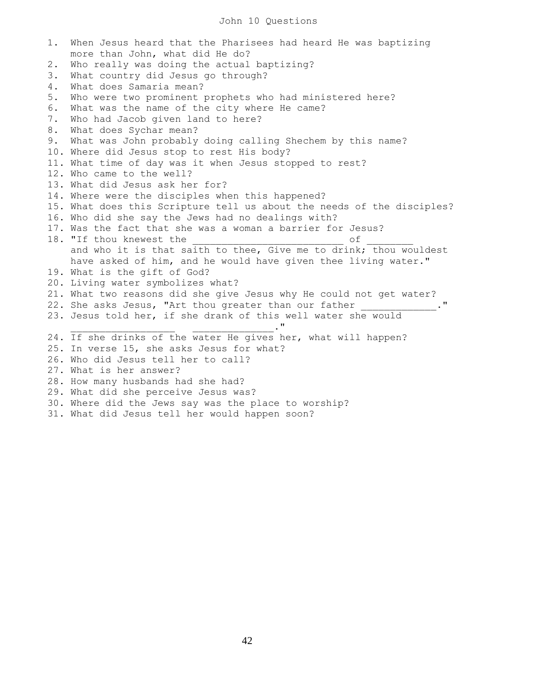#### John 10 Questions

1. When Jesus heard that the Pharisees had heard He was baptizing more than John, what did He do? 2. Who really was doing the actual baptizing? 3. What country did Jesus go through? 4. What does Samaria mean? 5. Who were two prominent prophets who had ministered here? 6. What was the name of the city where He came? 7. Who had Jacob given land to here? 8. What does Sychar mean? 9. What was John probably doing calling Shechem by this name? 10. Where did Jesus stop to rest His body? 11. What time of day was it when Jesus stopped to rest? 12. Who came to the well? 13. What did Jesus ask her for? 14. Where were the disciples when this happened? 15. What does this Scripture tell us about the needs of the disciples? 16. Who did she say the Jews had no dealings with? 17. Was the fact that she was a woman a barrier for Jesus? 18. "If thou knewest the  $\circ$  of and who it is that saith to thee, Give me to drink; thou wouldest have asked of him, and he would have given thee living water." 19. What is the gift of God? 20. Living water symbolizes what? 21. What two reasons did she give Jesus why He could not get water? 22. She asks Jesus, "Art thou greater than our father 23. Jesus told her, if she drank of this well water she would  $\blacksquare$ 24. If she drinks of the water He gives her, what will happen? 25. In verse 15, she asks Jesus for what? 26. Who did Jesus tell her to call? 27. What is her answer? 28. How many husbands had she had? 29. What did she perceive Jesus was? 30. Where did the Jews say was the place to worship? 31. What did Jesus tell her would happen soon?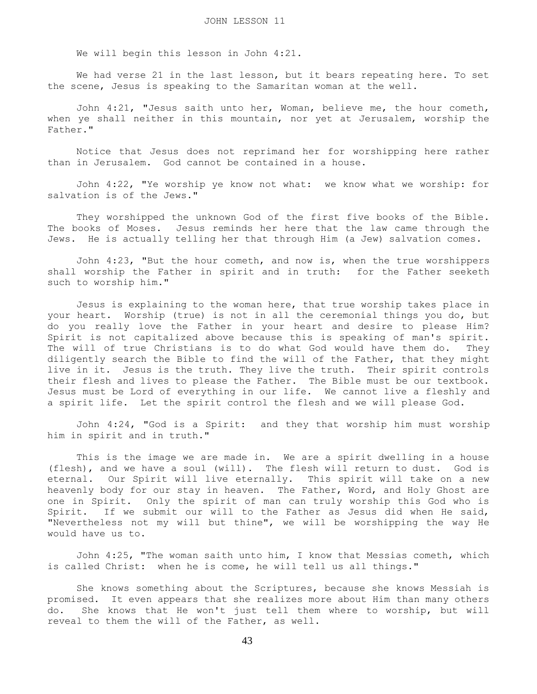We will begin this lesson in John 4:21.

 We had verse 21 in the last lesson, but it bears repeating here. To set the scene, Jesus is speaking to the Samaritan woman at the well.

 John 4:21, "Jesus saith unto her, Woman, believe me, the hour cometh, when ye shall neither in this mountain, nor yet at Jerusalem, worship the Father."

 Notice that Jesus does not reprimand her for worshipping here rather than in Jerusalem. God cannot be contained in a house.

 John 4:22, "Ye worship ye know not what: we know what we worship: for salvation is of the Jews."

 They worshipped the unknown God of the first five books of the Bible. The books of Moses. Jesus reminds her here that the law came through the Jews. He is actually telling her that through Him (a Jew) salvation comes.

 John 4:23, "But the hour cometh, and now is, when the true worshippers shall worship the Father in spirit and in truth: for the Father seeketh such to worship him."

 Jesus is explaining to the woman here, that true worship takes place in your heart. Worship (true) is not in all the ceremonial things you do, but do you really love the Father in your heart and desire to please Him? Spirit is not capitalized above because this is speaking of man's spirit. The will of true Christians is to do what God would have them do. They diligently search the Bible to find the will of the Father, that they might live in it. Jesus is the truth. They live the truth. Their spirit controls their flesh and lives to please the Father. The Bible must be our textbook. Jesus must be Lord of everything in our life. We cannot live a fleshly and a spirit life. Let the spirit control the flesh and we will please God.

 John 4:24, "God is a Spirit: and they that worship him must worship him in spirit and in truth."

 This is the image we are made in. We are a spirit dwelling in a house (flesh), and we have a soul (will). The flesh will return to dust. God is eternal. Our Spirit will live eternally. This spirit will take on a new heavenly body for our stay in heaven. The Father, Word, and Holy Ghost are one in Spirit. Only the spirit of man can truly worship this God who is Spirit. If we submit our will to the Father as Jesus did when He said, "Nevertheless not my will but thine", we will be worshipping the way He would have us to.

 John 4:25, "The woman saith unto him, I know that Messias cometh, which is called Christ: when he is come, he will tell us all things."

 She knows something about the Scriptures, because she knows Messiah is promised. It even appears that she realizes more about Him than many others do. She knows that He won't just tell them where to worship, but will reveal to them the will of the Father, as well.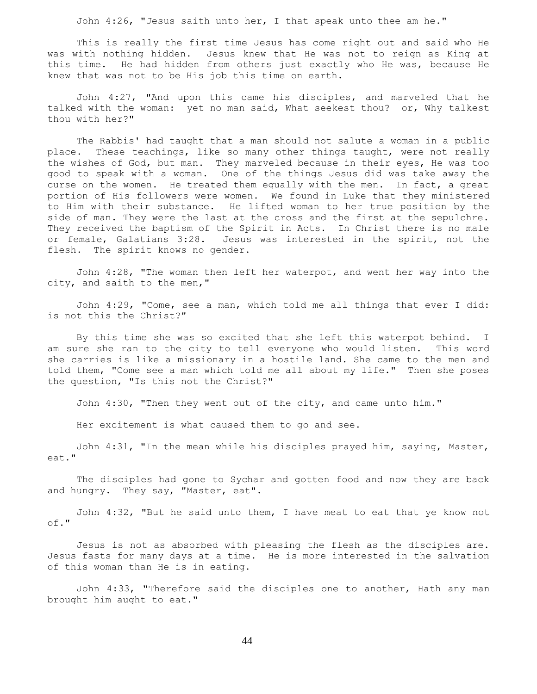John 4:26, "Jesus saith unto her, I that speak unto thee am he."

 This is really the first time Jesus has come right out and said who He was with nothing hidden. Jesus knew that He was not to reign as King at this time. He had hidden from others just exactly who He was, because He knew that was not to be His job this time on earth.

 John 4:27, "And upon this came his disciples, and marveled that he talked with the woman: yet no man said, What seekest thou? or, Why talkest thou with her?"

 The Rabbis' had taught that a man should not salute a woman in a public place. These teachings, like so many other things taught, were not really the wishes of God, but man. They marveled because in their eyes, He was too good to speak with a woman. One of the things Jesus did was take away the curse on the women. He treated them equally with the men. In fact, a great portion of His followers were women. We found in Luke that they ministered to Him with their substance. He lifted woman to her true position by the side of man. They were the last at the cross and the first at the sepulchre. They received the baptism of the Spirit in Acts. In Christ there is no male or female, Galatians 3:28. Jesus was interested in the spirit, not the flesh. The spirit knows no gender.

 John 4:28, "The woman then left her waterpot, and went her way into the city, and saith to the men,"

 John 4:29, "Come, see a man, which told me all things that ever I did: is not this the Christ?"

 By this time she was so excited that she left this waterpot behind. I am sure she ran to the city to tell everyone who would listen. This word she carries is like a missionary in a hostile land. She came to the men and told them, "Come see a man which told me all about my life." Then she poses the question, "Is this not the Christ?"

John 4:30, "Then they went out of the city, and came unto him."

Her excitement is what caused them to go and see.

 John 4:31, "In the mean while his disciples prayed him, saying, Master, eat."

 The disciples had gone to Sychar and gotten food and now they are back and hungry. They say, "Master, eat".

 John 4:32, "But he said unto them, I have meat to eat that ye know not of."

 Jesus is not as absorbed with pleasing the flesh as the disciples are. Jesus fasts for many days at a time. He is more interested in the salvation of this woman than He is in eating.

 John 4:33, "Therefore said the disciples one to another, Hath any man brought him aught to eat."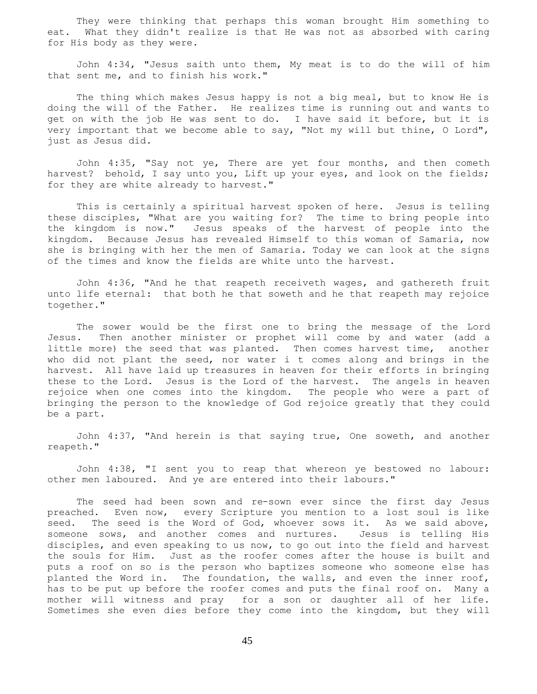They were thinking that perhaps this woman brought Him something to eat. What they didn't realize is that He was not as absorbed with caring for His body as they were.

 John 4:34, "Jesus saith unto them, My meat is to do the will of him that sent me, and to finish his work."

 The thing which makes Jesus happy is not a big meal, but to know He is doing the will of the Father. He realizes time is running out and wants to get on with the job He was sent to do. I have said it before, but it is very important that we become able to say, "Not my will but thine, O Lord", just as Jesus did.

 John 4:35, "Say not ye, There are yet four months, and then cometh harvest? behold, I say unto you, Lift up your eyes, and look on the fields; for they are white already to harvest."

 This is certainly a spiritual harvest spoken of here. Jesus is telling these disciples, "What are you waiting for? The time to bring people into the kingdom is now." Jesus speaks of the harvest of people into the kingdom. Because Jesus has revealed Himself to this woman of Samaria, now she is bringing with her the men of Samaria. Today we can look at the signs of the times and know the fields are white unto the harvest.

 John 4:36, "And he that reapeth receiveth wages, and gathereth fruit unto life eternal: that both he that soweth and he that reapeth may rejoice together."

 The sower would be the first one to bring the message of the Lord Jesus. Then another minister or prophet will come by and water (add a little more) the seed that was planted. Then comes harvest time, another who did not plant the seed, nor water i t comes along and brings in the harvest. All have laid up treasures in heaven for their efforts in bringing these to the Lord. Jesus is the Lord of the harvest. The angels in heaven rejoice when one comes into the kingdom. The people who were a part of bringing the person to the knowledge of God rejoice greatly that they could be a part.

 John 4:37, "And herein is that saying true, One soweth, and another reapeth."

 John 4:38, "I sent you to reap that whereon ye bestowed no labour: other men laboured. And ye are entered into their labours."

 The seed had been sown and re-sown ever since the first day Jesus preached. Even now, every Scripture you mention to a lost soul is like seed. The seed is the Word of God, whoever sows it. As we said above, someone sows, and another comes and nurtures. Jesus is telling His disciples, and even speaking to us now, to go out into the field and harvest the souls for Him. Just as the roofer comes after the house is built and puts a roof on so is the person who baptizes someone who someone else has planted the Word in. The foundation, the walls, and even the inner roof, has to be put up before the roofer comes and puts the final roof on. Many a mother will witness and pray for a son or daughter all of her life. Sometimes she even dies before they come into the kingdom, but they will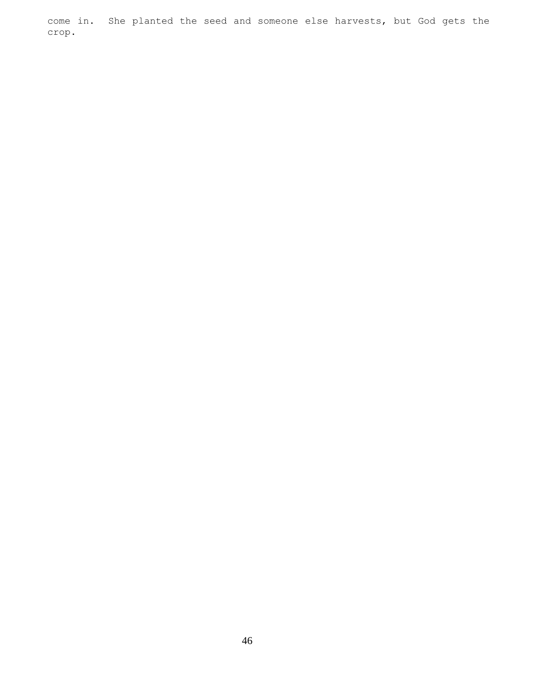come in. She planted the seed and someone else harvests, but God gets the crop.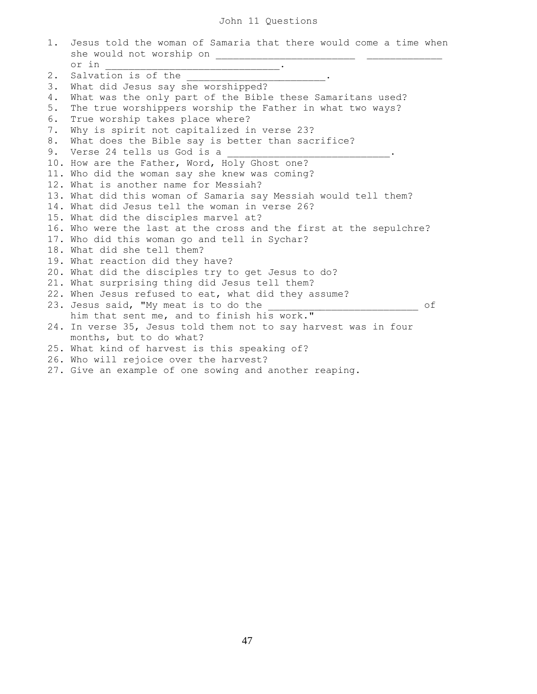# John 11 Questions

| 1. | Jesus told the woman of Samaria that there would come a time when                                                              |    |
|----|--------------------------------------------------------------------------------------------------------------------------------|----|
|    | she would not worship on                                                                                                       |    |
|    | or in<br><u> 1989 - Johann John Harry Barn, mars and de fin de fin de fin de fin de fin de fin de fin de fin de fin de fin</u> |    |
| 2. | Salvation is of the                                                                                                            |    |
| 3. | What did Jesus say she worshipped?                                                                                             |    |
| 4. | What was the only part of the Bible these Samaritans used?                                                                     |    |
| 5. | The true worshippers worship the Father in what two ways?                                                                      |    |
| 6. | True worship takes place where?                                                                                                |    |
| 7. | Why is spirit not capitalized in verse 23?                                                                                     |    |
| 8. | What does the Bible say is better than sacrifice?                                                                              |    |
| 9. | Verse 24 tells us God is a                                                                                                     |    |
|    | 10. How are the Father, Word, Holy Ghost one?                                                                                  |    |
|    | 11. Who did the woman say she knew was coming?                                                                                 |    |
|    | 12. What is another name for Messiah?                                                                                          |    |
|    | 13. What did this woman of Samaria say Messiah would tell them?                                                                |    |
|    | 14. What did Jesus tell the woman in verse 26?                                                                                 |    |
|    | 15. What did the disciples marvel at?                                                                                          |    |
|    | 16. Who were the last at the cross and the first at the sepulchre?                                                             |    |
|    | 17. Who did this woman go and tell in Sychar?                                                                                  |    |
|    | 18. What did she tell them?                                                                                                    |    |
|    | 19. What reaction did they have?                                                                                               |    |
|    | 20. What did the disciples try to get Jesus to do?                                                                             |    |
|    | 21. What surprising thing did Jesus tell them?                                                                                 |    |
|    | 22. When Jesus refused to eat, what did they assume?                                                                           |    |
|    | 23. Jesus said, "My meat is to do the                                                                                          | оf |
|    | him that sent me, and to finish his work."                                                                                     |    |
|    | 24. In verse 35, Jesus told them not to say harvest was in four                                                                |    |
|    | months, but to do what?                                                                                                        |    |
|    | 25. What kind of harvest is this speaking of?                                                                                  |    |
|    | 26. Who will rejoice over the harvest?                                                                                         |    |
|    | 27. Give an example of one sowing and another reaping.                                                                         |    |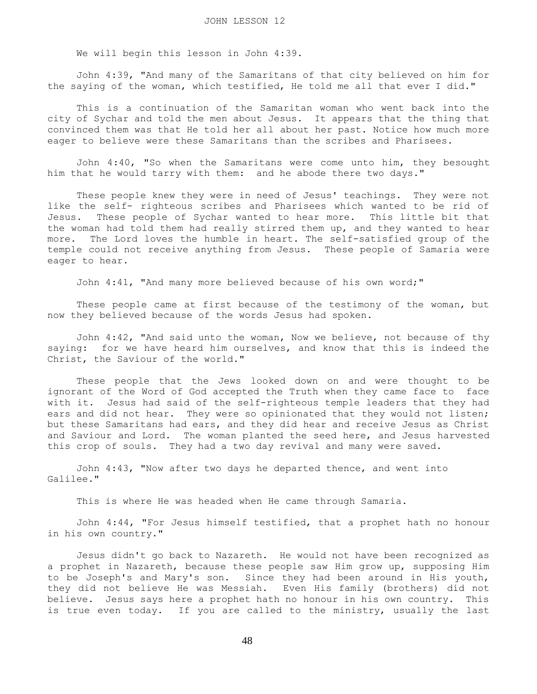We will begin this lesson in John 4:39.

 John 4:39, "And many of the Samaritans of that city believed on him for the saying of the woman, which testified, He told me all that ever I did."

 This is a continuation of the Samaritan woman who went back into the city of Sychar and told the men about Jesus. It appears that the thing that convinced them was that He told her all about her past. Notice how much more eager to believe were these Samaritans than the scribes and Pharisees.

 John 4:40, "So when the Samaritans were come unto him, they besought him that he would tarry with them: and he abode there two days."

 These people knew they were in need of Jesus' teachings. They were not like the self- righteous scribes and Pharisees which wanted to be rid of Jesus. These people of Sychar wanted to hear more. This little bit that the woman had told them had really stirred them up, and they wanted to hear more. The Lord loves the humble in heart. The self-satisfied group of the temple could not receive anything from Jesus. These people of Samaria were eager to hear.

John 4:41, "And many more believed because of his own word;"

 These people came at first because of the testimony of the woman, but now they believed because of the words Jesus had spoken.

 John 4:42, "And said unto the woman, Now we believe, not because of thy saying: for we have heard him ourselves, and know that this is indeed the Christ, the Saviour of the world."

 These people that the Jews looked down on and were thought to be ignorant of the Word of God accepted the Truth when they came face to face with it. Jesus had said of the self-righteous temple leaders that they had ears and did not hear. They were so opinionated that they would not listen; but these Samaritans had ears, and they did hear and receive Jesus as Christ and Saviour and Lord. The woman planted the seed here, and Jesus harvested this crop of souls. They had a two day revival and many were saved.

 John 4:43, "Now after two days he departed thence, and went into Galilee."

This is where He was headed when He came through Samaria.

 John 4:44, "For Jesus himself testified, that a prophet hath no honour in his own country."

 Jesus didn't go back to Nazareth. He would not have been recognized as a prophet in Nazareth, because these people saw Him grow up, supposing Him to be Joseph's and Mary's son. Since they had been around in His youth, they did not believe He was Messiah. Even His family (brothers) did not believe. Jesus says here a prophet hath no honour in his own country. This is true even today. If you are called to the ministry, usually the last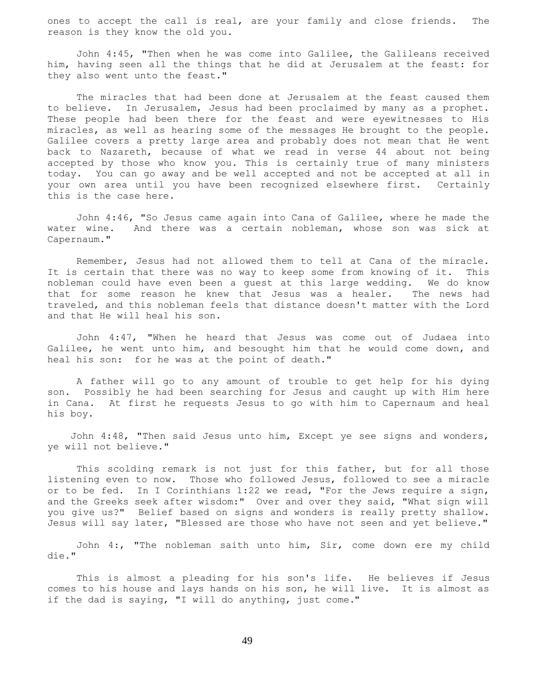ones to accept the call is real, are your family and close friends. The reason is they know the old you.

 John 4:45, "Then when he was come into Galilee, the Galileans received him, having seen all the things that he did at Jerusalem at the feast: for they also went unto the feast."

 The miracles that had been done at Jerusalem at the feast caused them to believe. In Jerusalem, Jesus had been proclaimed by many as a prophet. These people had been there for the feast and were eyewitnesses to His miracles, as well as hearing some of the messages He brought to the people. Galilee covers a pretty large area and probably does not mean that He went back to Nazareth, because of what we read in verse 44 about not being accepted by those who know you. This is certainly true of many ministers today. You can go away and be well accepted and not be accepted at all in your own area until you have been recognized elsewhere first. Certainly this is the case here.

 John 4:46, "So Jesus came again into Cana of Galilee, where he made the water wine. And there was a certain nobleman, whose son was sick at Capernaum."

 Remember, Jesus had not allowed them to tell at Cana of the miracle. It is certain that there was no way to keep some from knowing of it. This nobleman could have even been a guest at this large wedding. We do know that for some reason he knew that Jesus was a healer. The news had traveled, and this nobleman feels that distance doesn't matter with the Lord and that He will heal his son.

 John 4:47, "When he heard that Jesus was come out of Judaea into Galilee, he went unto him, and besought him that he would come down, and heal his son: for he was at the point of death."

 A father will go to any amount of trouble to get help for his dying son. Possibly he had been searching for Jesus and caught up with Him here in Cana. At first he requests Jesus to go with him to Capernaum and heal his boy.

 John 4:48, "Then said Jesus unto him, Except ye see signs and wonders, ye will not believe."

 This scolding remark is not just for this father, but for all those listening even to now. Those who followed Jesus, followed to see a miracle or to be fed. In I Corinthians 1:22 we read, "For the Jews require a sign, and the Greeks seek after wisdom:" Over and over they said, "What sign will you give us?" Belief based on signs and wonders is really pretty shallow. Jesus will say later, "Blessed are those who have not seen and yet believe."

 John 4:, "The nobleman saith unto him, Sir, come down ere my child die."

 This is almost a pleading for his son's life. He believes if Jesus comes to his house and lays hands on his son, he will live. It is almost as if the dad is saying, "I will do anything, just come."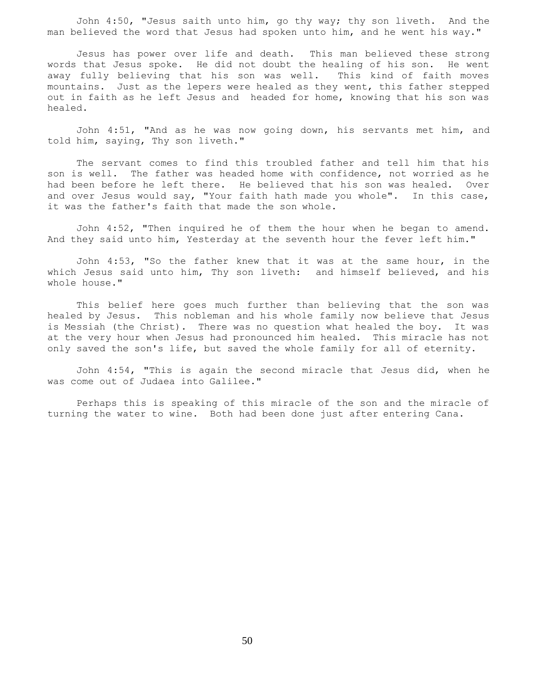John 4:50, "Jesus saith unto him, go thy way; thy son liveth. And the man believed the word that Jesus had spoken unto him, and he went his way."

 Jesus has power over life and death. This man believed these strong words that Jesus spoke. He did not doubt the healing of his son. He went away fully believing that his son was well. This kind of faith moves mountains. Just as the lepers were healed as they went, this father stepped out in faith as he left Jesus and headed for home, knowing that his son was healed.

 John 4:51, "And as he was now going down, his servants met him, and told him, saying, Thy son liveth."

 The servant comes to find this troubled father and tell him that his son is well. The father was headed home with confidence, not worried as he had been before he left there. He believed that his son was healed. Over and over Jesus would say, "Your faith hath made you whole". In this case, it was the father's faith that made the son whole.

 John 4:52, "Then inquired he of them the hour when he began to amend. And they said unto him, Yesterday at the seventh hour the fever left him."

 John 4:53, "So the father knew that it was at the same hour, in the which Jesus said unto him, Thy son liveth: and himself believed, and his whole house."

 This belief here goes much further than believing that the son was healed by Jesus. This nobleman and his whole family now believe that Jesus is Messiah (the Christ). There was no question what healed the boy. It was at the very hour when Jesus had pronounced him healed. This miracle has not only saved the son's life, but saved the whole family for all of eternity.

 John 4:54, "This is again the second miracle that Jesus did, when he was come out of Judaea into Galilee."

 Perhaps this is speaking of this miracle of the son and the miracle of turning the water to wine. Both had been done just after entering Cana.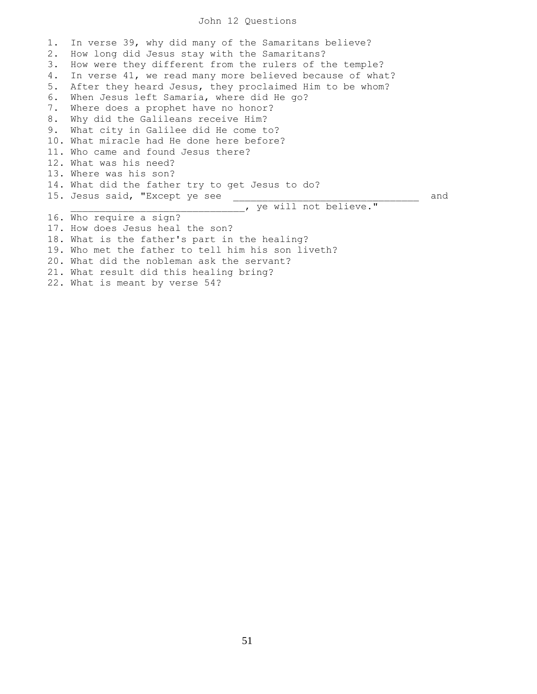#### John 12 Questions

1. In verse 39, why did many of the Samaritans believe? 2. How long did Jesus stay with the Samaritans? 3. How were they different from the rulers of the temple? 4. In verse 41, we read many more believed because of what? 5. After they heard Jesus, they proclaimed Him to be whom? 6. When Jesus left Samaria, where did He go? 7. Where does a prophet have no honor? 8. Why did the Galileans receive Him? 9. What city in Galilee did He come to? 10. What miracle had He done here before? 11. Who came and found Jesus there? 12. What was his need? 13. Where was his son? 14. What did the father try to get Jesus to do? 15. Jesus said, "Except ye see \_\_\_\_\_\_\_\_\_\_\_\_\_\_\_\_\_\_\_\_\_\_\_\_\_\_\_\_\_\_\_\_ and **LETT THE VE WILL NOT BELIEVE."** 16. Who require a sign? 17. How does Jesus heal the son? 18. What is the father's part in the healing? 19. Who met the father to tell him his son liveth? 20. What did the nobleman ask the servant? 21. What result did this healing bring? 22. What is meant by verse 54?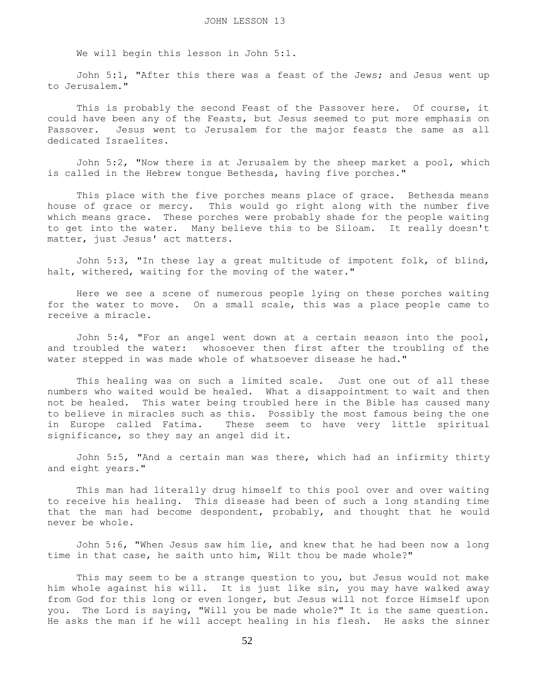We will begin this lesson in John 5:1.

 John 5:1, "After this there was a feast of the Jews; and Jesus went up to Jerusalem."

 This is probably the second Feast of the Passover here. Of course, it could have been any of the Feasts, but Jesus seemed to put more emphasis on Passover. Jesus went to Jerusalem for the major feasts the same as all dedicated Israelites.

 John 5:2, "Now there is at Jerusalem by the sheep market a pool, which is called in the Hebrew tongue Bethesda, having five porches."

 This place with the five porches means place of grace. Bethesda means house of grace or mercy. This would go right along with the number five which means grace. These porches were probably shade for the people waiting to get into the water. Many believe this to be Siloam. It really doesn't matter, just Jesus' act matters.

 John 5:3, "In these lay a great multitude of impotent folk, of blind, halt, withered, waiting for the moving of the water."

 Here we see a scene of numerous people lying on these porches waiting for the water to move. On a small scale, this was a place people came to receive a miracle.

 John 5:4, "For an angel went down at a certain season into the pool, and troubled the water: whosoever then first after the troubling of the water stepped in was made whole of whatsoever disease he had."

 This healing was on such a limited scale. Just one out of all these numbers who waited would be healed. What a disappointment to wait and then not be healed. This water being troubled here in the Bible has caused many to believe in miracles such as this. Possibly the most famous being the one in Europe called Fatima. These seem to have very little spiritual significance, so they say an angel did it.

 John 5:5, "And a certain man was there, which had an infirmity thirty and eight years."

 This man had literally drug himself to this pool over and over waiting to receive his healing. This disease had been of such a long standing time that the man had become despondent, probably, and thought that he would never be whole.

 John 5:6, "When Jesus saw him lie, and knew that he had been now a long time in that case, he saith unto him, Wilt thou be made whole?"

 This may seem to be a strange question to you, but Jesus would not make him whole against his will. It is just like sin, you may have walked away from God for this long or even longer, but Jesus will not force Himself upon you. The Lord is saying, "Will you be made whole?" It is the same question. He asks the man if he will accept healing in his flesh. He asks the sinner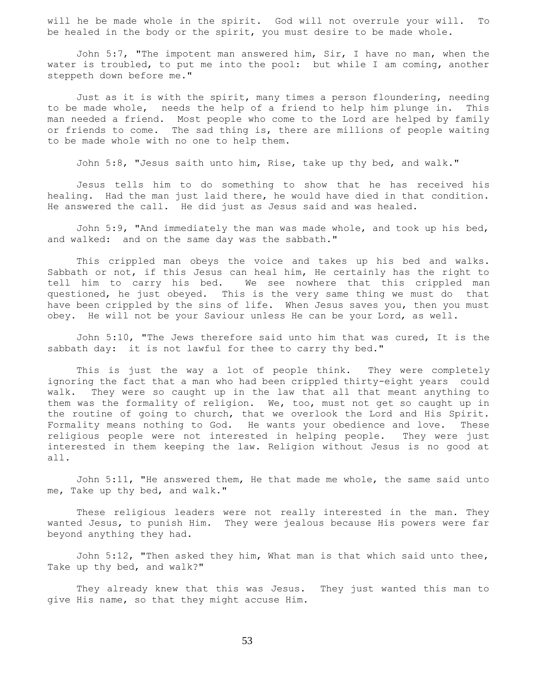will he be made whole in the spirit. God will not overrule your will. To be healed in the body or the spirit, you must desire to be made whole.

 John 5:7, "The impotent man answered him, Sir, I have no man, when the water is troubled, to put me into the pool: but while I am coming, another steppeth down before me."

 Just as it is with the spirit, many times a person floundering, needing to be made whole, needs the help of a friend to help him plunge in. This man needed a friend. Most people who come to the Lord are helped by family or friends to come. The sad thing is, there are millions of people waiting to be made whole with no one to help them.

John 5:8, "Jesus saith unto him, Rise, take up thy bed, and walk."

 Jesus tells him to do something to show that he has received his healing. Had the man just laid there, he would have died in that condition. He answered the call. He did just as Jesus said and was healed.

 John 5:9, "And immediately the man was made whole, and took up his bed, and walked: and on the same day was the sabbath."

 This crippled man obeys the voice and takes up his bed and walks. Sabbath or not, if this Jesus can heal him, He certainly has the right to tell him to carry his bed. We see nowhere that this crippled man questioned, he just obeyed. This is the very same thing we must do that have been crippled by the sins of life. When Jesus saves you, then you must obey. He will not be your Saviour unless He can be your Lord, as well.

 John 5:10, "The Jews therefore said unto him that was cured, It is the sabbath day: it is not lawful for thee to carry thy bed."

 This is just the way a lot of people think. They were completely ignoring the fact that a man who had been crippled thirty-eight years could walk. They were so caught up in the law that all that meant anything to them was the formality of religion. We, too, must not get so caught up in the routine of going to church, that we overlook the Lord and His Spirit. Formality means nothing to God. He wants your obedience and love. These religious people were not interested in helping people. They were just interested in them keeping the law. Religion without Jesus is no good at all.

 John 5:11, "He answered them, He that made me whole, the same said unto me, Take up thy bed, and walk."

 These religious leaders were not really interested in the man. They wanted Jesus, to punish Him. They were jealous because His powers were far beyond anything they had.

John  $5:12$ , "Then asked they him, What man is that which said unto thee, Take up thy bed, and walk?"

 They already knew that this was Jesus. They just wanted this man to give His name, so that they might accuse Him.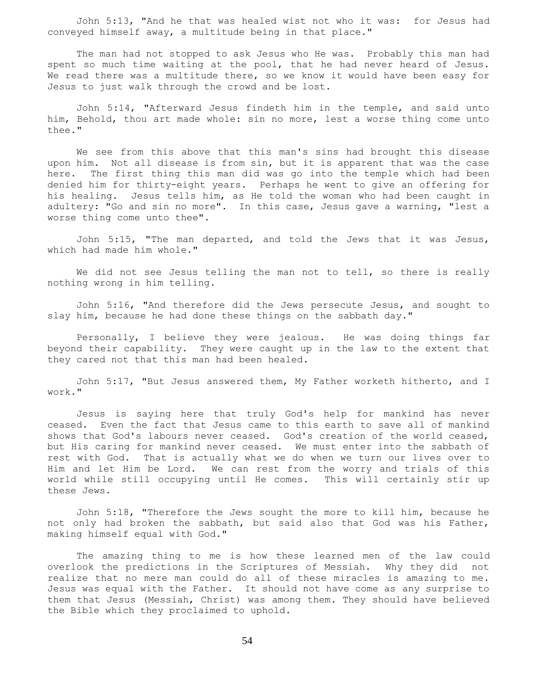John 5:13, "And he that was healed wist not who it was: for Jesus had conveyed himself away, a multitude being in that place."

 The man had not stopped to ask Jesus who He was. Probably this man had spent so much time waiting at the pool, that he had never heard of Jesus. We read there was a multitude there, so we know it would have been easy for Jesus to just walk through the crowd and be lost.

 John 5:14, "Afterward Jesus findeth him in the temple, and said unto him, Behold, thou art made whole: sin no more, lest a worse thing come unto thee."

 We see from this above that this man's sins had brought this disease upon him. Not all disease is from sin, but it is apparent that was the case here. The first thing this man did was go into the temple which had been denied him for thirty-eight years. Perhaps he went to give an offering for his healing. Jesus tells him, as He told the woman who had been caught in adultery: "Go and sin no more". In this case, Jesus gave a warning, "lest a worse thing come unto thee".

 John 5:15, "The man departed, and told the Jews that it was Jesus, which had made him whole."

We did not see Jesus telling the man not to tell, so there is really nothing wrong in him telling.

 John 5:16, "And therefore did the Jews persecute Jesus, and sought to slay him, because he had done these things on the sabbath day."

 Personally, I believe they were jealous. He was doing things far beyond their capability. They were caught up in the law to the extent that they cared not that this man had been healed.

 John 5:17, "But Jesus answered them, My Father worketh hitherto, and I work."

 Jesus is saying here that truly God's help for mankind has never ceased. Even the fact that Jesus came to this earth to save all of mankind shows that God's labours never ceased. God's creation of the world ceased, but His caring for mankind never ceased. We must enter into the sabbath of rest with God. That is actually what we do when we turn our lives over to Him and let Him be Lord. We can rest from the worry and trials of this world while still occupying until He comes. This will certainly stir up these Jews.

 John 5:18, "Therefore the Jews sought the more to kill him, because he not only had broken the sabbath, but said also that God was his Father, making himself equal with God."

 The amazing thing to me is how these learned men of the law could overlook the predictions in the Scriptures of Messiah. Why they did not realize that no mere man could do all of these miracles is amazing to me. Jesus was equal with the Father. It should not have come as any surprise to them that Jesus (Messiah, Christ) was among them. They should have believed the Bible which they proclaimed to uphold.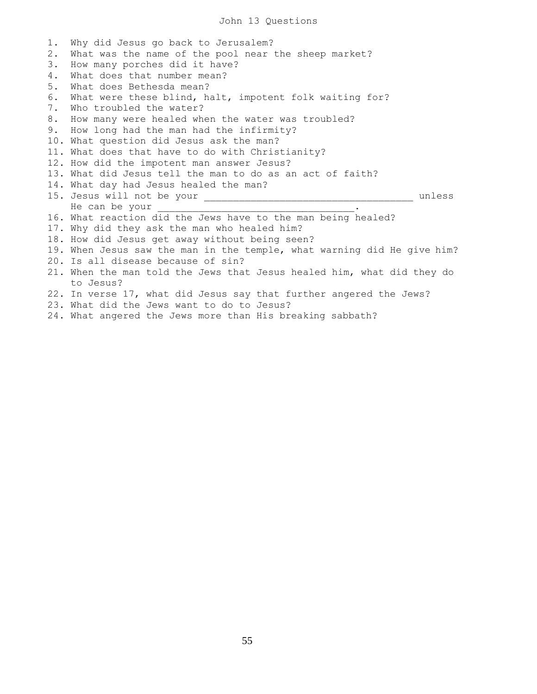# John 13 Questions

| 1. | Why did Jesus go back to Jerusalem?                                                                                                                         |
|----|-------------------------------------------------------------------------------------------------------------------------------------------------------------|
| 2. | What was the name of the pool near the sheep market?                                                                                                        |
| 3. | How many porches did it have?                                                                                                                               |
| 4. | What does that number mean?                                                                                                                                 |
| 5. | What does Bethesda mean?                                                                                                                                    |
| 6. | What were these blind, halt, impotent folk waiting for?                                                                                                     |
| 7. | Who troubled the water?                                                                                                                                     |
| 8. | How many were healed when the water was troubled?                                                                                                           |
|    | 9. How long had the man had the infirmity?                                                                                                                  |
|    | 10. What question did Jesus ask the man?                                                                                                                    |
|    | 11. What does that have to do with Christianity?                                                                                                            |
|    | 12. How did the impotent man answer Jesus?                                                                                                                  |
|    | 13. What did Jesus tell the man to do as an act of faith?                                                                                                   |
|    | 14. What day had Jesus healed the man?                                                                                                                      |
|    | unless                                                                                                                                                      |
|    | He can be your                                                                                                                                              |
|    | 16. What reaction did the Jews have to the man being healed?                                                                                                |
|    | 17. Why did they ask the man who healed him?                                                                                                                |
|    | 18. How did Jesus get away without being seen?                                                                                                              |
|    | 19. When Jesus saw the man in the temple, what warning did He give him?                                                                                     |
|    | 20. Is all disease because of sin?                                                                                                                          |
|    | 21. When the man told the Jews that Jesus healed him, what did they do                                                                                      |
|    | to Jesus?                                                                                                                                                   |
|    | 22. In verse 17, what did Jesus say that further angered the Jews?                                                                                          |
|    | 23. What did the Jews want to do to Jesus?                                                                                                                  |
|    | $\bigcap_{i=1}^n$ , and $\bigcap_{i=1}^n$ , and $\bigcap_{i=1}^n$ , and $\bigcap_{i=1}^n$ , and $\bigcap_{i=1}^n$ , and $\bigcap_{i=1}^n$<br>$\blacksquare$ |

24. What angered the Jews more than His breaking sabbath?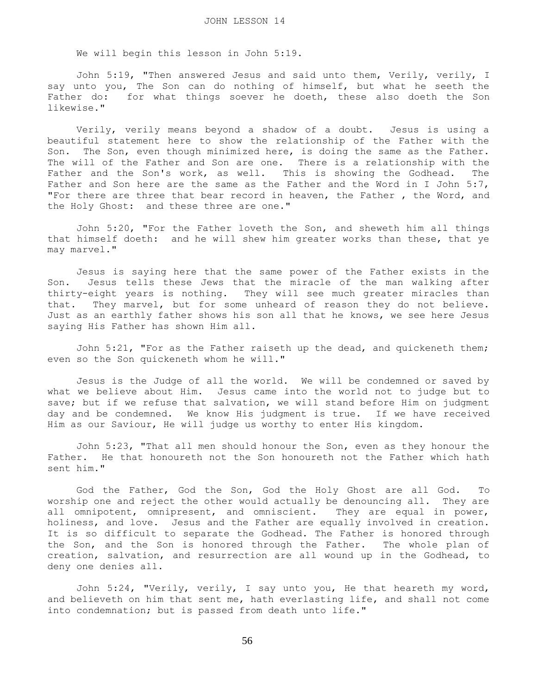We will begin this lesson in John 5:19.

 John 5:19, "Then answered Jesus and said unto them, Verily, verily, I say unto you, The Son can do nothing of himself, but what he seeth the Father do: for what things soever he doeth, these also doeth the Son likewise."

 Verily, verily means beyond a shadow of a doubt. Jesus is using a beautiful statement here to show the relationship of the Father with the Son. The Son, even though minimized here, is doing the same as the Father. The will of the Father and Son are one. There is a relationship with the Father and the Son's work, as well. This is showing the Godhead. The Father and Son here are the same as the Father and the Word in I John 5:7, "For there are three that bear record in heaven, the Father , the Word, and the Holy Ghost: and these three are one."

 John 5:20, "For the Father loveth the Son, and sheweth him all things that himself doeth: and he will shew him greater works than these, that ye may marvel."

 Jesus is saying here that the same power of the Father exists in the Son. Jesus tells these Jews that the miracle of the man walking after thirty-eight years is nothing. They will see much greater miracles than that. They marvel, but for some unheard of reason they do not believe. Just as an earthly father shows his son all that he knows, we see here Jesus saying His Father has shown Him all.

 John 5:21, "For as the Father raiseth up the dead, and quickeneth them; even so the Son quickeneth whom he will."

 Jesus is the Judge of all the world. We will be condemned or saved by what we believe about Him. Jesus came into the world not to judge but to save; but if we refuse that salvation, we will stand before Him on judgment day and be condemned. We know His judgment is true. If we have received Him as our Saviour, He will judge us worthy to enter His kingdom.

 John 5:23, "That all men should honour the Son, even as they honour the Father. He that honoureth not the Son honoureth not the Father which hath sent him."

 God the Father, God the Son, God the Holy Ghost are all God. To worship one and reject the other would actually be denouncing all. They are all omnipotent, omnipresent, and omniscient. They are equal in power, holiness, and love. Jesus and the Father are equally involved in creation. It is so difficult to separate the Godhead. The Father is honored through the Son, and the Son is honored through the Father. The whole plan of creation, salvation, and resurrection are all wound up in the Godhead, to deny one denies all.

 John 5:24, "Verily, verily, I say unto you, He that heareth my word, and believeth on him that sent me, hath everlasting life, and shall not come into condemnation; but is passed from death unto life."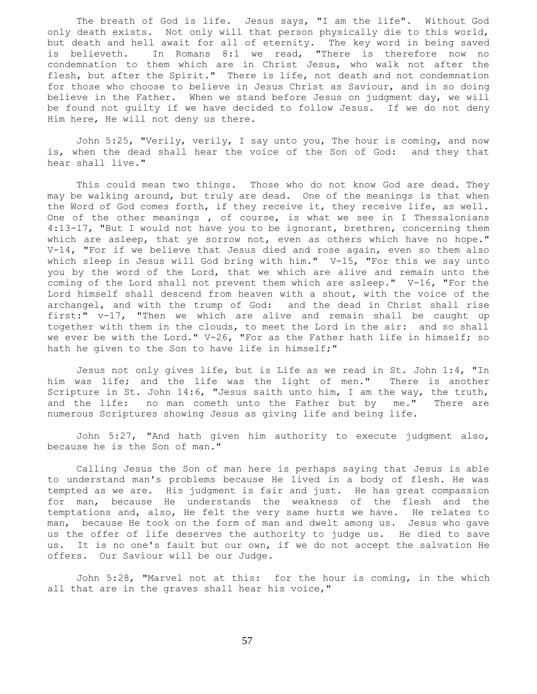The breath of God is life. Jesus says, "I am the life". Without God only death exists. Not only will that person physically die to this world, but death and hell await for all of eternity. The key word in being saved is believeth. In Romans 8:1 we read, "There is therefore now no condemnation to them which are in Christ Jesus, who walk not after the flesh, but after the Spirit." There is life, not death and not condemnation for those who choose to believe in Jesus Christ as Saviour, and in so doing believe in the Father. When we stand before Jesus on judgment day, we will be found not guilty if we have decided to follow Jesus. If we do not deny Him here, He will not deny us there.

 John 5:25, "Verily, verily, I say unto you, The hour is coming, and now is, when the dead shall hear the voice of the Son of God: and they that hear shall live."

 This could mean two things. Those who do not know God are dead. They may be walking around, but truly are dead. One of the meanings is that when the Word of God comes forth, if they receive it, they receive life, as well. One of the other meanings , of course, is what we see in I Thessalonians 4:13-17, "But I would not have you to be ignorant, brethren, concerning them which are asleep, that ye sorrow not, even as others which have no hope." V-14, "For if we believe that Jesus died and rose again, even so them also which sleep in Jesus will God bring with him." V-15, "For this we say unto you by the word of the Lord, that we which are alive and remain unto the coming of the Lord shall not prevent them which are asleep." V-16, "For the Lord himself shall descend from heaven with a shout, with the voice of the archangel, and with the trump of God: and the dead in Christ shall rise first:" v-17, "Then we which are alive and remain shall be caught up together with them in the clouds, to meet the Lord in the air: and so shall we ever be with the Lord." V-26, "For as the Father hath life in himself; so hath he given to the Son to have life in himself;"

 Jesus not only gives life, but is Life as we read in St. John 1:4, "In him was life; and the life was the light of men." There is another Scripture in St. John 14:6, "Jesus saith unto him, I am the way, the truth, and the life: no man cometh unto the Father but by me." There are numerous Scriptures showing Jesus as giving life and being life.

 John 5:27, "And hath given him authority to execute judgment also, because he is the Son of man."

 Calling Jesus the Son of man here is perhaps saying that Jesus is able to understand man's problems because He lived in a body of flesh. He was tempted as we are. His judgment is fair and just. He has great compassion for man, because He understands the weakness of the flesh and the temptations and, also, He felt the very same hurts we have. He relates to man, because He took on the form of man and dwelt among us. Jesus who gave us the offer of life deserves the authority to judge us. He died to save us. It is no one's fault but our own, if we do not accept the salvation He offers. Our Saviour will be our Judge.

 John 5:28, "Marvel not at this: for the hour is coming, in the which all that are in the graves shall hear his voice,"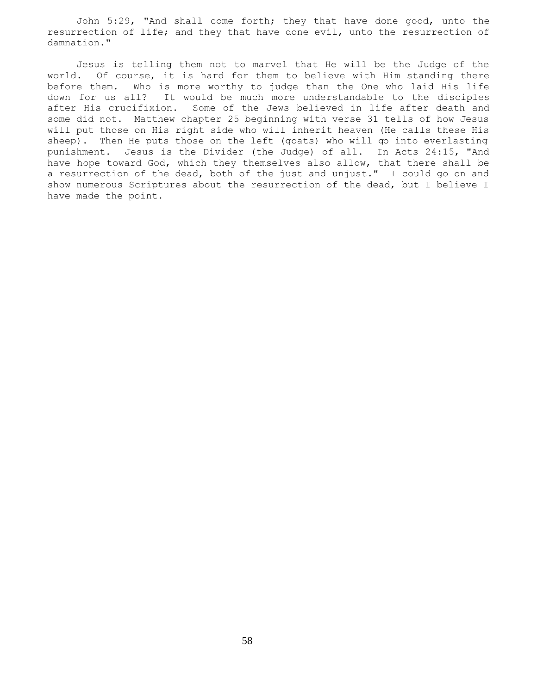John 5:29, "And shall come forth; they that have done good, unto the resurrection of life; and they that have done evil, unto the resurrection of damnation."

 Jesus is telling them not to marvel that He will be the Judge of the world. Of course, it is hard for them to believe with Him standing there before them. Who is more worthy to judge than the One who laid His life down for us all? It would be much more understandable to the disciples after His crucifixion. Some of the Jews believed in life after death and some did not. Matthew chapter 25 beginning with verse 31 tells of how Jesus will put those on His right side who will inherit heaven (He calls these His sheep). Then He puts those on the left (goats) who will go into everlasting punishment. Jesus is the Divider (the Judge) of all. In Acts 24:15, "And have hope toward God, which they themselves also allow, that there shall be a resurrection of the dead, both of the just and unjust." I could go on and show numerous Scriptures about the resurrection of the dead, but I believe I have made the point.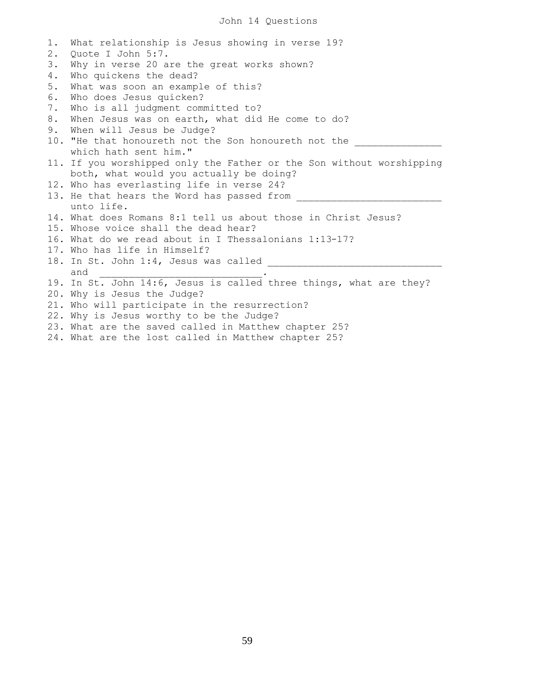1. What relationship is Jesus showing in verse 19? 2. Quote I John 5:7. 3. Why in verse 20 are the great works shown? 4. Who quickens the dead? 5. What was soon an example of this? 6. Who does Jesus quicken? 7. Who is all judgment committed to? 8. When Jesus was on earth, what did He come to do? 9. When will Jesus be Judge? 10. "He that honoureth not the Son honoureth not the which hath sent him." 11. If you worshipped only the Father or the Son without worshipping both, what would you actually be doing? 12. Who has everlasting life in verse 24? 13. He that hears the Word has passed from unto life. 14. What does Romans 8:1 tell us about those in Christ Jesus? 15. Whose voice shall the dead hear? 16. What do we read about in I Thessalonians 1:13-17? 17. Who has life in Himself? 18. In St. John 1:4, Jesus was called \_\_\_\_\_\_\_\_\_\_\_\_\_\_\_\_\_\_\_\_\_\_\_\_\_\_\_\_\_\_ and \_\_\_\_\_\_\_\_\_\_\_\_\_\_\_\_\_\_\_\_\_\_\_\_\_\_\_\_. 19. In St. John 14:6, Jesus is called three things, what are they? 20. Why is Jesus the Judge? 21. Who will participate in the resurrection? 22. Why is Jesus worthy to be the Judge? 23. What are the saved called in Matthew chapter 25? 24. What are the lost called in Matthew chapter 25?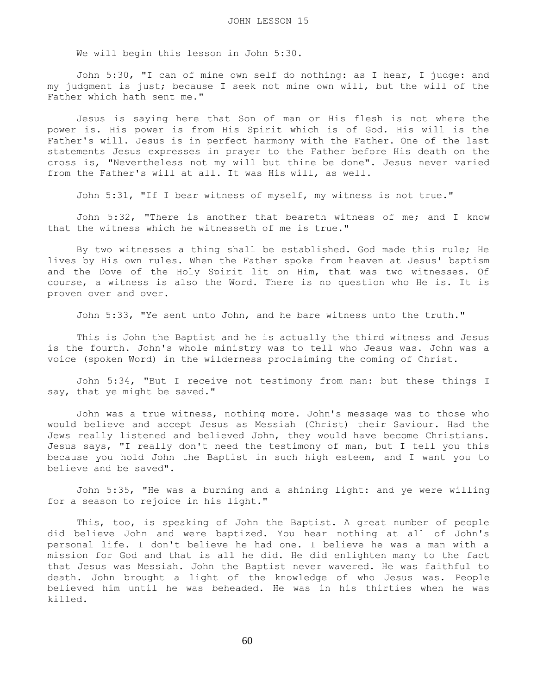We will begin this lesson in John 5:30.

 John 5:30, "I can of mine own self do nothing: as I hear, I judge: and my judgment is just; because I seek not mine own will, but the will of the Father which hath sent me."

 Jesus is saying here that Son of man or His flesh is not where the power is. His power is from His Spirit which is of God. His will is the Father's will. Jesus is in perfect harmony with the Father. One of the last statements Jesus expresses in prayer to the Father before His death on the cross is, "Nevertheless not my will but thine be done". Jesus never varied from the Father's will at all. It was His will, as well.

John 5:31, "If I bear witness of myself, my witness is not true."

 John 5:32, "There is another that beareth witness of me; and I know that the witness which he witnesseth of me is true."

 By two witnesses a thing shall be established. God made this rule; He lives by His own rules. When the Father spoke from heaven at Jesus' baptism and the Dove of the Holy Spirit lit on Him, that was two witnesses. Of course, a witness is also the Word. There is no question who He is. It is proven over and over.

John 5:33, "Ye sent unto John, and he bare witness unto the truth."

 This is John the Baptist and he is actually the third witness and Jesus is the fourth. John's whole ministry was to tell who Jesus was. John was a voice (spoken Word) in the wilderness proclaiming the coming of Christ.

 John 5:34, "But I receive not testimony from man: but these things I say, that ye might be saved."

 John was a true witness, nothing more. John's message was to those who would believe and accept Jesus as Messiah (Christ) their Saviour. Had the Jews really listened and believed John, they would have become Christians. Jesus says, "I really don't need the testimony of man, but I tell you this because you hold John the Baptist in such high esteem, and I want you to believe and be saved".

 John 5:35, "He was a burning and a shining light: and ye were willing for a season to rejoice in his light."

 This, too, is speaking of John the Baptist. A great number of people did believe John and were baptized. You hear nothing at all of John's personal life. I don't believe he had one. I believe he was a man with a mission for God and that is all he did. He did enlighten many to the fact that Jesus was Messiah. John the Baptist never wavered. He was faithful to death. John brought a light of the knowledge of who Jesus was. People believed him until he was beheaded. He was in his thirties when he was killed.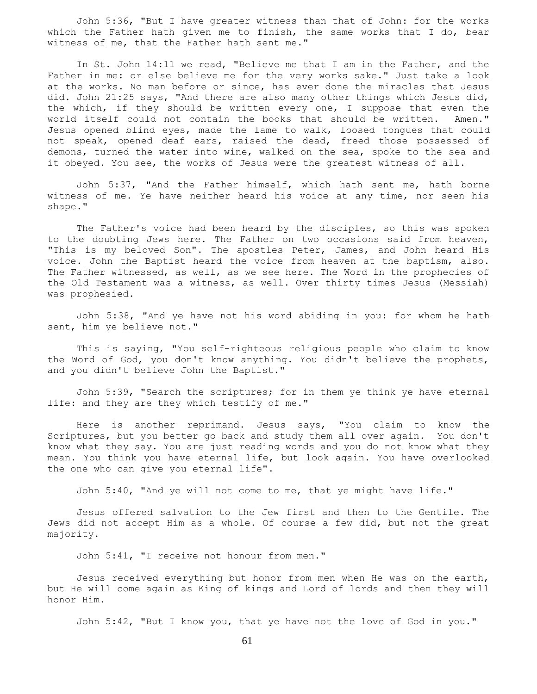John 5:36, "But I have greater witness than that of John: for the works which the Father hath given me to finish, the same works that I do, bear witness of me, that the Father hath sent me."

 In St. John 14:11 we read, "Believe me that I am in the Father, and the Father in me: or else believe me for the very works sake." Just take a look at the works. No man before or since, has ever done the miracles that Jesus did. John 21:25 says, "And there are also many other things which Jesus did, the which, if they should be written every one, I suppose that even the world itself could not contain the books that should be written. Amen." Jesus opened blind eyes, made the lame to walk, loosed tongues that could not speak, opened deaf ears, raised the dead, freed those possessed of demons, turned the water into wine, walked on the sea, spoke to the sea and it obeyed. You see, the works of Jesus were the greatest witness of all.

 John 5:37, "And the Father himself, which hath sent me, hath borne witness of me. Ye have neither heard his voice at any time, nor seen his shape."

 The Father's voice had been heard by the disciples, so this was spoken to the doubting Jews here. The Father on two occasions said from heaven, "This is my beloved Son". The apostles Peter, James, and John heard His voice. John the Baptist heard the voice from heaven at the baptism, also. The Father witnessed, as well, as we see here. The Word in the prophecies of the Old Testament was a witness, as well. Over thirty times Jesus (Messiah) was prophesied.

 John 5:38, "And ye have not his word abiding in you: for whom he hath sent, him ye believe not."

 This is saying, "You self-righteous religious people who claim to know the Word of God, you don't know anything. You didn't believe the prophets, and you didn't believe John the Baptist."

 John 5:39, "Search the scriptures; for in them ye think ye have eternal life: and they are they which testify of me."

 Here is another reprimand. Jesus says, "You claim to know the Scriptures, but you better go back and study them all over again. You don't know what they say. You are just reading words and you do not know what they mean. You think you have eternal life, but look again. You have overlooked the one who can give you eternal life".

John 5:40, "And ye will not come to me, that ye might have life."

 Jesus offered salvation to the Jew first and then to the Gentile. The Jews did not accept Him as a whole. Of course a few did, but not the great majority.

John 5:41, "I receive not honour from men."

 Jesus received everything but honor from men when He was on the earth, but He will come again as King of kings and Lord of lords and then they will honor Him.

John 5:42, "But I know you, that ye have not the love of God in you."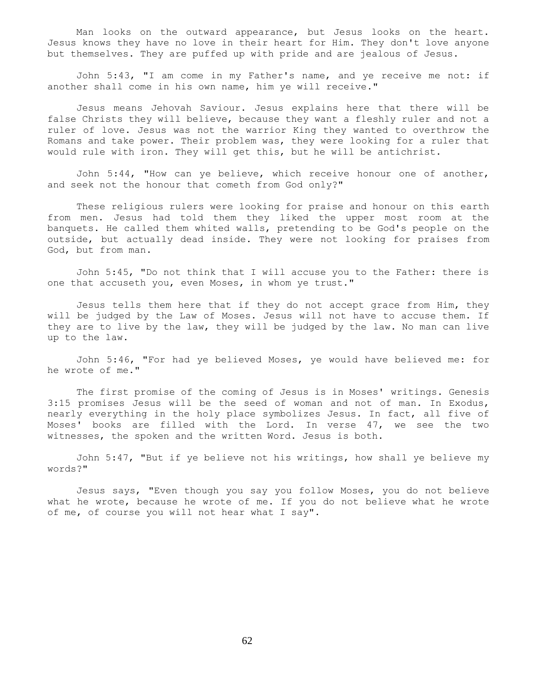Man looks on the outward appearance, but Jesus looks on the heart. Jesus knows they have no love in their heart for Him. They don't love anyone but themselves. They are puffed up with pride and are jealous of Jesus.

 John 5:43, "I am come in my Father's name, and ye receive me not: if another shall come in his own name, him ye will receive."

 Jesus means Jehovah Saviour. Jesus explains here that there will be false Christs they will believe, because they want a fleshly ruler and not a ruler of love. Jesus was not the warrior King they wanted to overthrow the Romans and take power. Their problem was, they were looking for a ruler that would rule with iron. They will get this, but he will be antichrist.

 John 5:44, "How can ye believe, which receive honour one of another, and seek not the honour that cometh from God only?"

 These religious rulers were looking for praise and honour on this earth from men. Jesus had told them they liked the upper most room at the banquets. He called them whited walls, pretending to be God's people on the outside, but actually dead inside. They were not looking for praises from God, but from man.

 John 5:45, "Do not think that I will accuse you to the Father: there is one that accuseth you, even Moses, in whom ye trust."

 Jesus tells them here that if they do not accept grace from Him, they will be judged by the Law of Moses. Jesus will not have to accuse them. If they are to live by the law, they will be judged by the law. No man can live up to the law.

 John 5:46, "For had ye believed Moses, ye would have believed me: for he wrote of me."

 The first promise of the coming of Jesus is in Moses' writings. Genesis 3:15 promises Jesus will be the seed of woman and not of man. In Exodus, nearly everything in the holy place symbolizes Jesus. In fact, all five of Moses' books are filled with the Lord. In verse 47, we see the two witnesses, the spoken and the written Word. Jesus is both.

 John 5:47, "But if ye believe not his writings, how shall ye believe my words?"

 Jesus says, "Even though you say you follow Moses, you do not believe what he wrote, because he wrote of me. If you do not believe what he wrote of me, of course you will not hear what I say".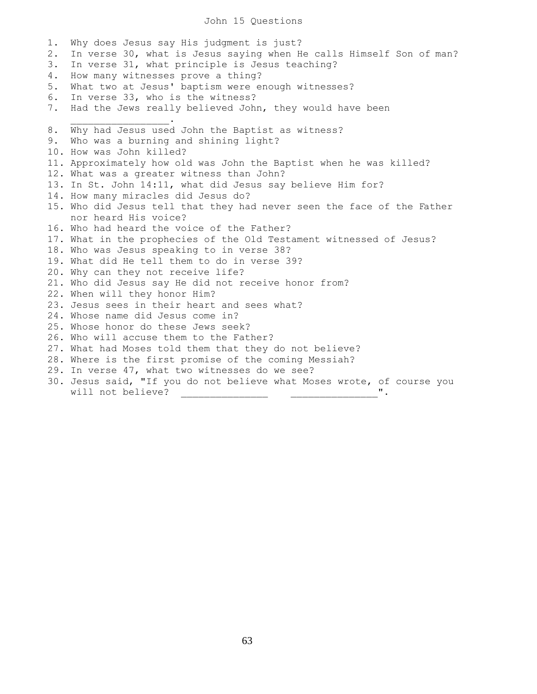#### John 15 Questions

1. Why does Jesus say His judgment is just? 2. In verse 30, what is Jesus saying when He calls Himself Son of man? 3. In verse 31, what principle is Jesus teaching? 4. How many witnesses prove a thing? 5. What two at Jesus' baptism were enough witnesses? 6. In verse 33, who is the witness? 7. Had the Jews really believed John, they would have been  $\overline{\phantom{a}}$  ,  $\overline{\phantom{a}}$  ,  $\overline{\phantom{a}}$  ,  $\overline{\phantom{a}}$  ,  $\overline{\phantom{a}}$  ,  $\overline{\phantom{a}}$  ,  $\overline{\phantom{a}}$  ,  $\overline{\phantom{a}}$  ,  $\overline{\phantom{a}}$  ,  $\overline{\phantom{a}}$  ,  $\overline{\phantom{a}}$  ,  $\overline{\phantom{a}}$  ,  $\overline{\phantom{a}}$  ,  $\overline{\phantom{a}}$  ,  $\overline{\phantom{a}}$  ,  $\overline{\phantom{a}}$ 8. Why had Jesus used John the Baptist as witness? 9. Who was a burning and shining light? 10. How was John killed? 11. Approximately how old was John the Baptist when he was killed? 12. What was a greater witness than John? 13. In St. John 14:11, what did Jesus say believe Him for? 14. How many miracles did Jesus do? 15. Who did Jesus tell that they had never seen the face of the Father nor heard His voice? 16. Who had heard the voice of the Father? 17. What in the prophecies of the Old Testament witnessed of Jesus? 18. Who was Jesus speaking to in verse 38? 19. What did He tell them to do in verse 39? 20. Why can they not receive life? 21. Who did Jesus say He did not receive honor from? 22. When will they honor Him? 23. Jesus sees in their heart and sees what? 24. Whose name did Jesus come in? 25. Whose honor do these Jews seek? 26. Who will accuse them to the Father? 27. What had Moses told them that they do not believe? 28. Where is the first promise of the coming Messiah? 29. In verse 47, what two witnesses do we see? 30. Jesus said, "If you do not believe what Moses wrote, of course you will not believe? \_\_\_\_\_\_\_\_\_\_\_\_\_\_\_ \_\_\_\_\_\_\_\_\_\_\_\_\_\_\_".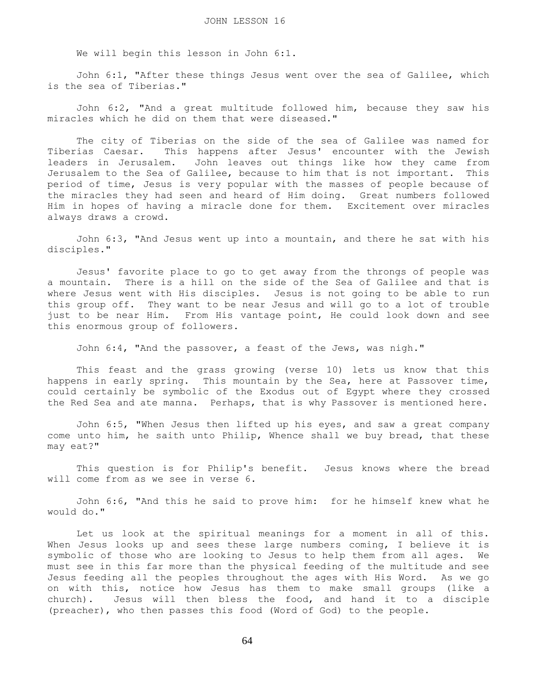We will begin this lesson in John 6:1.

 John 6:1, "After these things Jesus went over the sea of Galilee, which is the sea of Tiberias."

 John 6:2, "And a great multitude followed him, because they saw his miracles which he did on them that were diseased."

 The city of Tiberias on the side of the sea of Galilee was named for Tiberias Caesar. This happens after Jesus' encounter with the Jewish leaders in Jerusalem. John leaves out things like how they came from Jerusalem to the Sea of Galilee, because to him that is not important. This period of time, Jesus is very popular with the masses of people because of the miracles they had seen and heard of Him doing. Great numbers followed Him in hopes of having a miracle done for them. Excitement over miracles always draws a crowd.

 John 6:3, "And Jesus went up into a mountain, and there he sat with his disciples."

 Jesus' favorite place to go to get away from the throngs of people was a mountain. There is a hill on the side of the Sea of Galilee and that is where Jesus went with His disciples. Jesus is not going to be able to run this group off. They want to be near Jesus and will go to a lot of trouble just to be near Him. From His vantage point, He could look down and see this enormous group of followers.

John 6:4, "And the passover, a feast of the Jews, was nigh."

 This feast and the grass growing (verse 10) lets us know that this happens in early spring. This mountain by the Sea, here at Passover time, could certainly be symbolic of the Exodus out of Egypt where they crossed the Red Sea and ate manna. Perhaps, that is why Passover is mentioned here.

 John 6:5, "When Jesus then lifted up his eyes, and saw a great company come unto him, he saith unto Philip, Whence shall we buy bread, that these may eat?"

 This question is for Philip's benefit. Jesus knows where the bread will come from as we see in verse 6.

 John 6:6, "And this he said to prove him: for he himself knew what he would do."

 Let us look at the spiritual meanings for a moment in all of this. When Jesus looks up and sees these large numbers coming, I believe it is symbolic of those who are looking to Jesus to help them from all ages. We must see in this far more than the physical feeding of the multitude and see Jesus feeding all the peoples throughout the ages with His Word. As we go on with this, notice how Jesus has them to make small groups (like a church). Jesus will then bless the food, and hand it to a disciple (preacher), who then passes this food (Word of God) to the people.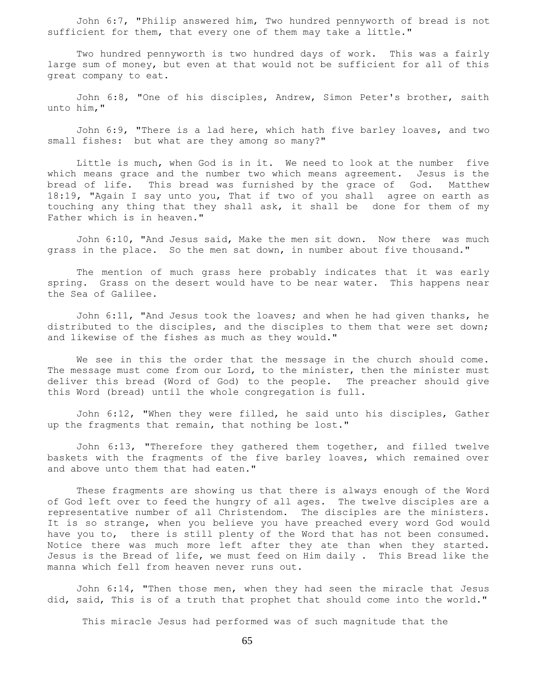John 6:7, "Philip answered him, Two hundred pennyworth of bread is not sufficient for them, that every one of them may take a little."

 Two hundred pennyworth is two hundred days of work. This was a fairly large sum of money, but even at that would not be sufficient for all of this great company to eat.

 John 6:8, "One of his disciples, Andrew, Simon Peter's brother, saith unto him,"

 John 6:9, "There is a lad here, which hath five barley loaves, and two small fishes: but what are they among so many?"

 Little is much, when God is in it. We need to look at the number five which means grace and the number two which means agreement. Jesus is the bread of life. This bread was furnished by the grace of God. Matthew 18:19, "Again I say unto you, That if two of you shall agree on earth as touching any thing that they shall ask, it shall be done for them of my Father which is in heaven."

 John 6:10, "And Jesus said, Make the men sit down. Now there was much grass in the place. So the men sat down, in number about five thousand."

 The mention of much grass here probably indicates that it was early spring. Grass on the desert would have to be near water. This happens near the Sea of Galilee.

 John 6:11, "And Jesus took the loaves; and when he had given thanks, he distributed to the disciples, and the disciples to them that were set down; and likewise of the fishes as much as they would."

 We see in this the order that the message in the church should come. The message must come from our Lord, to the minister, then the minister must deliver this bread (Word of God) to the people. The preacher should give this Word (bread) until the whole congregation is full.

 John 6:12, "When they were filled, he said unto his disciples, Gather up the fragments that remain, that nothing be lost."

 John 6:13, "Therefore they gathered them together, and filled twelve baskets with the fragments of the five barley loaves, which remained over and above unto them that had eaten."

 These fragments are showing us that there is always enough of the Word of God left over to feed the hungry of all ages. The twelve disciples are a representative number of all Christendom. The disciples are the ministers. It is so strange, when you believe you have preached every word God would have you to, there is still plenty of the Word that has not been consumed. Notice there was much more left after they ate than when they started. Jesus is the Bread of life, we must feed on Him daily . This Bread like the manna which fell from heaven never runs out.

 John 6:14, "Then those men, when they had seen the miracle that Jesus did, said, This is of a truth that prophet that should come into the world."

This miracle Jesus had performed was of such magnitude that the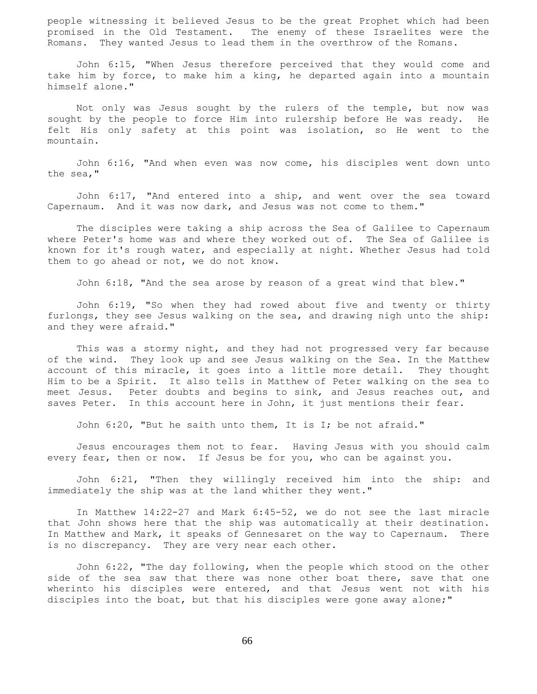people witnessing it believed Jesus to be the great Prophet which had been promised in the Old Testament. The enemy of these Israelites were the Romans. They wanted Jesus to lead them in the overthrow of the Romans.

 John 6:15, "When Jesus therefore perceived that they would come and take him by force, to make him a king, he departed again into a mountain himself alone."

 Not only was Jesus sought by the rulers of the temple, but now was sought by the people to force Him into rulership before He was ready. He felt His only safety at this point was isolation, so He went to the mountain.

 John 6:16, "And when even was now come, his disciples went down unto the sea,"

 John 6:17, "And entered into a ship, and went over the sea toward Capernaum. And it was now dark, and Jesus was not come to them."

 The disciples were taking a ship across the Sea of Galilee to Capernaum where Peter's home was and where they worked out of. The Sea of Galilee is known for it's rough water, and especially at night. Whether Jesus had told them to go ahead or not, we do not know.

John 6:18, "And the sea arose by reason of a great wind that blew."

 John 6:19, "So when they had rowed about five and twenty or thirty furlongs, they see Jesus walking on the sea, and drawing nigh unto the ship: and they were afraid."

 This was a stormy night, and they had not progressed very far because of the wind. They look up and see Jesus walking on the Sea. In the Matthew account of this miracle, it goes into a little more detail. They thought Him to be a Spirit. It also tells in Matthew of Peter walking on the sea to meet Jesus. Peter doubts and begins to sink, and Jesus reaches out, and saves Peter. In this account here in John, it just mentions their fear.

John 6:20, "But he saith unto them, It is I; be not afraid."

 Jesus encourages them not to fear. Having Jesus with you should calm every fear, then or now. If Jesus be for you, who can be against you.

 John 6:21, "Then they willingly received him into the ship: and immediately the ship was at the land whither they went."

 In Matthew 14:22-27 and Mark 6:45-52, we do not see the last miracle that John shows here that the ship was automatically at their destination. In Matthew and Mark, it speaks of Gennesaret on the way to Capernaum. There is no discrepancy. They are very near each other.

 John 6:22, "The day following, when the people which stood on the other side of the sea saw that there was none other boat there, save that one wherinto his disciples were entered, and that Jesus went not with his disciples into the boat, but that his disciples were gone away alone;"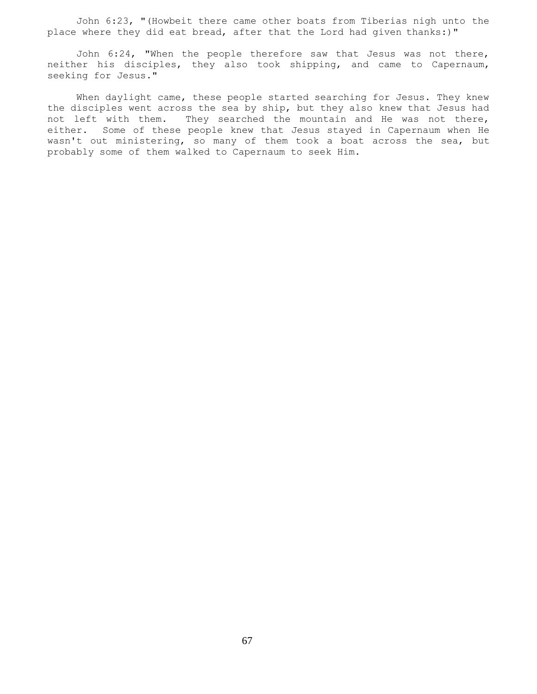John 6:23, "(Howbeit there came other boats from Tiberias nigh unto the place where they did eat bread, after that the Lord had given thanks:)"

 John 6:24, "When the people therefore saw that Jesus was not there, neither his disciples, they also took shipping, and came to Capernaum, seeking for Jesus."

When daylight came, these people started searching for Jesus. They knew the disciples went across the sea by ship, but they also knew that Jesus had not left with them. They searched the mountain and He was not there, either. Some of these people knew that Jesus stayed in Capernaum when He wasn't out ministering, so many of them took a boat across the sea, but probably some of them walked to Capernaum to seek Him.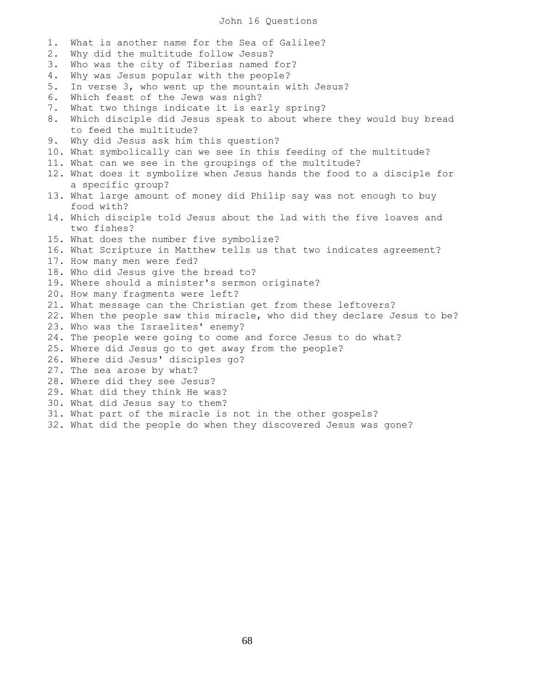### John 16 Questions

1. What is another name for the Sea of Galilee? 2. Why did the multitude follow Jesus? 3. Who was the city of Tiberias named for? 4. Why was Jesus popular with the people? 5. In verse 3, who went up the mountain with Jesus? 6. Which feast of the Jews was nigh? 7. What two things indicate it is early spring? 8. Which disciple did Jesus speak to about where they would buy bread to feed the multitude? 9. Why did Jesus ask him this question? 10. What symbolically can we see in this feeding of the multitude? 11. What can we see in the groupings of the multitude? 12. What does it symbolize when Jesus hands the food to a disciple for a specific group? 13. What large amount of money did Philip say was not enough to buy food with? 14. Which disciple told Jesus about the lad with the five loaves and two fishes? 15. What does the number five symbolize? 16. What Scripture in Matthew tells us that two indicates agreement? 17. How many men were fed? 18. Who did Jesus give the bread to? 19. Where should a minister's sermon originate? 20. How many fragments were left? 21. What message can the Christian get from these leftovers? 22. When the people saw this miracle, who did they declare Jesus to be? 23. Who was the Israelites' enemy? 24. The people were going to come and force Jesus to do what? 25. Where did Jesus go to get away from the people? 26. Where did Jesus' disciples go? 27. The sea arose by what? 28. Where did they see Jesus? 29. What did they think He was? 30. What did Jesus say to them? 31. What part of the miracle is not in the other gospels?

32. What did the people do when they discovered Jesus was gone?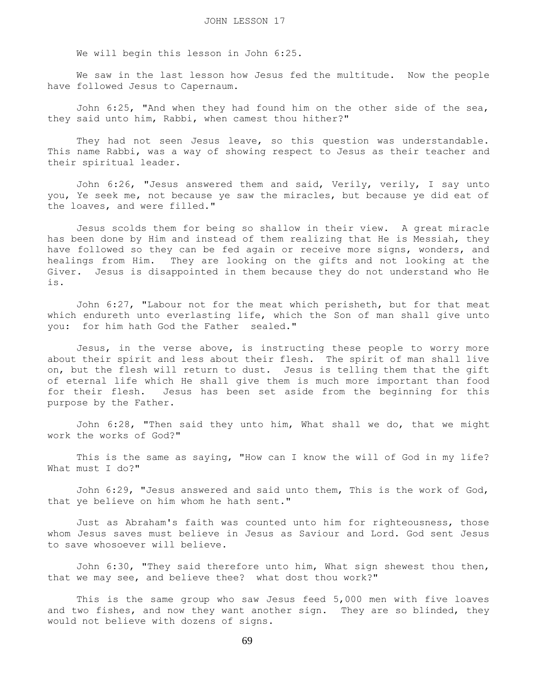We will begin this lesson in John 6:25.

 We saw in the last lesson how Jesus fed the multitude. Now the people have followed Jesus to Capernaum.

 John 6:25, "And when they had found him on the other side of the sea, they said unto him, Rabbi, when camest thou hither?"

They had not seen Jesus leave, so this question was understandable. This name Rabbi, was a way of showing respect to Jesus as their teacher and their spiritual leader.

 John 6:26, "Jesus answered them and said, Verily, verily, I say unto you, Ye seek me, not because ye saw the miracles, but because ye did eat of the loaves, and were filled."

 Jesus scolds them for being so shallow in their view. A great miracle has been done by Him and instead of them realizing that He is Messiah, they have followed so they can be fed again or receive more signs, wonders, and healings from Him. They are looking on the gifts and not looking at the Giver. Jesus is disappointed in them because they do not understand who He is.

 John 6:27, "Labour not for the meat which perisheth, but for that meat which endureth unto everlasting life, which the Son of man shall give unto you: for him hath God the Father sealed."

 Jesus, in the verse above, is instructing these people to worry more about their spirit and less about their flesh. The spirit of man shall live on, but the flesh will return to dust. Jesus is telling them that the gift of eternal life which He shall give them is much more important than food for their flesh. Jesus has been set aside from the beginning for this purpose by the Father.

 John 6:28, "Then said they unto him, What shall we do, that we might work the works of God?"

 This is the same as saying, "How can I know the will of God in my life? What must I do?"

 John 6:29, "Jesus answered and said unto them, This is the work of God, that ye believe on him whom he hath sent."

 Just as Abraham's faith was counted unto him for righteousness, those whom Jesus saves must believe in Jesus as Saviour and Lord. God sent Jesus to save whosoever will believe.

 John 6:30, "They said therefore unto him, What sign shewest thou then, that we may see, and believe thee? what dost thou work?"

 This is the same group who saw Jesus feed 5,000 men with five loaves and two fishes, and now they want another sign. They are so blinded, they would not believe with dozens of signs.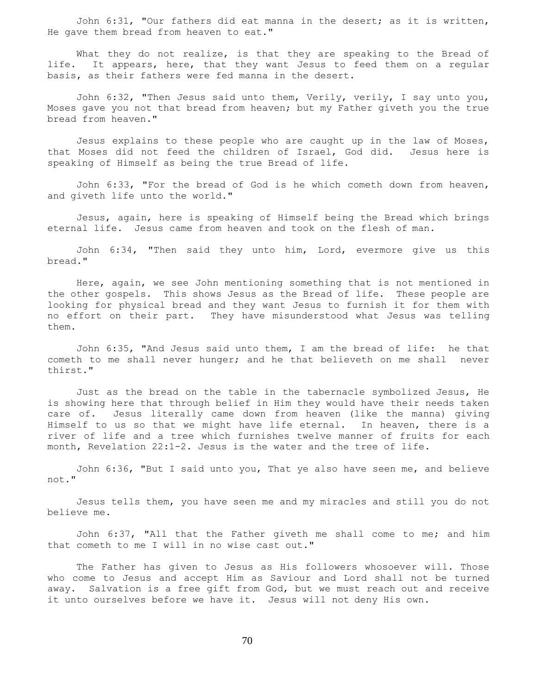John 6:31, "Our fathers did eat manna in the desert; as it is written, He gave them bread from heaven to eat."

What they do not realize, is that they are speaking to the Bread of life. It appears, here, that they want Jesus to feed them on a regular basis, as their fathers were fed manna in the desert.

 John 6:32, "Then Jesus said unto them, Verily, verily, I say unto you, Moses gave you not that bread from heaven; but my Father giveth you the true bread from heaven."

 Jesus explains to these people who are caught up in the law of Moses, that Moses did not feed the children of Israel, God did. Jesus here is speaking of Himself as being the true Bread of life.

 John 6:33, "For the bread of God is he which cometh down from heaven, and giveth life unto the world."

 Jesus, again, here is speaking of Himself being the Bread which brings eternal life. Jesus came from heaven and took on the flesh of man.

 John 6:34, "Then said they unto him, Lord, evermore give us this bread."

 Here, again, we see John mentioning something that is not mentioned in the other gospels. This shows Jesus as the Bread of life. These people are looking for physical bread and they want Jesus to furnish it for them with no effort on their part. They have misunderstood what Jesus was telling them.

 John 6:35, "And Jesus said unto them, I am the bread of life: he that cometh to me shall never hunger; and he that believeth on me shall never thirst."

 Just as the bread on the table in the tabernacle symbolized Jesus, He is showing here that through belief in Him they would have their needs taken care of. Jesus literally came down from heaven (like the manna) giving Himself to us so that we might have life eternal. In heaven, there is a river of life and a tree which furnishes twelve manner of fruits for each month, Revelation 22:1-2. Jesus is the water and the tree of life.

 John 6:36, "But I said unto you, That ye also have seen me, and believe not."

 Jesus tells them, you have seen me and my miracles and still you do not believe me.

 John 6:37, "All that the Father giveth me shall come to me; and him that cometh to me I will in no wise cast out."

 The Father has given to Jesus as His followers whosoever will. Those who come to Jesus and accept Him as Saviour and Lord shall not be turned away. Salvation is a free gift from God, but we must reach out and receive it unto ourselves before we have it. Jesus will not deny His own.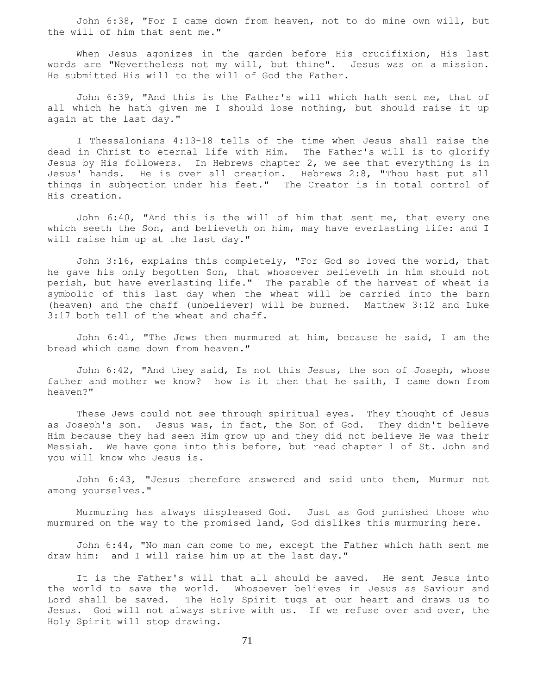John 6:38, "For I came down from heaven, not to do mine own will, but the will of him that sent me."

 When Jesus agonizes in the garden before His crucifixion, His last words are "Nevertheless not my will, but thine". Jesus was on a mission. He submitted His will to the will of God the Father.

 John 6:39, "And this is the Father's will which hath sent me, that of all which he hath given me I should lose nothing, but should raise it up again at the last day."

 I Thessalonians 4:13-18 tells of the time when Jesus shall raise the dead in Christ to eternal life with Him. The Father's will is to glorify Jesus by His followers. In Hebrews chapter 2, we see that everything is in Jesus' hands. He is over all creation. Hebrews 2:8, "Thou hast put all things in subjection under his feet." The Creator is in total control of His creation.

 John 6:40, "And this is the will of him that sent me, that every one which seeth the Son, and believeth on him, may have everlasting life: and I will raise him up at the last day."

 John 3:16, explains this completely, "For God so loved the world, that he gave his only begotten Son, that whosoever believeth in him should not perish, but have everlasting life." The parable of the harvest of wheat is symbolic of this last day when the wheat will be carried into the barn (heaven) and the chaff (unbeliever) will be burned. Matthew 3:12 and Luke 3:17 both tell of the wheat and chaff.

 John 6:41, "The Jews then murmured at him, because he said, I am the bread which came down from heaven."

 John 6:42, "And they said, Is not this Jesus, the son of Joseph, whose father and mother we know? how is it then that he saith, I came down from heaven?"

 These Jews could not see through spiritual eyes. They thought of Jesus as Joseph's son. Jesus was, in fact, the Son of God. They didn't believe Him because they had seen Him grow up and they did not believe He was their Messiah. We have gone into this before, but read chapter 1 of St. John and you will know who Jesus is.

 John 6:43, "Jesus therefore answered and said unto them, Murmur not among yourselves."

 Murmuring has always displeased God. Just as God punished those who murmured on the way to the promised land, God dislikes this murmuring here.

 John 6:44, "No man can come to me, except the Father which hath sent me draw him: and I will raise him up at the last day."

 It is the Father's will that all should be saved. He sent Jesus into the world to save the world. Whosoever believes in Jesus as Saviour and Lord shall be saved. The Holy Spirit tugs at our heart and draws us to Jesus. God will not always strive with us. If we refuse over and over, the Holy Spirit will stop drawing.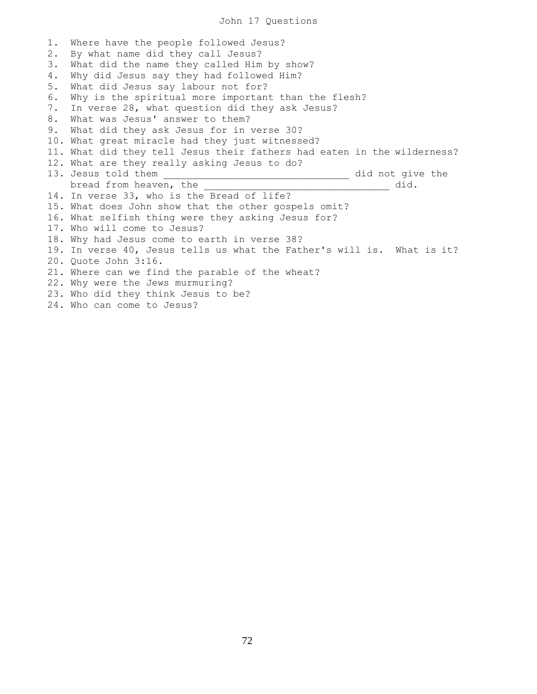1. Where have the people followed Jesus? 2. By what name did they call Jesus? 3. What did the name they called Him by show? 4. Why did Jesus say they had followed Him? 5. What did Jesus say labour not for? 6. Why is the spiritual more important than the flesh? 7. In verse 28, what question did they ask Jesus? 8. What was Jesus' answer to them? 9. What did they ask Jesus for in verse 30? 10. What great miracle had they just witnessed? 11. What did they tell Jesus their fathers had eaten in the wilderness? 12. What are they really asking Jesus to do? 13. Jesus told them \_\_\_\_\_\_\_\_\_\_\_\_\_\_\_\_\_\_\_\_\_\_\_\_\_\_\_\_\_\_\_\_ did not give the bread from heaven, the **with the set of the set of the set of the set of the set of the set of the set of the set of the set of the set of the set of the set of the set of the set of the set of the set of the set of the se** 14. In verse 33, who is the Bread of life? 15. What does John show that the other gospels omit? 16. What selfish thing were they asking Jesus for? 17. Who will come to Jesus? 18. Why had Jesus come to earth in verse 38? 19. In verse 40, Jesus tells us what the Father's will is. What is it? 20. Quote John 3:16. 21. Where can we find the parable of the wheat? 22. Why were the Jews murmuring? 23. Who did they think Jesus to be? 24. Who can come to Jesus?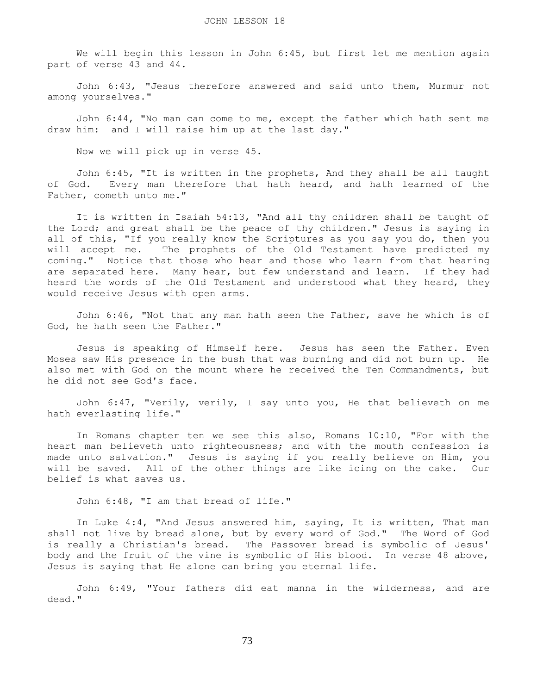We will begin this lesson in John 6:45, but first let me mention again part of verse 43 and 44.

 John 6:43, "Jesus therefore answered and said unto them, Murmur not among yourselves."

 John 6:44, "No man can come to me, except the father which hath sent me draw him: and I will raise him up at the last day."

Now we will pick up in verse 45.

 John 6:45, "It is written in the prophets, And they shall be all taught of God. Every man therefore that hath heard, and hath learned of the Father, cometh unto me."

 It is written in Isaiah 54:13, "And all thy children shall be taught of the Lord; and great shall be the peace of thy children." Jesus is saying in all of this, "If you really know the Scriptures as you say you do, then you will accept me. The prophets of the Old Testament have predicted my coming." Notice that those who hear and those who learn from that hearing are separated here. Many hear, but few understand and learn. If they had heard the words of the Old Testament and understood what they heard, they would receive Jesus with open arms.

 John 6:46, "Not that any man hath seen the Father, save he which is of God, he hath seen the Father."

 Jesus is speaking of Himself here. Jesus has seen the Father. Even Moses saw His presence in the bush that was burning and did not burn up. He also met with God on the mount where he received the Ten Commandments, but he did not see God's face.

 John 6:47, "Verily, verily, I say unto you, He that believeth on me hath everlasting life."

 In Romans chapter ten we see this also, Romans 10:10, "For with the heart man believeth unto righteousness; and with the mouth confession is made unto salvation." Jesus is saying if you really believe on Him, you will be saved. All of the other things are like icing on the cake. Our belief is what saves us.

John 6:48, "I am that bread of life."

 In Luke 4:4, "And Jesus answered him, saying, It is written, That man shall not live by bread alone, but by every word of God." The Word of God is really a Christian's bread. The Passover bread is symbolic of Jesus' body and the fruit of the vine is symbolic of His blood. In verse 48 above, Jesus is saying that He alone can bring you eternal life.

 John 6:49, "Your fathers did eat manna in the wilderness, and are dead."

73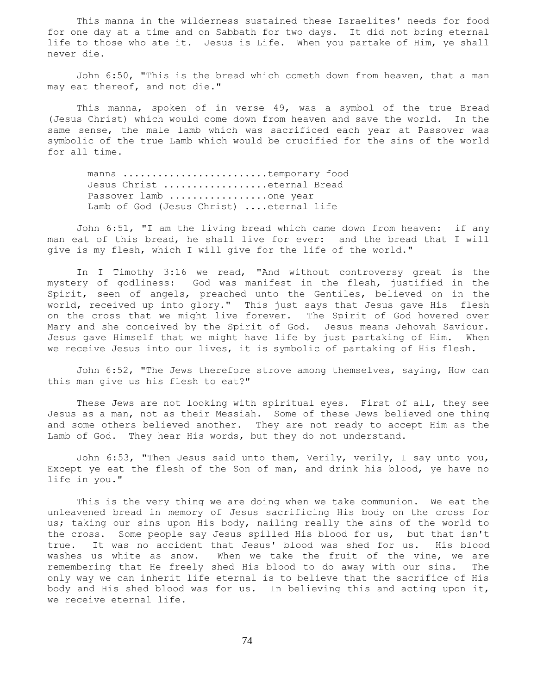This manna in the wilderness sustained these Israelites' needs for food for one day at a time and on Sabbath for two days. It did not bring eternal life to those who ate it. Jesus is Life. When you partake of Him, ye shall never die.

 John 6:50, "This is the bread which cometh down from heaven, that a man may eat thereof, and not die."

 This manna, spoken of in verse 49, was a symbol of the true Bread (Jesus Christ) which would come down from heaven and save the world. In the same sense, the male lamb which was sacrificed each year at Passover was symbolic of the true Lamb which would be crucified for the sins of the world for all time.

manna ...............................temporary food Jesus Christ .....................eternal Bread Passover lamb ..................one year Lamb of God (Jesus Christ) ....eternal life

 John 6:51, "I am the living bread which came down from heaven: if any man eat of this bread, he shall live for ever: and the bread that I will give is my flesh, which I will give for the life of the world."

 In I Timothy 3:16 we read, "And without controversy great is the mystery of godliness: God was manifest in the flesh, justified in the Spirit, seen of angels, preached unto the Gentiles, believed on in the world, received up into glory." This just says that Jesus gave His flesh on the cross that we might live forever. The Spirit of God hovered over Mary and she conceived by the Spirit of God. Jesus means Jehovah Saviour. Jesus gave Himself that we might have life by just partaking of Him. When we receive Jesus into our lives, it is symbolic of partaking of His flesh.

 John 6:52, "The Jews therefore strove among themselves, saying, How can this man give us his flesh to eat?"

 These Jews are not looking with spiritual eyes. First of all, they see Jesus as a man, not as their Messiah. Some of these Jews believed one thing and some others believed another. They are not ready to accept Him as the Lamb of God. They hear His words, but they do not understand.

 John 6:53, "Then Jesus said unto them, Verily, verily, I say unto you, Except ye eat the flesh of the Son of man, and drink his blood, ye have no life in you."

 This is the very thing we are doing when we take communion. We eat the unleavened bread in memory of Jesus sacrificing His body on the cross for us; taking our sins upon His body, nailing really the sins of the world to the cross. Some people say Jesus spilled His blood for us, but that isn't true. It was no accident that Jesus' blood was shed for us. His blood washes us white as snow. When we take the fruit of the vine, we are remembering that He freely shed His blood to do away with our sins. The only way we can inherit life eternal is to believe that the sacrifice of His body and His shed blood was for us. In believing this and acting upon it, we receive eternal life.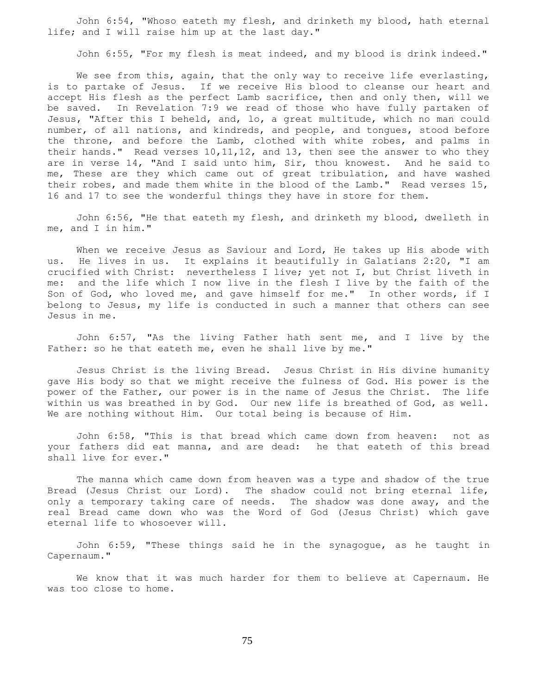John 6:54, "Whoso eateth my flesh, and drinketh my blood, hath eternal life; and I will raise him up at the last day."

John 6:55, "For my flesh is meat indeed, and my blood is drink indeed."

We see from this, again, that the only way to receive life everlasting, is to partake of Jesus. If we receive His blood to cleanse our heart and accept His flesh as the perfect Lamb sacrifice, then and only then, will we be saved. In Revelation 7:9 we read of those who have fully partaken of Jesus, "After this I beheld, and, lo, a great multitude, which no man could number, of all nations, and kindreds, and people, and tongues, stood before the throne, and before the Lamb, clothed with white robes, and palms in their hands." Read verses 10, 11, 12, and 13, then see the answer to who they are in verse 14, "And I said unto him, Sir, thou knowest. And he said to me, These are they which came out of great tribulation, and have washed their robes, and made them white in the blood of the Lamb." Read verses 15, 16 and 17 to see the wonderful things they have in store for them.

 John 6:56, "He that eateth my flesh, and drinketh my blood, dwelleth in me, and I in him."

When we receive Jesus as Saviour and Lord, He takes up His abode with us. He lives in us. It explains it beautifully in Galatians 2:20, "I am crucified with Christ: nevertheless I live; yet not I, but Christ liveth in me: and the life which I now live in the flesh I live by the faith of the Son of God, who loved me, and gave himself for me." In other words, if I belong to Jesus, my life is conducted in such a manner that others can see Jesus in me.

 John 6:57, "As the living Father hath sent me, and I live by the Father: so he that eateth me, even he shall live by me."

 Jesus Christ is the living Bread. Jesus Christ in His divine humanity gave His body so that we might receive the fulness of God. His power is the power of the Father, our power is in the name of Jesus the Christ. The life within us was breathed in by God. Our new life is breathed of God, as well. We are nothing without Him. Our total being is because of Him.

 John 6:58, "This is that bread which came down from heaven: not as your fathers did eat manna, and are dead: he that eateth of this bread shall live for ever."

 The manna which came down from heaven was a type and shadow of the true Bread (Jesus Christ our Lord). The shadow could not bring eternal life, only a temporary taking care of needs. The shadow was done away, and the real Bread came down who was the Word of God (Jesus Christ) which gave eternal life to whosoever will.

 John 6:59, "These things said he in the synagogue, as he taught in Capernaum."

 We know that it was much harder for them to believe at Capernaum. He was too close to home.

75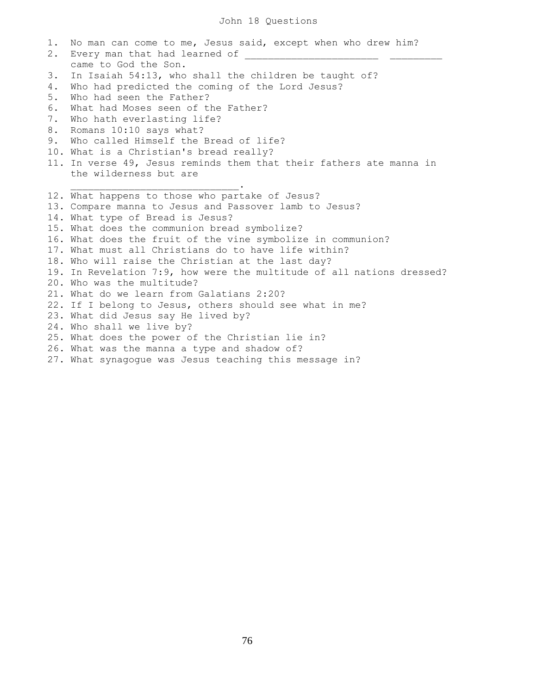1. No man can come to me, Jesus said, except when who drew him? 2. Every man that had learned of came to God the Son. 3. In Isaiah 54:13, who shall the children be taught of? 4. Who had predicted the coming of the Lord Jesus? 5. Who had seen the Father? 6. What had Moses seen of the Father? 7. Who hath everlasting life? 8. Romans 10:10 says what? 9. Who called Himself the Bread of life? 10. What is a Christian's bread really? 11. In verse 49, Jesus reminds them that their fathers ate manna in the wilderness but are  $\mathcal{L}_\text{max}$  and  $\mathcal{L}_\text{max}$  and  $\mathcal{L}_\text{max}$  and  $\mathcal{L}_\text{max}$ 12. What happens to those who partake of Jesus? 13. Compare manna to Jesus and Passover lamb to Jesus? 14. What type of Bread is Jesus? 15. What does the communion bread symbolize? 16. What does the fruit of the vine symbolize in communion? 17. What must all Christians do to have life within? 18. Who will raise the Christian at the last day? 19. In Revelation 7:9, how were the multitude of all nations dressed? 20. Who was the multitude? 21. What do we learn from Galatians 2:20? 22. If I belong to Jesus, others should see what in me? 23. What did Jesus say He lived by? 24. Who shall we live by? 25. What does the power of the Christian lie in? 26. What was the manna a type and shadow of? 27. What synagogue was Jesus teaching this message in?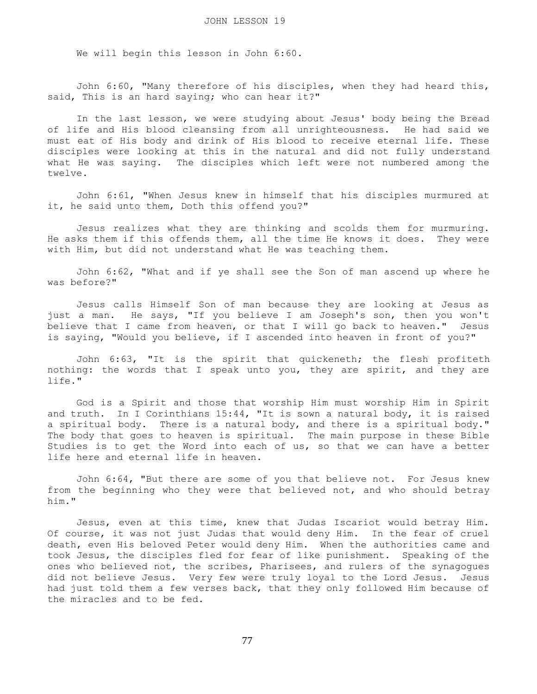We will begin this lesson in John 6:60.

 John 6:60, "Many therefore of his disciples, when they had heard this, said, This is an hard saying; who can hear it?"

 In the last lesson, we were studying about Jesus' body being the Bread of life and His blood cleansing from all unrighteousness. He had said we must eat of His body and drink of His blood to receive eternal life. These disciples were looking at this in the natural and did not fully understand what He was saying. The disciples which left were not numbered among the twelve.

 John 6:61, "When Jesus knew in himself that his disciples murmured at it, he said unto them, Doth this offend you?"

 Jesus realizes what they are thinking and scolds them for murmuring. He asks them if this offends them, all the time He knows it does. They were with Him, but did not understand what He was teaching them.

 John 6:62, "What and if ye shall see the Son of man ascend up where he was before?"

 Jesus calls Himself Son of man because they are looking at Jesus as just a man. He says, "If you believe I am Joseph's son, then you won't believe that I came from heaven, or that I will go back to heaven." Jesus is saying, "Would you believe, if I ascended into heaven in front of you?"

 John 6:63, "It is the spirit that quickeneth; the flesh profiteth nothing: the words that I speak unto you, they are spirit, and they are life."

 God is a Spirit and those that worship Him must worship Him in Spirit and truth. In I Corinthians 15:44, "It is sown a natural body, it is raised a spiritual body. There is a natural body, and there is a spiritual body." The body that goes to heaven is spiritual. The main purpose in these Bible Studies is to get the Word into each of us, so that we can have a better life here and eternal life in heaven.

 John 6:64, "But there are some of you that believe not. For Jesus knew from the beginning who they were that believed not, and who should betray him."

 Jesus, even at this time, knew that Judas Iscariot would betray Him. Of course, it was not just Judas that would deny Him. In the fear of cruel death, even His beloved Peter would deny Him. When the authorities came and took Jesus, the disciples fled for fear of like punishment. Speaking of the ones who believed not, the scribes, Pharisees, and rulers of the synagogues did not believe Jesus. Very few were truly loyal to the Lord Jesus. Jesus had just told them a few verses back, that they only followed Him because of the miracles and to be fed.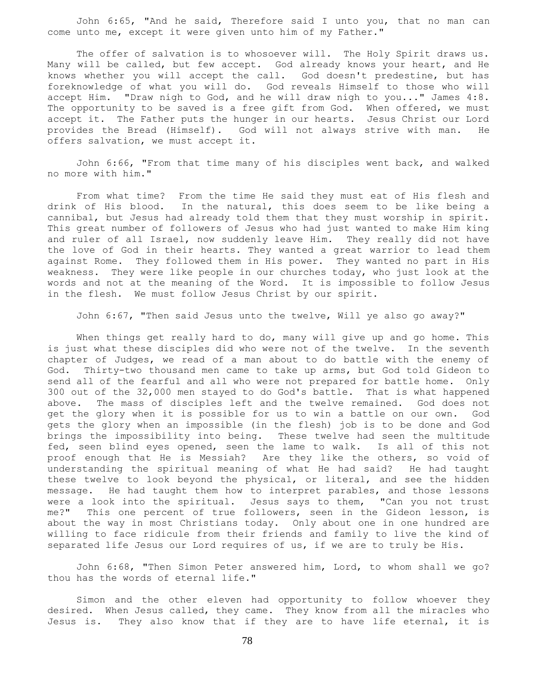John 6:65, "And he said, Therefore said I unto you, that no man can come unto me, except it were given unto him of my Father."

The offer of salvation is to whosoever will. The Holy Spirit draws us. Many will be called, but few accept. God already knows your heart, and He knows whether you will accept the call. God doesn't predestine, but has foreknowledge of what you will do. God reveals Himself to those who will accept Him. "Draw nigh to God, and he will draw nigh to you..." James 4:8. The opportunity to be saved is a free gift from God. When offered, we must accept it. The Father puts the hunger in our hearts. Jesus Christ our Lord provides the Bread (Himself). God will not always strive with man. He offers salvation, we must accept it.

 John 6:66, "From that time many of his disciples went back, and walked no more with him."

 From what time? From the time He said they must eat of His flesh and drink of His blood. In the natural, this does seem to be like being a cannibal, but Jesus had already told them that they must worship in spirit. This great number of followers of Jesus who had just wanted to make Him king and ruler of all Israel, now suddenly leave Him. They really did not have the love of God in their hearts. They wanted a great warrior to lead them against Rome. They followed them in His power. They wanted no part in His weakness. They were like people in our churches today, who just look at the words and not at the meaning of the Word. It is impossible to follow Jesus in the flesh. We must follow Jesus Christ by our spirit.

John 6:67, "Then said Jesus unto the twelve, Will ye also go away?"

 When things get really hard to do, many will give up and go home. This is just what these disciples did who were not of the twelve. In the seventh chapter of Judges, we read of a man about to do battle with the enemy of God. Thirty-two thousand men came to take up arms, but God told Gideon to send all of the fearful and all who were not prepared for battle home. Only 300 out of the 32,000 men stayed to do God's battle. That is what happened above. The mass of disciples left and the twelve remained. God does not get the glory when it is possible for us to win a battle on our own. God gets the glory when an impossible (in the flesh) job is to be done and God brings the impossibility into being. These twelve had seen the multitude fed, seen blind eyes opened, seen the lame to walk. Is all of this not proof enough that He is Messiah? Are they like the others, so void of understanding the spiritual meaning of what He had said? He had taught these twelve to look beyond the physical, or literal, and see the hidden message. He had taught them how to interpret parables, and those lessons were a look into the spiritual. Jesus says to them, "Can you not trust me?" This one percent of true followers, seen in the Gideon lesson, is about the way in most Christians today. Only about one in one hundred are willing to face ridicule from their friends and family to live the kind of separated life Jesus our Lord requires of us, if we are to truly be His.

 John 6:68, "Then Simon Peter answered him, Lord, to whom shall we go? thou has the words of eternal life."

 Simon and the other eleven had opportunity to follow whoever they desired. When Jesus called, they came. They know from all the miracles who Jesus is. They also know that if they are to have life eternal, it is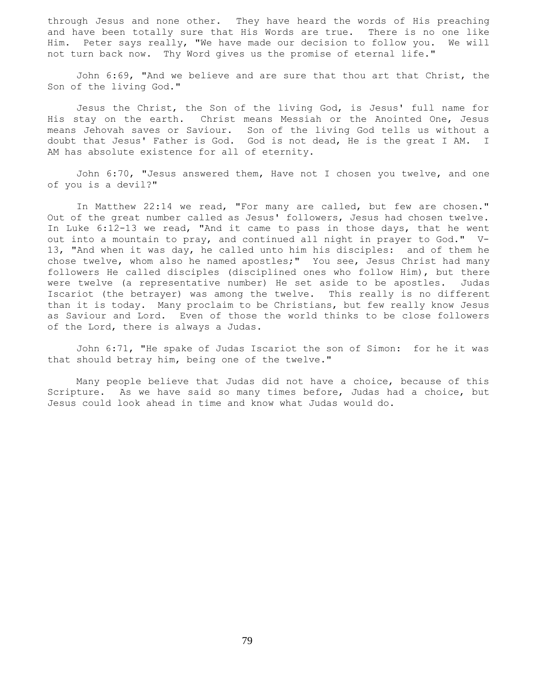through Jesus and none other. They have heard the words of His preaching and have been totally sure that His Words are true. There is no one like Him. Peter says really, "We have made our decision to follow you. We will not turn back now. Thy Word gives us the promise of eternal life."

 John 6:69, "And we believe and are sure that thou art that Christ, the Son of the living God."

 Jesus the Christ, the Son of the living God, is Jesus' full name for His stay on the earth. Christ means Messiah or the Anointed One, Jesus means Jehovah saves or Saviour. Son of the living God tells us without a doubt that Jesus' Father is God. God is not dead, He is the great I AM. I AM has absolute existence for all of eternity.

 John 6:70, "Jesus answered them, Have not I chosen you twelve, and one of you is a devil?"

 In Matthew 22:14 we read, "For many are called, but few are chosen." Out of the great number called as Jesus' followers, Jesus had chosen twelve. In Luke 6:12-13 we read, "And it came to pass in those days, that he went out into a mountain to pray, and continued all night in prayer to God." V-13, "And when it was day, he called unto him his disciples: and of them he chose twelve, whom also he named apostles;" You see, Jesus Christ had many followers He called disciples (disciplined ones who follow Him), but there were twelve (a representative number) He set aside to be apostles. Judas Iscariot (the betrayer) was among the twelve. This really is no different than it is today. Many proclaim to be Christians, but few really know Jesus as Saviour and Lord. Even of those the world thinks to be close followers of the Lord, there is always a Judas.

 John 6:71, "He spake of Judas Iscariot the son of Simon: for he it was that should betray him, being one of the twelve."

 Many people believe that Judas did not have a choice, because of this Scripture. As we have said so many times before, Judas had a choice, but Jesus could look ahead in time and know what Judas would do.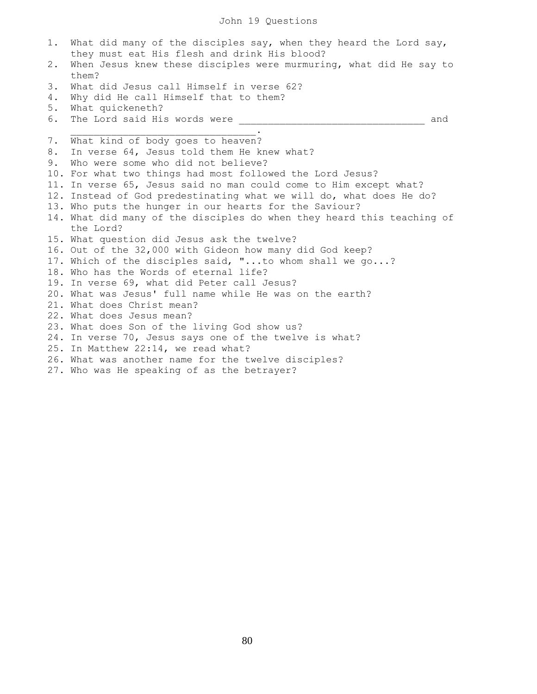## John 19 Questions

1. What did many of the disciples say, when they heard the Lord say, they must eat His flesh and drink His blood? 2. When Jesus knew these disciples were murmuring, what did He say to them? 3. What did Jesus call Himself in verse 62? 4. Why did He call Himself that to them? 5. What quickeneth? 6. The Lord said His words were \_\_\_\_\_\_\_\_\_\_\_\_\_\_\_\_\_\_\_\_\_\_\_\_\_\_\_\_\_\_\_\_ and  $\overline{\phantom{a}}$  ,  $\overline{\phantom{a}}$  ,  $\overline{\phantom{a}}$  ,  $\overline{\phantom{a}}$  ,  $\overline{\phantom{a}}$  ,  $\overline{\phantom{a}}$  ,  $\overline{\phantom{a}}$  ,  $\overline{\phantom{a}}$  ,  $\overline{\phantom{a}}$  ,  $\overline{\phantom{a}}$  ,  $\overline{\phantom{a}}$  ,  $\overline{\phantom{a}}$  ,  $\overline{\phantom{a}}$  ,  $\overline{\phantom{a}}$  ,  $\overline{\phantom{a}}$  ,  $\overline{\phantom{a}}$ 7. What kind of body goes to heaven? 8. In verse 64, Jesus told them He knew what? 9. Who were some who did not believe? 10. For what two things had most followed the Lord Jesus? 11. In verse 65, Jesus said no man could come to Him except what? 12. Instead of God predestinating what we will do, what does He do? 13. Who puts the hunger in our hearts for the Saviour? 14. What did many of the disciples do when they heard this teaching of the Lord? 15. What question did Jesus ask the twelve? 16. Out of the 32,000 with Gideon how many did God keep? 17. Which of the disciples said, "...to whom shall we go...? 18. Who has the Words of eternal life? 19. In verse 69, what did Peter call Jesus? 20. What was Jesus' full name while He was on the earth? 21. What does Christ mean? 22. What does Jesus mean? 23. What does Son of the living God show us? 24. In verse 70, Jesus says one of the twelve is what? 25. In Matthew 22:14, we read what? 26. What was another name for the twelve disciples? 27. Who was He speaking of as the betrayer?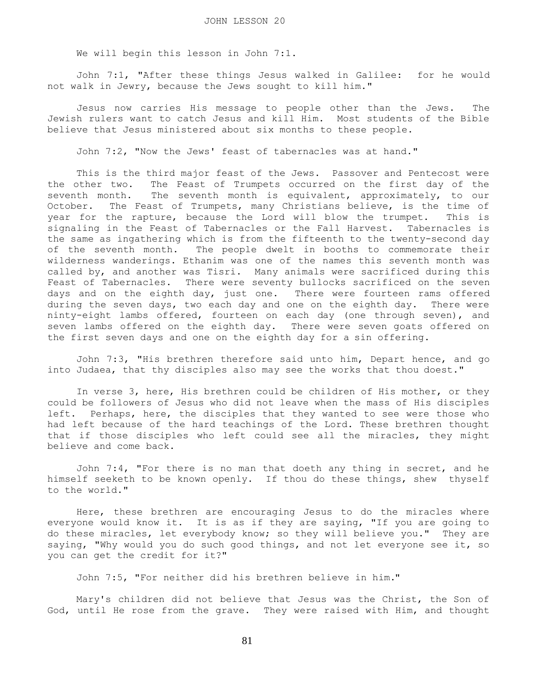We will begin this lesson in John 7:1.

 John 7:1, "After these things Jesus walked in Galilee: for he would not walk in Jewry, because the Jews sought to kill him."

 Jesus now carries His message to people other than the Jews. The Jewish rulers want to catch Jesus and kill Him. Most students of the Bible believe that Jesus ministered about six months to these people.

John 7:2, "Now the Jews' feast of tabernacles was at hand."

 This is the third major feast of the Jews. Passover and Pentecost were the other two. The Feast of Trumpets occurred on the first day of the seventh month. The seventh month is equivalent, approximately, to our October. The Feast of Trumpets, many Christians believe, is the time of year for the rapture, because the Lord will blow the trumpet. This is signaling in the Feast of Tabernacles or the Fall Harvest. Tabernacles is the same as ingathering which is from the fifteenth to the twenty-second day of the seventh month. The people dwelt in booths to commemorate their wilderness wanderings. Ethanim was one of the names this seventh month was called by, and another was Tisri. Many animals were sacrificed during this Feast of Tabernacles. There were seventy bullocks sacrificed on the seven days and on the eighth day, just one. There were fourteen rams offered during the seven days, two each day and one on the eighth day. There were ninty-eight lambs offered, fourteen on each day (one through seven), and seven lambs offered on the eighth day. There were seven goats offered on the first seven days and one on the eighth day for a sin offering.

 John 7:3, "His brethren therefore said unto him, Depart hence, and go into Judaea, that thy disciples also may see the works that thou doest."

 In verse 3, here, His brethren could be children of His mother, or they could be followers of Jesus who did not leave when the mass of His disciples left. Perhaps, here, the disciples that they wanted to see were those who had left because of the hard teachings of the Lord. These brethren thought that if those disciples who left could see all the miracles, they might believe and come back.

 John 7:4, "For there is no man that doeth any thing in secret, and he himself seeketh to be known openly. If thou do these things, shew thyself to the world."

 Here, these brethren are encouraging Jesus to do the miracles where everyone would know it. It is as if they are saying, "If you are going to do these miracles, let everybody know; so they will believe you." They are saying, "Why would you do such good things, and not let everyone see it, so you can get the credit for it?"

John 7:5, "For neither did his brethren believe in him."

 Mary's children did not believe that Jesus was the Christ, the Son of God, until He rose from the grave. They were raised with Him, and thought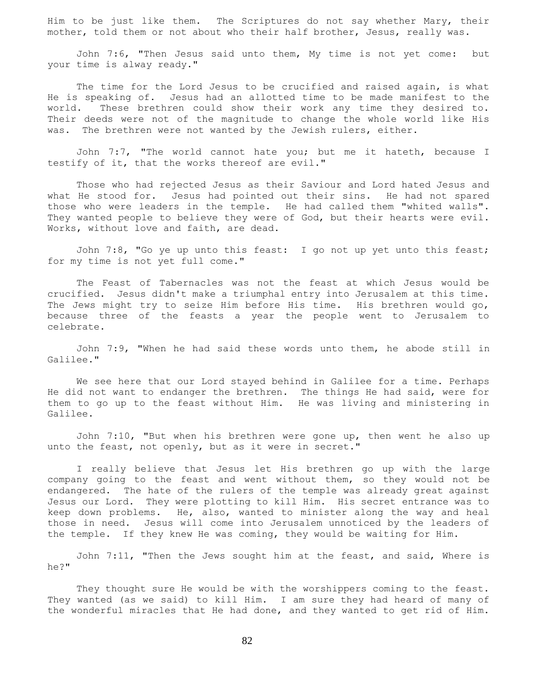Him to be just like them. The Scriptures do not say whether Mary, their mother, told them or not about who their half brother, Jesus, really was.

 John 7:6, "Then Jesus said unto them, My time is not yet come: but your time is alway ready."

The time for the Lord Jesus to be crucified and raised again, is what He is speaking of. Jesus had an allotted time to be made manifest to the world. These brethren could show their work any time they desired to. Their deeds were not of the magnitude to change the whole world like His was. The brethren were not wanted by the Jewish rulers, either.

 John 7:7, "The world cannot hate you; but me it hateth, because I testify of it, that the works thereof are evil."

 Those who had rejected Jesus as their Saviour and Lord hated Jesus and what He stood for. Jesus had pointed out their sins. He had not spared those who were leaders in the temple. He had called them "whited walls". They wanted people to believe they were of God, but their hearts were evil. Works, without love and faith, are dead.

John 7:8, "Go ye up unto this feast: I go not up yet unto this feast; for my time is not yet full come."

 The Feast of Tabernacles was not the feast at which Jesus would be crucified. Jesus didn't make a triumphal entry into Jerusalem at this time. The Jews might try to seize Him before His time. His brethren would go, because three of the feasts a year the people went to Jerusalem to celebrate.

 John 7:9, "When he had said these words unto them, he abode still in Galilee."

 We see here that our Lord stayed behind in Galilee for a time. Perhaps He did not want to endanger the brethren. The things He had said, were for them to go up to the feast without Him. He was living and ministering in Galilee.

 John 7:10, "But when his brethren were gone up, then went he also up unto the feast, not openly, but as it were in secret."

 I really believe that Jesus let His brethren go up with the large company going to the feast and went without them, so they would not be endangered. The hate of the rulers of the temple was already great against Jesus our Lord. They were plotting to kill Him. His secret entrance was to keep down problems. He, also, wanted to minister along the way and heal those in need. Jesus will come into Jerusalem unnoticed by the leaders of the temple. If they knew He was coming, they would be waiting for Him.

 John 7:11, "Then the Jews sought him at the feast, and said, Where is he?"

 They thought sure He would be with the worshippers coming to the feast. They wanted (as we said) to kill Him. I am sure they had heard of many of the wonderful miracles that He had done, and they wanted to get rid of Him.

82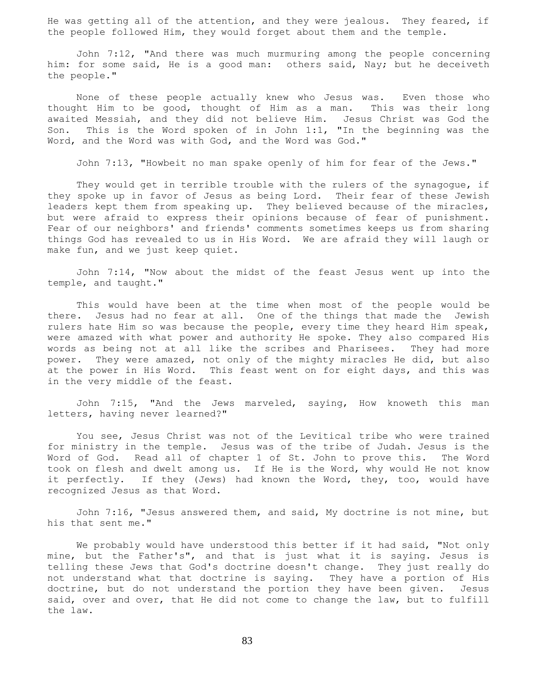He was getting all of the attention, and they were jealous. They feared, if the people followed Him, they would forget about them and the temple.

 John 7:12, "And there was much murmuring among the people concerning him: for some said, He is a good man: others said, Nay; but he deceiveth the people."

 None of these people actually knew who Jesus was. Even those who thought Him to be good, thought of Him as a man. This was their long awaited Messiah, and they did not believe Him. Jesus Christ was God the Son. This is the Word spoken of in John 1:1, "In the beginning was the Word, and the Word was with God, and the Word was God."

John 7:13, "Howbeit no man spake openly of him for fear of the Jews."

They would get in terrible trouble with the rulers of the synagogue, if they spoke up in favor of Jesus as being Lord. Their fear of these Jewish leaders kept them from speaking up. They believed because of the miracles, but were afraid to express their opinions because of fear of punishment. Fear of our neighbors' and friends' comments sometimes keeps us from sharing things God has revealed to us in His Word. We are afraid they will laugh or make fun, and we just keep quiet.

 John 7:14, "Now about the midst of the feast Jesus went up into the temple, and taught."

 This would have been at the time when most of the people would be there. Jesus had no fear at all. One of the things that made the Jewish rulers hate Him so was because the people, every time they heard Him speak, were amazed with what power and authority He spoke. They also compared His words as being not at all like the scribes and Pharisees. They had more power. They were amazed, not only of the mighty miracles He did, but also at the power in His Word. This feast went on for eight days, and this was in the very middle of the feast.

 John 7:15, "And the Jews marveled, saying, How knoweth this man letters, having never learned?"

 You see, Jesus Christ was not of the Levitical tribe who were trained for ministry in the temple. Jesus was of the tribe of Judah. Jesus is the Word of God. Read all of chapter 1 of St. John to prove this. The Word took on flesh and dwelt among us. If He is the Word, why would He not know it perfectly. If they (Jews) had known the Word, they, too, would have recognized Jesus as that Word.

 John 7:16, "Jesus answered them, and said, My doctrine is not mine, but his that sent me."

We probably would have understood this better if it had said, "Not only mine, but the Father's", and that is just what it is saying. Jesus is telling these Jews that God's doctrine doesn't change. They just really do not understand what that doctrine is saying. They have a portion of His doctrine, but do not understand the portion they have been given. Jesus said, over and over, that He did not come to change the law, but to fulfill the law.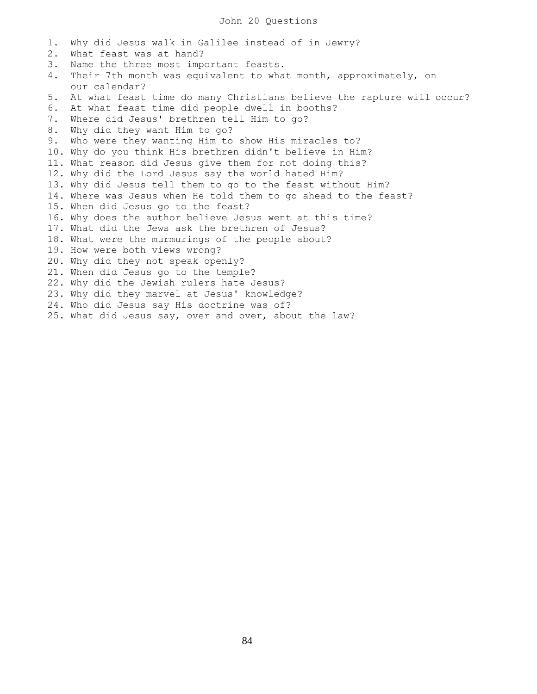1. Why did Jesus walk in Galilee instead of in Jewry? 2. What feast was at hand? 3. Name the three most important feasts. 4. Their 7th month was equivalent to what month, approximately, on our calendar? 5. At what feast time do many Christians believe the rapture will occur? 6. At what feast time did people dwell in booths? 7. Where did Jesus' brethren tell Him to go? 8. Why did they want Him to go? 9. Who were they wanting Him to show His miracles to? 10. Why do you think His brethren didn't believe in Him? 11. What reason did Jesus give them for not doing this? 12. Why did the Lord Jesus say the world hated Him? 13. Why did Jesus tell them to go to the feast without Him? 14. Where was Jesus when He told them to go ahead to the feast? 15. When did Jesus go to the feast? 16. Why does the author believe Jesus went at this time? 17. What did the Jews ask the brethren of Jesus? 18. What were the murmurings of the people about? 19. How were both views wrong? 20. Why did they not speak openly? 21. When did Jesus go to the temple? 22. Why did the Jewish rulers hate Jesus? 23. Why did they marvel at Jesus' knowledge? 24. Who did Jesus say His doctrine was of? 25. What did Jesus say, over and over, about the law?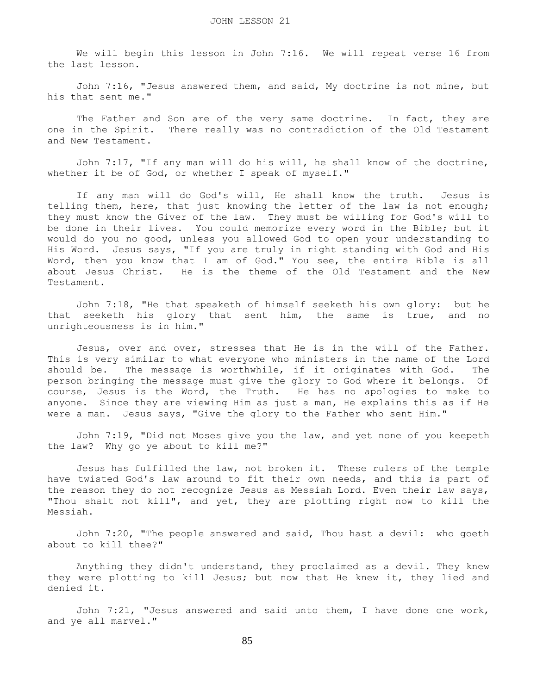We will begin this lesson in John 7:16. We will repeat verse 16 from the last lesson.

 John 7:16, "Jesus answered them, and said, My doctrine is not mine, but his that sent me."

The Father and Son are of the very same doctrine. In fact, they are one in the Spirit. There really was no contradiction of the Old Testament and New Testament.

 John 7:17, "If any man will do his will, he shall know of the doctrine, whether it be of God, or whether I speak of myself."

 If any man will do God's will, He shall know the truth. Jesus is telling them, here, that just knowing the letter of the law is not enough; they must know the Giver of the law. They must be willing for God's will to be done in their lives. You could memorize every word in the Bible; but it would do you no good, unless you allowed God to open your understanding to His Word. Jesus says, "If you are truly in right standing with God and His Word, then you know that I am of God." You see, the entire Bible is all about Jesus Christ. He is the theme of the Old Testament and the New Testament.

 John 7:18, "He that speaketh of himself seeketh his own glory: but he that seeketh his glory that sent him, the same is true, and no unrighteousness is in him."

 Jesus, over and over, stresses that He is in the will of the Father. This is very similar to what everyone who ministers in the name of the Lord should be. The message is worthwhile, if it originates with God. The person bringing the message must give the glory to God where it belongs. Of course, Jesus is the Word, the Truth. He has no apologies to make to anyone. Since they are viewing Him as just a man, He explains this as if He were a man. Jesus says, "Give the glory to the Father who sent Him."

 John 7:19, "Did not Moses give you the law, and yet none of you keepeth the law? Why go ye about to kill me?"

 Jesus has fulfilled the law, not broken it. These rulers of the temple have twisted God's law around to fit their own needs, and this is part of the reason they do not recognize Jesus as Messiah Lord. Even their law says, "Thou shalt not kill", and yet, they are plotting right now to kill the Messiah.

 John 7:20, "The people answered and said, Thou hast a devil: who goeth about to kill thee?"

 Anything they didn't understand, they proclaimed as a devil. They knew they were plotting to kill Jesus; but now that He knew it, they lied and denied it.

 John 7:21, "Jesus answered and said unto them, I have done one work, and ye all marvel."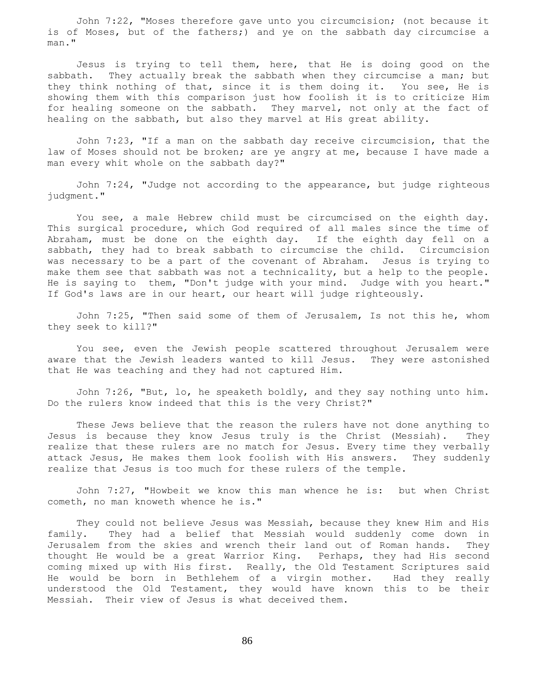John 7:22, "Moses therefore gave unto you circumcision; (not because it is of Moses, but of the fathers;) and ye on the sabbath day circumcise a man."

 Jesus is trying to tell them, here, that He is doing good on the sabbath. They actually break the sabbath when they circumcise a man; but they think nothing of that, since it is them doing it. You see, He is showing them with this comparison just how foolish it is to criticize Him for healing someone on the sabbath. They marvel, not only at the fact of healing on the sabbath, but also they marvel at His great ability.

 John 7:23, "If a man on the sabbath day receive circumcision, that the law of Moses should not be broken; are ye angry at me, because I have made a man every whit whole on the sabbath day?"

 John 7:24, "Judge not according to the appearance, but judge righteous judgment."

 You see, a male Hebrew child must be circumcised on the eighth day. This surgical procedure, which God required of all males since the time of Abraham, must be done on the eighth day. If the eighth day fell on a sabbath, they had to break sabbath to circumcise the child. Circumcision was necessary to be a part of the covenant of Abraham. Jesus is trying to make them see that sabbath was not a technicality, but a help to the people. He is saying to them, "Don't judge with your mind. Judge with you heart." If God's laws are in our heart, our heart will judge righteously.

 John 7:25, "Then said some of them of Jerusalem, Is not this he, whom they seek to kill?"

 You see, even the Jewish people scattered throughout Jerusalem were aware that the Jewish leaders wanted to kill Jesus. They were astonished that He was teaching and they had not captured Him.

 John 7:26, "But, lo, he speaketh boldly, and they say nothing unto him. Do the rulers know indeed that this is the very Christ?"

 These Jews believe that the reason the rulers have not done anything to Jesus is because they know Jesus truly is the Christ (Messiah). They realize that these rulers are no match for Jesus. Every time they verbally attack Jesus, He makes them look foolish with His answers. They suddenly realize that Jesus is too much for these rulers of the temple.

 John 7:27, "Howbeit we know this man whence he is: but when Christ cometh, no man knoweth whence he is."

 They could not believe Jesus was Messiah, because they knew Him and His family. They had a belief that Messiah would suddenly come down in Jerusalem from the skies and wrench their land out of Roman hands. They thought He would be a great Warrior King. Perhaps, they had His second coming mixed up with His first. Really, the Old Testament Scriptures said He would be born in Bethlehem of a virgin mother. Had they really understood the Old Testament, they would have known this to be their Messiah. Their view of Jesus is what deceived them.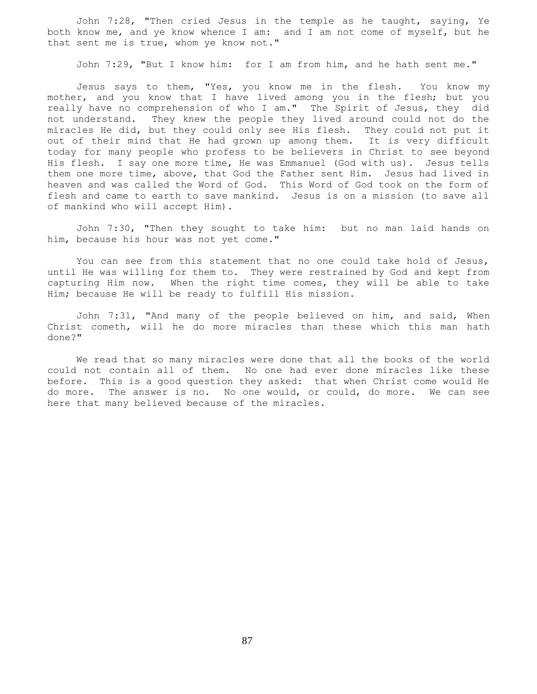John 7:28, "Then cried Jesus in the temple as he taught, saying, Ye both know me, and ye know whence I am: and I am not come of myself, but he that sent me is true, whom ye know not."

John 7:29, "But I know him: for I am from him, and he hath sent me."

 Jesus says to them, "Yes, you know me in the flesh. You know my mother, and you know that I have lived among you in the flesh; but you really have no comprehension of who I am." The Spirit of Jesus, they did not understand. They knew the people they lived around could not do the miracles He did, but they could only see His flesh. They could not put it out of their mind that He had grown up among them. It is very difficult today for many people who profess to be believers in Christ to see beyond His flesh. I say one more time, He was Emmanuel (God with us). Jesus tells them one more time, above, that God the Father sent Him. Jesus had lived in heaven and was called the Word of God. This Word of God took on the form of flesh and came to earth to save mankind. Jesus is on a mission (to save all of mankind who will accept Him).

 John 7:30, "Then they sought to take him: but no man laid hands on him, because his hour was not yet come."

 You can see from this statement that no one could take hold of Jesus, until He was willing for them to. They were restrained by God and kept from capturing Him now. When the right time comes, they will be able to take Him; because He will be ready to fulfill His mission.

 John 7:31, "And many of the people believed on him, and said, When Christ cometh, will he do more miracles than these which this man hath done?"

 We read that so many miracles were done that all the books of the world could not contain all of them. No one had ever done miracles like these before. This is a good question they asked: that when Christ come would He do more. The answer is no. No one would, or could, do more. We can see here that many believed because of the miracles.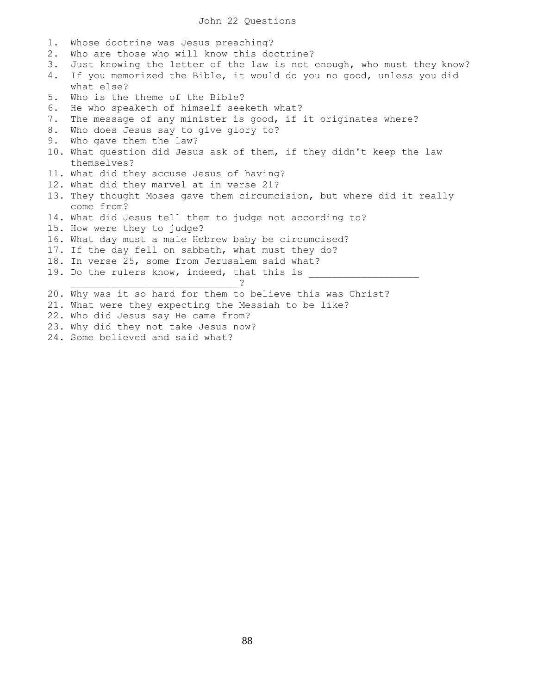| 1. | Whose doctrine was Jesus preaching?                                    |
|----|------------------------------------------------------------------------|
| 2. | Who are those who will know this doctrine?                             |
| 3. | Just knowing the letter of the law is not enough, who must they know?  |
| 4. | If you memorized the Bible, it would do you no good, unless you did    |
|    | what else?                                                             |
| 5. | Who is the theme of the Bible?                                         |
| 6. | He who speaketh of himself seeketh what?                               |
| 7. | The message of any minister is good, if it originates where?           |
| 8. | Who does Jesus say to give glory to?                                   |
| 9. | Who gave them the law?                                                 |
|    | 10. What question did Jesus ask of them, if they didn't keep the law   |
|    | themselves?                                                            |
|    | 11. What did they accuse Jesus of having?                              |
|    | 12. What did they marvel at in verse 21?                               |
|    | 13. They thought Moses gave them circumcision, but where did it really |
|    | come from?                                                             |
|    | 14. What did Jesus tell them to judge not according to?                |
|    | 15. How were they to judge?                                            |
|    | 16. What day must a male Hebrew baby be circumcised?                   |
|    | 17. If the day fell on sabbath, what must they do?                     |
|    | 18. In verse 25, some from Jerusalem said what?                        |
|    | 19. Do the rulers know, indeed, that this is                           |
|    |                                                                        |
|    | 20. Why was it so hard for them to believe this was Christ?            |
|    | 21. What were they expecting the Messiah to be like?                   |
|    | 22. Who did Jesus say He came from?                                    |
|    | 23. Why did they not take Jesus now?                                   |
|    |                                                                        |

24. Some believed and said what?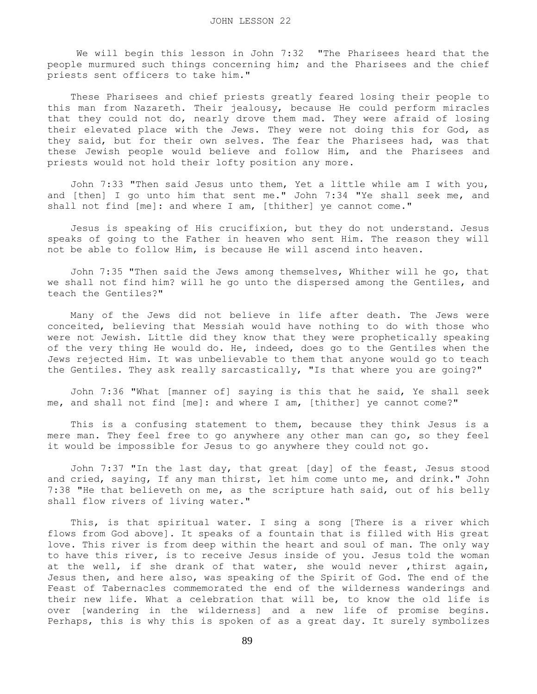We will begin this lesson in John 7:32 "The Pharisees heard that the people murmured such things concerning him; and the Pharisees and the chief priests sent officers to take him."

 These Pharisees and chief priests greatly feared losing their people to this man from Nazareth. Their jealousy, because He could perform miracles that they could not do, nearly drove them mad. They were afraid of losing their elevated place with the Jews. They were not doing this for God, as they said, but for their own selves. The fear the Pharisees had, was that these Jewish people would believe and follow Him, and the Pharisees and priests would not hold their lofty position any more.

 John 7:33 "Then said Jesus unto them, Yet a little while am I with you, and [then] I go unto him that sent me." John 7:34 "Ye shall seek me, and shall not find [me]: and where I am, [thither] ye cannot come."

 Jesus is speaking of His crucifixion, but they do not understand. Jesus speaks of going to the Father in heaven who sent Him. The reason they will not be able to follow Him, is because He will ascend into heaven.

 John 7:35 "Then said the Jews among themselves, Whither will he go, that we shall not find him? will he go unto the dispersed among the Gentiles, and teach the Gentiles?"

 Many of the Jews did not believe in life after death. The Jews were conceited, believing that Messiah would have nothing to do with those who were not Jewish. Little did they know that they were prophetically speaking of the very thing He would do. He, indeed, does go to the Gentiles when the Jews rejected Him. It was unbelievable to them that anyone would go to teach the Gentiles. They ask really sarcastically, "Is that where you are going?"

 John 7:36 "What [manner of] saying is this that he said, Ye shall seek me, and shall not find [me]: and where I am, [thither] ye cannot come?"

 This is a confusing statement to them, because they think Jesus is a mere man. They feel free to go anywhere any other man can go, so they feel it would be impossible for Jesus to go anywhere they could not go.

 John 7:37 "In the last day, that great [day] of the feast, Jesus stood and cried, saying, If any man thirst, let him come unto me, and drink." John 7:38 "He that believeth on me, as the scripture hath said, out of his belly shall flow rivers of living water."

 This, is that spiritual water. I sing a song [There is a river which flows from God above]. It speaks of a fountain that is filled with His great love. This river is from deep within the heart and soul of man. The only way to have this river, is to receive Jesus inside of you. Jesus told the woman at the well, if she drank of that water, she would never ,thirst again, Jesus then, and here also, was speaking of the Spirit of God. The end of the Feast of Tabernacles commemorated the end of the wilderness wanderings and their new life. What a celebration that will be, to know the old life is over [wandering in the wilderness] and a new life of promise begins. Perhaps, this is why this is spoken of as a great day. It surely symbolizes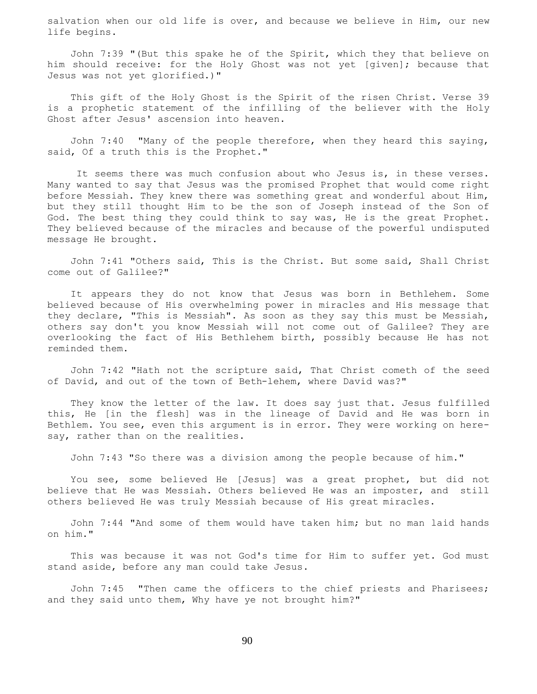salvation when our old life is over, and because we believe in Him, our new life begins.

 John 7:39 "(But this spake he of the Spirit, which they that believe on him should receive: for the Holy Ghost was not yet [given]; because that Jesus was not yet glorified.)"

 This gift of the Holy Ghost is the Spirit of the risen Christ. Verse 39 is a prophetic statement of the infilling of the believer with the Holy Ghost after Jesus' ascension into heaven.

John 7:40 "Many of the people therefore, when they heard this saying, said, Of a truth this is the Prophet."

 It seems there was much confusion about who Jesus is, in these verses. Many wanted to say that Jesus was the promised Prophet that would come right before Messiah. They knew there was something great and wonderful about Him, but they still thought Him to be the son of Joseph instead of the Son of God. The best thing they could think to say was, He is the great Prophet. They believed because of the miracles and because of the powerful undisputed message He brought.

 John 7:41 "Others said, This is the Christ. But some said, Shall Christ come out of Galilee?"

 It appears they do not know that Jesus was born in Bethlehem. Some believed because of His overwhelming power in miracles and His message that they declare, "This is Messiah". As soon as they say this must be Messiah, others say don't you know Messiah will not come out of Galilee? They are overlooking the fact of His Bethlehem birth, possibly because He has not reminded them.

 John 7:42 "Hath not the scripture said, That Christ cometh of the seed of David, and out of the town of Beth-lehem, where David was?"

 They know the letter of the law. It does say just that. Jesus fulfilled this, He [in the flesh] was in the lineage of David and He was born in Bethlem. You see, even this argument is in error. They were working on heresay, rather than on the realities.

John 7:43 "So there was a division among the people because of him."

 You see, some believed He [Jesus] was a great prophet, but did not believe that He was Messiah. Others believed He was an imposter, and still others believed He was truly Messiah because of His great miracles.

 John 7:44 "And some of them would have taken him; but no man laid hands on him."

 This was because it was not God's time for Him to suffer yet. God must stand aside, before any man could take Jesus.

John 7:45 "Then came the officers to the chief priests and Pharisees; and they said unto them, Why have ye not brought him?"

90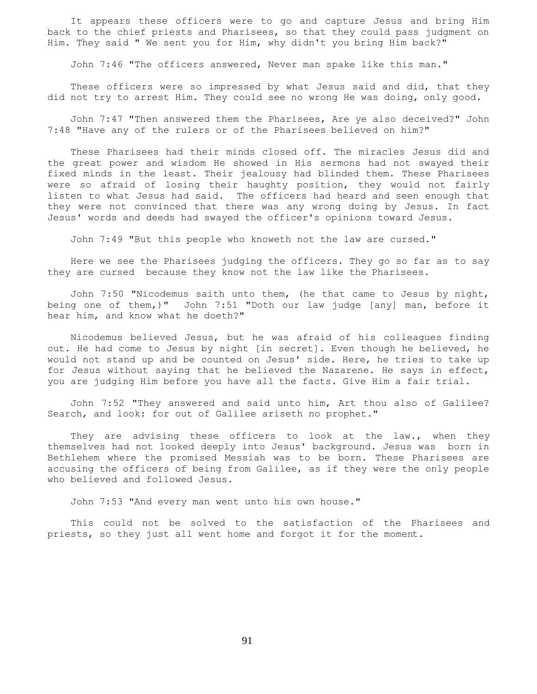It appears these officers were to go and capture Jesus and bring Him back to the chief priests and Pharisees, so that they could pass judgment on Him. They said " We sent you for Him, why didn't you bring Him back?"

John 7:46 "The officers answered, Never man spake like this man."

These officers were so impressed by what Jesus said and did, that they did not try to arrest Him. They could see no wrong He was doing, only good.

 John 7:47 "Then answered them the Pharisees, Are ye also deceived?" John 7:48 "Have any of the rulers or of the Pharisees believed on him?"

 These Pharisees had their minds closed off. The miracles Jesus did and the great power and wisdom He showed in His sermons had not swayed their fixed minds in the least. Their jealousy had blinded them. These Pharisees were so afraid of losing their haughty position, they would not fairly listen to what Jesus had said. The officers had heard and seen enough that they were not convinced that there was any wrong doing by Jesus. In fact Jesus' words and deeds had swayed the officer's opinions toward Jesus.

John 7:49 "But this people who knoweth not the law are cursed."

 Here we see the Pharisees judging the officers. They go so far as to say they are cursed because they know not the law like the Pharisees.

 John 7:50 "Nicodemus saith unto them, (he that came to Jesus by night, being one of them,)" John 7:51 "Doth our law judge [any] man, before it hear him, and know what he doeth?"

 Nicodemus believed Jesus, but he was afraid of his colleagues finding out. He had come to Jesus by night [in secret]. Even though he believed, he would not stand up and be counted on Jesus' side. Here, he tries to take up for Jesus without saying that he believed the Nazarene. He says in effect, you are judging Him before you have all the facts. Give Him a fair trial.

 John 7:52 "They answered and said unto him, Art thou also of Galilee? Search, and look: for out of Galilee ariseth no prophet."

They are advising these officers to look at the law., when they themselves had not looked deeply into Jesus' background. Jesus was born in Bethlehem where the promised Messiah was to be born. These Pharisees are accusing the officers of being from Galilee, as if they were the only people who believed and followed Jesus.

John 7:53 "And every man went unto his own house."

 This could not be solved to the satisfaction of the Pharisees and priests, so they just all went home and forgot it for the moment.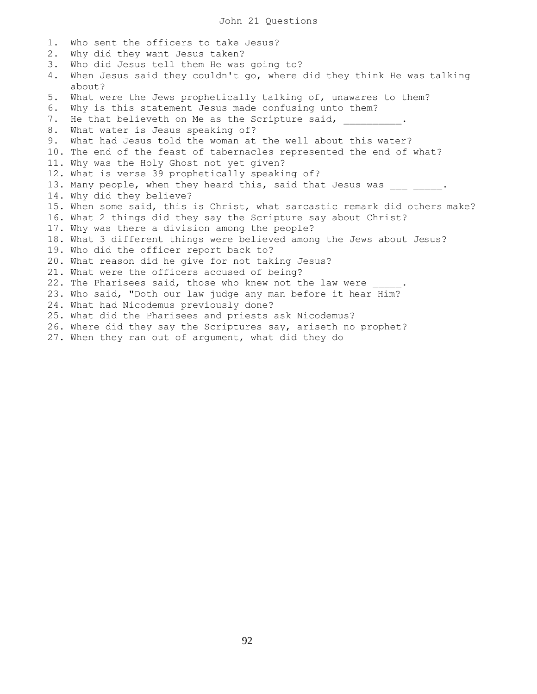1. Who sent the officers to take Jesus? 2. Why did they want Jesus taken? 3. Who did Jesus tell them He was going to? 4. When Jesus said they couldn't go, where did they think He was talking about? 5. What were the Jews prophetically talking of, unawares to them? 6. Why is this statement Jesus made confusing unto them? 7. He that believeth on Me as the Scripture said, 8. What water is Jesus speaking of? 9. What had Jesus told the woman at the well about this water? 10. The end of the feast of tabernacles represented the end of what? 11. Why was the Holy Ghost not yet given? 12. What is verse 39 prophetically speaking of? 13. Many people, when they heard this, said that Jesus was . 14. Why did they believe? 15. When some said, this is Christ, what sarcastic remark did others make? 16. What 2 things did they say the Scripture say about Christ? 17. Why was there a division among the people? 18. What 3 different things were believed among the Jews about Jesus? 19. Who did the officer report back to? 20. What reason did he give for not taking Jesus? 21. What were the officers accused of being? 22. The Pharisees said, those who knew not the law were 23. Who said, "Doth our law judge any man before it hear Him? 24. What had Nicodemus previously done? 25. What did the Pharisees and priests ask Nicodemus? 26. Where did they say the Scriptures say, ariseth no prophet? 27. When they ran out of argument, what did they do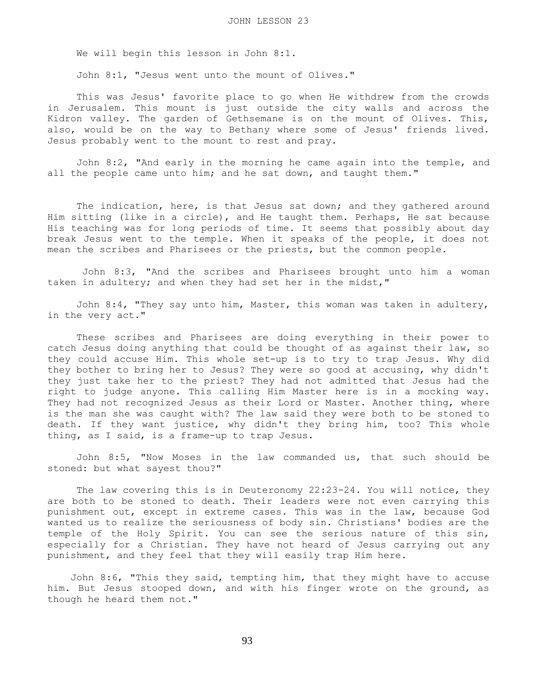We will begin this lesson in John 8:1.

John 8:1, "Jesus went unto the mount of Olives."

 This was Jesus' favorite place to go when He withdrew from the crowds in Jerusalem. This mount is just outside the city walls and across the Kidron valley. The garden of Gethsemane is on the mount of Olives. This, also, would be on the way to Bethany where some of Jesus' friends lived. Jesus probably went to the mount to rest and pray.

 John 8:2, "And early in the morning he came again into the temple, and all the people came unto him; and he sat down, and taught them."

 The indication, here, is that Jesus sat down; and they gathered around Him sitting (like in a circle), and He taught them. Perhaps, He sat because His teaching was for long periods of time. It seems that possibly about day break Jesus went to the temple. When it speaks of the people, it does not mean the scribes and Pharisees or the priests, but the common people.

 John 8:3, "And the scribes and Pharisees brought unto him a woman taken in adultery; and when they had set her in the midst,"

 John 8:4, "They say unto him, Master, this woman was taken in adultery, in the very act."

 These scribes and Pharisees are doing everything in their power to catch Jesus doing anything that could be thought of as against their law, so they could accuse Him. This whole set-up is to try to trap Jesus. Why did they bother to bring her to Jesus? They were so good at accusing, why didn't they just take her to the priest? They had not admitted that Jesus had the right to judge anyone. This calling Him Master here is in a mocking way. They had not recognized Jesus as their Lord or Master. Another thing, where is the man she was caught with? The law said they were both to be stoned to death. If they want justice, why didn't they bring him, too? This whole thing, as I said, is a frame-up to trap Jesus.

 John 8:5, "Now Moses in the law commanded us, that such should be stoned: but what sayest thou?"

 The law covering this is in Deuteronomy 22:23-24. You will notice, they are both to be stoned to death. Their leaders were not even carrying this punishment out, except in extreme cases. This was in the law, because God wanted us to realize the seriousness of body sin. Christians' bodies are the temple of the Holy Spirit. You can see the serious nature of this sin, especially for a Christian. They have not heard of Jesus carrying out any punishment, and they feel that they will easily trap Him here.

 John 8:6, "This they said, tempting him, that they might have to accuse him. But Jesus stooped down, and with his finger wrote on the ground, as though he heard them not."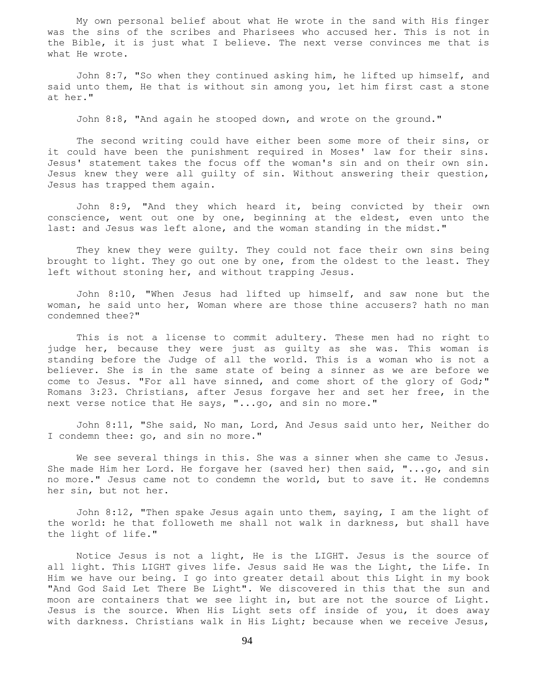My own personal belief about what He wrote in the sand with His finger was the sins of the scribes and Pharisees who accused her. This is not in the Bible, it is just what I believe. The next verse convinces me that is what He wrote.

 John 8:7, "So when they continued asking him, he lifted up himself, and said unto them, He that is without sin among you, let him first cast a stone at her."

John 8:8, "And again he stooped down, and wrote on the ground."

 The second writing could have either been some more of their sins, or it could have been the punishment required in Moses' law for their sins. Jesus' statement takes the focus off the woman's sin and on their own sin. Jesus knew they were all guilty of sin. Without answering their question, Jesus has trapped them again.

 John 8:9, "And they which heard it, being convicted by their own conscience, went out one by one, beginning at the eldest, even unto the last: and Jesus was left alone, and the woman standing in the midst."

 They knew they were guilty. They could not face their own sins being brought to light. They go out one by one, from the oldest to the least. They left without stoning her, and without trapping Jesus.

 John 8:10, "When Jesus had lifted up himself, and saw none but the woman, he said unto her, Woman where are those thine accusers? hath no man condemned thee?"

 This is not a license to commit adultery. These men had no right to judge her, because they were just as quilty as she was. This woman is standing before the Judge of all the world. This is a woman who is not a believer. She is in the same state of being a sinner as we are before we come to Jesus. "For all have sinned, and come short of the glory of God;" Romans 3:23. Christians, after Jesus forgave her and set her free, in the next verse notice that He says, "...go, and sin no more."

 John 8:11, "She said, No man, Lord, And Jesus said unto her, Neither do I condemn thee: go, and sin no more."

 We see several things in this. She was a sinner when she came to Jesus. She made Him her Lord. He forgave her (saved her) then said, "...go, and sin no more." Jesus came not to condemn the world, but to save it. He condemns her sin, but not her.

 John 8:12, "Then spake Jesus again unto them, saying, I am the light of the world: he that followeth me shall not walk in darkness, but shall have the light of life."

 Notice Jesus is not a light, He is the LIGHT. Jesus is the source of all light. This LIGHT gives life. Jesus said He was the Light, the Life. In Him we have our being. I go into greater detail about this Light in my book "And God Said Let There Be Light". We discovered in this that the sun and moon are containers that we see light in, but are not the source of Light. Jesus is the source. When His Light sets off inside of you, it does away with darkness. Christians walk in His Light; because when we receive Jesus,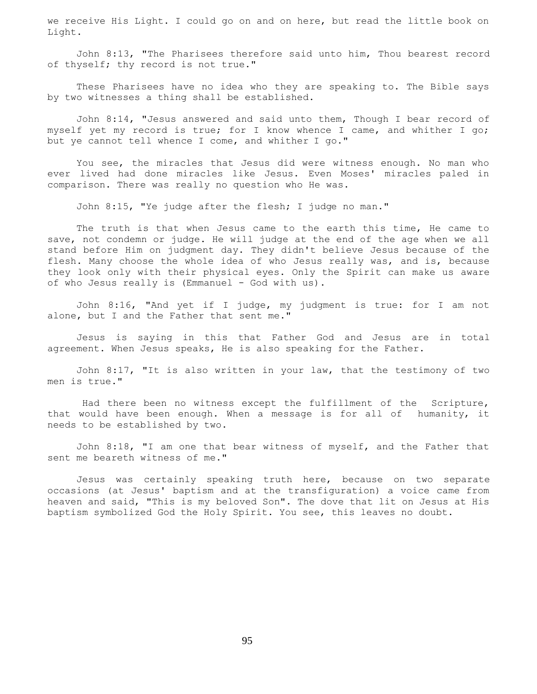we receive His Light. I could go on and on here, but read the little book on Light.

 John 8:13, "The Pharisees therefore said unto him, Thou bearest record of thyself; thy record is not true."

 These Pharisees have no idea who they are speaking to. The Bible says by two witnesses a thing shall be established.

 John 8:14, "Jesus answered and said unto them, Though I bear record of myself yet my record is true; for I know whence I came, and whither I go; but ye cannot tell whence I come, and whither I go."

 You see, the miracles that Jesus did were witness enough. No man who ever lived had done miracles like Jesus. Even Moses' miracles paled in comparison. There was really no question who He was.

John 8:15, "Ye judge after the flesh; I judge no man."

 The truth is that when Jesus came to the earth this time, He came to save, not condemn or judge. He will judge at the end of the age when we all stand before Him on judgment day. They didn't believe Jesus because of the flesh. Many choose the whole idea of who Jesus really was, and is, because they look only with their physical eyes. Only the Spirit can make us aware of who Jesus really is (Emmanuel - God with us).

 John 8:16, "And yet if I judge, my judgment is true: for I am not alone, but I and the Father that sent me."

 Jesus is saying in this that Father God and Jesus are in total agreement. When Jesus speaks, He is also speaking for the Father.

 John 8:17, "It is also written in your law, that the testimony of two men is true."

 Had there been no witness except the fulfillment of the Scripture, that would have been enough. When a message is for all of humanity, it needs to be established by two.

 John 8:18, "I am one that bear witness of myself, and the Father that sent me beareth witness of me."

 Jesus was certainly speaking truth here, because on two separate occasions (at Jesus' baptism and at the transfiguration) a voice came from heaven and said, "This is my beloved Son". The dove that lit on Jesus at His baptism symbolized God the Holy Spirit. You see, this leaves no doubt.

95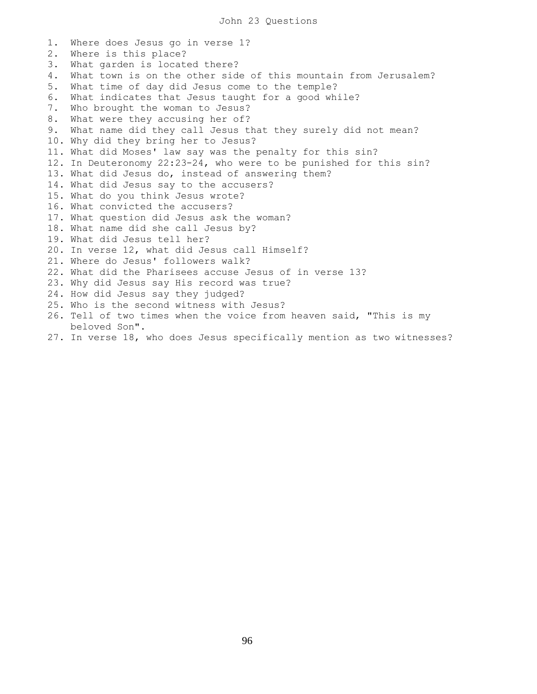1. Where does Jesus go in verse 1? 2. Where is this place? 3. What garden is located there? 4. What town is on the other side of this mountain from Jerusalem? 5. What time of day did Jesus come to the temple? 6. What indicates that Jesus taught for a good while? 7. Who brought the woman to Jesus? 8. What were they accusing her of? 9. What name did they call Jesus that they surely did not mean? 10. Why did they bring her to Jesus? 11. What did Moses' law say was the penalty for this sin? 12. In Deuteronomy 22:23-24, who were to be punished for this sin? 13. What did Jesus do, instead of answering them? 14. What did Jesus say to the accusers? 15. What do you think Jesus wrote? 16. What convicted the accusers? 17. What question did Jesus ask the woman? 18. What name did she call Jesus by? 19. What did Jesus tell her? 20. In verse 12, what did Jesus call Himself? 21. Where do Jesus' followers walk? 22. What did the Pharisees accuse Jesus of in verse 13? 23. Why did Jesus say His record was true? 24. How did Jesus say they judged? 25. Who is the second witness with Jesus? 26. Tell of two times when the voice from heaven said, "This is my beloved Son". 27. In verse 18, who does Jesus specifically mention as two witnesses?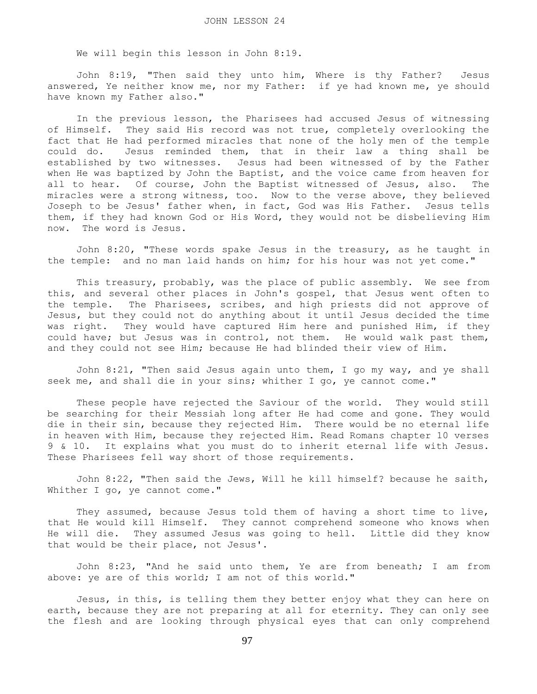We will begin this lesson in John 8:19.

 John 8:19, "Then said they unto him, Where is thy Father? Jesus answered, Ye neither know me, nor my Father: if ye had known me, ye should have known my Father also."

 In the previous lesson, the Pharisees had accused Jesus of witnessing of Himself. They said His record was not true, completely overlooking the fact that He had performed miracles that none of the holy men of the temple could do. Jesus reminded them, that in their law a thing shall be established by two witnesses. Jesus had been witnessed of by the Father when He was baptized by John the Baptist, and the voice came from heaven for all to hear. Of course, John the Baptist witnessed of Jesus, also. The miracles were a strong witness, too. Now to the verse above, they believed Joseph to be Jesus' father when, in fact, God was His Father. Jesus tells them, if they had known God or His Word, they would not be disbelieving Him now. The word is Jesus.

 John 8:20, "These words spake Jesus in the treasury, as he taught in the temple: and no man laid hands on him; for his hour was not yet come."

 This treasury, probably, was the place of public assembly. We see from this, and several other places in John's gospel, that Jesus went often to the temple. The Pharisees, scribes, and high priests did not approve of Jesus, but they could not do anything about it until Jesus decided the time was right. They would have captured Him here and punished Him, if they could have; but Jesus was in control, not them. He would walk past them, and they could not see Him; because He had blinded their view of Him.

 John 8:21, "Then said Jesus again unto them, I go my way, and ye shall seek me, and shall die in your sins; whither I go, ye cannot come."

 These people have rejected the Saviour of the world. They would still be searching for their Messiah long after He had come and gone. They would die in their sin, because they rejected Him. There would be no eternal life in heaven with Him, because they rejected Him. Read Romans chapter 10 verses 9 & 10. It explains what you must do to inherit eternal life with Jesus. These Pharisees fell way short of those requirements.

 John 8:22, "Then said the Jews, Will he kill himself? because he saith, Whither I go, ye cannot come."

 They assumed, because Jesus told them of having a short time to live, that He would kill Himself. They cannot comprehend someone who knows when He will die. They assumed Jesus was going to hell. Little did they know that would be their place, not Jesus'.

 John 8:23, "And he said unto them, Ye are from beneath; I am from above: ye are of this world; I am not of this world."

 Jesus, in this, is telling them they better enjoy what they can here on earth, because they are not preparing at all for eternity. They can only see the flesh and are looking through physical eyes that can only comprehend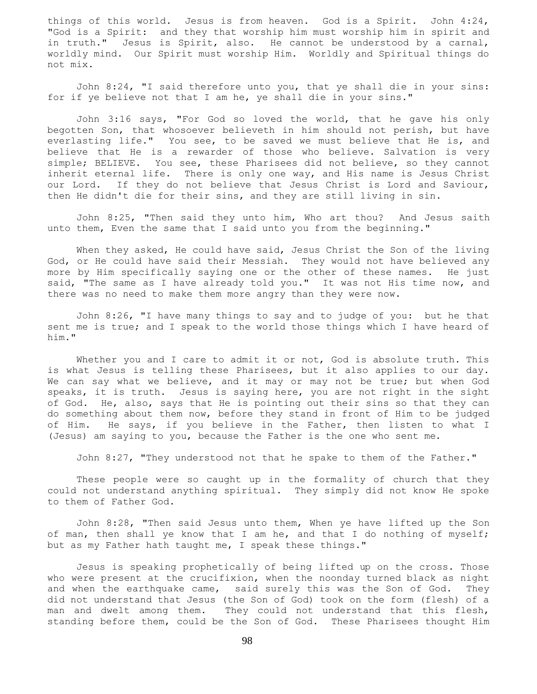things of this world. Jesus is from heaven. God is a Spirit. John 4:24, "God is a Spirit: and they that worship him must worship him in spirit and in truth." Jesus is Spirit, also. He cannot be understood by a carnal, worldly mind. Our Spirit must worship Him. Worldly and Spiritual things do not mix.

 John 8:24, "I said therefore unto you, that ye shall die in your sins: for if ye believe not that I am he, ye shall die in your sins."

 John 3:16 says, "For God so loved the world, that he gave his only begotten Son, that whosoever believeth in him should not perish, but have everlasting life." You see, to be saved we must believe that He is, and believe that He is a rewarder of those who believe. Salvation is very simple; BELIEVE. You see, these Pharisees did not believe, so they cannot inherit eternal life. There is only one way, and His name is Jesus Christ our Lord. If they do not believe that Jesus Christ is Lord and Saviour, then He didn't die for their sins, and they are still living in sin.

 John 8:25, "Then said they unto him, Who art thou? And Jesus saith unto them, Even the same that I said unto you from the beginning."

When they asked, He could have said, Jesus Christ the Son of the living God, or He could have said their Messiah. They would not have believed any more by Him specifically saying one or the other of these names. He just said, "The same as I have already told you." It was not His time now, and there was no need to make them more angry than they were now.

 John 8:26, "I have many things to say and to judge of you: but he that sent me is true; and I speak to the world those things which I have heard of him."

Whether you and I care to admit it or not, God is absolute truth. This is what Jesus is telling these Pharisees, but it also applies to our day. We can say what we believe, and it may or may not be true; but when God speaks, it is truth. Jesus is saying here, you are not right in the sight of God. He, also, says that He is pointing out their sins so that they can do something about them now, before they stand in front of Him to be judged of Him. He says, if you believe in the Father, then listen to what I (Jesus) am saying to you, because the Father is the one who sent me.

John 8:27, "They understood not that he spake to them of the Father."

 These people were so caught up in the formality of church that they could not understand anything spiritual. They simply did not know He spoke to them of Father God.

 John 8:28, "Then said Jesus unto them, When ye have lifted up the Son of man, then shall ye know that I am he, and that I do nothing of myself; but as my Father hath taught me, I speak these things."

 Jesus is speaking prophetically of being lifted up on the cross. Those who were present at the crucifixion, when the noonday turned black as night and when the earthquake came, said surely this was the Son of God. They did not understand that Jesus (the Son of God) took on the form (flesh) of a man and dwelt among them. They could not understand that this flesh, standing before them, could be the Son of God. These Pharisees thought Him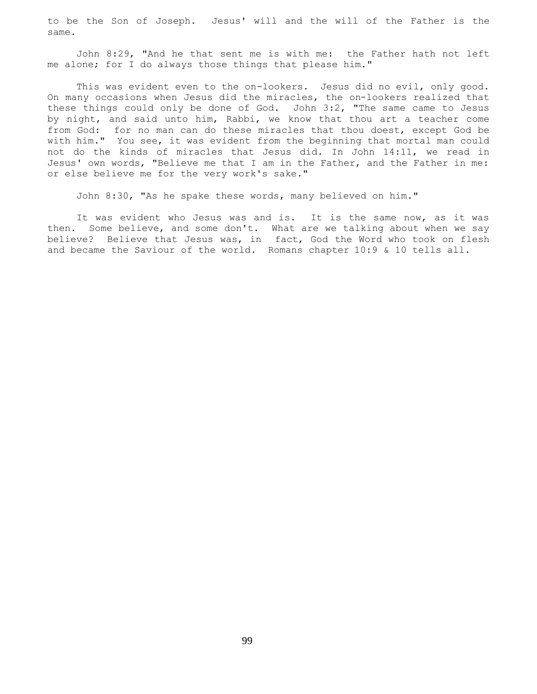to be the Son of Joseph. Jesus' will and the will of the Father is the same.

 John 8:29, "And he that sent me is with me: the Father hath not left me alone; for I do always those things that please him."

This was evident even to the on-lookers. Jesus did no evil, only good. On many occasions when Jesus did the miracles, the on-lookers realized that these things could only be done of God. John 3:2, "The same came to Jesus by night, and said unto him, Rabbi, we know that thou art a teacher come from God: for no man can do these miracles that thou doest, except God be with him." You see, it was evident from the beginning that mortal man could not do the kinds of miracles that Jesus did. In John 14:11, we read in Jesus' own words, "Believe me that I am in the Father, and the Father in me: or else believe me for the very work's sake."

John 8:30, "As he spake these words, many believed on him."

 It was evident who Jesus was and is. It is the same now, as it was then. Some believe, and some don't. What are we talking about when we say believe? Believe that Jesus was, in fact, God the Word who took on flesh and became the Saviour of the world. Romans chapter 10:9 & 10 tells all.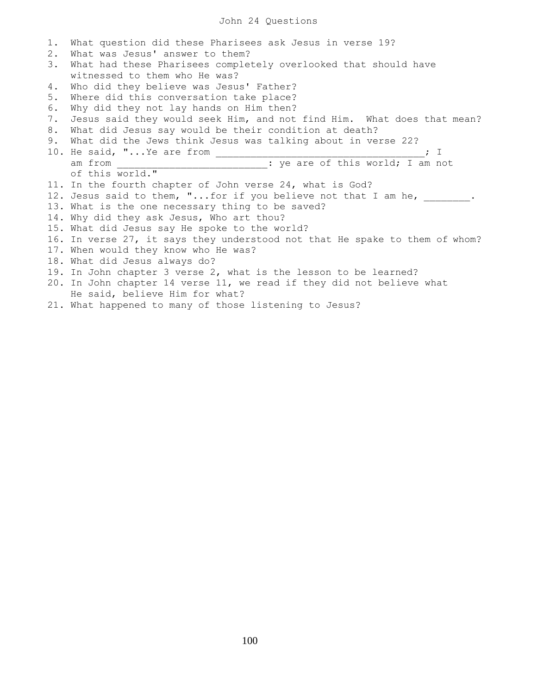## John 24 Questions

1. What question did these Pharisees ask Jesus in verse 19? 2. What was Jesus' answer to them? 3. What had these Pharisees completely overlooked that should have witnessed to them who He was? 4. Who did they believe was Jesus' Father? 5. Where did this conversation take place? 6. Why did they not lay hands on Him then? 7. Jesus said they would seek Him, and not find Him. What does that mean? 8. What did Jesus say would be their condition at death? 9. What did the Jews think Jesus was talking about in verse 22? 10. He said, "...Ye are from  $\qquad \qquad ; \quad I$ am from \_\_\_\_\_\_\_\_\_\_\_\_\_\_\_\_\_\_\_\_\_\_\_\_\_\_\_: ye are of this world; I am not of this world." 11. In the fourth chapter of John verse 24, what is God? 12. Jesus said to them, "...for if you believe not that I am he, \_\_\_\_\_\_\_. 13. What is the one necessary thing to be saved? 14. Why did they ask Jesus, Who art thou? 15. What did Jesus say He spoke to the world? 16. In verse 27, it says they understood not that He spake to them of whom? 17. When would they know who He was? 18. What did Jesus always do? 19. In John chapter 3 verse 2, what is the lesson to be learned? 20. In John chapter 14 verse 11, we read if they did not believe what He said, believe Him for what?

21. What happened to many of those listening to Jesus?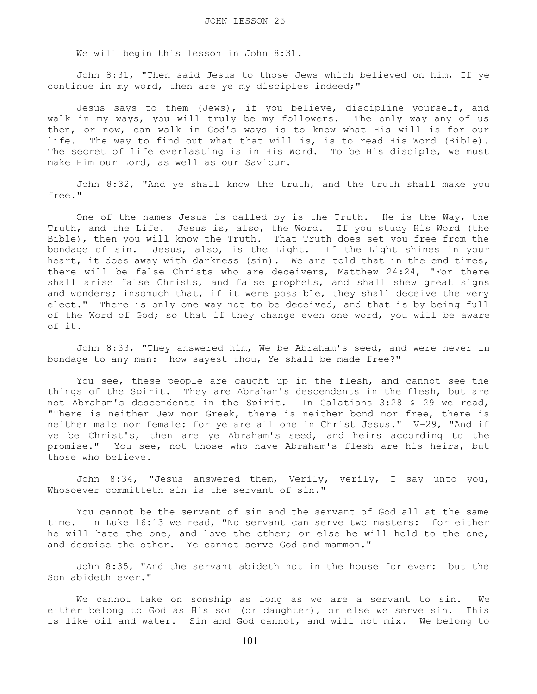We will begin this lesson in John 8:31.

 John 8:31, "Then said Jesus to those Jews which believed on him, If ye continue in my word, then are ye my disciples indeed;"

 Jesus says to them (Jews), if you believe, discipline yourself, and walk in my ways, you will truly be my followers. The only way any of us then, or now, can walk in God's ways is to know what His will is for our life. The way to find out what that will is, is to read His Word (Bible). The secret of life everlasting is in His Word. To be His disciple, we must make Him our Lord, as well as our Saviour.

 John 8:32, "And ye shall know the truth, and the truth shall make you free."

 One of the names Jesus is called by is the Truth. He is the Way, the Truth, and the Life. Jesus is, also, the Word. If you study His Word (the Bible), then you will know the Truth. That Truth does set you free from the bondage of sin. Jesus, also, is the Light. If the Light shines in your heart, it does away with darkness (sin). We are told that in the end times, there will be false Christs who are deceivers, Matthew 24:24, "For there shall arise false Christs, and false prophets, and shall shew great signs and wonders; insomuch that, if it were possible, they shall deceive the very elect." There is only one way not to be deceived, and that is by being full of the Word of God; so that if they change even one word, you will be aware of it.

 John 8:33, "They answered him, We be Abraham's seed, and were never in bondage to any man: how sayest thou, Ye shall be made free?"

 You see, these people are caught up in the flesh, and cannot see the things of the Spirit. They are Abraham's descendents in the flesh, but are not Abraham's descendents in the Spirit. In Galatians 3:28 & 29 we read, "There is neither Jew nor Greek, there is neither bond nor free, there is neither male nor female: for ye are all one in Christ Jesus." V-29, "And if ye be Christ's, then are ye Abraham's seed, and heirs according to the promise." You see, not those who have Abraham's flesh are his heirs, but those who believe.

 John 8:34, "Jesus answered them, Verily, verily, I say unto you, Whosoever committeth sin is the servant of sin."

 You cannot be the servant of sin and the servant of God all at the same time. In Luke 16:13 we read, "No servant can serve two masters: for either he will hate the one, and love the other; or else he will hold to the one, and despise the other. Ye cannot serve God and mammon."

 John 8:35, "And the servant abideth not in the house for ever: but the Son abideth ever."

 We cannot take on sonship as long as we are a servant to sin. We either belong to God as His son (or daughter), or else we serve sin. This is like oil and water. Sin and God cannot, and will not mix. We belong to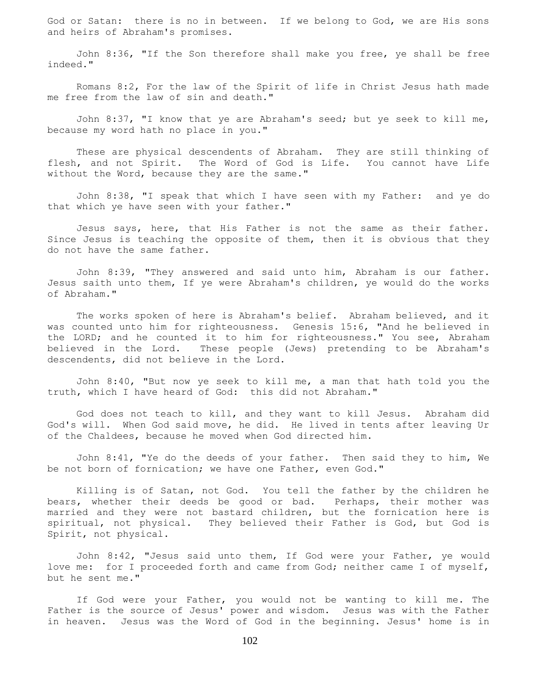God or Satan: there is no in between. If we belong to God, we are His sons and heirs of Abraham's promises.

 John 8:36, "If the Son therefore shall make you free, ye shall be free indeed."

 Romans 8:2, For the law of the Spirit of life in Christ Jesus hath made me free from the law of sin and death."

 John 8:37, "I know that ye are Abraham's seed; but ye seek to kill me, because my word hath no place in you."

 These are physical descendents of Abraham. They are still thinking of flesh, and not Spirit. The Word of God is Life. You cannot have Life without the Word, because they are the same."

 John 8:38, "I speak that which I have seen with my Father: and ye do that which ye have seen with your father."

 Jesus says, here, that His Father is not the same as their father. Since Jesus is teaching the opposite of them, then it is obvious that they do not have the same father.

 John 8:39, "They answered and said unto him, Abraham is our father. Jesus saith unto them, If ye were Abraham's children, ye would do the works of Abraham."

 The works spoken of here is Abraham's belief. Abraham believed, and it was counted unto him for righteousness. Genesis 15:6, "And he believed in the LORD; and he counted it to him for righteousness." You see, Abraham believed in the Lord. These people (Jews) pretending to be Abraham's descendents, did not believe in the Lord.

 John 8:40, "But now ye seek to kill me, a man that hath told you the truth, which I have heard of God: this did not Abraham."

 God does not teach to kill, and they want to kill Jesus. Abraham did God's will. When God said move, he did. He lived in tents after leaving Ur of the Chaldees, because he moved when God directed him.

 John 8:41, "Ye do the deeds of your father. Then said they to him, We be not born of fornication; we have one Father, even God."

 Killing is of Satan, not God. You tell the father by the children he bears, whether their deeds be good or bad. Perhaps, their mother was married and they were not bastard children, but the fornication here is spiritual, not physical. They believed their Father is God, but God is Spirit, not physical.

 John 8:42, "Jesus said unto them, If God were your Father, ye would love me: for I proceeded forth and came from God; neither came I of myself, but he sent me."

 If God were your Father, you would not be wanting to kill me. The Father is the source of Jesus' power and wisdom. Jesus was with the Father in heaven. Jesus was the Word of God in the beginning. Jesus' home is in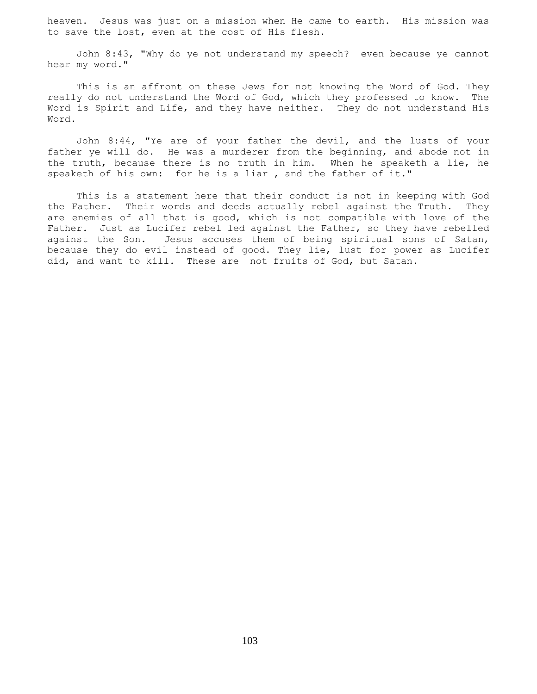heaven. Jesus was just on a mission when He came to earth. His mission was to save the lost, even at the cost of His flesh.

 John 8:43, "Why do ye not understand my speech? even because ye cannot hear my word."

 This is an affront on these Jews for not knowing the Word of God. They really do not understand the Word of God, which they professed to know. The Word is Spirit and Life, and they have neither. They do not understand His Word.

 John 8:44, "Ye are of your father the devil, and the lusts of your father ye will do. He was a murderer from the beginning, and abode not in the truth, because there is no truth in him. When he speaketh a lie, he speaketh of his own: for he is a liar , and the father of it."

 This is a statement here that their conduct is not in keeping with God the Father. Their words and deeds actually rebel against the Truth. They are enemies of all that is good, which is not compatible with love of the Father. Just as Lucifer rebel led against the Father, so they have rebelled against the Son. Jesus accuses them of being spiritual sons of Satan, because they do evil instead of good. They lie, lust for power as Lucifer did, and want to kill. These are not fruits of God, but Satan.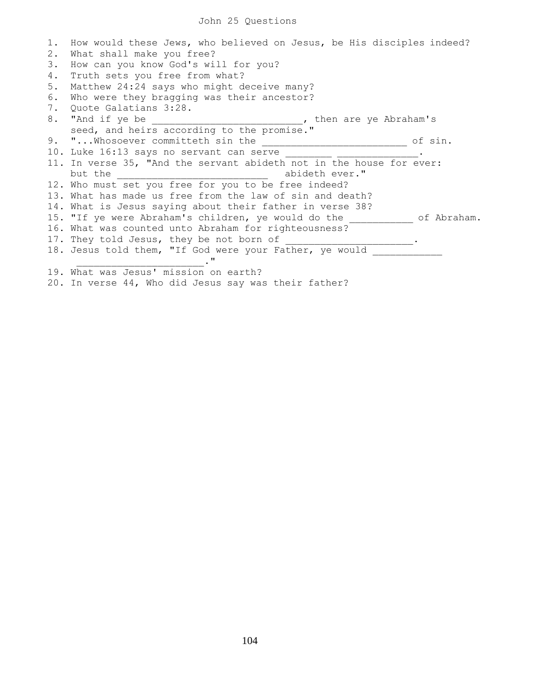1. How would these Jews, who believed on Jesus, be His disciples indeed? 2. What shall make you free? 3. How can you know God's will for you? 4. Truth sets you free from what? 5. Matthew 24:24 says who might deceive many? 6. Who were they bragging was their ancestor? 7. Quote Galatians 3:28. 8. "And if ye be \_\_\_\_\_\_\_\_\_\_\_\_\_\_\_\_\_\_\_\_\_\_\_\_\_, then are ye Abraham's seed, and heirs according to the promise." 9. "...Whosoever committeth sin the entity and the sinu-10. Luke 16:13 says no servant can serve \_\_\_\_\_\_\_\_\_\_\_\_\_\_\_\_\_\_\_\_\_. 11. In verse 35, "And the servant abideth not in the house for ever: but the  $\qquad \qquad \qquad \qquad \qquad \text{abident every}.$ 12. Who must set you free for you to be free indeed? 13. What has made us free from the law of sin and death? 14. What is Jesus saying about their father in verse 38? 15. "If ye were Abraham's children, ye would do the \_\_\_\_\_\_\_\_\_\_\_ of Abraham. 16. What was counted unto Abraham for righteousness? 17. They told Jesus, they be not born of \_\_\_\_\_\_\_\_\_\_\_\_\_\_\_\_\_\_\_\_\_. 18. Jesus told them, "If God were your Father, ye would  $\mathcal{L}^{\mathbf{u}}$  , where  $\mathcal{L}^{\mathbf{u}}$  , where  $\mathcal{L}^{\mathbf{u}}$ 19. What was Jesus' mission on earth? 20. In verse 44, Who did Jesus say was their father?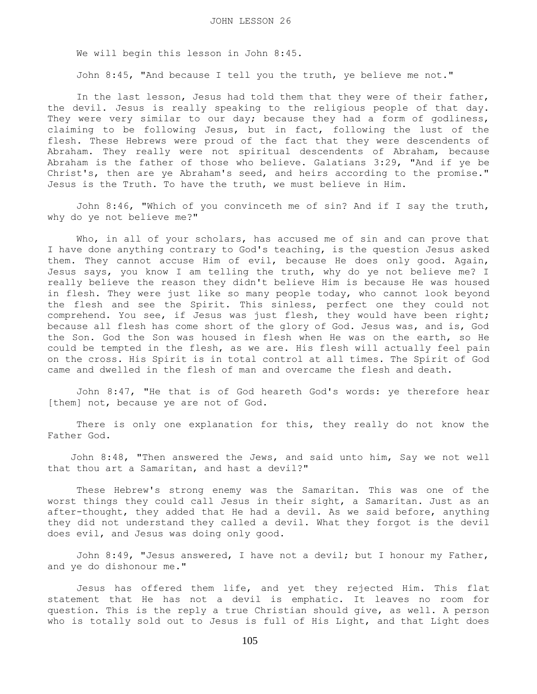We will begin this lesson in John 8:45.

John 8:45, "And because I tell you the truth, ye believe me not."

 In the last lesson, Jesus had told them that they were of their father, the devil. Jesus is really speaking to the religious people of that day. They were very similar to our day; because they had a form of godliness, claiming to be following Jesus, but in fact, following the lust of the flesh. These Hebrews were proud of the fact that they were descendents of Abraham. They really were not spiritual descendents of Abraham, because Abraham is the father of those who believe. Galatians 3:29, "And if ye be Christ's, then are ye Abraham's seed, and heirs according to the promise." Jesus is the Truth. To have the truth, we must believe in Him.

 John 8:46, "Which of you convinceth me of sin? And if I say the truth, why do ye not believe me?"

Who, in all of your scholars, has accused me of sin and can prove that I have done anything contrary to God's teaching, is the question Jesus asked them. They cannot accuse Him of evil, because He does only good. Again, Jesus says, you know I am telling the truth, why do ye not believe me? I really believe the reason they didn't believe Him is because He was housed in flesh. They were just like so many people today, who cannot look beyond the flesh and see the Spirit. This sinless, perfect one they could not comprehend. You see, if Jesus was just flesh, they would have been right; because all flesh has come short of the glory of God. Jesus was, and is, God the Son. God the Son was housed in flesh when He was on the earth, so He could be tempted in the flesh, as we are. His flesh will actually feel pain on the cross. His Spirit is in total control at all times. The Spirit of God came and dwelled in the flesh of man and overcame the flesh and death.

 John 8:47, "He that is of God heareth God's words: ye therefore hear [them] not, because ye are not of God.

There is only one explanation for this, they really do not know the Father God.

 John 8:48, "Then answered the Jews, and said unto him, Say we not well that thou art a Samaritan, and hast a devil?"

 These Hebrew's strong enemy was the Samaritan. This was one of the worst things they could call Jesus in their sight, a Samaritan. Just as an after-thought, they added that He had a devil. As we said before, anything they did not understand they called a devil. What they forgot is the devil does evil, and Jesus was doing only good.

 John 8:49, "Jesus answered, I have not a devil; but I honour my Father, and ye do dishonour me."

 Jesus has offered them life, and yet they rejected Him. This flat statement that He has not a devil is emphatic. It leaves no room for question. This is the reply a true Christian should give, as well. A person who is totally sold out to Jesus is full of His Light, and that Light does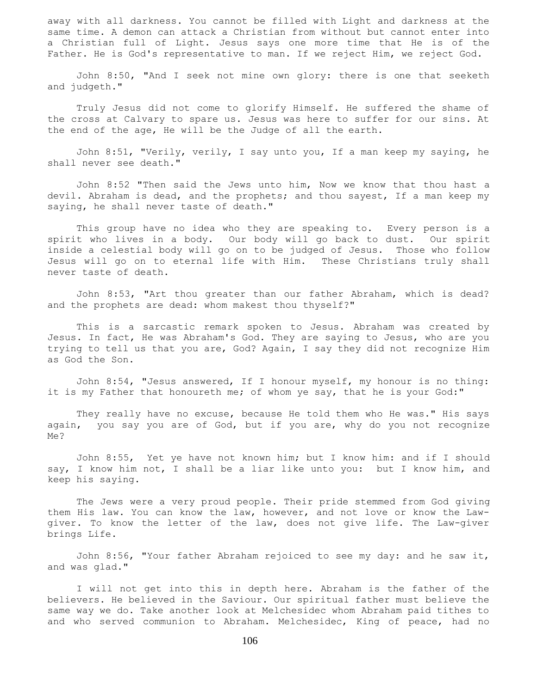away with all darkness. You cannot be filled with Light and darkness at the same time. A demon can attack a Christian from without but cannot enter into a Christian full of Light. Jesus says one more time that He is of the Father. He is God's representative to man. If we reject Him, we reject God.

 John 8:50, "And I seek not mine own glory: there is one that seeketh and judgeth."

 Truly Jesus did not come to glorify Himself. He suffered the shame of the cross at Calvary to spare us. Jesus was here to suffer for our sins. At the end of the age, He will be the Judge of all the earth.

 John 8:51, "Verily, verily, I say unto you, If a man keep my saying, he shall never see death."

 John 8:52 "Then said the Jews unto him, Now we know that thou hast a devil. Abraham is dead, and the prophets; and thou sayest, If a man keep my saying, he shall never taste of death."

 This group have no idea who they are speaking to. Every person is a spirit who lives in a body. Our body will go back to dust. Our spirit inside a celestial body will go on to be judged of Jesus. Those who follow Jesus will go on to eternal life with Him. These Christians truly shall never taste of death.

 John 8:53, "Art thou greater than our father Abraham, which is dead? and the prophets are dead: whom makest thou thyself?"

 This is a sarcastic remark spoken to Jesus. Abraham was created by Jesus. In fact, He was Abraham's God. They are saying to Jesus, who are you trying to tell us that you are, God? Again, I say they did not recognize Him as God the Son.

 John 8:54, "Jesus answered, If I honour myself, my honour is no thing: it is my Father that honoureth me; of whom ye say, that he is your God:"

 They really have no excuse, because He told them who He was." His says again, you say you are of God, but if you are, why do you not recognize Me?

John 8:55, Yet ye have not known him; but I know him: and if I should say, I know him not, I shall be a liar like unto you: but I know him, and keep his saying.

 The Jews were a very proud people. Their pride stemmed from God giving them His law. You can know the law, however, and not love or know the Lawgiver. To know the letter of the law, does not give life. The Law-giver brings Life.

 John 8:56, "Your father Abraham rejoiced to see my day: and he saw it, and was glad."

 I will not get into this in depth here. Abraham is the father of the believers. He believed in the Saviour. Our spiritual father must believe the same way we do. Take another look at Melchesidec whom Abraham paid tithes to and who served communion to Abraham. Melchesidec, King of peace, had no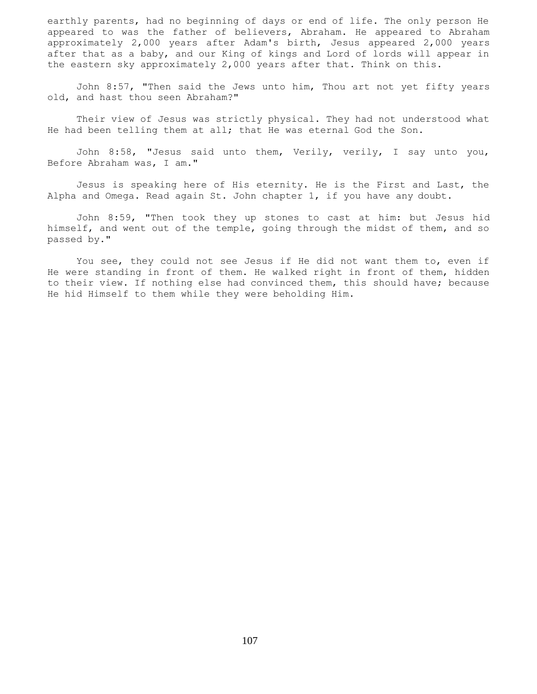earthly parents, had no beginning of days or end of life. The only person He appeared to was the father of believers, Abraham. He appeared to Abraham approximately 2,000 years after Adam's birth, Jesus appeared 2,000 years after that as a baby, and our King of kings and Lord of lords will appear in the eastern sky approximately 2,000 years after that. Think on this.

 John 8:57, "Then said the Jews unto him, Thou art not yet fifty years old, and hast thou seen Abraham?"

 Their view of Jesus was strictly physical. They had not understood what He had been telling them at all; that He was eternal God the Son.

 John 8:58, "Jesus said unto them, Verily, verily, I say unto you, Before Abraham was, I am."

 Jesus is speaking here of His eternity. He is the First and Last, the Alpha and Omega. Read again St. John chapter 1, if you have any doubt.

 John 8:59, "Then took they up stones to cast at him: but Jesus hid himself, and went out of the temple, going through the midst of them, and so passed by."

 You see, they could not see Jesus if He did not want them to, even if He were standing in front of them. He walked right in front of them, hidden to their view. If nothing else had convinced them, this should have; because He hid Himself to them while they were beholding Him.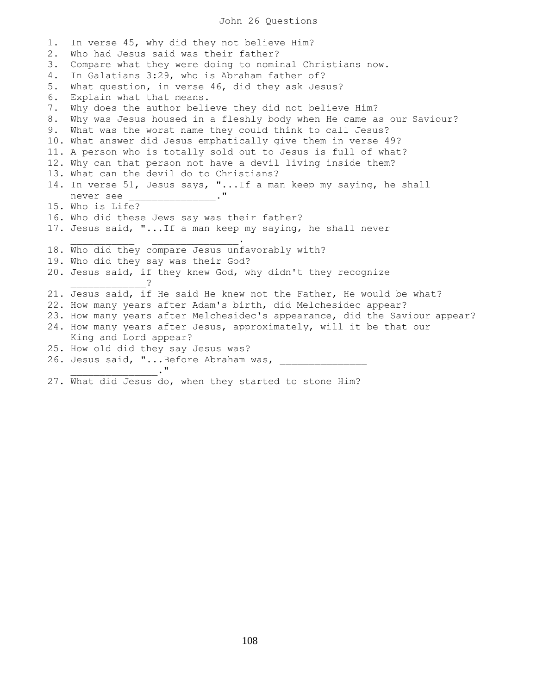## John 26 Questions

1. In verse 45, why did they not believe Him? 2. Who had Jesus said was their father? 3. Compare what they were doing to nominal Christians now. 4. In Galatians 3:29, who is Abraham father of? 5. What question, in verse 46, did they ask Jesus? 6. Explain what that means. 7. Why does the author believe they did not believe Him? 8. Why was Jesus housed in a fleshly body when He came as our Saviour? 9. What was the worst name they could think to call Jesus? 10. What answer did Jesus emphatically give them in verse 49? 11. A person who is totally sold out to Jesus is full of what? 12. Why can that person not have a devil living inside them? 13. What can the devil do to Christians? 14. In verse 51, Jesus says, "...If a man keep my saying, he shall never see \_\_\_\_\_\_\_\_\_\_\_\_\_\_\_.." 15. Who is Life? 16. Who did these Jews say was their father? 17. Jesus said, "...If a man keep my saying, he shall never  $\mathcal{L}_\text{max}$  , we can also the contract of the contract of the contract of the contract of the contract of the contract of the contract of the contract of the contract of the contract of the contract of the contract of t 18. Who did they compare Jesus unfavorably with? 19. Who did they say was their God? 20. Jesus said, if they knew God, why didn't they recognize \_\_\_\_\_\_\_\_\_\_\_\_\_? 21. Jesus said, if He said He knew not the Father, He would be what? 22. How many years after Adam's birth, did Melchesidec appear? 23. How many years after Melchesidec's appearance, did the Saviour appear? 24. How many years after Jesus, approximately, will it be that our King and Lord appear? 25. How old did they say Jesus was? 26. Jesus said, "...Before Abraham was,  $\cdot$ " 27. What did Jesus do, when they started to stone Him?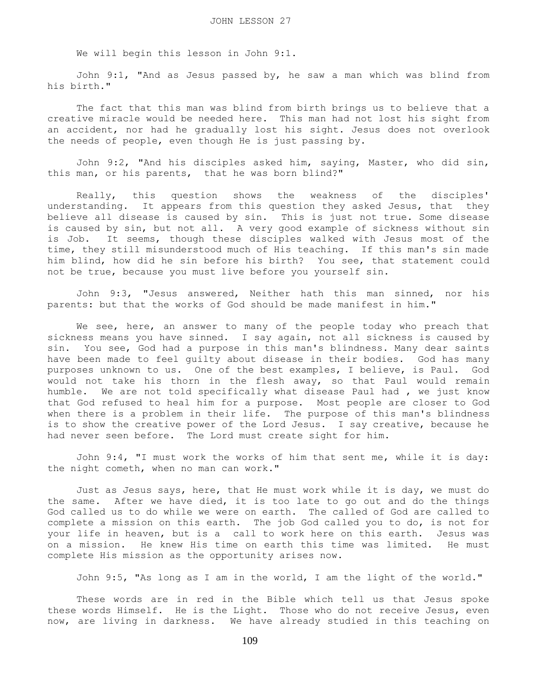We will begin this lesson in John 9:1.

 John 9:1, "And as Jesus passed by, he saw a man which was blind from his birth."

 The fact that this man was blind from birth brings us to believe that a creative miracle would be needed here. This man had not lost his sight from an accident, nor had he gradually lost his sight. Jesus does not overlook the needs of people, even though He is just passing by.

 John 9:2, "And his disciples asked him, saying, Master, who did sin, this man, or his parents, that he was born blind?"

 Really, this question shows the weakness of the disciples' understanding. It appears from this question they asked Jesus, that they believe all disease is caused by sin. This is just not true. Some disease is caused by sin, but not all. A very good example of sickness without sin is Job. It seems, though these disciples walked with Jesus most of the time, they still misunderstood much of His teaching. If this man's sin made him blind, how did he sin before his birth? You see, that statement could not be true, because you must live before you yourself sin.

 John 9:3, "Jesus answered, Neither hath this man sinned, nor his parents: but that the works of God should be made manifest in him."

We see, here, an answer to many of the people today who preach that sickness means you have sinned. I say again, not all sickness is caused by sin. You see, God had a purpose in this man's blindness. Many dear saints have been made to feel guilty about disease in their bodies. God has many purposes unknown to us. One of the best examples, I believe, is Paul. God would not take his thorn in the flesh away, so that Paul would remain humble. We are not told specifically what disease Paul had , we just know that God refused to heal him for a purpose. Most people are closer to God when there is a problem in their life. The purpose of this man's blindness is to show the creative power of the Lord Jesus. I say creative, because he had never seen before. The Lord must create sight for him.

 John 9:4, "I must work the works of him that sent me, while it is day: the night cometh, when no man can work."

 Just as Jesus says, here, that He must work while it is day, we must do the same. After we have died, it is too late to go out and do the things God called us to do while we were on earth. The called of God are called to complete a mission on this earth. The job God called you to do, is not for your life in heaven, but is a call to work here on this earth. Jesus was on a mission. He knew His time on earth this time was limited. He must complete His mission as the opportunity arises now.

John 9:5, "As long as I am in the world, I am the light of the world."

 These words are in red in the Bible which tell us that Jesus spoke these words Himself. He is the Light. Those who do not receive Jesus, even now, are living in darkness. We have already studied in this teaching on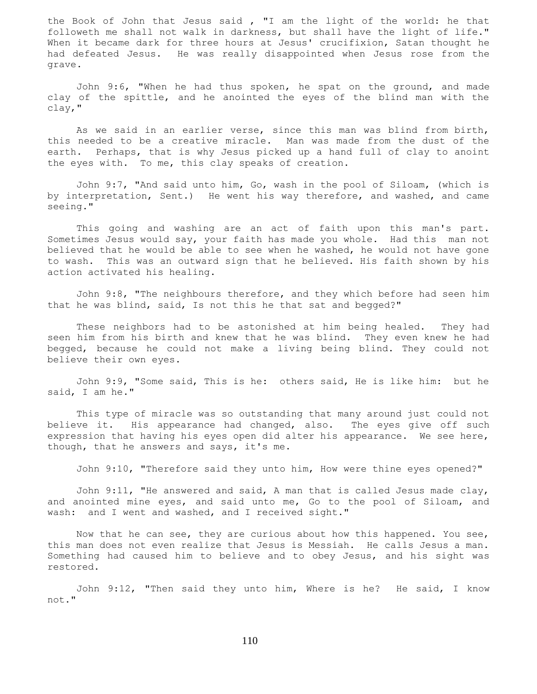the Book of John that Jesus said , "I am the light of the world: he that followeth me shall not walk in darkness, but shall have the light of life." When it became dark for three hours at Jesus' crucifixion, Satan thought he had defeated Jesus. He was really disappointed when Jesus rose from the grave.

 John 9:6, "When he had thus spoken, he spat on the ground, and made clay of the spittle, and he anointed the eyes of the blind man with the clay,"

 As we said in an earlier verse, since this man was blind from birth, this needed to be a creative miracle. Man was made from the dust of the earth. Perhaps, that is why Jesus picked up a hand full of clay to anoint the eyes with. To me, this clay speaks of creation.

 John 9:7, "And said unto him, Go, wash in the pool of Siloam, (which is by interpretation, Sent.) He went his way therefore, and washed, and came seeing."

 This going and washing are an act of faith upon this man's part. Sometimes Jesus would say, your faith has made you whole. Had this man not believed that he would be able to see when he washed, he would not have gone to wash. This was an outward sign that he believed. His faith shown by his action activated his healing.

 John 9:8, "The neighbours therefore, and they which before had seen him that he was blind, said, Is not this he that sat and begged?"

 These neighbors had to be astonished at him being healed. They had seen him from his birth and knew that he was blind. They even knew he had begged, because he could not make a living being blind. They could not believe their own eyes.

 John 9:9, "Some said, This is he: others said, He is like him: but he said, I am he."

 This type of miracle was so outstanding that many around just could not believe it. His appearance had changed, also. The eyes give off such expression that having his eyes open did alter his appearance. We see here, though, that he answers and says, it's me.

John 9:10, "Therefore said they unto him, How were thine eyes opened?"

John 9:11, "He answered and said, A man that is called Jesus made clay, and anointed mine eyes, and said unto me, Go to the pool of Siloam, and wash: and I went and washed, and I received sight."

 Now that he can see, they are curious about how this happened. You see, this man does not even realize that Jesus is Messiah. He calls Jesus a man. Something had caused him to believe and to obey Jesus, and his sight was restored.

 John 9:12, "Then said they unto him, Where is he? He said, I know not."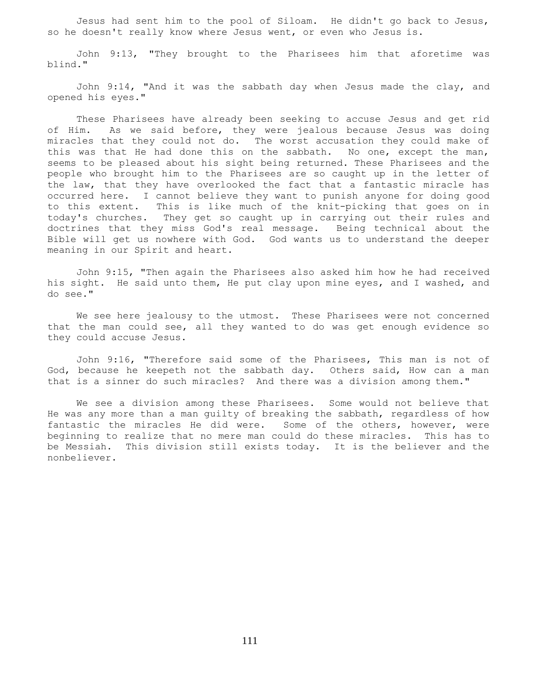Jesus had sent him to the pool of Siloam. He didn't go back to Jesus, so he doesn't really know where Jesus went, or even who Jesus is.

 John 9:13, "They brought to the Pharisees him that aforetime was blind."

 John 9:14, "And it was the sabbath day when Jesus made the clay, and opened his eyes."

 These Pharisees have already been seeking to accuse Jesus and get rid of Him. As we said before, they were jealous because Jesus was doing miracles that they could not do. The worst accusation they could make of this was that He had done this on the sabbath. No one, except the man, seems to be pleased about his sight being returned. These Pharisees and the people who brought him to the Pharisees are so caught up in the letter of the law, that they have overlooked the fact that a fantastic miracle has occurred here. I cannot believe they want to punish anyone for doing good to this extent. This is like much of the knit-picking that goes on in today's churches. They get so caught up in carrying out their rules and doctrines that they miss God's real message. Being technical about the Bible will get us nowhere with God. God wants us to understand the deeper meaning in our Spirit and heart.

 John 9:15, "Then again the Pharisees also asked him how he had received his sight. He said unto them, He put clay upon mine eyes, and I washed, and do see."

 We see here jealousy to the utmost. These Pharisees were not concerned that the man could see, all they wanted to do was get enough evidence so they could accuse Jesus.

 John 9:16, "Therefore said some of the Pharisees, This man is not of God, because he keepeth not the sabbath day. Others said, How can a man that is a sinner do such miracles? And there was a division among them."

 We see a division among these Pharisees. Some would not believe that He was any more than a man guilty of breaking the sabbath, regardless of how fantastic the miracles He did were. Some of the others, however, were beginning to realize that no mere man could do these miracles. This has to be Messiah. This division still exists today. It is the believer and the nonbeliever.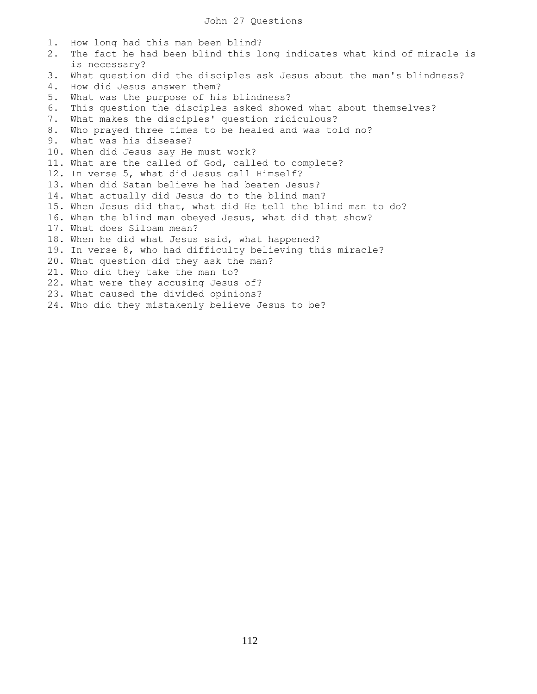1. How long had this man been blind? 2. The fact he had been blind this long indicates what kind of miracle is is necessary? 3. What question did the disciples ask Jesus about the man's blindness? 4. How did Jesus answer them? 5. What was the purpose of his blindness? 6. This question the disciples asked showed what about themselves? 7. What makes the disciples' question ridiculous? 8. Who prayed three times to be healed and was told no? 9. What was his disease? 10. When did Jesus say He must work? 11. What are the called of God, called to complete? 12. In verse 5, what did Jesus call Himself? 13. When did Satan believe he had beaten Jesus? 14. What actually did Jesus do to the blind man? 15. When Jesus did that, what did He tell the blind man to do? 16. When the blind man obeyed Jesus, what did that show? 17. What does Siloam mean? 18. When he did what Jesus said, what happened? 19. In verse 8, who had difficulty believing this miracle? 20. What question did they ask the man? 21. Who did they take the man to? 22. What were they accusing Jesus of? 23. What caused the divided opinions? 24. Who did they mistakenly believe Jesus to be?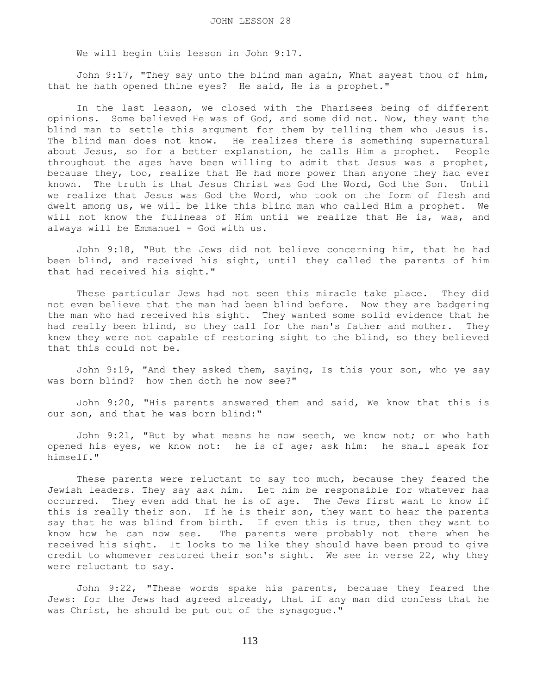We will begin this lesson in John 9:17.

 John 9:17, "They say unto the blind man again, What sayest thou of him, that he hath opened thine eyes? He said, He is a prophet."

 In the last lesson, we closed with the Pharisees being of different opinions. Some believed He was of God, and some did not. Now, they want the blind man to settle this argument for them by telling them who Jesus is. The blind man does not know. He realizes there is something supernatural about Jesus, so for a better explanation, he calls Him a prophet. People throughout the ages have been willing to admit that Jesus was a prophet, because they, too, realize that He had more power than anyone they had ever known. The truth is that Jesus Christ was God the Word, God the Son. Until we realize that Jesus was God the Word, who took on the form of flesh and dwelt among us, we will be like this blind man who called Him a prophet. We will not know the fullness of Him until we realize that He is, was, and always will be Emmanuel - God with us.

 John 9:18, "But the Jews did not believe concerning him, that he had been blind, and received his sight, until they called the parents of him that had received his sight."

 These particular Jews had not seen this miracle take place. They did not even believe that the man had been blind before. Now they are badgering the man who had received his sight. They wanted some solid evidence that he had really been blind, so they call for the man's father and mother. They knew they were not capable of restoring sight to the blind, so they believed that this could not be.

 John 9:19, "And they asked them, saying, Is this your son, who ye say was born blind? how then doth he now see?"

 John 9:20, "His parents answered them and said, We know that this is our son, and that he was born blind:"

 John 9:21, "But by what means he now seeth, we know not; or who hath opened his eyes, we know not: he is of age; ask him: he shall speak for himself."

 These parents were reluctant to say too much, because they feared the Jewish leaders. They say ask him. Let him be responsible for whatever has occurred. They even add that he is of age. The Jews first want to know if this is really their son. If he is their son, they want to hear the parents say that he was blind from birth. If even this is true, then they want to know how he can now see. The parents were probably not there when he received his sight. It looks to me like they should have been proud to give credit to whomever restored their son's sight. We see in verse 22, why they were reluctant to say.

 John 9:22, "These words spake his parents, because they feared the Jews: for the Jews had agreed already, that if any man did confess that he was Christ, he should be put out of the synagogue."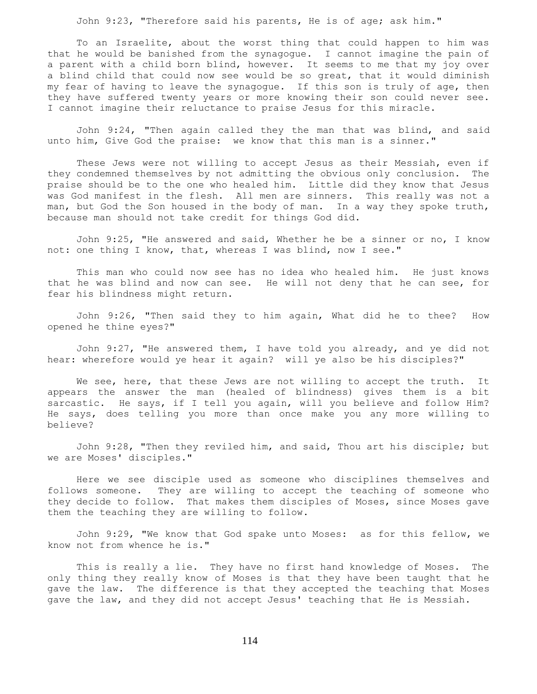John 9:23, "Therefore said his parents, He is of age; ask him."

 To an Israelite, about the worst thing that could happen to him was that he would be banished from the synagogue. I cannot imagine the pain of a parent with a child born blind, however. It seems to me that my joy over a blind child that could now see would be so great, that it would diminish my fear of having to leave the synagogue. If this son is truly of age, then they have suffered twenty years or more knowing their son could never see. I cannot imagine their reluctance to praise Jesus for this miracle.

 John 9:24, "Then again called they the man that was blind, and said unto him, Give God the praise: we know that this man is a sinner."

 These Jews were not willing to accept Jesus as their Messiah, even if they condemned themselves by not admitting the obvious only conclusion. The praise should be to the one who healed him. Little did they know that Jesus was God manifest in the flesh. All men are sinners. This really was not a man, but God the Son housed in the body of man. In a way they spoke truth, because man should not take credit for things God did.

 John 9:25, "He answered and said, Whether he be a sinner or no, I know not: one thing I know, that, whereas I was blind, now I see."

 This man who could now see has no idea who healed him. He just knows that he was blind and now can see. He will not deny that he can see, for fear his blindness might return.

 John 9:26, "Then said they to him again, What did he to thee? How opened he thine eyes?"

 John 9:27, "He answered them, I have told you already, and ye did not hear: wherefore would ye hear it again? will ye also be his disciples?"

We see, here, that these Jews are not willing to accept the truth. It appears the answer the man (healed of blindness) gives them is a bit sarcastic. He says, if I tell you again, will you believe and follow Him? He says, does telling you more than once make you any more willing to believe?

 John 9:28, "Then they reviled him, and said, Thou art his disciple; but we are Moses' disciples."

 Here we see disciple used as someone who disciplines themselves and follows someone. They are willing to accept the teaching of someone who they decide to follow. That makes them disciples of Moses, since Moses gave them the teaching they are willing to follow.

 John 9:29, "We know that God spake unto Moses: as for this fellow, we know not from whence he is."

 This is really a lie. They have no first hand knowledge of Moses. The only thing they really know of Moses is that they have been taught that he gave the law. The difference is that they accepted the teaching that Moses gave the law, and they did not accept Jesus' teaching that He is Messiah.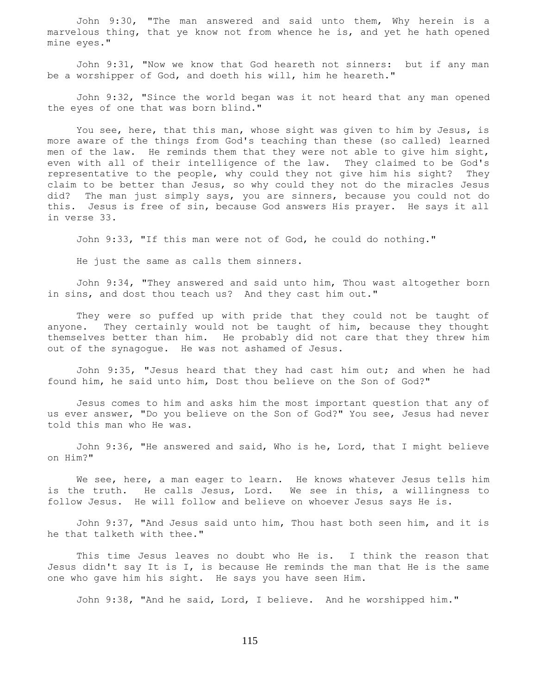John 9:30, "The man answered and said unto them, Why herein is a marvelous thing, that ye know not from whence he is, and yet he hath opened mine eyes."

 John 9:31, "Now we know that God heareth not sinners: but if any man be a worshipper of God, and doeth his will, him he heareth."

 John 9:32, "Since the world began was it not heard that any man opened the eyes of one that was born blind."

 You see, here, that this man, whose sight was given to him by Jesus, is more aware of the things from God's teaching than these (so called) learned men of the law. He reminds them that they were not able to give him sight, even with all of their intelligence of the law. They claimed to be God's representative to the people, why could they not give him his sight? They claim to be better than Jesus, so why could they not do the miracles Jesus did? The man just simply says, you are sinners, because you could not do this. Jesus is free of sin, because God answers His prayer. He says it all in verse 33.

John 9:33, "If this man were not of God, he could do nothing."

He just the same as calls them sinners.

 John 9:34, "They answered and said unto him, Thou wast altogether born in sins, and dost thou teach us? And they cast him out."

 They were so puffed up with pride that they could not be taught of anyone. They certainly would not be taught of him, because they thought themselves better than him. He probably did not care that they threw him out of the synagogue. He was not ashamed of Jesus.

 John 9:35, "Jesus heard that they had cast him out; and when he had found him, he said unto him, Dost thou believe on the Son of God?"

 Jesus comes to him and asks him the most important question that any of us ever answer, "Do you believe on the Son of God?" You see, Jesus had never told this man who He was.

 John 9:36, "He answered and said, Who is he, Lord, that I might believe on Him?"

We see, here, a man eager to learn. He knows whatever Jesus tells him is the truth. He calls Jesus, Lord. We see in this, a willingness to follow Jesus. He will follow and believe on whoever Jesus says He is.

 John 9:37, "And Jesus said unto him, Thou hast both seen him, and it is he that talketh with thee."

 This time Jesus leaves no doubt who He is. I think the reason that Jesus didn't say It is I, is because He reminds the man that He is the same one who gave him his sight. He says you have seen Him.

John 9:38, "And he said, Lord, I believe. And he worshipped him."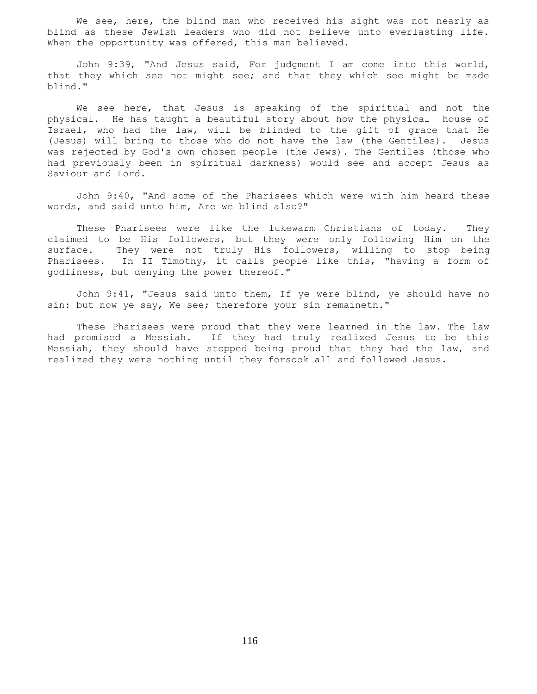We see, here, the blind man who received his sight was not nearly as blind as these Jewish leaders who did not believe unto everlasting life. When the opportunity was offered, this man believed.

 John 9:39, "And Jesus said, For judgment I am come into this world, that they which see not might see; and that they which see might be made blind."

We see here, that Jesus is speaking of the spiritual and not the physical. He has taught a beautiful story about how the physical house of Israel, who had the law, will be blinded to the gift of grace that He (Jesus) will bring to those who do not have the law (the Gentiles). Jesus was rejected by God's own chosen people (the Jews). The Gentiles (those who had previously been in spiritual darkness) would see and accept Jesus as Saviour and Lord.

 John 9:40, "And some of the Pharisees which were with him heard these words, and said unto him, Are we blind also?"

 These Pharisees were like the lukewarm Christians of today. They claimed to be His followers, but they were only following Him on the surface. They were not truly His followers, willing to stop being Pharisees. In II Timothy, it calls people like this, "having a form of godliness, but denying the power thereof."

 John 9:41, "Jesus said unto them, If ye were blind, ye should have no sin: but now ye say, We see; therefore your sin remaineth."

 These Pharisees were proud that they were learned in the law. The law had promised a Messiah. If they had truly realized Jesus to be this Messiah, they should have stopped being proud that they had the law, and realized they were nothing until they forsook all and followed Jesus.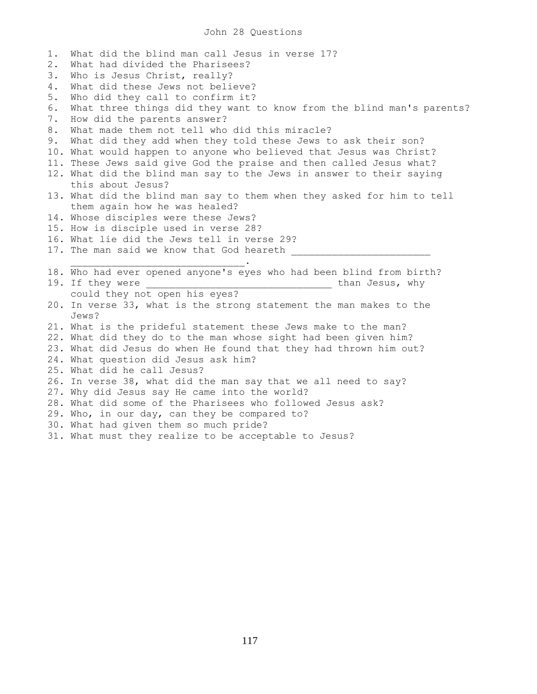1. What did the blind man call Jesus in verse 17? 2. What had divided the Pharisees? 3. Who is Jesus Christ, really? 4. What did these Jews not believe? 5. Who did they call to confirm it? 6. What three things did they want to know from the blind man's parents? 7. How did the parents answer? 8. What made them not tell who did this miracle? 9. What did they add when they told these Jews to ask their son? 10. What would happen to anyone who believed that Jesus was Christ? 11. These Jews said give God the praise and then called Jesus what? 12. What did the blind man say to the Jews in answer to their saying this about Jesus? 13. What did the blind man say to them when they asked for him to tell them again how he was healed? 14. Whose disciples were these Jews? 15. How is disciple used in verse 28? 16. What lie did the Jews tell in verse 29? 17. The man said we know that God heareth \_\_\_\_\_\_\_\_\_\_\_\_\_\_\_\_\_\_\_\_\_\_\_\_\_\_\_\_\_\_. 18. Who had ever opened anyone's eyes who had been blind from birth? 19. If they were the same state of the state of the state of the state of the state of the state of the state o could they not open his eyes? 20. In verse 33, what is the strong statement the man makes to the Jews? 21. What is the prideful statement these Jews make to the man? 22. What did they do to the man whose sight had been given him? 23. What did Jesus do when He found that they had thrown him out? 24. What question did Jesus ask him? 25. What did he call Jesus? 26. In verse 38, what did the man say that we all need to say? 27. Why did Jesus say He came into the world? 28. What did some of the Pharisees who followed Jesus ask? 29. Who, in our day, can they be compared to? 30. What had given them so much pride? 31. What must they realize to be acceptable to Jesus?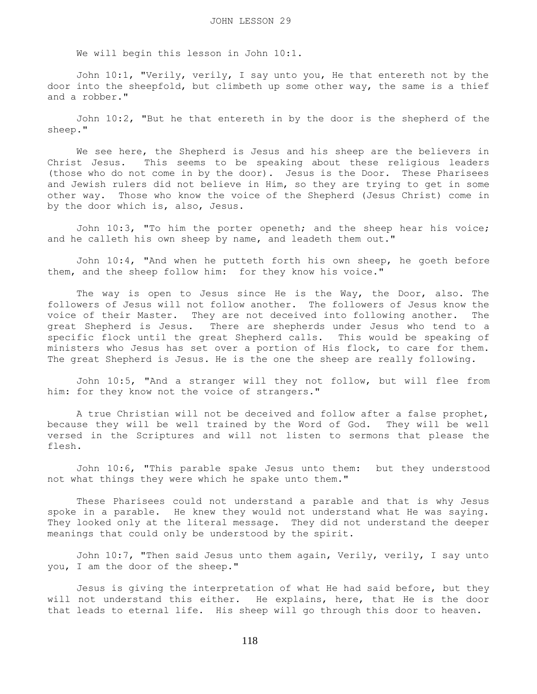We will begin this lesson in John 10:1.

 John 10:1, "Verily, verily, I say unto you, He that entereth not by the door into the sheepfold, but climbeth up some other way, the same is a thief and a robber."

 John 10:2, "But he that entereth in by the door is the shepherd of the sheep."

 We see here, the Shepherd is Jesus and his sheep are the believers in Christ Jesus. This seems to be speaking about these religious leaders (those who do not come in by the door). Jesus is the Door. These Pharisees and Jewish rulers did not believe in Him, so they are trying to get in some other way. Those who know the voice of the Shepherd (Jesus Christ) come in by the door which is, also, Jesus.

 John 10:3, "To him the porter openeth; and the sheep hear his voice; and he calleth his own sheep by name, and leadeth them out."

 John 10:4, "And when he putteth forth his own sheep, he goeth before them, and the sheep follow him: for they know his voice."

 The way is open to Jesus since He is the Way, the Door, also. The followers of Jesus will not follow another. The followers of Jesus know the voice of their Master. They are not deceived into following another. The great Shepherd is Jesus. There are shepherds under Jesus who tend to a specific flock until the great Shepherd calls. This would be speaking of ministers who Jesus has set over a portion of His flock, to care for them. The great Shepherd is Jesus. He is the one the sheep are really following.

 John 10:5, "And a stranger will they not follow, but will flee from him: for they know not the voice of strangers."

 A true Christian will not be deceived and follow after a false prophet, because they will be well trained by the Word of God. They will be well versed in the Scriptures and will not listen to sermons that please the flesh.

 John 10:6, "This parable spake Jesus unto them: but they understood not what things they were which he spake unto them."

 These Pharisees could not understand a parable and that is why Jesus spoke in a parable. He knew they would not understand what He was saying. They looked only at the literal message. They did not understand the deeper meanings that could only be understood by the spirit.

John 10:7, "Then said Jesus unto them again, Verily, verily, I say unto you, I am the door of the sheep."

 Jesus is giving the interpretation of what He had said before, but they will not understand this either. He explains, here, that He is the door that leads to eternal life. His sheep will go through this door to heaven.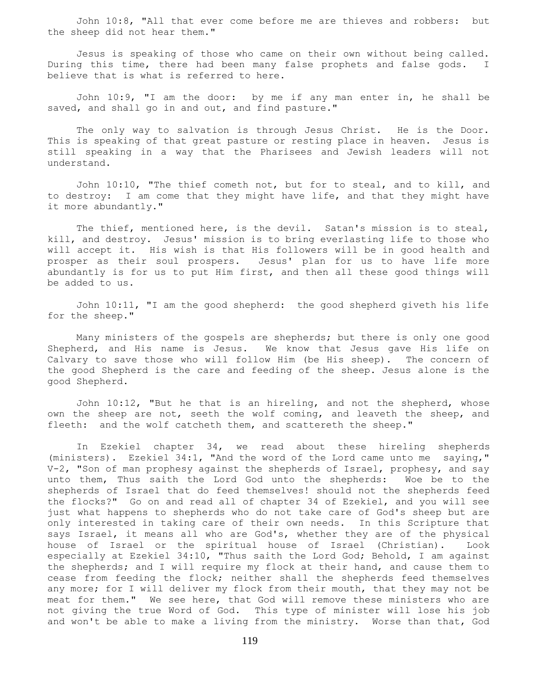John 10:8, "All that ever come before me are thieves and robbers: but the sheep did not hear them."

 Jesus is speaking of those who came on their own without being called. During this time, there had been many false prophets and false gods. I believe that is what is referred to here.

 John 10:9, "I am the door: by me if any man enter in, he shall be saved, and shall go in and out, and find pasture."

The only way to salvation is through Jesus Christ. He is the Door. This is speaking of that great pasture or resting place in heaven. Jesus is still speaking in a way that the Pharisees and Jewish leaders will not understand.

 John 10:10, "The thief cometh not, but for to steal, and to kill, and to destroy: I am come that they might have life, and that they might have it more abundantly."

The thief, mentioned here, is the devil. Satan's mission is to steal, kill, and destroy. Jesus' mission is to bring everlasting life to those who will accept it. His wish is that His followers will be in good health and prosper as their soul prospers. Jesus' plan for us to have life more abundantly is for us to put Him first, and then all these good things will be added to us.

 John 10:11, "I am the good shepherd: the good shepherd giveth his life for the sheep."

 Many ministers of the gospels are shepherds; but there is only one good Shepherd, and His name is Jesus. We know that Jesus gave His life on Calvary to save those who will follow Him (be His sheep). The concern of the good Shepherd is the care and feeding of the sheep. Jesus alone is the good Shepherd.

 John 10:12, "But he that is an hireling, and not the shepherd, whose own the sheep are not, seeth the wolf coming, and leaveth the sheep, and fleeth: and the wolf catcheth them, and scattereth the sheep."

 In Ezekiel chapter 34, we read about these hireling shepherds (ministers). Ezekiel 34:1, "And the word of the Lord came unto me saying," V-2, "Son of man prophesy against the shepherds of Israel, prophesy, and say unto them, Thus saith the Lord God unto the shepherds: Woe be to the shepherds of Israel that do feed themselves! should not the shepherds feed the flocks?" Go on and read all of chapter 34 of Ezekiel, and you will see just what happens to shepherds who do not take care of God's sheep but are only interested in taking care of their own needs. In this Scripture that says Israel, it means all who are God's, whether they are of the physical house of Israel or the spiritual house of Israel (Christian). Look especially at Ezekiel 34:10, "Thus saith the Lord God; Behold, I am against the shepherds; and I will require my flock at their hand, and cause them to cease from feeding the flock; neither shall the shepherds feed themselves any more; for I will deliver my flock from their mouth, that they may not be meat for them." We see here, that God will remove these ministers who are not giving the true Word of God. This type of minister will lose his job and won't be able to make a living from the ministry. Worse than that, God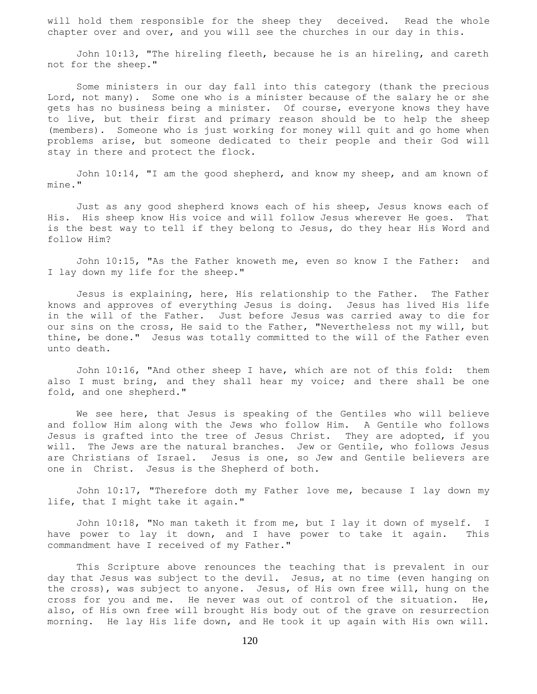will hold them responsible for the sheep they deceived. Read the whole chapter over and over, and you will see the churches in our day in this.

 John 10:13, "The hireling fleeth, because he is an hireling, and careth not for the sheep."

 Some ministers in our day fall into this category (thank the precious Lord, not many). Some one who is a minister because of the salary he or she gets has no business being a minister. Of course, everyone knows they have to live, but their first and primary reason should be to help the sheep (members). Someone who is just working for money will quit and go home when problems arise, but someone dedicated to their people and their God will stay in there and protect the flock.

 John 10:14, "I am the good shepherd, and know my sheep, and am known of mine."

 Just as any good shepherd knows each of his sheep, Jesus knows each of His. His sheep know His voice and will follow Jesus wherever He goes. That is the best way to tell if they belong to Jesus, do they hear His Word and follow Him?

 John 10:15, "As the Father knoweth me, even so know I the Father: and I lay down my life for the sheep."

 Jesus is explaining, here, His relationship to the Father. The Father knows and approves of everything Jesus is doing. Jesus has lived His life in the will of the Father. Just before Jesus was carried away to die for our sins on the cross, He said to the Father, "Nevertheless not my will, but thine, be done." Jesus was totally committed to the will of the Father even unto death.

 John 10:16, "And other sheep I have, which are not of this fold: them also I must bring, and they shall hear my voice; and there shall be one fold, and one shepherd."

 We see here, that Jesus is speaking of the Gentiles who will believe and follow Him along with the Jews who follow Him. A Gentile who follows Jesus is grafted into the tree of Jesus Christ. They are adopted, if you will. The Jews are the natural branches. Jew or Gentile, who follows Jesus are Christians of Israel. Jesus is one, so Jew and Gentile believers are one in Christ. Jesus is the Shepherd of both.

 John 10:17, "Therefore doth my Father love me, because I lay down my life, that I might take it again."

 John 10:18, "No man taketh it from me, but I lay it down of myself. I have power to lay it down, and I have power to take it again. This commandment have I received of my Father."

 This Scripture above renounces the teaching that is prevalent in our day that Jesus was subject to the devil. Jesus, at no time (even hanging on the cross), was subject to anyone. Jesus, of His own free will, hung on the cross for you and me. He never was out of control of the situation. He, also, of His own free will brought His body out of the grave on resurrection morning. He lay His life down, and He took it up again with His own will.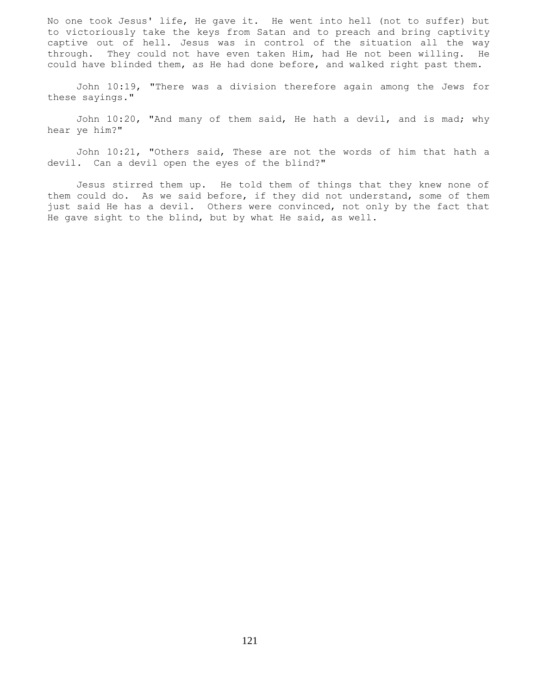No one took Jesus' life, He gave it. He went into hell (not to suffer) but to victoriously take the keys from Satan and to preach and bring captivity captive out of hell. Jesus was in control of the situation all the way through. They could not have even taken Him, had He not been willing. He could have blinded them, as He had done before, and walked right past them.

 John 10:19, "There was a division therefore again among the Jews for these sayings."

 John 10:20, "And many of them said, He hath a devil, and is mad; why hear ye him?"

 John 10:21, "Others said, These are not the words of him that hath a devil. Can a devil open the eyes of the blind?"

 Jesus stirred them up. He told them of things that they knew none of them could do. As we said before, if they did not understand, some of them just said He has a devil. Others were convinced, not only by the fact that He gave sight to the blind, but by what He said, as well.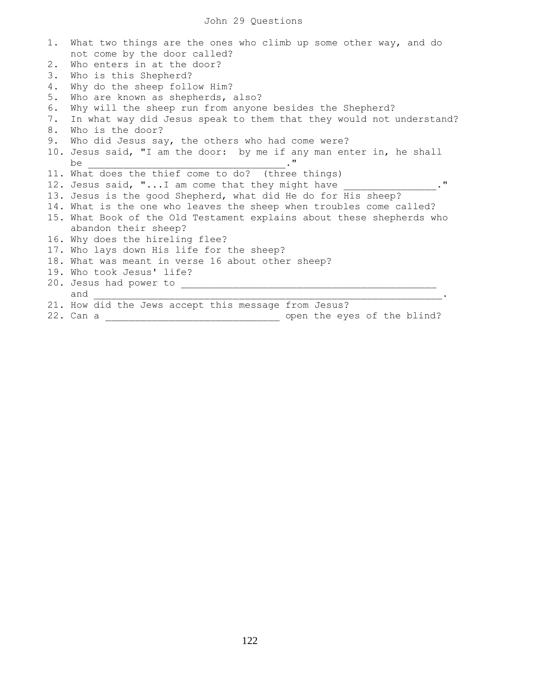|    | 1. What two things are the ones who climb up some other way, and do<br>not come by the door called? |
|----|-----------------------------------------------------------------------------------------------------|
| 2. | Who enters in at the door?                                                                          |
| 3. | Who is this Shepherd?                                                                               |
| 4. | Why do the sheep follow Him?                                                                        |
| 5. | Who are known as shepherds, also?                                                                   |
| 6. | Why will the sheep run from anyone besides the Shepherd?                                            |
| 7. | In what way did Jesus speak to them that they would not understand?                                 |
| 8. | Who is the door?                                                                                    |
| 9. | Who did Jesus say, the others who had come were?                                                    |
|    | 10. Jesus said, "I am the door: by me if any man enter in, he shall                                 |
|    | be                                                                                                  |
|    | 11. What does the thief come to do? (three things)                                                  |
|    | 12. Jesus said, " I am come that they might have<br>$^{\prime\prime}$                               |
|    | 13. Jesus is the good Shepherd, what did He do for His sheep?                                       |
|    | 14. What is the one who leaves the sheep when troubles come called?                                 |
|    | 15. What Book of the Old Testament explains about these shepherds who                               |
|    | abandon their sheep?                                                                                |
|    | 16. Why does the hireling flee?                                                                     |
|    | 17. Who lays down His life for the sheep?                                                           |
|    | 18. What was meant in verse 16 about other sheep?                                                   |
|    | 19. Who took Jesus' life?                                                                           |
|    | 20. Jesus had power to ________________                                                             |
|    | and                                                                                                 |
|    | 21. How did the Jews accept this message from Jesus?                                                |
|    | open the eyes of the blind?<br>22. Can a                                                            |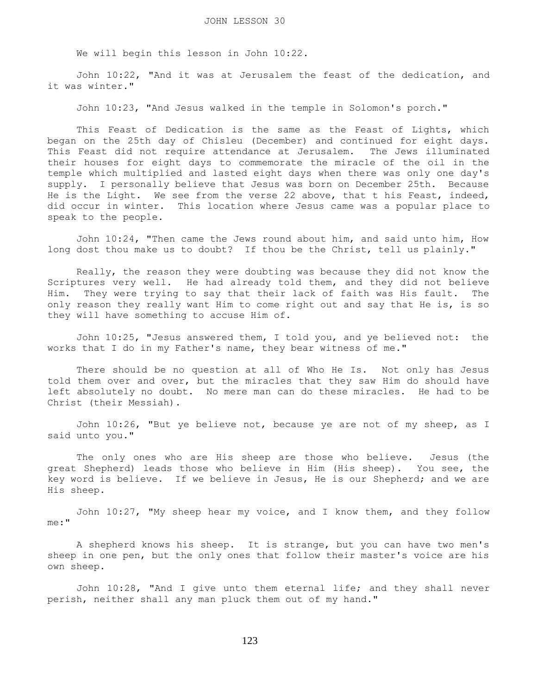We will begin this lesson in John 10:22.

 John 10:22, "And it was at Jerusalem the feast of the dedication, and it was winter."

John 10:23, "And Jesus walked in the temple in Solomon's porch."

This Feast of Dedication is the same as the Feast of Lights, which began on the 25th day of Chisleu (December) and continued for eight days. This Feast did not require attendance at Jerusalem. The Jews illuminated their houses for eight days to commemorate the miracle of the oil in the temple which multiplied and lasted eight days when there was only one day's supply. I personally believe that Jesus was born on December 25th. Because He is the Light. We see from the verse 22 above, that t his Feast, indeed, did occur in winter. This location where Jesus came was a popular place to speak to the people.

 John 10:24, "Then came the Jews round about him, and said unto him, How long dost thou make us to doubt? If thou be the Christ, tell us plainly."

 Really, the reason they were doubting was because they did not know the Scriptures very well. He had already told them, and they did not believe Him. They were trying to say that their lack of faith was His fault. The only reason they really want Him to come right out and say that He is, is so they will have something to accuse Him of.

 John 10:25, "Jesus answered them, I told you, and ye believed not: the works that I do in my Father's name, they bear witness of me."

 There should be no question at all of Who He Is. Not only has Jesus told them over and over, but the miracles that they saw Him do should have left absolutely no doubt. No mere man can do these miracles. He had to be Christ (their Messiah).

 John 10:26, "But ye believe not, because ye are not of my sheep, as I said unto you."

 The only ones who are His sheep are those who believe. Jesus (the great Shepherd) leads those who believe in Him (His sheep). You see, the key word is believe. If we believe in Jesus, He is our Shepherd; and we are His sheep.

 John 10:27, "My sheep hear my voice, and I know them, and they follow me:"

 A shepherd knows his sheep. It is strange, but you can have two men's sheep in one pen, but the only ones that follow their master's voice are his own sheep.

 John 10:28, "And I give unto them eternal life; and they shall never perish, neither shall any man pluck them out of my hand."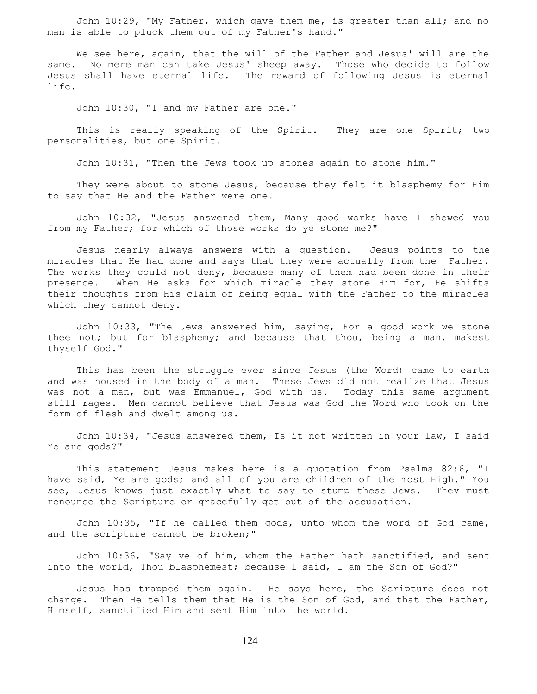John 10:29, "My Father, which gave them me, is greater than all; and no man is able to pluck them out of my Father's hand."

 We see here, again, that the will of the Father and Jesus' will are the same. No mere man can take Jesus' sheep away. Those who decide to follow Jesus shall have eternal life. The reward of following Jesus is eternal life.

John 10:30, "I and my Father are one."

This is really speaking of the Spirit. They are one Spirit; two personalities, but one Spirit.

John 10:31, "Then the Jews took up stones again to stone him."

They were about to stone Jesus, because they felt it blasphemy for Him to say that He and the Father were one.

 John 10:32, "Jesus answered them, Many good works have I shewed you from my Father; for which of those works do ye stone me?"

 Jesus nearly always answers with a question. Jesus points to the miracles that He had done and says that they were actually from the Father. The works they could not deny, because many of them had been done in their presence. When He asks for which miracle they stone Him for, He shifts their thoughts from His claim of being equal with the Father to the miracles which they cannot deny.

 John 10:33, "The Jews answered him, saying, For a good work we stone thee not; but for blasphemy; and because that thou, being a man, makest thyself God."

 This has been the struggle ever since Jesus (the Word) came to earth and was housed in the body of a man. These Jews did not realize that Jesus was not a man, but was Emmanuel, God with us. Today this same argument still rages. Men cannot believe that Jesus was God the Word who took on the form of flesh and dwelt among us.

 John 10:34, "Jesus answered them, Is it not written in your law, I said Ye are gods?"

 This statement Jesus makes here is a quotation from Psalms 82:6, "I have said, Ye are gods; and all of you are children of the most High." You see, Jesus knows just exactly what to say to stump these Jews. They must renounce the Scripture or gracefully get out of the accusation.

 John 10:35, "If he called them gods, unto whom the word of God came, and the scripture cannot be broken;"

 John 10:36, "Say ye of him, whom the Father hath sanctified, and sent into the world, Thou blasphemest; because I said, I am the Son of God?"

 Jesus has trapped them again. He says here, the Scripture does not change. Then He tells them that He is the Son of God, and that the Father, Himself, sanctified Him and sent Him into the world.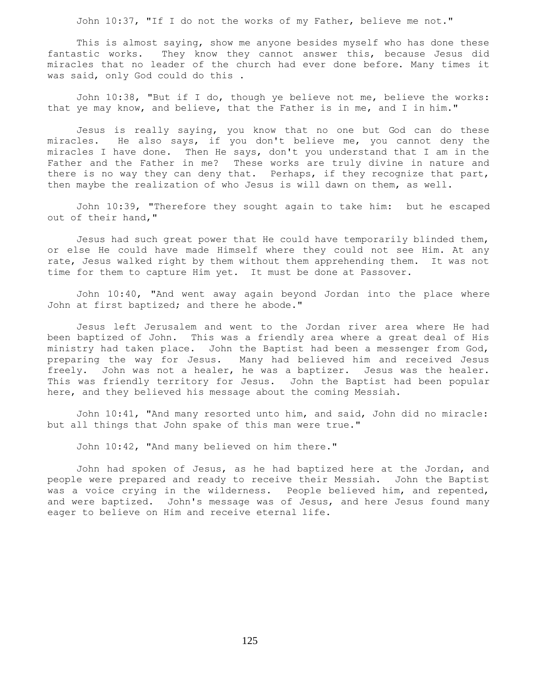John 10:37, "If I do not the works of my Father, believe me not."

 This is almost saying, show me anyone besides myself who has done these fantastic works. They know they cannot answer this, because Jesus did miracles that no leader of the church had ever done before. Many times it was said, only God could do this .

 John 10:38, "But if I do, though ye believe not me, believe the works: that ye may know, and believe, that the Father is in me, and I in him."

 Jesus is really saying, you know that no one but God can do these miracles. He also says, if you don't believe me, you cannot deny the miracles I have done. Then He says, don't you understand that I am in the Father and the Father in me? These works are truly divine in nature and there is no way they can deny that. Perhaps, if they recognize that part, then maybe the realization of who Jesus is will dawn on them, as well.

 John 10:39, "Therefore they sought again to take him: but he escaped out of their hand,"

 Jesus had such great power that He could have temporarily blinded them, or else He could have made Himself where they could not see Him. At any rate, Jesus walked right by them without them apprehending them. It was not time for them to capture Him yet. It must be done at Passover.

 John 10:40, "And went away again beyond Jordan into the place where John at first baptized; and there he abode."

 Jesus left Jerusalem and went to the Jordan river area where He had been baptized of John. This was a friendly area where a great deal of His ministry had taken place. John the Baptist had been a messenger from God, preparing the way for Jesus. Many had believed him and received Jesus freely. John was not a healer, he was a baptizer. Jesus was the healer. This was friendly territory for Jesus. John the Baptist had been popular here, and they believed his message about the coming Messiah.

 John 10:41, "And many resorted unto him, and said, John did no miracle: but all things that John spake of this man were true."

John 10:42, "And many believed on him there."

 John had spoken of Jesus, as he had baptized here at the Jordan, and people were prepared and ready to receive their Messiah. John the Baptist was a voice crying in the wilderness. People believed him, and repented, and were baptized. John's message was of Jesus, and here Jesus found many eager to believe on Him and receive eternal life.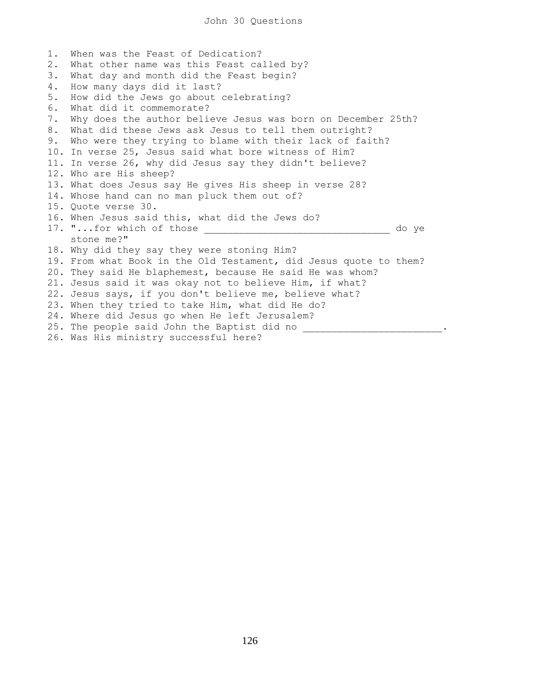1. When was the Feast of Dedication? 2. What other name was this Feast called by? 3. What day and month did the Feast begin? 4. How many days did it last? 5. How did the Jews go about celebrating? 6. What did it commemorate? 7. Why does the author believe Jesus was born on December 25th? 8. What did these Jews ask Jesus to tell them outright? 9. Who were they trying to blame with their lack of faith? 10. In verse 25, Jesus said what bore witness of Him? 11. In verse 26, why did Jesus say they didn't believe? 12. Who are His sheep? 13. What does Jesus say He gives His sheep in verse 28? 14. Whose hand can no man pluck them out of? 15. Quote verse 30. 16. When Jesus said this, what did the Jews do? 17. "...for which of those \_\_\_\_\_\_\_\_\_\_\_\_\_\_\_\_\_\_\_\_\_\_\_\_\_\_\_\_\_\_\_\_\_\_\_ do ye stone me?" 18. Why did they say they were stoning Him? 19. From what Book in the Old Testament, did Jesus quote to them? 20. They said He blaphemest, because He said He was whom? 21. Jesus said it was okay not to believe Him, if what? 22. Jesus says, if you don't believe me, believe what? 23. When they tried to take Him, what did He do? 24. Where did Jesus go when He left Jerusalem? 25. The people said John the Baptist did no  $\blacksquare$ 26. Was His ministry successful here?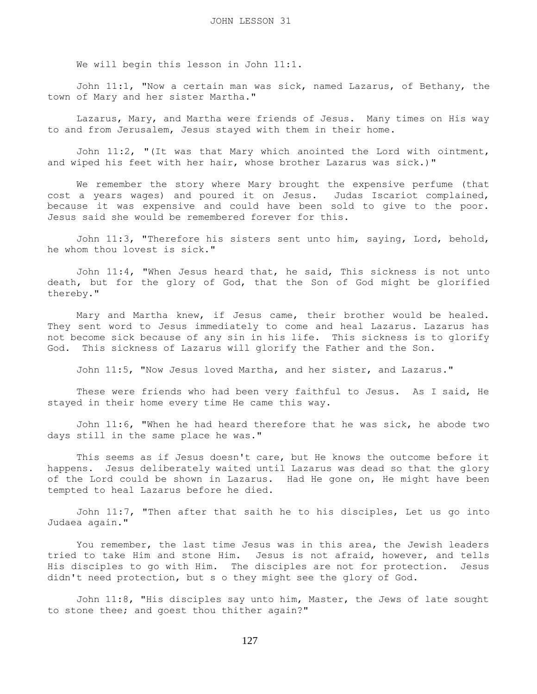We will begin this lesson in John 11:1.

 John 11:1, "Now a certain man was sick, named Lazarus, of Bethany, the town of Mary and her sister Martha."

 Lazarus, Mary, and Martha were friends of Jesus. Many times on His way to and from Jerusalem, Jesus stayed with them in their home.

 John 11:2, "(It was that Mary which anointed the Lord with ointment, and wiped his feet with her hair, whose brother Lazarus was sick.)"

 We remember the story where Mary brought the expensive perfume (that cost a years wages) and poured it on Jesus. Judas Iscariot complained, because it was expensive and could have been sold to give to the poor. Jesus said she would be remembered forever for this.

 John 11:3, "Therefore his sisters sent unto him, saying, Lord, behold, he whom thou lovest is sick."

 John 11:4, "When Jesus heard that, he said, This sickness is not unto death, but for the glory of God, that the Son of God might be glorified thereby."

 Mary and Martha knew, if Jesus came, their brother would be healed. They sent word to Jesus immediately to come and heal Lazarus. Lazarus has not become sick because of any sin in his life. This sickness is to glorify God. This sickness of Lazarus will glorify the Father and the Son.

John 11:5, "Now Jesus loved Martha, and her sister, and Lazarus."

 These were friends who had been very faithful to Jesus. As I said, He stayed in their home every time He came this way.

 John 11:6, "When he had heard therefore that he was sick, he abode two days still in the same place he was."

 This seems as if Jesus doesn't care, but He knows the outcome before it happens. Jesus deliberately waited until Lazarus was dead so that the glory of the Lord could be shown in Lazarus. Had He gone on, He might have been tempted to heal Lazarus before he died.

 John 11:7, "Then after that saith he to his disciples, Let us go into Judaea again."

 You remember, the last time Jesus was in this area, the Jewish leaders tried to take Him and stone Him. Jesus is not afraid, however, and tells His disciples to go with Him. The disciples are not for protection. Jesus didn't need protection, but s o they might see the glory of God.

 John 11:8, "His disciples say unto him, Master, the Jews of late sought to stone thee; and goest thou thither again?"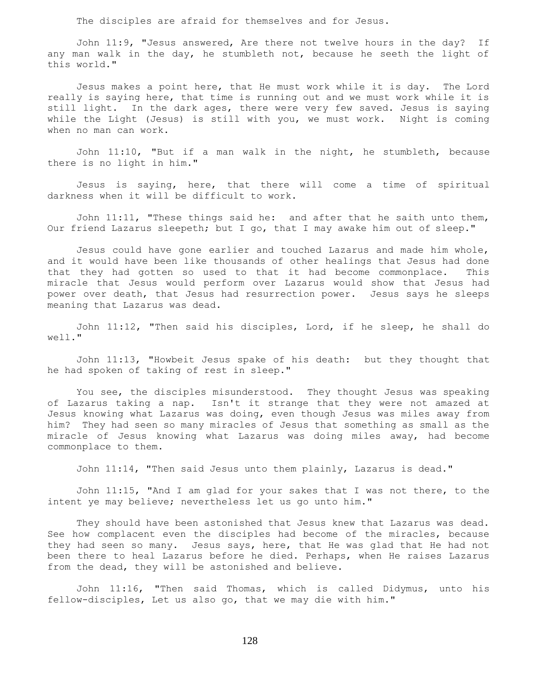The disciples are afraid for themselves and for Jesus.

 John 11:9, "Jesus answered, Are there not twelve hours in the day? If any man walk in the day, he stumbleth not, because he seeth the light of this world."

 Jesus makes a point here, that He must work while it is day. The Lord really is saying here, that time is running out and we must work while it is still light. In the dark ages, there were very few saved. Jesus is saying while the Light (Jesus) is still with you, we must work. Night is coming when no man can work.

 John 11:10, "But if a man walk in the night, he stumbleth, because there is no light in him."

 Jesus is saying, here, that there will come a time of spiritual darkness when it will be difficult to work.

 John 11:11, "These things said he: and after that he saith unto them, Our friend Lazarus sleepeth; but I go, that I may awake him out of sleep."

 Jesus could have gone earlier and touched Lazarus and made him whole, and it would have been like thousands of other healings that Jesus had done that they had gotten so used to that it had become commonplace. This miracle that Jesus would perform over Lazarus would show that Jesus had power over death, that Jesus had resurrection power. Jesus says he sleeps meaning that Lazarus was dead.

 John 11:12, "Then said his disciples, Lord, if he sleep, he shall do well."

 John 11:13, "Howbeit Jesus spake of his death: but they thought that he had spoken of taking of rest in sleep."

 You see, the disciples misunderstood. They thought Jesus was speaking of Lazarus taking a nap. Isn't it strange that they were not amazed at Jesus knowing what Lazarus was doing, even though Jesus was miles away from him? They had seen so many miracles of Jesus that something as small as the miracle of Jesus knowing what Lazarus was doing miles away, had become commonplace to them.

John 11:14, "Then said Jesus unto them plainly, Lazarus is dead."

 John 11:15, "And I am glad for your sakes that I was not there, to the intent ye may believe; nevertheless let us go unto him."

 They should have been astonished that Jesus knew that Lazarus was dead. See how complacent even the disciples had become of the miracles, because they had seen so many. Jesus says, here, that He was glad that He had not been there to heal Lazarus before he died. Perhaps, when He raises Lazarus from the dead, they will be astonished and believe.

 John 11:16, "Then said Thomas, which is called Didymus, unto his fellow-disciples, Let us also go, that we may die with him."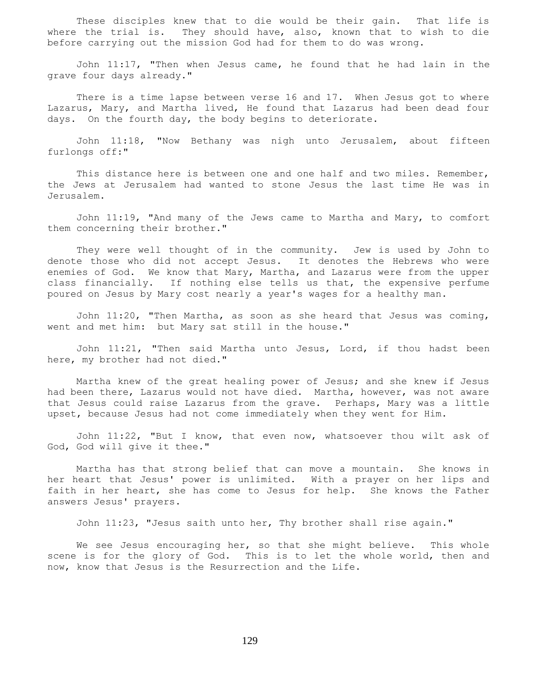These disciples knew that to die would be their gain. That life is where the trial is. They should have, also, known that to wish to die before carrying out the mission God had for them to do was wrong.

 John 11:17, "Then when Jesus came, he found that he had lain in the grave four days already."

 There is a time lapse between verse 16 and 17. When Jesus got to where Lazarus, Mary, and Martha lived, He found that Lazarus had been dead four days. On the fourth day, the body begins to deteriorate.

 John 11:18, "Now Bethany was nigh unto Jerusalem, about fifteen furlongs off:"

This distance here is between one and one half and two miles. Remember, the Jews at Jerusalem had wanted to stone Jesus the last time He was in Jerusalem.

 John 11:19, "And many of the Jews came to Martha and Mary, to comfort them concerning their brother."

 They were well thought of in the community. Jew is used by John to denote those who did not accept Jesus. It denotes the Hebrews who were enemies of God. We know that Mary, Martha, and Lazarus were from the upper class financially. If nothing else tells us that, the expensive perfume poured on Jesus by Mary cost nearly a year's wages for a healthy man.

 John 11:20, "Then Martha, as soon as she heard that Jesus was coming, went and met him: but Mary sat still in the house."

 John 11:21, "Then said Martha unto Jesus, Lord, if thou hadst been here, my brother had not died."

 Martha knew of the great healing power of Jesus; and she knew if Jesus had been there, Lazarus would not have died. Martha, however, was not aware that Jesus could raise Lazarus from the grave. Perhaps, Mary was a little upset, because Jesus had not come immediately when they went for Him.

 John 11:22, "But I know, that even now, whatsoever thou wilt ask of God, God will give it thee."

 Martha has that strong belief that can move a mountain. She knows in her heart that Jesus' power is unlimited. With a prayer on her lips and faith in her heart, she has come to Jesus for help. She knows the Father answers Jesus' prayers.

John 11:23, "Jesus saith unto her, Thy brother shall rise again."

We see Jesus encouraging her, so that she might believe. This whole scene is for the glory of God. This is to let the whole world, then and now, know that Jesus is the Resurrection and the Life.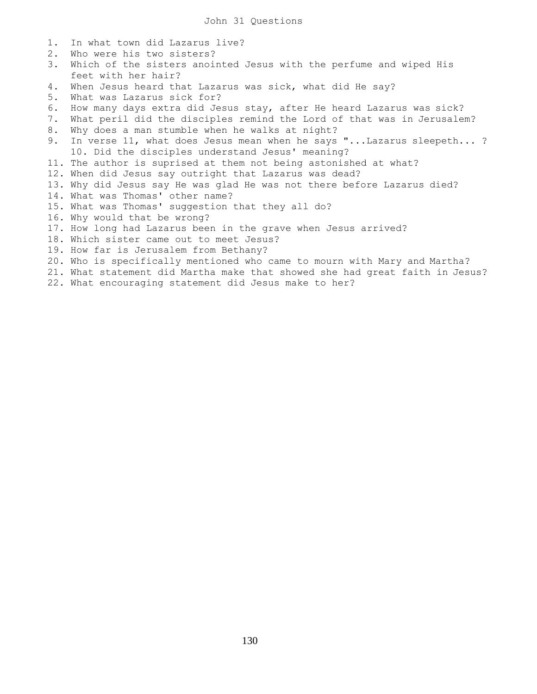- 1. In what town did Lazarus live?
- 2. Who were his two sisters?
- 3. Which of the sisters anointed Jesus with the perfume and wiped His feet with her hair?
- 4. When Jesus heard that Lazarus was sick, what did He say?
- 5. What was Lazarus sick for?
- 6. How many days extra did Jesus stay, after He heard Lazarus was sick?
- 7. What peril did the disciples remind the Lord of that was in Jerusalem?
- 8. Why does a man stumble when he walks at night?
- 9. In verse 11, what does Jesus mean when he says "...Lazarus sleepeth...? 10. Did the disciples understand Jesus' meaning?
- 11. The author is suprised at them not being astonished at what?
- 12. When did Jesus say outright that Lazarus was dead?
- 13. Why did Jesus say He was glad He was not there before Lazarus died?
- 14. What was Thomas' other name?
- 15. What was Thomas' suggestion that they all do?
- 16. Why would that be wrong?
- 17. How long had Lazarus been in the grave when Jesus arrived?
- 18. Which sister came out to meet Jesus?
- 19. How far is Jerusalem from Bethany?
- 20. Who is specifically mentioned who came to mourn with Mary and Martha?
- 21. What statement did Martha make that showed she had great faith in Jesus?
- 22. What encouraging statement did Jesus make to her?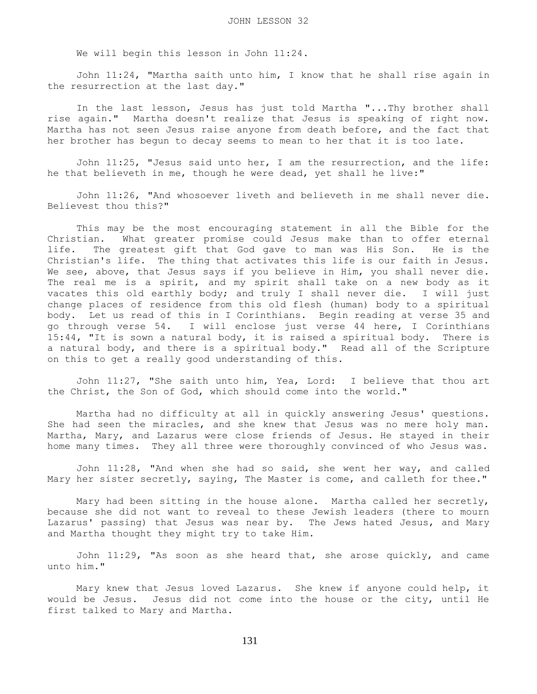We will begin this lesson in John 11:24.

 John 11:24, "Martha saith unto him, I know that he shall rise again in the resurrection at the last day."

 In the last lesson, Jesus has just told Martha "...Thy brother shall rise again." Martha doesn't realize that Jesus is speaking of right now. Martha has not seen Jesus raise anyone from death before, and the fact that her brother has begun to decay seems to mean to her that it is too late.

 John 11:25, "Jesus said unto her, I am the resurrection, and the life: he that believeth in me, though he were dead, yet shall he live:"

 John 11:26, "And whosoever liveth and believeth in me shall never die. Believest thou this?"

 This may be the most encouraging statement in all the Bible for the Christian. What greater promise could Jesus make than to offer eternal life. The greatest gift that God gave to man was His Son. He is the Christian's life. The thing that activates this life is our faith in Jesus. We see, above, that Jesus says if you believe in Him, you shall never die. The real me is a spirit, and my spirit shall take on a new body as it vacates this old earthly body; and truly I shall never die. I will just change places of residence from this old flesh (human) body to a spiritual body. Let us read of this in I Corinthians. Begin reading at verse 35 and go through verse 54. I will enclose just verse 44 here, I Corinthians 15:44, "It is sown a natural body, it is raised a spiritual body. There is a natural body, and there is a spiritual body." Read all of the Scripture on this to get a really good understanding of this.

 John 11:27, "She saith unto him, Yea, Lord: I believe that thou art the Christ, the Son of God, which should come into the world."

 Martha had no difficulty at all in quickly answering Jesus' questions. She had seen the miracles, and she knew that Jesus was no mere holy man. Martha, Mary, and Lazarus were close friends of Jesus. He stayed in their home many times. They all three were thoroughly convinced of who Jesus was.

 John 11:28, "And when she had so said, she went her way, and called Mary her sister secretly, saying, The Master is come, and calleth for thee."

 Mary had been sitting in the house alone. Martha called her secretly, because she did not want to reveal to these Jewish leaders (there to mourn Lazarus' passing) that Jesus was near by. The Jews hated Jesus, and Mary and Martha thought they might try to take Him.

 John 11:29, "As soon as she heard that, she arose quickly, and came unto him."

 Mary knew that Jesus loved Lazarus. She knew if anyone could help, it would be Jesus. Jesus did not come into the house or the city, until He first talked to Mary and Martha.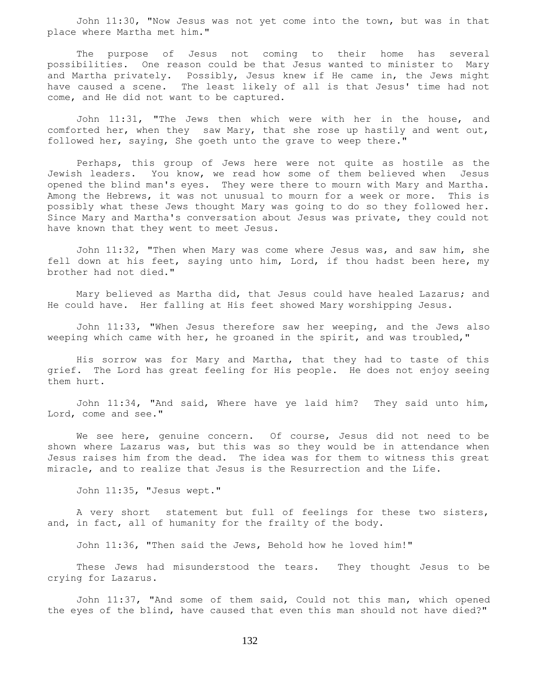John 11:30, "Now Jesus was not yet come into the town, but was in that place where Martha met him."

 The purpose of Jesus not coming to their home has several possibilities. One reason could be that Jesus wanted to minister to Mary and Martha privately. Possibly, Jesus knew if He came in, the Jews might have caused a scene. The least likely of all is that Jesus' time had not come, and He did not want to be captured.

 John 11:31, "The Jews then which were with her in the house, and comforted her, when they saw Mary, that she rose up hastily and went out, followed her, saying, She goeth unto the grave to weep there."

 Perhaps, this group of Jews here were not quite as hostile as the Jewish leaders. You know, we read how some of them believed when Jesus opened the blind man's eyes. They were there to mourn with Mary and Martha. Among the Hebrews, it was not unusual to mourn for a week or more. This is possibly what these Jews thought Mary was going to do so they followed her. Since Mary and Martha's conversation about Jesus was private, they could not have known that they went to meet Jesus.

 John 11:32, "Then when Mary was come where Jesus was, and saw him, she fell down at his feet, saying unto him, Lord, if thou hadst been here, my brother had not died."

 Mary believed as Martha did, that Jesus could have healed Lazarus; and He could have. Her falling at His feet showed Mary worshipping Jesus.

 John 11:33, "When Jesus therefore saw her weeping, and the Jews also weeping which came with her, he groaned in the spirit, and was troubled,"

 His sorrow was for Mary and Martha, that they had to taste of this grief. The Lord has great feeling for His people. He does not enjoy seeing them hurt.

 John 11:34, "And said, Where have ye laid him? They said unto him, Lord, come and see."

 We see here, genuine concern. Of course, Jesus did not need to be shown where Lazarus was, but this was so they would be in attendance when Jesus raises him from the dead. The idea was for them to witness this great miracle, and to realize that Jesus is the Resurrection and the Life.

John 11:35, "Jesus wept."

 A very short statement but full of feelings for these two sisters, and, in fact, all of humanity for the frailty of the body.

John 11:36, "Then said the Jews, Behold how he loved him!"

 These Jews had misunderstood the tears. They thought Jesus to be crying for Lazarus.

 John 11:37, "And some of them said, Could not this man, which opened the eyes of the blind, have caused that even this man should not have died?"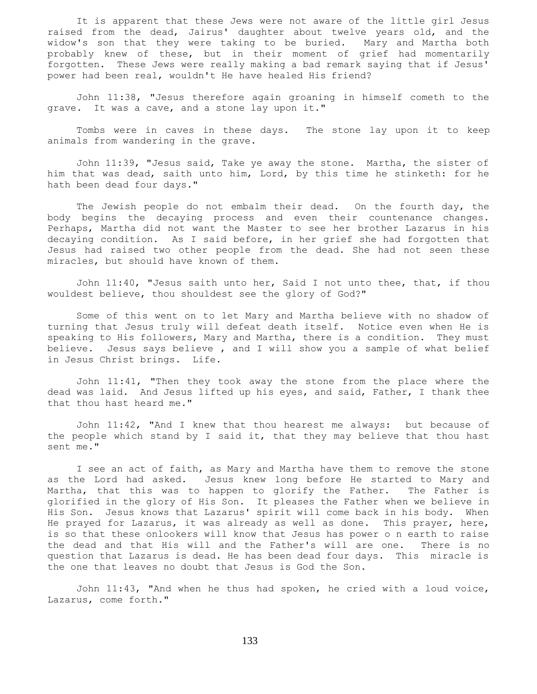It is apparent that these Jews were not aware of the little girl Jesus raised from the dead, Jairus' daughter about twelve years old, and the widow's son that they were taking to be buried. Mary and Martha both probably knew of these, but in their moment of grief had momentarily forgotten. These Jews were really making a bad remark saying that if Jesus' power had been real, wouldn't He have healed His friend?

 John 11:38, "Jesus therefore again groaning in himself cometh to the grave. It was a cave, and a stone lay upon it."

 Tombs were in caves in these days. The stone lay upon it to keep animals from wandering in the grave.

 John 11:39, "Jesus said, Take ye away the stone. Martha, the sister of him that was dead, saith unto him, Lord, by this time he stinketh: for he hath been dead four days."

The Jewish people do not embalm their dead. On the fourth day, the body begins the decaying process and even their countenance changes. Perhaps, Martha did not want the Master to see her brother Lazarus in his decaying condition. As I said before, in her grief she had forgotten that Jesus had raised two other people from the dead. She had not seen these miracles, but should have known of them.

 John 11:40, "Jesus saith unto her, Said I not unto thee, that, if thou wouldest believe, thou shouldest see the glory of God?"

 Some of this went on to let Mary and Martha believe with no shadow of turning that Jesus truly will defeat death itself. Notice even when He is speaking to His followers, Mary and Martha, there is a condition. They must believe. Jesus says believe , and I will show you a sample of what belief in Jesus Christ brings. Life.

 John 11:41, "Then they took away the stone from the place where the dead was laid. And Jesus lifted up his eyes, and said, Father, I thank thee that thou hast heard me."

 John 11:42, "And I knew that thou hearest me always: but because of the people which stand by I said it, that they may believe that thou hast sent me."

 I see an act of faith, as Mary and Martha have them to remove the stone as the Lord had asked. Jesus knew long before He started to Mary and Martha, that this was to happen to glorify the Father. The Father is glorified in the glory of His Son. It pleases the Father when we believe in His Son. Jesus knows that Lazarus' spirit will come back in his body. When He prayed for Lazarus, it was already as well as done. This prayer, here, is so that these onlookers will know that Jesus has power o n earth to raise the dead and that His will and the Father's will are one. There is no question that Lazarus is dead. He has been dead four days. This miracle is the one that leaves no doubt that Jesus is God the Son.

 John 11:43, "And when he thus had spoken, he cried with a loud voice, Lazarus, come forth."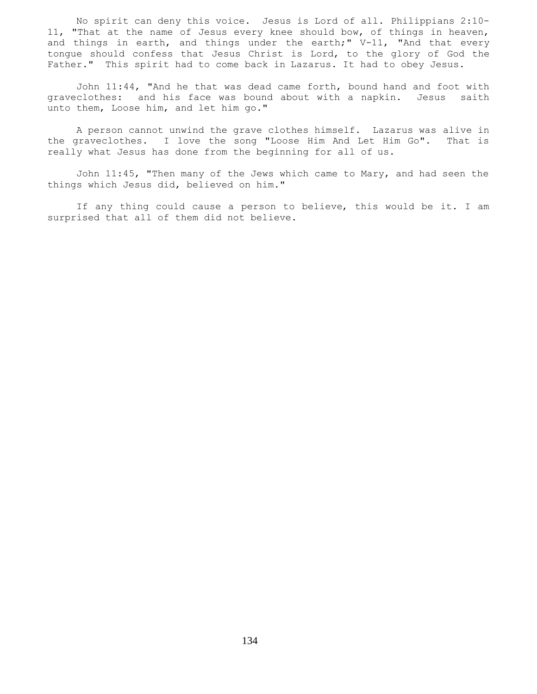No spirit can deny this voice. Jesus is Lord of all. Philippians 2:10- 11, "That at the name of Jesus every knee should bow, of things in heaven, and things in earth, and things under the earth;" V-11, "And that every tongue should confess that Jesus Christ is Lord, to the glory of God the Father." This spirit had to come back in Lazarus. It had to obey Jesus.

 John 11:44, "And he that was dead came forth, bound hand and foot with graveclothes: and his face was bound about with a napkin. Jesus saith unto them, Loose him, and let him go."

 A person cannot unwind the grave clothes himself. Lazarus was alive in the graveclothes. I love the song "Loose Him And Let Him Go". That is really what Jesus has done from the beginning for all of us.

 John 11:45, "Then many of the Jews which came to Mary, and had seen the things which Jesus did, believed on him."

 If any thing could cause a person to believe, this would be it. I am surprised that all of them did not believe.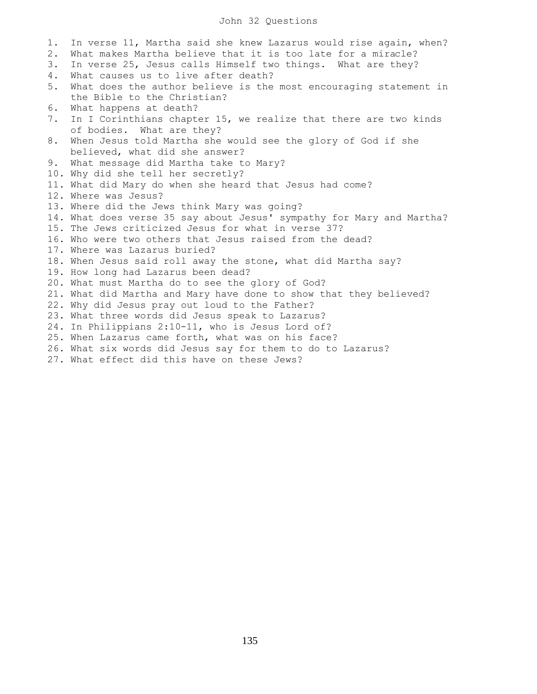## John 32 Questions

1. In verse 11, Martha said she knew Lazarus would rise again, when? 2. What makes Martha believe that it is too late for a miracle? 3. In verse 25, Jesus calls Himself two things. What are they? 4. What causes us to live after death? 5. What does the author believe is the most encouraging statement in the Bible to the Christian? 6. What happens at death? 7. In I Corinthians chapter 15, we realize that there are two kinds of bodies. What are they? 8. When Jesus told Martha she would see the glory of God if she believed, what did she answer? 9. What message did Martha take to Mary? 10. Why did she tell her secretly? 11. What did Mary do when she heard that Jesus had come? 12. Where was Jesus? 13. Where did the Jews think Mary was going? 14. What does verse 35 say about Jesus' sympathy for Mary and Martha? 15. The Jews criticized Jesus for what in verse 37? 16. Who were two others that Jesus raised from the dead? 17. Where was Lazarus buried? 18. When Jesus said roll away the stone, what did Martha say? 19. How long had Lazarus been dead? 20. What must Martha do to see the glory of God? 21. What did Martha and Mary have done to show that they believed? 22. Why did Jesus pray out loud to the Father? 23. What three words did Jesus speak to Lazarus? 24. In Philippians 2:10-11, who is Jesus Lord of? 25. When Lazarus came forth, what was on his face? 26. What six words did Jesus say for them to do to Lazarus? 27. What effect did this have on these Jews?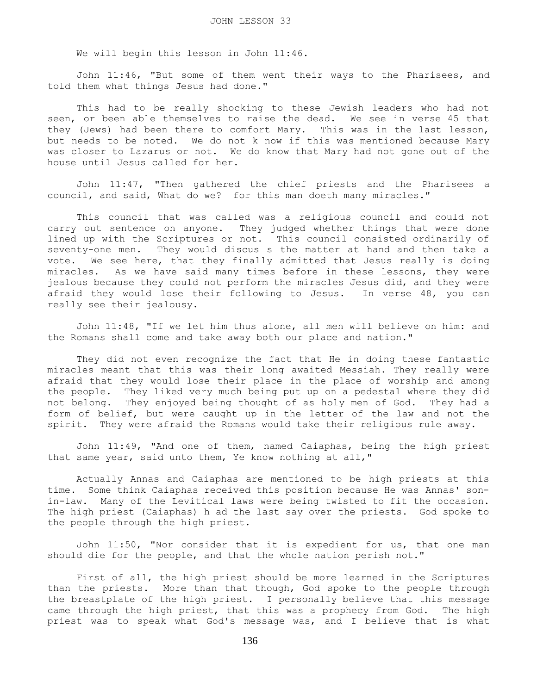We will begin this lesson in John 11:46.

 John 11:46, "But some of them went their ways to the Pharisees, and told them what things Jesus had done."

 This had to be really shocking to these Jewish leaders who had not seen, or been able themselves to raise the dead. We see in verse 45 that they (Jews) had been there to comfort Mary. This was in the last lesson, but needs to be noted. We do not k now if this was mentioned because Mary was closer to Lazarus or not. We do know that Mary had not gone out of the house until Jesus called for her.

 John 11:47, "Then gathered the chief priests and the Pharisees a council, and said, What do we? for this man doeth many miracles."

 This council that was called was a religious council and could not carry out sentence on anyone. They judged whether things that were done lined up with the Scriptures or not. This council consisted ordinarily of seventy-one men. They would discus s the matter at hand and then take a vote. We see here, that they finally admitted that Jesus really is doing miracles. As we have said many times before in these lessons, they were jealous because they could not perform the miracles Jesus did, and they were afraid they would lose their following to Jesus. In verse 48, you can really see their jealousy.

 John 11:48, "If we let him thus alone, all men will believe on him: and the Romans shall come and take away both our place and nation."

 They did not even recognize the fact that He in doing these fantastic miracles meant that this was their long awaited Messiah. They really were afraid that they would lose their place in the place of worship and among the people. They liked very much being put up on a pedestal where they did not belong. They enjoyed being thought of as holy men of God. They had a form of belief, but were caught up in the letter of the law and not the spirit. They were afraid the Romans would take their religious rule away.

 John 11:49, "And one of them, named Caiaphas, being the high priest that same year, said unto them, Ye know nothing at all,"

 Actually Annas and Caiaphas are mentioned to be high priests at this time. Some think Caiaphas received this position because He was Annas' sonin-law. Many of the Levitical laws were being twisted to fit the occasion. The high priest (Caiaphas) h ad the last say over the priests. God spoke to the people through the high priest.

 John 11:50, "Nor consider that it is expedient for us, that one man should die for the people, and that the whole nation perish not."

 First of all, the high priest should be more learned in the Scriptures than the priests. More than that though, God spoke to the people through the breastplate of the high priest. I personally believe that this message came through the high priest, that this was a prophecy from God. The high priest was to speak what God's message was, and I believe that is what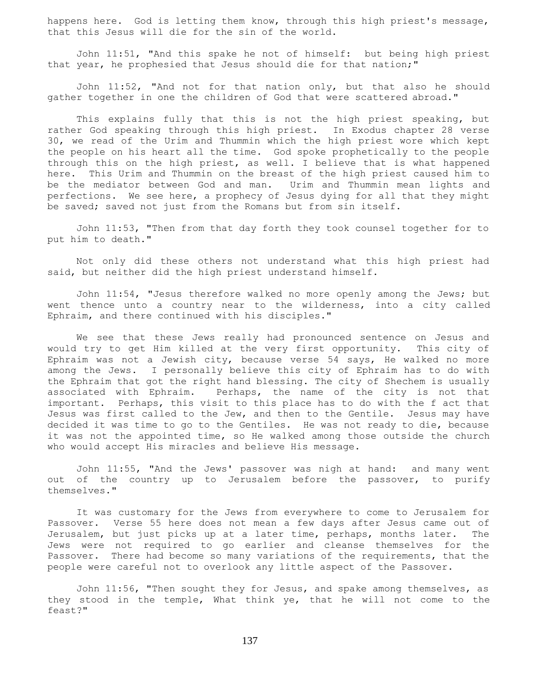happens here. God is letting them know, through this high priest's message, that this Jesus will die for the sin of the world.

 John 11:51, "And this spake he not of himself: but being high priest that year, he prophesied that Jesus should die for that nation;"

 John 11:52, "And not for that nation only, but that also he should gather together in one the children of God that were scattered abroad."

 This explains fully that this is not the high priest speaking, but rather God speaking through this high priest. In Exodus chapter 28 verse 30, we read of the Urim and Thummin which the high priest wore which kept the people on his heart all the time. God spoke prophetically to the people through this on the high priest, as well. I believe that is what happened here. This Urim and Thummin on the breast of the high priest caused him to be the mediator between God and man. Urim and Thummin mean lights and perfections. We see here, a prophecy of Jesus dying for all that they might be saved; saved not just from the Romans but from sin itself.

 John 11:53, "Then from that day forth they took counsel together for to put him to death."

 Not only did these others not understand what this high priest had said, but neither did the high priest understand himself.

 John 11:54, "Jesus therefore walked no more openly among the Jews; but went thence unto a country near to the wilderness, into a city called Ephraim, and there continued with his disciples."

 We see that these Jews really had pronounced sentence on Jesus and would try to get Him killed at the very first opportunity. This city of Ephraim was not a Jewish city, because verse 54 says, He walked no more among the Jews. I personally believe this city of Ephraim has to do with the Ephraim that got the right hand blessing. The city of Shechem is usually associated with Ephraim. Perhaps, the name of the city is not that important. Perhaps, this visit to this place has to do with the f act that Jesus was first called to the Jew, and then to the Gentile. Jesus may have decided it was time to go to the Gentiles. He was not ready to die, because it was not the appointed time, so He walked among those outside the church who would accept His miracles and believe His message.

 John 11:55, "And the Jews' passover was nigh at hand: and many went out of the country up to Jerusalem before the passover, to purify themselves."

 It was customary for the Jews from everywhere to come to Jerusalem for Passover. Verse 55 here does not mean a few days after Jesus came out of Jerusalem, but just picks up at a later time, perhaps, months later. The Jews were not required to go earlier and cleanse themselves for the Passover. There had become so many variations of the requirements, that the people were careful not to overlook any little aspect of the Passover.

 John 11:56, "Then sought they for Jesus, and spake among themselves, as they stood in the temple, What think ye, that he will not come to the feast?"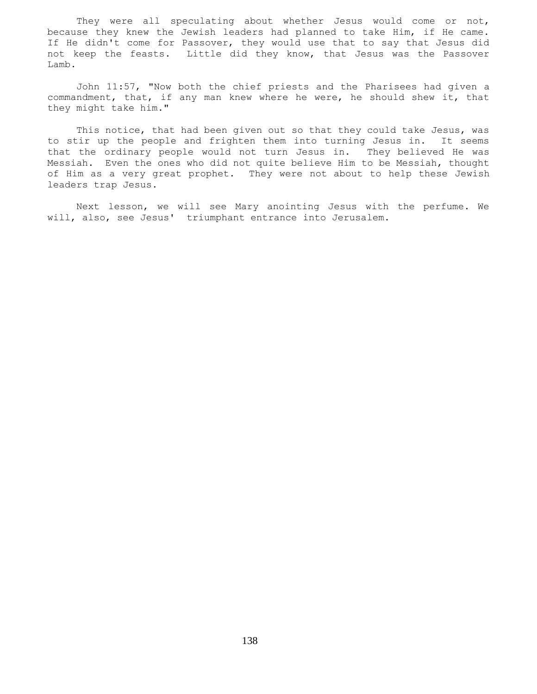They were all speculating about whether Jesus would come or not, because they knew the Jewish leaders had planned to take Him, if He came. If He didn't come for Passover, they would use that to say that Jesus did not keep the feasts. Little did they know, that Jesus was the Passover Lamb.

 John 11:57, "Now both the chief priests and the Pharisees had given a commandment, that, if any man knew where he were, he should shew it, that they might take him."

 This notice, that had been given out so that they could take Jesus, was to stir up the people and frighten them into turning Jesus in. It seems that the ordinary people would not turn Jesus in. They believed He was Messiah. Even the ones who did not quite believe Him to be Messiah, thought of Him as a very great prophet. They were not about to help these Jewish leaders trap Jesus.

 Next lesson, we will see Mary anointing Jesus with the perfume. We will, also, see Jesus' triumphant entrance into Jerusalem.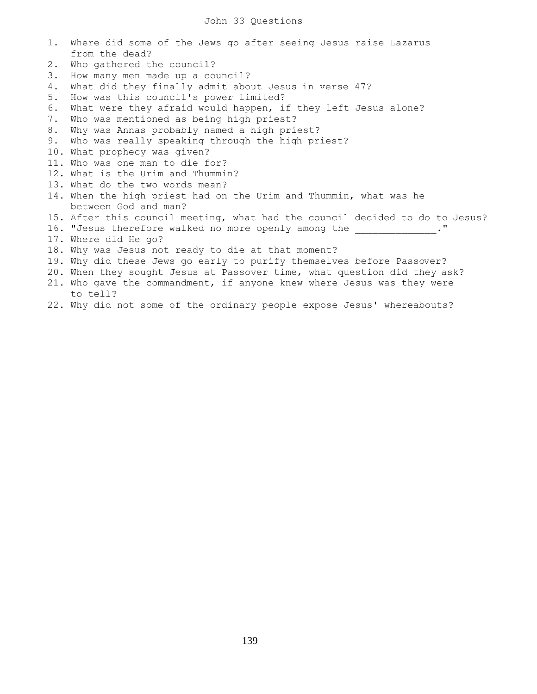- 1. Where did some of the Jews go after seeing Jesus raise Lazarus from the dead? 2. Who gathered the council?
- 3. How many men made up a council?
- 4. What did they finally admit about Jesus in verse 47?
- 5. How was this council's power limited?
- 6. What were they afraid would happen, if they left Jesus alone?
- 7. Who was mentioned as being high priest?
- 8. Why was Annas probably named a high priest?
- 9. Who was really speaking through the high priest?
- 10. What prophecy was given?
- 11. Who was one man to die for?
- 12. What is the Urim and Thummin?
- 13. What do the two words mean?
- 14. When the high priest had on the Urim and Thummin, what was he between God and man?
- 15. After this council meeting, what had the council decided to do to Jesus?
- 16. "Jesus therefore walked no more openly among the \_\_\_\_\_\_\_\_\_\_\_\_\_\_." 17. Where did He go?
- 18. Why was Jesus not ready to die at that moment?
- 19. Why did these Jews go early to purify themselves before Passover?
- 20. When they sought Jesus at Passover time, what question did they ask?
- 21. Who gave the commandment, if anyone knew where Jesus was they were to tell?
- 22. Why did not some of the ordinary people expose Jesus' whereabouts?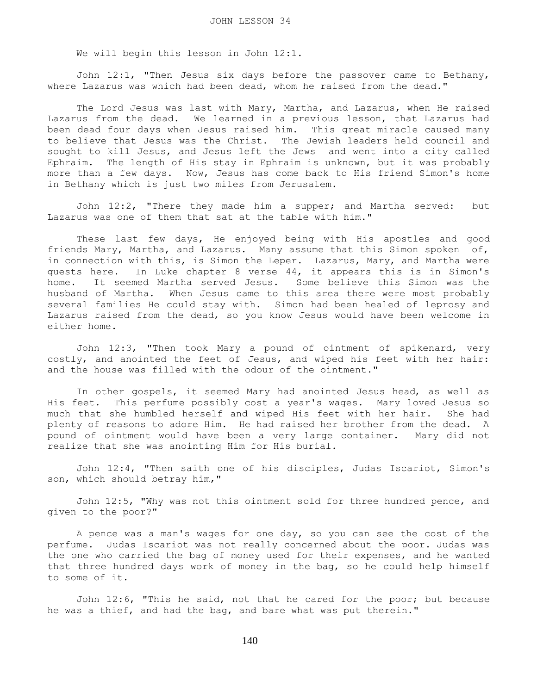We will begin this lesson in John 12:1.

 John 12:1, "Then Jesus six days before the passover came to Bethany, where Lazarus was which had been dead, whom he raised from the dead."

 The Lord Jesus was last with Mary, Martha, and Lazarus, when He raised Lazarus from the dead. We learned in a previous lesson, that Lazarus had been dead four days when Jesus raised him. This great miracle caused many to believe that Jesus was the Christ. The Jewish leaders held council and sought to kill Jesus, and Jesus left the Jews and went into a city called Ephraim. The length of His stay in Ephraim is unknown, but it was probably more than a few days. Now, Jesus has come back to His friend Simon's home in Bethany which is just two miles from Jerusalem.

 John 12:2, "There they made him a supper; and Martha served: but Lazarus was one of them that sat at the table with him."

 These last few days, He enjoyed being with His apostles and good friends Mary, Martha, and Lazarus. Many assume that this Simon spoken of, in connection with this, is Simon the Leper. Lazarus, Mary, and Martha were guests here. In Luke chapter 8 verse 44, it appears this is in Simon's home. It seemed Martha served Jesus. Some believe this Simon was the husband of Martha. When Jesus came to this area there were most probably several families He could stay with. Simon had been healed of leprosy and Lazarus raised from the dead, so you know Jesus would have been welcome in either home.

 John 12:3, "Then took Mary a pound of ointment of spikenard, very costly, and anointed the feet of Jesus, and wiped his feet with her hair: and the house was filled with the odour of the ointment."

 In other gospels, it seemed Mary had anointed Jesus head, as well as His feet. This perfume possibly cost a year's wages. Mary loved Jesus so much that she humbled herself and wiped His feet with her hair. She had plenty of reasons to adore Him. He had raised her brother from the dead. A pound of ointment would have been a very large container. Mary did not realize that she was anointing Him for His burial.

 John 12:4, "Then saith one of his disciples, Judas Iscariot, Simon's son, which should betray him,"

 John 12:5, "Why was not this ointment sold for three hundred pence, and given to the poor?"

 A pence was a man's wages for one day, so you can see the cost of the perfume. Judas Iscariot was not really concerned about the poor. Judas was the one who carried the bag of money used for their expenses, and he wanted that three hundred days work of money in the bag, so he could help himself to some of it.

 John 12:6, "This he said, not that he cared for the poor; but because he was a thief, and had the bag, and bare what was put therein."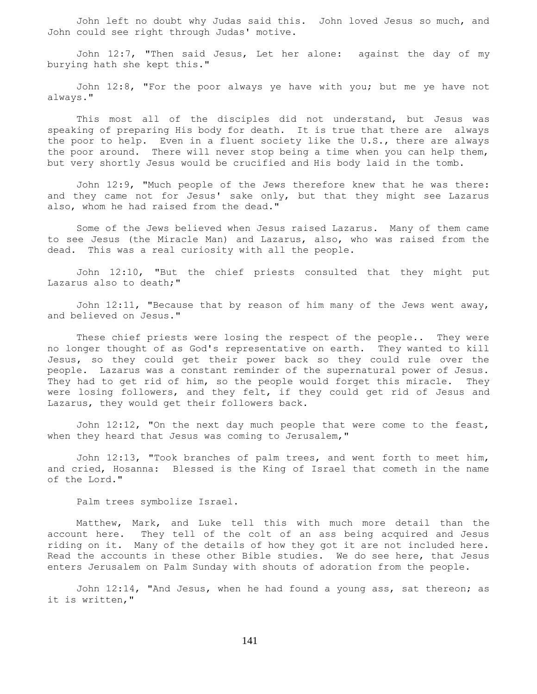John left no doubt why Judas said this. John loved Jesus so much, and John could see right through Judas' motive.

 John 12:7, "Then said Jesus, Let her alone: against the day of my burying hath she kept this."

 John 12:8, "For the poor always ye have with you; but me ye have not always."

 This most all of the disciples did not understand, but Jesus was speaking of preparing His body for death. It is true that there are always the poor to help. Even in a fluent society like the U.S., there are always the poor around. There will never stop being a time when you can help them, but very shortly Jesus would be crucified and His body laid in the tomb.

 John 12:9, "Much people of the Jews therefore knew that he was there: and they came not for Jesus' sake only, but that they might see Lazarus also, whom he had raised from the dead."

 Some of the Jews believed when Jesus raised Lazarus. Many of them came to see Jesus (the Miracle Man) and Lazarus, also, who was raised from the dead. This was a real curiosity with all the people.

 John 12:10, "But the chief priests consulted that they might put Lazarus also to death;"

 John 12:11, "Because that by reason of him many of the Jews went away, and believed on Jesus."

These chief priests were losing the respect of the people.. They were no longer thought of as God's representative on earth. They wanted to kill Jesus, so they could get their power back so they could rule over the people. Lazarus was a constant reminder of the supernatural power of Jesus. They had to get rid of him, so the people would forget this miracle. They were losing followers, and they felt, if they could get rid of Jesus and Lazarus, they would get their followers back.

 John 12:12, "On the next day much people that were come to the feast, when they heard that Jesus was coming to Jerusalem,"

 John 12:13, "Took branches of palm trees, and went forth to meet him, and cried, Hosanna: Blessed is the King of Israel that cometh in the name of the Lord."

Palm trees symbolize Israel.

 Matthew, Mark, and Luke tell this with much more detail than the account here. They tell of the colt of an ass being acquired and Jesus riding on it. Many of the details of how they got it are not included here. Read the accounts in these other Bible studies. We do see here, that Jesus enters Jerusalem on Palm Sunday with shouts of adoration from the people.

 John 12:14, "And Jesus, when he had found a young ass, sat thereon; as it is written,"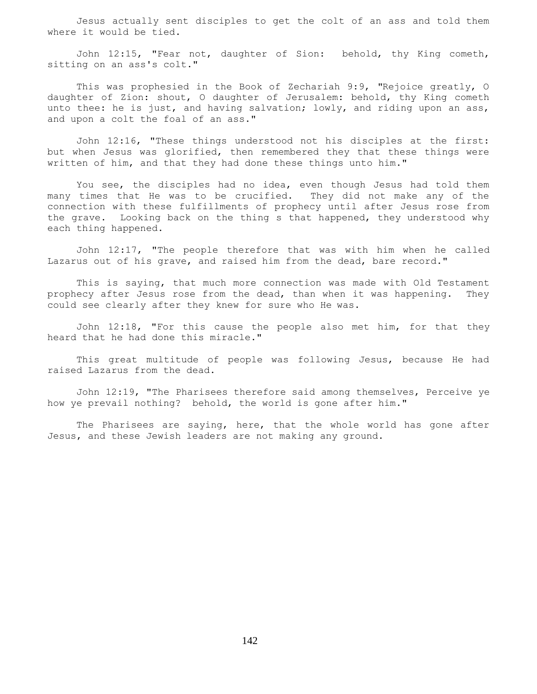Jesus actually sent disciples to get the colt of an ass and told them where it would be tied.

 John 12:15, "Fear not, daughter of Sion: behold, thy King cometh, sitting on an ass's colt."

 This was prophesied in the Book of Zechariah 9:9, "Rejoice greatly, O daughter of Zion: shout, O daughter of Jerusalem: behold, thy King cometh unto thee: he is just, and having salvation; lowly, and riding upon an ass, and upon a colt the foal of an ass."

 John 12:16, "These things understood not his disciples at the first: but when Jesus was glorified, then remembered they that these things were written of him, and that they had done these things unto him."

 You see, the disciples had no idea, even though Jesus had told them many times that He was to be crucified. They did not make any of the connection with these fulfillments of prophecy until after Jesus rose from the grave. Looking back on the thing s that happened, they understood why each thing happened.

 John 12:17, "The people therefore that was with him when he called Lazarus out of his grave, and raised him from the dead, bare record."

 This is saying, that much more connection was made with Old Testament prophecy after Jesus rose from the dead, than when it was happening. They could see clearly after they knew for sure who He was.

 John 12:18, "For this cause the people also met him, for that they heard that he had done this miracle."

 This great multitude of people was following Jesus, because He had raised Lazarus from the dead.

 John 12:19, "The Pharisees therefore said among themselves, Perceive ye how ye prevail nothing? behold, the world is gone after him."

 The Pharisees are saying, here, that the whole world has gone after Jesus, and these Jewish leaders are not making any ground.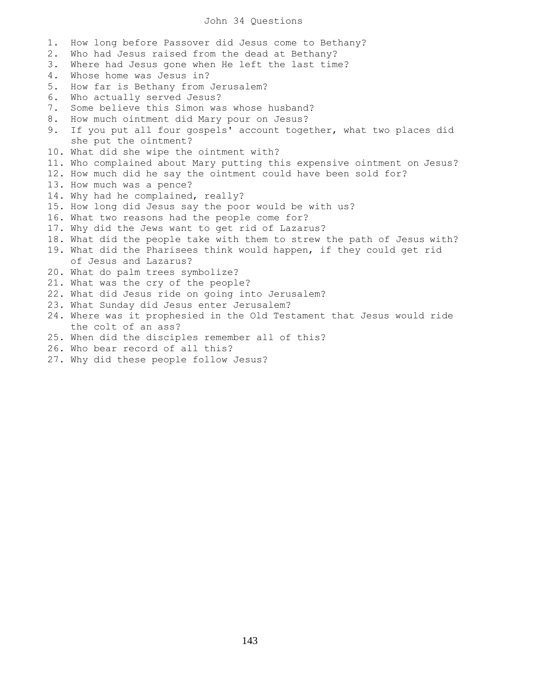## John 34 Questions

1. How long before Passover did Jesus come to Bethany? 2. Who had Jesus raised from the dead at Bethany? 3. Where had Jesus gone when He left the last time? 4. Whose home was Jesus in? 5. How far is Bethany from Jerusalem? 6. Who actually served Jesus? 7. Some believe this Simon was whose husband? 8. How much ointment did Mary pour on Jesus? 9. If you put all four gospels' account together, what two places did she put the ointment? 10. What did she wipe the ointment with? 11. Who complained about Mary putting this expensive ointment on Jesus? 12. How much did he say the ointment could have been sold for? 13. How much was a pence? 14. Why had he complained, really? 15. How long did Jesus say the poor would be with us? 16. What two reasons had the people come for? 17. Why did the Jews want to get rid of Lazarus? 18. What did the people take with them to strew the path of Jesus with? 19. What did the Pharisees think would happen, if they could get rid of Jesus and Lazarus? 20. What do palm trees symbolize? 21. What was the cry of the people? 22. What did Jesus ride on going into Jerusalem? 23. What Sunday did Jesus enter Jerusalem? 24. Where was it prophesied in the Old Testament that Jesus would ride the colt of an ass? 25. When did the disciples remember all of this? 26. Who bear record of all this?

27. Why did these people follow Jesus?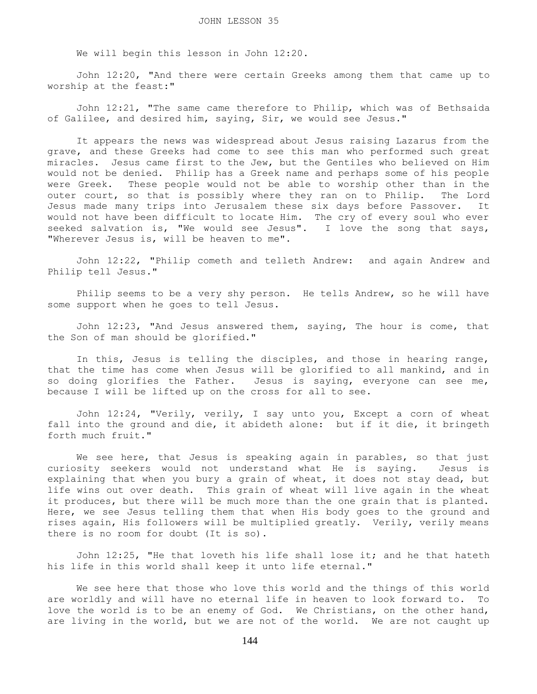We will begin this lesson in John 12:20.

 John 12:20, "And there were certain Greeks among them that came up to worship at the feast:"

 John 12:21, "The same came therefore to Philip, which was of Bethsaida of Galilee, and desired him, saying, Sir, we would see Jesus."

 It appears the news was widespread about Jesus raising Lazarus from the grave, and these Greeks had come to see this man who performed such great miracles. Jesus came first to the Jew, but the Gentiles who believed on Him would not be denied. Philip has a Greek name and perhaps some of his people were Greek. These people would not be able to worship other than in the outer court, so that is possibly where they ran on to Philip. The Lord Jesus made many trips into Jerusalem these six days before Passover. It would not have been difficult to locate Him. The cry of every soul who ever seeked salvation is, "We would see Jesus". I love the song that says, "Wherever Jesus is, will be heaven to me".

 John 12:22, "Philip cometh and telleth Andrew: and again Andrew and Philip tell Jesus."

 Philip seems to be a very shy person. He tells Andrew, so he will have some support when he goes to tell Jesus.

 John 12:23, "And Jesus answered them, saying, The hour is come, that the Son of man should be glorified."

 In this, Jesus is telling the disciples, and those in hearing range, that the time has come when Jesus will be glorified to all mankind, and in so doing glorifies the Father. Jesus is saying, everyone can see me, because I will be lifted up on the cross for all to see.

 John 12:24, "Verily, verily, I say unto you, Except a corn of wheat fall into the ground and die, it abideth alone: but if it die, it bringeth forth much fruit."

 We see here, that Jesus is speaking again in parables, so that just curiosity seekers would not understand what He is saying. Jesus is explaining that when you bury a grain of wheat, it does not stay dead, but life wins out over death. This grain of wheat will live again in the wheat it produces, but there will be much more than the one grain that is planted. Here, we see Jesus telling them that when His body goes to the ground and rises again, His followers will be multiplied greatly. Verily, verily means there is no room for doubt (It is so).

 John 12:25, "He that loveth his life shall lose it; and he that hateth his life in this world shall keep it unto life eternal."

 We see here that those who love this world and the things of this world are worldly and will have no eternal life in heaven to look forward to. To love the world is to be an enemy of God. We Christians, on the other hand, are living in the world, but we are not of the world. We are not caught up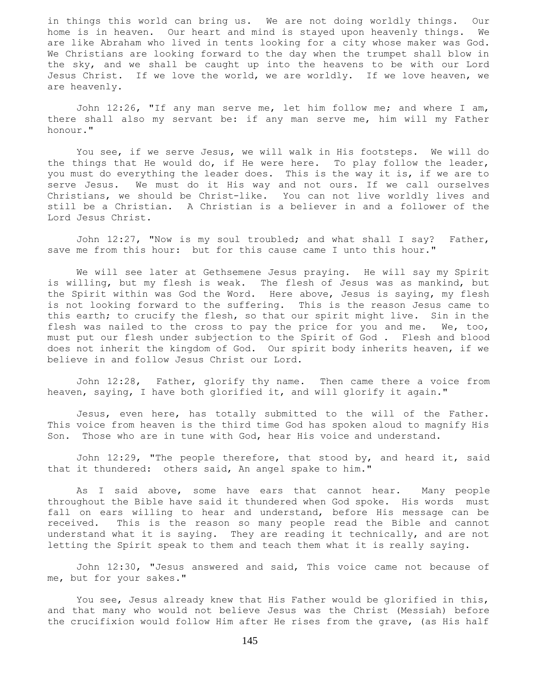in things this world can bring us. We are not doing worldly things. Our home is in heaven. Our heart and mind is stayed upon heavenly things. We are like Abraham who lived in tents looking for a city whose maker was God. We Christians are looking forward to the day when the trumpet shall blow in the sky, and we shall be caught up into the heavens to be with our Lord Jesus Christ. If we love the world, we are worldly. If we love heaven, we are heavenly.

 John 12:26, "If any man serve me, let him follow me; and where I am, there shall also my servant be: if any man serve me, him will my Father honour."

 You see, if we serve Jesus, we will walk in His footsteps. We will do the things that He would do, if He were here. To play follow the leader, you must do everything the leader does. This is the way it is, if we are to serve Jesus. We must do it His way and not ours. If we call ourselves Christians, we should be Christ-like. You can not live worldly lives and still be a Christian. A Christian is a believer in and a follower of the Lord Jesus Christ.

 John 12:27, "Now is my soul troubled; and what shall I say? Father, save me from this hour: but for this cause came I unto this hour."

 We will see later at Gethsemene Jesus praying. He will say my Spirit is willing, but my flesh is weak. The flesh of Jesus was as mankind, but the Spirit within was God the Word. Here above, Jesus is saying, my flesh is not looking forward to the suffering. This is the reason Jesus came to this earth; to crucify the flesh, so that our spirit might live. Sin in the flesh was nailed to the cross to pay the price for you and me. We, too, must put our flesh under subjection to the Spirit of God . Flesh and blood does not inherit the kingdom of God. Our spirit body inherits heaven, if we believe in and follow Jesus Christ our Lord.

 John 12:28, Father, glorify thy name. Then came there a voice from heaven, saying, I have both glorified it, and will glorify it again."

 Jesus, even here, has totally submitted to the will of the Father. This voice from heaven is the third time God has spoken aloud to magnify His Son. Those who are in tune with God, hear His voice and understand.

 John 12:29, "The people therefore, that stood by, and heard it, said that it thundered: others said, An angel spake to him."

 As I said above, some have ears that cannot hear. Many people throughout the Bible have said it thundered when God spoke. His words must fall on ears willing to hear and understand, before His message can be received. This is the reason so many people read the Bible and cannot understand what it is saying. They are reading it technically, and are not letting the Spirit speak to them and teach them what it is really saying.

 John 12:30, "Jesus answered and said, This voice came not because of me, but for your sakes."

 You see, Jesus already knew that His Father would be glorified in this, and that many who would not believe Jesus was the Christ (Messiah) before the crucifixion would follow Him after He rises from the grave, (as His half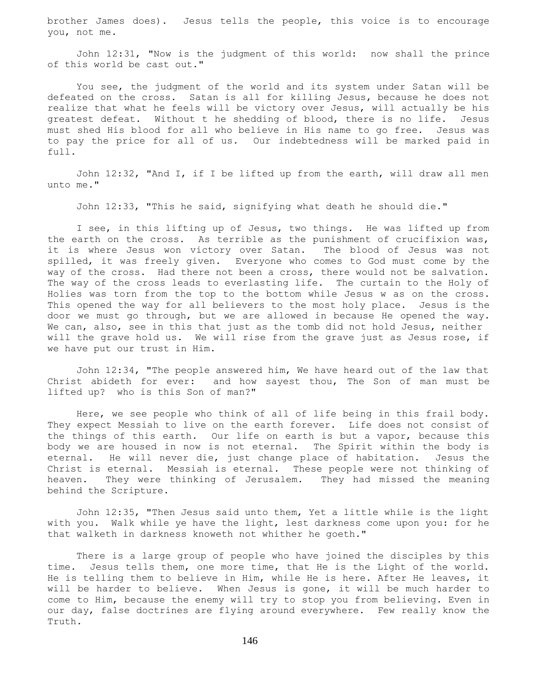brother James does). Jesus tells the people, this voice is to encourage you, not me.

 John 12:31, "Now is the judgment of this world: now shall the prince of this world be cast out."

 You see, the judgment of the world and its system under Satan will be defeated on the cross. Satan is all for killing Jesus, because he does not realize that what he feels will be victory over Jesus, will actually be his greatest defeat. Without t he shedding of blood, there is no life. Jesus must shed His blood for all who believe in His name to go free. Jesus was to pay the price for all of us. Our indebtedness will be marked paid in full.

 John 12:32, "And I, if I be lifted up from the earth, will draw all men unto me."

John 12:33, "This he said, signifying what death he should die."

 I see, in this lifting up of Jesus, two things. He was lifted up from the earth on the cross. As terrible as the punishment of crucifixion was, it is where Jesus won victory over Satan. The blood of Jesus was not spilled, it was freely given. Everyone who comes to God must come by the way of the cross. Had there not been a cross, there would not be salvation. The way of the cross leads to everlasting life. The curtain to the Holy of Holies was torn from the top to the bottom while Jesus w as on the cross. This opened the way for all believers to the most holy place. Jesus is the door we must go through, but we are allowed in because He opened the way. We can, also, see in this that just as the tomb did not hold Jesus, neither will the grave hold us. We will rise from the grave just as Jesus rose, if we have put our trust in Him.

 John 12:34, "The people answered him, We have heard out of the law that Christ abideth for ever: and how sayest thou, The Son of man must be lifted up? who is this Son of man?"

 Here, we see people who think of all of life being in this frail body. They expect Messiah to live on the earth forever. Life does not consist of the things of this earth. Our life on earth is but a vapor, because this body we are housed in now is not eternal. The Spirit within the body is eternal. He will never die, just change place of habitation. Jesus the Christ is eternal. Messiah is eternal. These people were not thinking of heaven. They were thinking of Jerusalem. They had missed the meaning behind the Scripture.

 John 12:35, "Then Jesus said unto them, Yet a little while is the light with you. Walk while ye have the light, lest darkness come upon you: for he that walketh in darkness knoweth not whither he goeth."

 There is a large group of people who have joined the disciples by this time. Jesus tells them, one more time, that He is the Light of the world. He is telling them to believe in Him, while He is here. After He leaves, it will be harder to believe. When Jesus is gone, it will be much harder to come to Him, because the enemy will try to stop you from believing. Even in our day, false doctrines are flying around everywhere. Few really know the Truth.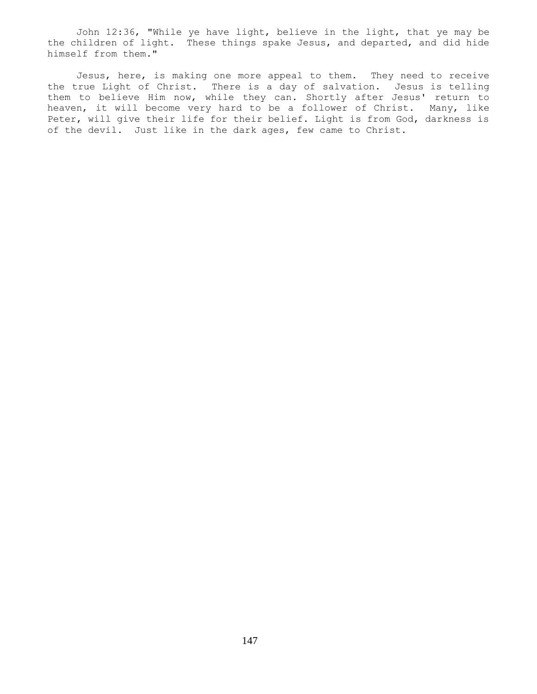John 12:36, "While ye have light, believe in the light, that ye may be the children of light. These things spake Jesus, and departed, and did hide himself from them."

 Jesus, here, is making one more appeal to them. They need to receive the true Light of Christ. There is a day of salvation. Jesus is telling them to believe Him now, while they can. Shortly after Jesus' return to heaven, it will become very hard to be a follower of Christ. Many, like Peter, will give their life for their belief. Light is from God, darkness is of the devil. Just like in the dark ages, few came to Christ.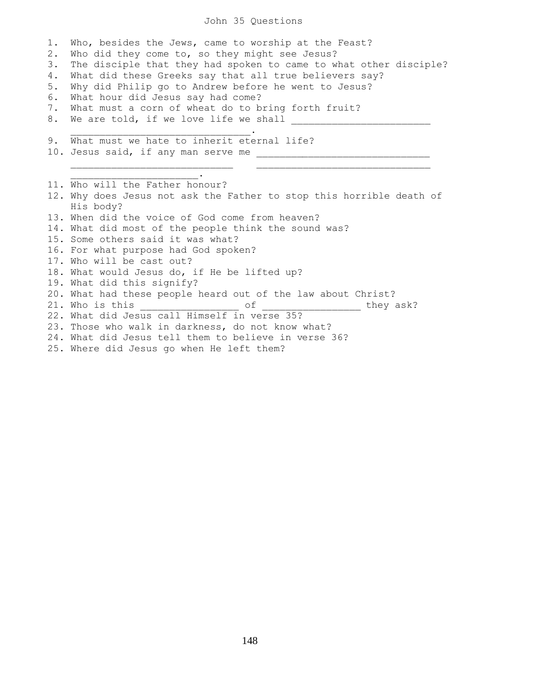## John 35 Questions

1. Who, besides the Jews, came to worship at the Feast? 2. Who did they come to, so they might see Jesus? 3. The disciple that they had spoken to came to what other disciple? 4. What did these Greeks say that all true believers say? 5. Why did Philip go to Andrew before he went to Jesus? 6. What hour did Jesus say had come? 7. What must a corn of wheat do to bring forth fruit? 8. We are told, if we love life we shall \_ \_\_\_\_\_\_\_\_\_\_\_\_\_\_\_\_\_\_\_\_\_\_\_\_\_\_\_\_\_\_\_. 9. What must we hate to inherit eternal life? 10. Jesus said, if any man serve me \_\_\_\_\_\_\_\_\_\_\_\_\_\_\_\_\_\_\_\_\_\_\_\_\_\_\_\_\_\_  $\overline{\phantom{a}}$  ,  $\overline{\phantom{a}}$  ,  $\overline{\phantom{a}}$  ,  $\overline{\phantom{a}}$  ,  $\overline{\phantom{a}}$  ,  $\overline{\phantom{a}}$  ,  $\overline{\phantom{a}}$  ,  $\overline{\phantom{a}}$  ,  $\overline{\phantom{a}}$  ,  $\overline{\phantom{a}}$  ,  $\overline{\phantom{a}}$  ,  $\overline{\phantom{a}}$  ,  $\overline{\phantom{a}}$  ,  $\overline{\phantom{a}}$  ,  $\overline{\phantom{a}}$  ,  $\overline{\phantom{a}}$  $\mathcal{L}_\text{max}$  and  $\mathcal{L}_\text{max}$  and  $\mathcal{L}_\text{max}$ 11. Who will the Father honour? 12. Why does Jesus not ask the Father to stop this horrible death of His body? 13. When did the voice of God come from heaven? 14. What did most of the people think the sound was? 15. Some others said it was what? 16. For what purpose had God spoken? 17. Who will be cast out? 18. What would Jesus do, if He be lifted up? 19. What did this signify? 20. What had these people heard out of the law about Christ? 21. Who is this \_\_\_\_\_\_\_\_\_\_\_\_\_\_\_\_\_ of \_\_\_\_\_\_\_\_\_\_\_\_\_\_\_\_\_ they ask? 22. What did Jesus call Himself in verse 35? 23. Those who walk in darkness, do not know what? 24. What did Jesus tell them to believe in verse 36? 25. Where did Jesus go when He left them?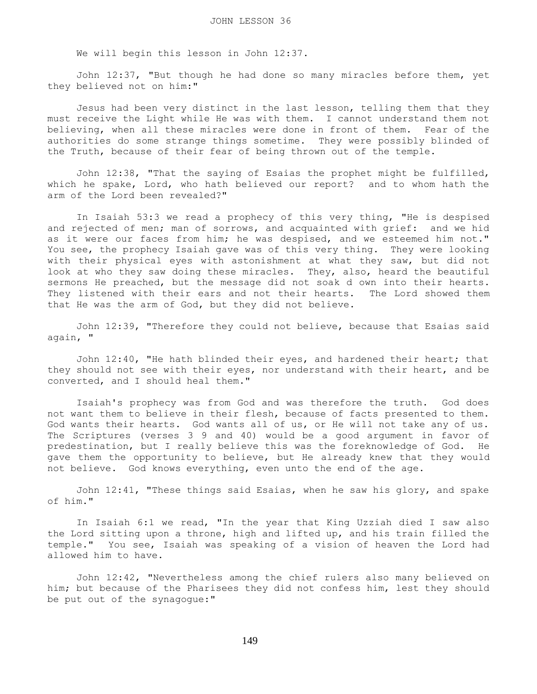We will begin this lesson in John 12:37.

 John 12:37, "But though he had done so many miracles before them, yet they believed not on him:"

 Jesus had been very distinct in the last lesson, telling them that they must receive the Light while He was with them. I cannot understand them not believing, when all these miracles were done in front of them. Fear of the authorities do some strange things sometime. They were possibly blinded of the Truth, because of their fear of being thrown out of the temple.

 John 12:38, "That the saying of Esaias the prophet might be fulfilled, which he spake, Lord, who hath believed our report? and to whom hath the arm of the Lord been revealed?"

 In Isaiah 53:3 we read a prophecy of this very thing, "He is despised and rejected of men; man of sorrows, and acquainted with grief: and we hid as it were our faces from him; he was despised, and we esteemed him not." You see, the prophecy Isaiah gave was of this very thing. They were looking with their physical eyes with astonishment at what they saw, but did not look at who they saw doing these miracles. They, also, heard the beautiful sermons He preached, but the message did not soak d own into their hearts. They listened with their ears and not their hearts. The Lord showed them that He was the arm of God, but they did not believe.

 John 12:39, "Therefore they could not believe, because that Esaias said again, "

 John 12:40, "He hath blinded their eyes, and hardened their heart; that they should not see with their eyes, nor understand with their heart, and be converted, and I should heal them."

 Isaiah's prophecy was from God and was therefore the truth. God does not want them to believe in their flesh, because of facts presented to them. God wants their hearts. God wants all of us, or He will not take any of us. The Scriptures (verses 3 9 and 40) would be a good argument in favor of predestination, but I really believe this was the foreknowledge of God. He gave them the opportunity to believe, but He already knew that they would not believe. God knows everything, even unto the end of the age.

 John 12:41, "These things said Esaias, when he saw his glory, and spake of him."

 In Isaiah 6:1 we read, "In the year that King Uzziah died I saw also the Lord sitting upon a throne, high and lifted up, and his train filled the temple." You see, Isaiah was speaking of a vision of heaven the Lord had allowed him to have.

 John 12:42, "Nevertheless among the chief rulers also many believed on him; but because of the Pharisees they did not confess him, lest they should be put out of the synagogue:"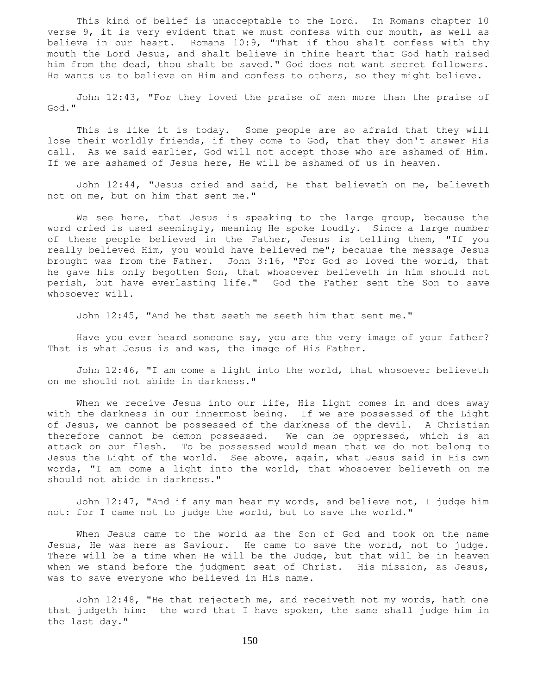This kind of belief is unacceptable to the Lord. In Romans chapter 10 verse 9, it is very evident that we must confess with our mouth, as well as believe in our heart. Romans 10:9, "That if thou shalt confess with thy mouth the Lord Jesus, and shalt believe in thine heart that God hath raised him from the dead, thou shalt be saved." God does not want secret followers. He wants us to believe on Him and confess to others, so they might believe.

 John 12:43, "For they loved the praise of men more than the praise of God."

 This is like it is today. Some people are so afraid that they will lose their worldly friends, if they come to God, that they don't answer His call. As we said earlier, God will not accept those who are ashamed of Him. If we are ashamed of Jesus here, He will be ashamed of us in heaven.

 John 12:44, "Jesus cried and said, He that believeth on me, believeth not on me, but on him that sent me."

We see here, that Jesus is speaking to the large group, because the word cried is used seemingly, meaning He spoke loudly. Since a large number of these people believed in the Father, Jesus is telling them, "If you really believed Him, you would have believed me"; because the message Jesus brought was from the Father. John 3:16, "For God so loved the world, that he gave his only begotten Son, that whosoever believeth in him should not perish, but have everlasting life." God the Father sent the Son to save whosoever will.

John 12:45, "And he that seeth me seeth him that sent me."

 Have you ever heard someone say, you are the very image of your father? That is what Jesus is and was, the image of His Father.

 John 12:46, "I am come a light into the world, that whosoever believeth on me should not abide in darkness."

When we receive Jesus into our life, His Light comes in and does away with the darkness in our innermost being. If we are possessed of the Light of Jesus, we cannot be possessed of the darkness of the devil. A Christian therefore cannot be demon possessed. We can be oppressed, which is an attack on our flesh. To be possessed would mean that we do not belong to Jesus the Light of the world. See above, again, what Jesus said in His own words, "I am come a light into the world, that whosoever believeth on me should not abide in darkness."

 John 12:47, "And if any man hear my words, and believe not, I judge him not: for I came not to judge the world, but to save the world."

 When Jesus came to the world as the Son of God and took on the name Jesus, He was here as Saviour. He came to save the world, not to judge. There will be a time when He will be the Judge, but that will be in heaven when we stand before the judgment seat of Christ. His mission, as Jesus, was to save everyone who believed in His name.

 John 12:48, "He that rejecteth me, and receiveth not my words, hath one that judgeth him: the word that I have spoken, the same shall judge him in the last day."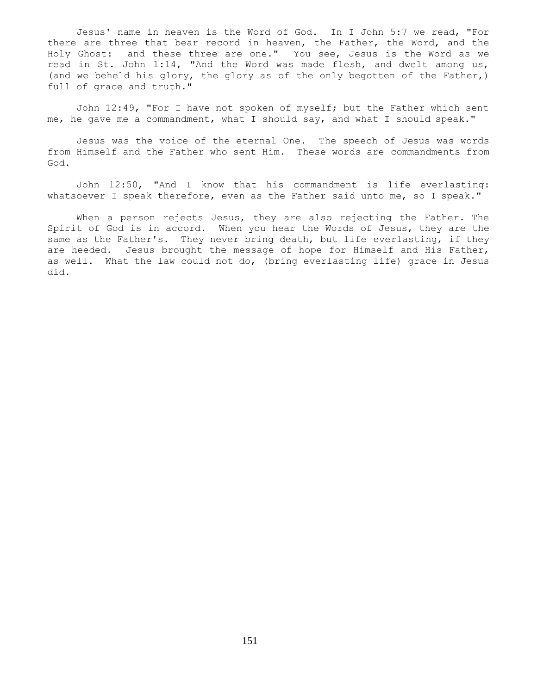Jesus' name in heaven is the Word of God. In I John 5:7 we read, "For there are three that bear record in heaven, the Father, the Word, and the Holy Ghost: and these three are one." You see, Jesus is the Word as we read in St. John 1:14, "And the Word was made flesh, and dwelt among us, (and we beheld his glory, the glory as of the only begotten of the Father,) full of grace and truth."

 John 12:49, "For I have not spoken of myself; but the Father which sent me, he gave me a commandment, what I should say, and what I should speak."

 Jesus was the voice of the eternal One. The speech of Jesus was words from Himself and the Father who sent Him. These words are commandments from God.

 John 12:50, "And I know that his commandment is life everlasting: whatsoever I speak therefore, even as the Father said unto me, so I speak."

When a person rejects Jesus, they are also rejecting the Father. The Spirit of God is in accord. When you hear the Words of Jesus, they are the same as the Father's. They never bring death, but life everlasting, if they are heeded. Jesus brought the message of hope for Himself and His Father, as well. What the law could not do, (bring everlasting life) grace in Jesus did.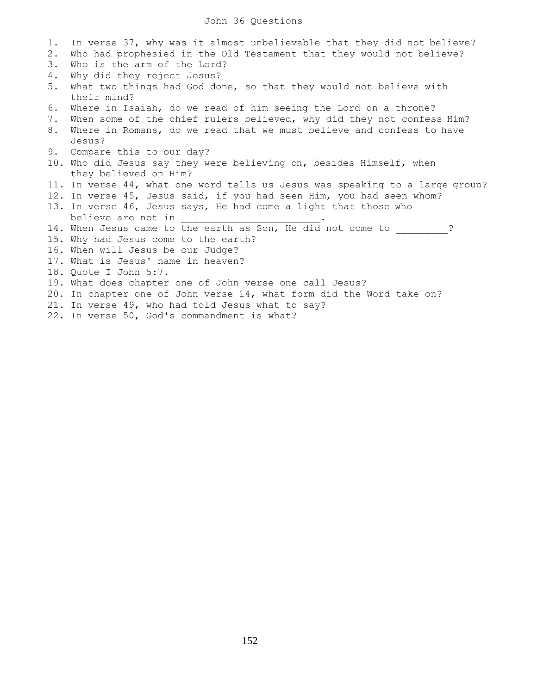| 1. | In verse 37, why was it almost unbelievable that they did not believe?           |
|----|----------------------------------------------------------------------------------|
| 2. | Who had prophesied in the Old Testament that they would not believe?             |
| 3. | Who is the arm of the Lord?                                                      |
| 4. | Why did they reject Jesus?                                                       |
| 5. | What two things had God done, so that they would not believe with<br>their mind? |
| 6. | Where in Isaiah, do we read of him seeing the Lord on a throne?                  |
| 7. | When some of the chief rulers believed, why did they not confess Him?            |
| 8. | Where in Romans, do we read that we must believe and confess to have             |
|    | Jesus?                                                                           |
|    | 9. Compare this to our day?                                                      |
|    | 10. Who did Jesus say they were believing on, besides Himself, when              |
|    | they believed on Him?                                                            |
|    | 11. In verse 44, what one word tells us Jesus was speaking to a large group?     |
|    | 12. In verse 45, Jesus said, if you had seen Him, you had seen whom?             |
|    | 13. In verse 46, Jesus says, He had come a light that those who                  |
|    | believe are not in                                                               |
|    | 14. When Jesus came to the earth as Son, He did not come to                      |
|    | 15. Why had Jesus come to the earth?                                             |
|    | 16. When will Jesus be our Judge?                                                |
|    | 17. What is Jesus' name in heaven?                                               |
|    | 18. Quote I John 5:7.                                                            |
|    | 19. What does chapter one of John verse one call Jesus?                          |
|    | 20. In chapter one of John verse 14, what form did the Word take on?             |
|    | 21. In verse 49, who had told Jesus what to say?                                 |
|    | 22. In verse 50, God's commandment is what?                                      |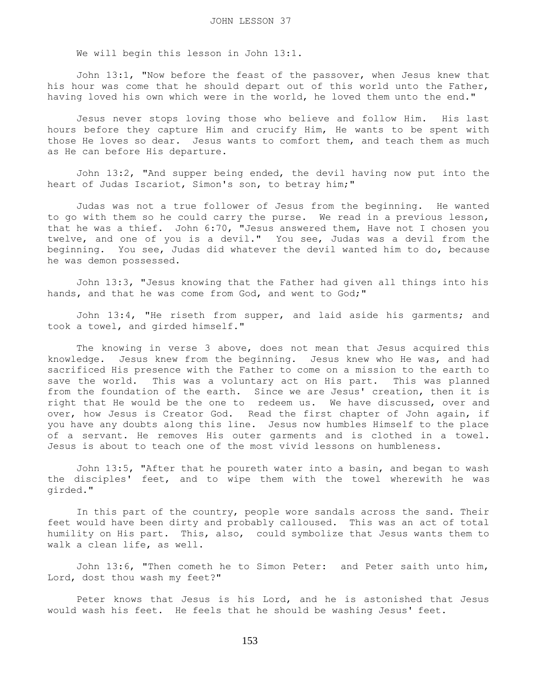We will begin this lesson in John 13:1.

 John 13:1, "Now before the feast of the passover, when Jesus knew that his hour was come that he should depart out of this world unto the Father, having loved his own which were in the world, he loved them unto the end."

 Jesus never stops loving those who believe and follow Him. His last hours before they capture Him and crucify Him, He wants to be spent with those He loves so dear. Jesus wants to comfort them, and teach them as much as He can before His departure.

 John 13:2, "And supper being ended, the devil having now put into the heart of Judas Iscariot, Simon's son, to betray him;"

 Judas was not a true follower of Jesus from the beginning. He wanted to go with them so he could carry the purse. We read in a previous lesson, that he was a thief. John 6:70, "Jesus answered them, Have not I chosen you twelve, and one of you is a devil." You see, Judas was a devil from the beginning. You see, Judas did whatever the devil wanted him to do, because he was demon possessed.

 John 13:3, "Jesus knowing that the Father had given all things into his hands, and that he was come from God, and went to God;"

 John 13:4, "He riseth from supper, and laid aside his garments; and took a towel, and girded himself."

 The knowing in verse 3 above, does not mean that Jesus acquired this knowledge. Jesus knew from the beginning. Jesus knew who He was, and had sacrificed His presence with the Father to come on a mission to the earth to save the world. This was a voluntary act on His part. This was planned from the foundation of the earth. Since we are Jesus' creation, then it is right that He would be the one to redeem us. We have discussed, over and over, how Jesus is Creator God. Read the first chapter of John again, if you have any doubts along this line. Jesus now humbles Himself to the place of a servant. He removes His outer garments and is clothed in a towel. Jesus is about to teach one of the most vivid lessons on humbleness.

 John 13:5, "After that he poureth water into a basin, and began to wash the disciples' feet, and to wipe them with the towel wherewith he was girded."

 In this part of the country, people wore sandals across the sand. Their feet would have been dirty and probably calloused. This was an act of total humility on His part. This, also, could symbolize that Jesus wants them to walk a clean life, as well.

 John 13:6, "Then cometh he to Simon Peter: and Peter saith unto him, Lord, dost thou wash my feet?"

 Peter knows that Jesus is his Lord, and he is astonished that Jesus would wash his feet. He feels that he should be washing Jesus' feet.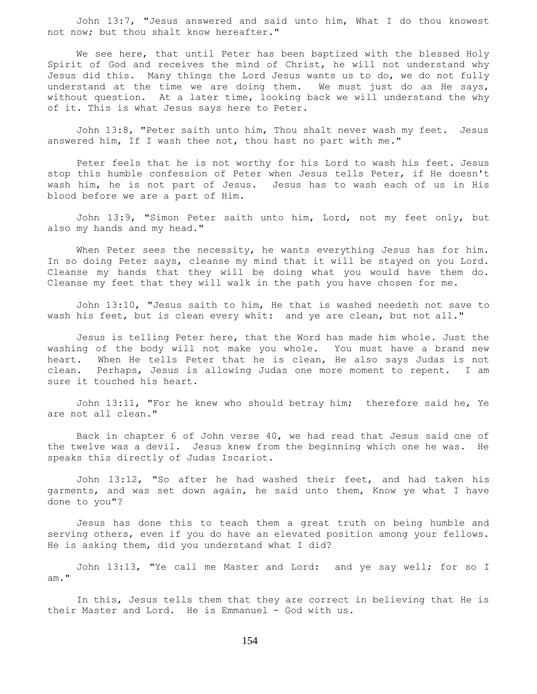John 13:7, "Jesus answered and said unto him, What I do thou knowest not now; but thou shalt know hereafter."

 We see here, that until Peter has been baptized with the blessed Holy Spirit of God and receives the mind of Christ, he will not understand why Jesus did this. Many things the Lord Jesus wants us to do, we do not fully understand at the time we are doing them. We must just do as He says, without question. At a later time, looking back we will understand the why of it. This is what Jesus says here to Peter.

 John 13:8, "Peter saith unto him, Thou shalt never wash my feet. Jesus answered him, If I wash thee not, thou hast no part with me."

 Peter feels that he is not worthy for his Lord to wash his feet. Jesus stop this humble confession of Peter when Jesus tells Peter, if He doesn't wash him, he is not part of Jesus. Jesus has to wash each of us in His blood before we are a part of Him.

 John 13:9, "Simon Peter saith unto him, Lord, not my feet only, but also my hands and my head."

When Peter sees the necessity, he wants everything Jesus has for him. In so doing Peter says, cleanse my mind that it will be stayed on you Lord. Cleanse my hands that they will be doing what you would have them do. Cleanse my feet that they will walk in the path you have chosen for me.

 John 13:10, "Jesus saith to him, He that is washed needeth not save to wash his feet, but is clean every whit: and ye are clean, but not all."

 Jesus is telling Peter here, that the Word has made him whole. Just the washing of the body will not make you whole. You must have a brand new heart. When He tells Peter that he is clean, He also says Judas is not clean. Perhaps, Jesus is allowing Judas one more moment to repent. I am sure it touched his heart.

 John 13:11, "For he knew who should betray him; therefore said he, Ye are not all clean."

 Back in chapter 6 of John verse 40, we had read that Jesus said one of the twelve was a devil. Jesus knew from the beginning which one he was. He speaks this directly of Judas Iscariot.

 John 13:12, "So after he had washed their feet, and had taken his garments, and was set down again, he said unto them, Know ye what I have done to you"?

 Jesus has done this to teach them a great truth on being humble and serving others, even if you do have an elevated position among your fellows. He is asking them, did you understand what I did?

 John 13:13, "Ye call me Master and Lord: and ye say well; for so I am."

 In this, Jesus tells them that they are correct in believing that He is their Master and Lord. He is Emmanuel - God with us.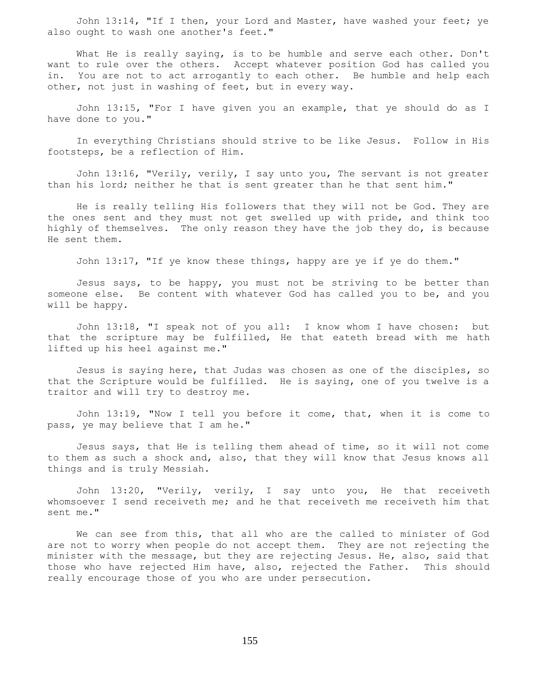John 13:14, "If I then, your Lord and Master, have washed your feet; ye also ought to wash one another's feet."

 What He is really saying, is to be humble and serve each other. Don't want to rule over the others. Accept whatever position God has called you in. You are not to act arrogantly to each other. Be humble and help each other, not just in washing of feet, but in every way.

 John 13:15, "For I have given you an example, that ye should do as I have done to you."

 In everything Christians should strive to be like Jesus. Follow in His footsteps, be a reflection of Him.

 John 13:16, "Verily, verily, I say unto you, The servant is not greater than his lord; neither he that is sent greater than he that sent him."

 He is really telling His followers that they will not be God. They are the ones sent and they must not get swelled up with pride, and think too highly of themselves. The only reason they have the job they do, is because He sent them.

John 13:17, "If ye know these things, happy are ye if ye do them."

 Jesus says, to be happy, you must not be striving to be better than someone else. Be content with whatever God has called you to be, and you will be happy.

 John 13:18, "I speak not of you all: I know whom I have chosen: but that the scripture may be fulfilled, He that eateth bread with me hath lifted up his heel against me."

 Jesus is saying here, that Judas was chosen as one of the disciples, so that the Scripture would be fulfilled. He is saying, one of you twelve is a traitor and will try to destroy me.

 John 13:19, "Now I tell you before it come, that, when it is come to pass, ye may believe that I am he."

 Jesus says, that He is telling them ahead of time, so it will not come to them as such a shock and, also, that they will know that Jesus knows all things and is truly Messiah.

 John 13:20, "Verily, verily, I say unto you, He that receiveth whomsoever I send receiveth me; and he that receiveth me receiveth him that sent me."

 We can see from this, that all who are the called to minister of God are not to worry when people do not accept them. They are not rejecting the minister with the message, but they are rejecting Jesus. He, also, said that those who have rejected Him have, also, rejected the Father. This should really encourage those of you who are under persecution.

155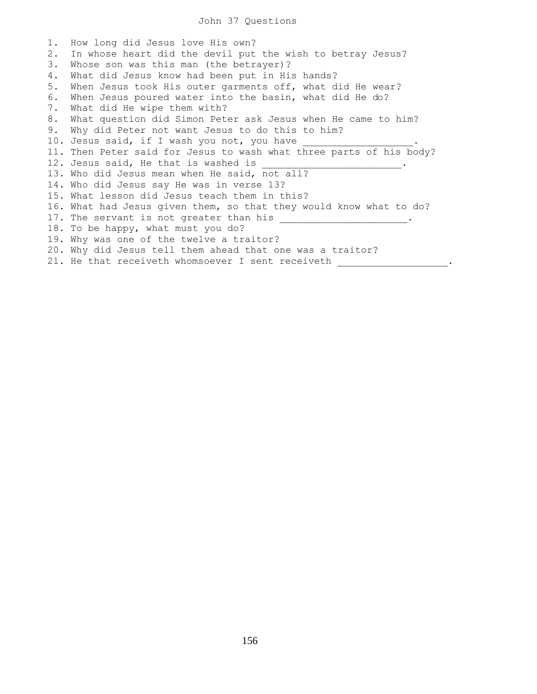## John 37 Questions

1. How long did Jesus love His own? 2. In whose heart did the devil put the wish to betray Jesus? 3. Whose son was this man (the betrayer)? 4. What did Jesus know had been put in His hands? 5. When Jesus took His outer garments off, what did He wear? 6. When Jesus poured water into the basin, what did He do? 7. What did He wipe them with? 8. What question did Simon Peter ask Jesus when He came to him? 9. Why did Peter not want Jesus to do this to him? 10. Jesus said, if I wash you not, you have 11. Then Peter said for Jesus to wash what three parts of his body? 12. Jesus said, He that is washed is 13. Who did Jesus mean when He said, not all? 14. Who did Jesus say He was in verse 13? 15. What lesson did Jesus teach them in this? 16. What had Jesus given them, so that they would know what to do? 17. The servant is not greater than his \_\_\_\_\_\_\_\_\_\_\_\_\_\_\_\_\_\_. 18. To be happy, what must you do? 19. Why was one of the twelve a traitor? 20. Why did Jesus tell them ahead that one was a traitor? 21. He that receiveth whomsoever I sent receiveth \_\_\_\_\_\_\_\_\_\_\_\_\_\_\_\_\_\_\_\_\_.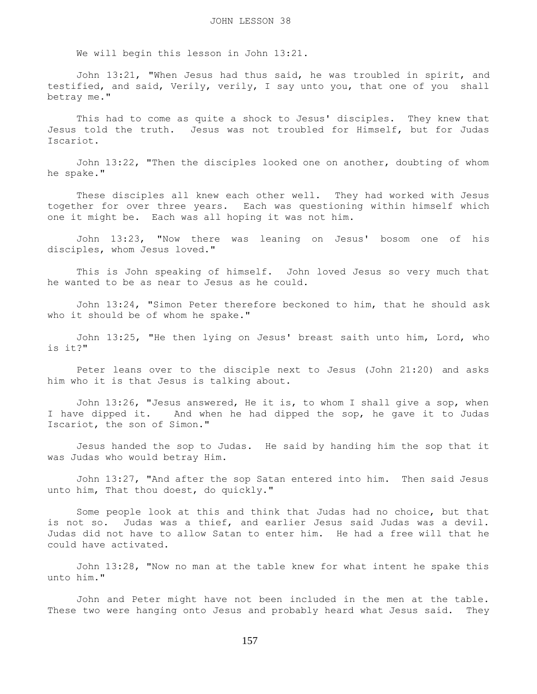We will begin this lesson in John 13:21.

 John 13:21, "When Jesus had thus said, he was troubled in spirit, and testified, and said, Verily, verily, I say unto you, that one of you shall betray me."

 This had to come as quite a shock to Jesus' disciples. They knew that Jesus told the truth. Jesus was not troubled for Himself, but for Judas Iscariot.

 John 13:22, "Then the disciples looked one on another, doubting of whom he spake."

 These disciples all knew each other well. They had worked with Jesus together for over three years. Each was questioning within himself which one it might be. Each was all hoping it was not him.

 John 13:23, "Now there was leaning on Jesus' bosom one of his disciples, whom Jesus loved."

 This is John speaking of himself. John loved Jesus so very much that he wanted to be as near to Jesus as he could.

 John 13:24, "Simon Peter therefore beckoned to him, that he should ask who it should be of whom he spake."

 John 13:25, "He then lying on Jesus' breast saith unto him, Lord, who is it?"

 Peter leans over to the disciple next to Jesus (John 21:20) and asks him who it is that Jesus is talking about.

 John 13:26, "Jesus answered, He it is, to whom I shall give a sop, when I have dipped it. And when he had dipped the sop, he gave it to Judas Iscariot, the son of Simon."

 Jesus handed the sop to Judas. He said by handing him the sop that it was Judas who would betray Him.

 John 13:27, "And after the sop Satan entered into him. Then said Jesus unto him, That thou doest, do quickly."

 Some people look at this and think that Judas had no choice, but that is not so. Judas was a thief, and earlier Jesus said Judas was a devil. Judas did not have to allow Satan to enter him. He had a free will that he could have activated.

 John 13:28, "Now no man at the table knew for what intent he spake this unto him."

 John and Peter might have not been included in the men at the table. These two were hanging onto Jesus and probably heard what Jesus said. They

157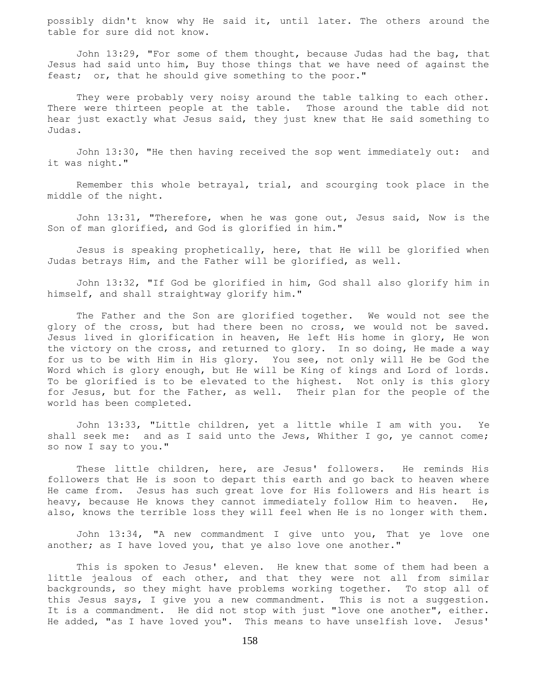possibly didn't know why He said it, until later. The others around the table for sure did not know.

 John 13:29, "For some of them thought, because Judas had the bag, that Jesus had said unto him, Buy those things that we have need of against the feast; or, that he should give something to the poor."

They were probably very noisy around the table talking to each other. There were thirteen people at the table. Those around the table did not hear just exactly what Jesus said, they just knew that He said something to Judas.

 John 13:30, "He then having received the sop went immediately out: and it was night."

 Remember this whole betrayal, trial, and scourging took place in the middle of the night.

 John 13:31, "Therefore, when he was gone out, Jesus said, Now is the Son of man glorified, and God is glorified in him."

 Jesus is speaking prophetically, here, that He will be glorified when Judas betrays Him, and the Father will be glorified, as well.

 John 13:32, "If God be glorified in him, God shall also glorify him in himself, and shall straightway glorify him."

 The Father and the Son are glorified together. We would not see the glory of the cross, but had there been no cross, we would not be saved. Jesus lived in glorification in heaven, He left His home in glory, He won the victory on the cross, and returned to glory. In so doing, He made a way for us to be with Him in His glory. You see, not only will He be God the Word which is glory enough, but He will be King of kings and Lord of lords. To be glorified is to be elevated to the highest. Not only is this glory for Jesus, but for the Father, as well. Their plan for the people of the world has been completed.

 John 13:33, "Little children, yet a little while I am with you. Ye shall seek me: and as I said unto the Jews, Whither I go, ye cannot come; so now I say to you."

 These little children, here, are Jesus' followers. He reminds His followers that He is soon to depart this earth and go back to heaven where He came from. Jesus has such great love for His followers and His heart is heavy, because He knows they cannot immediately follow Him to heaven. He, also, knows the terrible loss they will feel when He is no longer with them.

 John 13:34, "A new commandment I give unto you, That ye love one another; as I have loved you, that ye also love one another."

 This is spoken to Jesus' eleven. He knew that some of them had been a little jealous of each other, and that they were not all from similar backgrounds, so they might have problems working together. To stop all of this Jesus says, I give you a new commandment. This is not a suggestion. It is a commandment. He did not stop with just "love one another", either. He added, "as I have loved you". This means to have unselfish love. Jesus'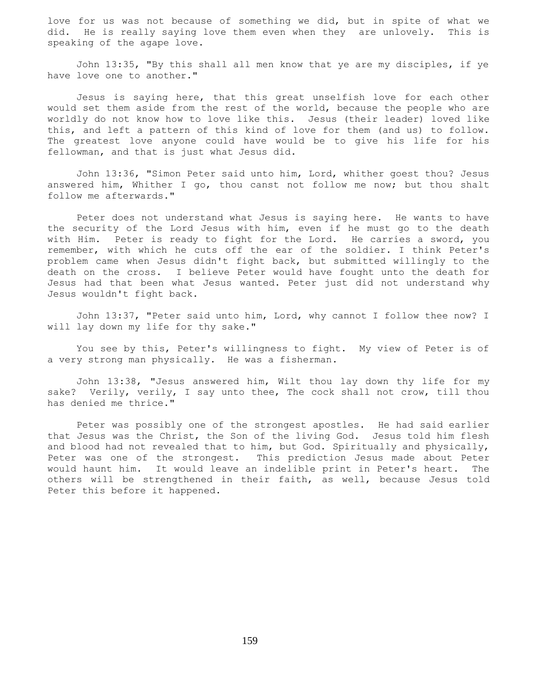love for us was not because of something we did, but in spite of what we did. He is really saying love them even when they are unlovely. This is speaking of the agape love.

 John 13:35, "By this shall all men know that ye are my disciples, if ye have love one to another."

 Jesus is saying here, that this great unselfish love for each other would set them aside from the rest of the world, because the people who are worldly do not know how to love like this. Jesus (their leader) loved like this, and left a pattern of this kind of love for them (and us) to follow. The greatest love anyone could have would be to give his life for his fellowman, and that is just what Jesus did.

 John 13:36, "Simon Peter said unto him, Lord, whither goest thou? Jesus answered him, Whither I go, thou canst not follow me now; but thou shalt follow me afterwards."

 Peter does not understand what Jesus is saying here. He wants to have the security of the Lord Jesus with him, even if he must go to the death with Him. Peter is ready to fight for the Lord. He carries a sword, you remember, with which he cuts off the ear of the soldier. I think Peter's problem came when Jesus didn't fight back, but submitted willingly to the death on the cross. I believe Peter would have fought unto the death for Jesus had that been what Jesus wanted. Peter just did not understand why Jesus wouldn't fight back.

 John 13:37, "Peter said unto him, Lord, why cannot I follow thee now? I will lay down my life for thy sake."

 You see by this, Peter's willingness to fight. My view of Peter is of a very strong man physically. He was a fisherman.

 John 13:38, "Jesus answered him, Wilt thou lay down thy life for my sake? Verily, verily, I say unto thee, The cock shall not crow, till thou has denied me thrice."

 Peter was possibly one of the strongest apostles. He had said earlier that Jesus was the Christ, the Son of the living God. Jesus told him flesh and blood had not revealed that to him, but God. Spiritually and physically, Peter was one of the strongest. This prediction Jesus made about Peter would haunt him. It would leave an indelible print in Peter's heart. The others will be strengthened in their faith, as well, because Jesus told Peter this before it happened.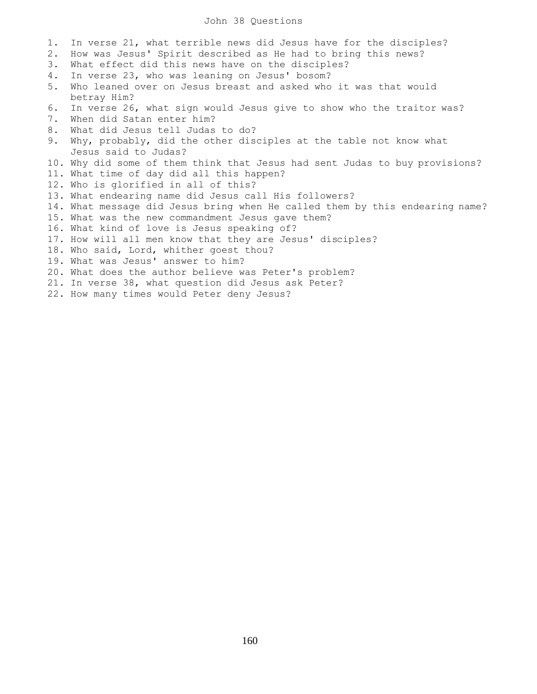## John 38 Questions

- 1. In verse 21, what terrible news did Jesus have for the disciples?
- 2. How was Jesus' Spirit described as He had to bring this news?
- 3. What effect did this news have on the disciples?
- 4. In verse 23, who was leaning on Jesus' bosom?
- 5. Who leaned over on Jesus breast and asked who it was that would betray Him?
- 6. In verse 26, what sign would Jesus give to show who the traitor was?
- 7. When did Satan enter him?
- 8. What did Jesus tell Judas to do?
- 9. Why, probably, did the other disciples at the table not know what Jesus said to Judas?
- 10. Why did some of them think that Jesus had sent Judas to buy provisions?
- 11. What time of day did all this happen?
- 12. Who is glorified in all of this?
- 13. What endearing name did Jesus call His followers?
- 14. What message did Jesus bring when He called them by this endearing name?
- 15. What was the new commandment Jesus gave them?
- 16. What kind of love is Jesus speaking of?
- 17. How will all men know that they are Jesus' disciples?
- 18. Who said, Lord, whither goest thou?
- 19. What was Jesus' answer to him?
- 20. What does the author believe was Peter's problem?
- 21. In verse 38, what question did Jesus ask Peter?
- 22. How many times would Peter deny Jesus?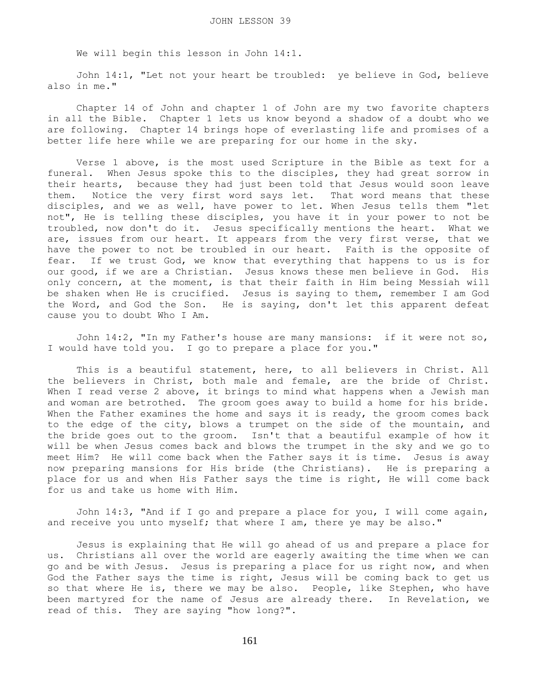We will begin this lesson in John 14:1.

 John 14:1, "Let not your heart be troubled: ye believe in God, believe also in me."

 Chapter 14 of John and chapter 1 of John are my two favorite chapters in all the Bible. Chapter 1 lets us know beyond a shadow of a doubt who we are following. Chapter 14 brings hope of everlasting life and promises of a better life here while we are preparing for our home in the sky.

 Verse 1 above, is the most used Scripture in the Bible as text for a funeral. When Jesus spoke this to the disciples, they had great sorrow in their hearts, because they had just been told that Jesus would soon leave them. Notice the very first word says let. That word means that these disciples, and we as well, have power to let. When Jesus tells them "let not", He is telling these disciples, you have it in your power to not be troubled, now don't do it. Jesus specifically mentions the heart. What we are, issues from our heart. It appears from the very first verse, that we have the power to not be troubled in our heart. Faith is the opposite of fear. If we trust God, we know that everything that happens to us is for our good, if we are a Christian. Jesus knows these men believe in God. His only concern, at the moment, is that their faith in Him being Messiah will be shaken when He is crucified. Jesus is saying to them, remember I am God the Word, and God the Son. He is saying, don't let this apparent defeat cause you to doubt Who I Am.

 John 14:2, "In my Father's house are many mansions: if it were not so, I would have told you. I go to prepare a place for you."

 This is a beautiful statement, here, to all believers in Christ. All the believers in Christ, both male and female, are the bride of Christ. When I read verse 2 above, it brings to mind what happens when a Jewish man and woman are betrothed. The groom goes away to build a home for his bride. When the Father examines the home and says it is ready, the groom comes back to the edge of the city, blows a trumpet on the side of the mountain, and the bride goes out to the groom. Isn't that a beautiful example of how it will be when Jesus comes back and blows the trumpet in the sky and we go to meet Him? He will come back when the Father says it is time. Jesus is away now preparing mansions for His bride (the Christians). He is preparing a place for us and when His Father says the time is right, He will come back for us and take us home with Him.

 John 14:3, "And if I go and prepare a place for you, I will come again, and receive you unto myself; that where I am, there ye may be also."

 Jesus is explaining that He will go ahead of us and prepare a place for us. Christians all over the world are eagerly awaiting the time when we can go and be with Jesus. Jesus is preparing a place for us right now, and when God the Father says the time is right, Jesus will be coming back to get us so that where He is, there we may be also. People, like Stephen, who have been martyred for the name of Jesus are already there. In Revelation, we read of this. They are saying "how long?".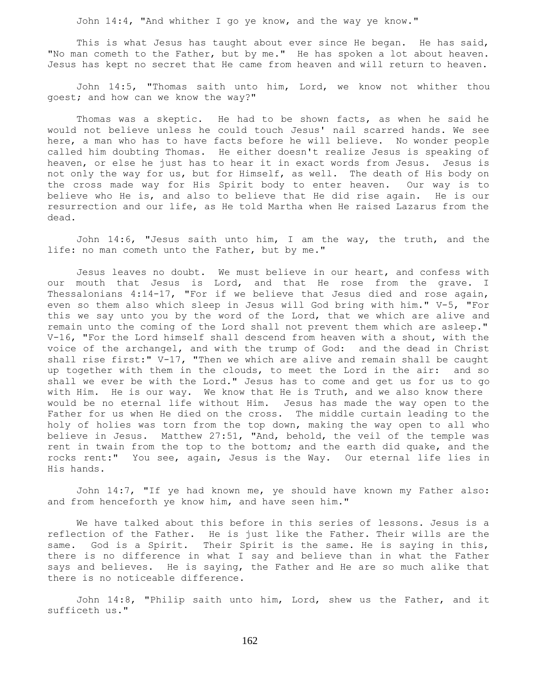John 14:4, "And whither I go ye know, and the way ye know."

 This is what Jesus has taught about ever since He began. He has said, "No man cometh to the Father, but by me." He has spoken a lot about heaven. Jesus has kept no secret that He came from heaven and will return to heaven.

 John 14:5, "Thomas saith unto him, Lord, we know not whither thou goest; and how can we know the way?"

 Thomas was a skeptic. He had to be shown facts, as when he said he would not believe unless he could touch Jesus' nail scarred hands. We see here, a man who has to have facts before he will believe. No wonder people called him doubting Thomas. He either doesn't realize Jesus is speaking of heaven, or else he just has to hear it in exact words from Jesus. Jesus is not only the way for us, but for Himself, as well. The death of His body on the cross made way for His Spirit body to enter heaven. Our way is to believe who He is, and also to believe that He did rise again. He is our resurrection and our life, as He told Martha when He raised Lazarus from the dead.

 John 14:6, "Jesus saith unto him, I am the way, the truth, and the life: no man cometh unto the Father, but by me."

 Jesus leaves no doubt. We must believe in our heart, and confess with our mouth that Jesus is Lord, and that He rose from the grave. I Thessalonians 4:14-17, "For if we believe that Jesus died and rose again, even so them also which sleep in Jesus will God bring with him." V-5, "For this we say unto you by the word of the Lord, that we which are alive and remain unto the coming of the Lord shall not prevent them which are asleep." V-16, "For the Lord himself shall descend from heaven with a shout, with the voice of the archangel, and with the trump of God: and the dead in Christ shall rise first:" V-17, "Then we which are alive and remain shall be caught up together with them in the clouds, to meet the Lord in the air: and so shall we ever be with the Lord." Jesus has to come and get us for us to go with Him. He is our way. We know that He is Truth, and we also know there would be no eternal life without Him. Jesus has made the way open to the Father for us when He died on the cross. The middle curtain leading to the holy of holies was torn from the top down, making the way open to all who believe in Jesus. Matthew 27:51, "And, behold, the veil of the temple was rent in twain from the top to the bottom; and the earth did quake, and the rocks rent:" You see, again, Jesus is the Way. Our eternal life lies in His hands.

 John 14:7, "If ye had known me, ye should have known my Father also: and from henceforth ye know him, and have seen him."

 We have talked about this before in this series of lessons. Jesus is a reflection of the Father. He is just like the Father. Their wills are the same. God is a Spirit. Their Spirit is the same. He is saying in this, there is no difference in what I say and believe than in what the Father says and believes. He is saying, the Father and He are so much alike that there is no noticeable difference.

 John 14:8, "Philip saith unto him, Lord, shew us the Father, and it sufficeth us."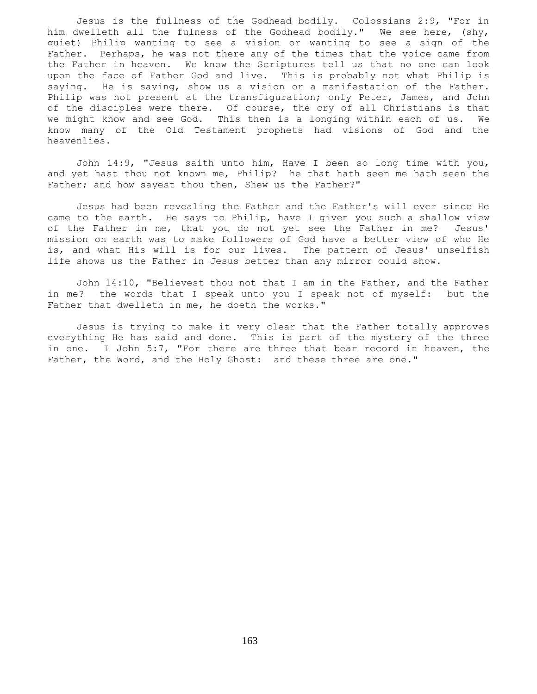Jesus is the fullness of the Godhead bodily. Colossians 2:9, "For in him dwelleth all the fulness of the Godhead bodily." We see here, (shy, quiet) Philip wanting to see a vision or wanting to see a sign of the Father. Perhaps, he was not there any of the times that the voice came from the Father in heaven. We know the Scriptures tell us that no one can look upon the face of Father God and live. This is probably not what Philip is saying. He is saying, show us a vision or a manifestation of the Father. Philip was not present at the transfiguration; only Peter, James, and John of the disciples were there. Of course, the cry of all Christians is that we might know and see God. This then is a longing within each of us. We know many of the Old Testament prophets had visions of God and the heavenlies.

 John 14:9, "Jesus saith unto him, Have I been so long time with you, and yet hast thou not known me, Philip? he that hath seen me hath seen the Father; and how sayest thou then, Shew us the Father?"

 Jesus had been revealing the Father and the Father's will ever since He came to the earth. He says to Philip, have I given you such a shallow view of the Father in me, that you do not yet see the Father in me? Jesus' mission on earth was to make followers of God have a better view of who He is, and what His will is for our lives. The pattern of Jesus' unselfish life shows us the Father in Jesus better than any mirror could show.

 John 14:10, "Believest thou not that I am in the Father, and the Father in me? the words that I speak unto you I speak not of myself: but the Father that dwelleth in me, he doeth the works."

 Jesus is trying to make it very clear that the Father totally approves everything He has said and done. This is part of the mystery of the three in one. I John 5:7, "For there are three that bear record in heaven, the Father, the Word, and the Holy Ghost: and these three are one."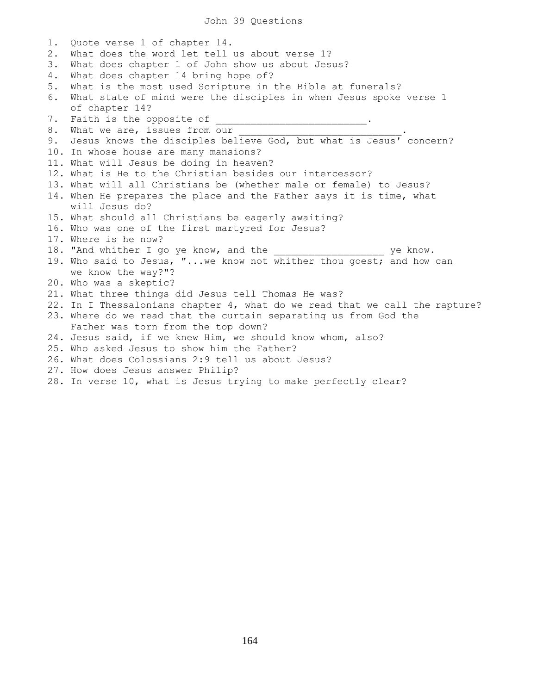## John 39 Questions

1. Quote verse 1 of chapter 14. 2. What does the word let tell us about verse 1? 3. What does chapter 1 of John show us about Jesus? 4. What does chapter 14 bring hope of? 5. What is the most used Scripture in the Bible at funerals? 6. What state of mind were the disciples in when Jesus spoke verse 1 of chapter 14? 7. Faith is the opposite of 8. What we are, issues from our 9. Jesus knows the disciples believe God, but what is Jesus' concern? 10. In whose house are many mansions? 11. What will Jesus be doing in heaven? 12. What is He to the Christian besides our intercessor? 13. What will all Christians be (whether male or female) to Jesus? 14. When He prepares the place and the Father says it is time, what will Jesus do? 15. What should all Christians be eagerly awaiting? 16. Who was one of the first martyred for Jesus? 17. Where is he now? 18. "And whither I go ye know, and the wind we know. 19. Who said to Jesus, "...we know not whither thou goest; and how can we know the way?"? 20. Who was a skeptic? 21. What three things did Jesus tell Thomas He was? 22. In I Thessalonians chapter 4, what do we read that we call the rapture? 23. Where do we read that the curtain separating us from God the Father was torn from the top down? 24. Jesus said, if we knew Him, we should know whom, also? 25. Who asked Jesus to show him the Father? 26. What does Colossians 2:9 tell us about Jesus? 27. How does Jesus answer Philip? 28. In verse 10, what is Jesus trying to make perfectly clear?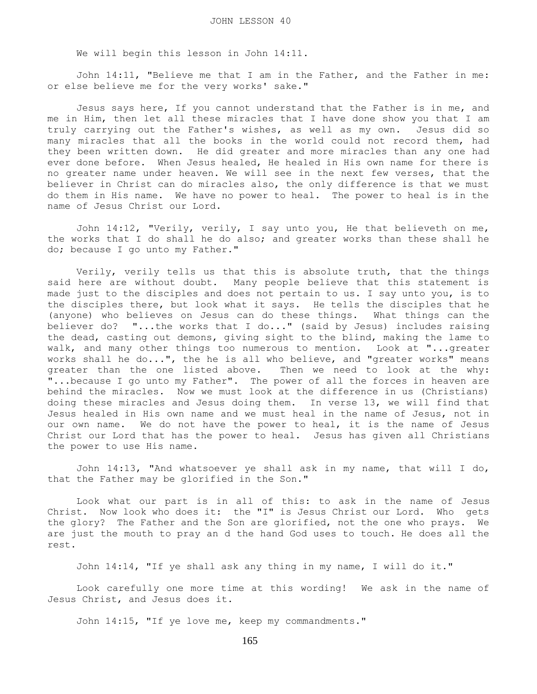We will begin this lesson in John 14:11.

 John 14:11, "Believe me that I am in the Father, and the Father in me: or else believe me for the very works' sake."

 Jesus says here, If you cannot understand that the Father is in me, and me in Him, then let all these miracles that I have done show you that I am truly carrying out the Father's wishes, as well as my own. Jesus did so many miracles that all the books in the world could not record them, had they been written down. He did greater and more miracles than any one had ever done before. When Jesus healed, He healed in His own name for there is no greater name under heaven. We will see in the next few verses, that the believer in Christ can do miracles also, the only difference is that we must do them in His name. We have no power to heal. The power to heal is in the name of Jesus Christ our Lord.

 John 14:12, "Verily, verily, I say unto you, He that believeth on me, the works that I do shall he do also; and greater works than these shall he do; because I go unto my Father."

 Verily, verily tells us that this is absolute truth, that the things said here are without doubt. Many people believe that this statement is made just to the disciples and does not pertain to us. I say unto you, is to the disciples there, but look what it says. He tells the disciples that he (anyone) who believes on Jesus can do these things. What things can the believer do? "...the works that I do..." (said by Jesus) includes raising the dead, casting out demons, giving sight to the blind, making the lame to walk, and many other things too numerous to mention. Look at "...greater works shall he do...", the he is all who believe, and "greater works" means greater than the one listed above. Then we need to look at the why: "...because I go unto my Father". The power of all the forces in heaven are behind the miracles. Now we must look at the difference in us (Christians) doing these miracles and Jesus doing them. In verse 13, we will find that Jesus healed in His own name and we must heal in the name of Jesus, not in our own name. We do not have the power to heal, it is the name of Jesus Christ our Lord that has the power to heal. Jesus has given all Christians the power to use His name.

 John 14:13, "And whatsoever ye shall ask in my name, that will I do, that the Father may be glorified in the Son."

 Look what our part is in all of this: to ask in the name of Jesus Christ. Now look who does it: the "I" is Jesus Christ our Lord. Who gets the glory? The Father and the Son are glorified, not the one who prays. We are just the mouth to pray an d the hand God uses to touch. He does all the rest.

John 14:14, "If ye shall ask any thing in my name, I will do it."

 Look carefully one more time at this wording! We ask in the name of Jesus Christ, and Jesus does it.

John 14:15, "If ye love me, keep my commandments."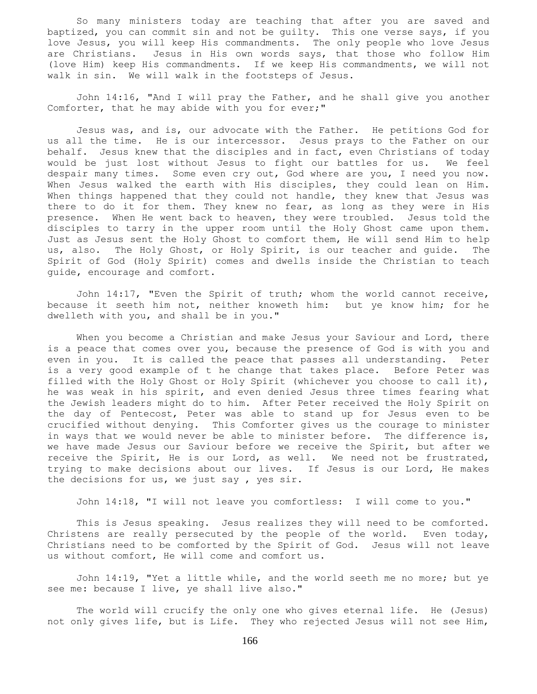So many ministers today are teaching that after you are saved and baptized, you can commit sin and not be guilty. This one verse says, if you love Jesus, you will keep His commandments. The only people who love Jesus are Christians. Jesus in His own words says, that those who follow Him (love Him) keep His commandments. If we keep His commandments, we will not walk in sin. We will walk in the footsteps of Jesus.

 John 14:16, "And I will pray the Father, and he shall give you another Comforter, that he may abide with you for ever;"

 Jesus was, and is, our advocate with the Father. He petitions God for us all the time. He is our intercessor. Jesus prays to the Father on our behalf. Jesus knew that the disciples and in fact, even Christians of today would be just lost without Jesus to fight our battles for us. We feel despair many times. Some even cry out, God where are you, I need you now. When Jesus walked the earth with His disciples, they could lean on Him. When things happened that they could not handle, they knew that Jesus was there to do it for them. They knew no fear, as long as they were in His presence. When He went back to heaven, they were troubled. Jesus told the disciples to tarry in the upper room until the Holy Ghost came upon them. Just as Jesus sent the Holy Ghost to comfort them, He will send Him to help us, also. The Holy Ghost, or Holy Spirit, is our teacher and guide. The Spirit of God (Holy Spirit) comes and dwells inside the Christian to teach guide, encourage and comfort.

 John 14:17, "Even the Spirit of truth; whom the world cannot receive, because it seeth him not, neither knoweth him: but ye know him; for he dwelleth with you, and shall be in you."

When you become a Christian and make Jesus your Saviour and Lord, there is a peace that comes over you, because the presence of God is with you and even in you. It is called the peace that passes all understanding. Peter is a very good example of t he change that takes place. Before Peter was filled with the Holy Ghost or Holy Spirit (whichever you choose to call it), he was weak in his spirit, and even denied Jesus three times fearing what the Jewish leaders might do to him. After Peter received the Holy Spirit on the day of Pentecost, Peter was able to stand up for Jesus even to be crucified without denying. This Comforter gives us the courage to minister in ways that we would never be able to minister before. The difference is, we have made Jesus our Saviour before we receive the Spirit, but after we receive the Spirit, He is our Lord, as well. We need not be frustrated, trying to make decisions about our lives. If Jesus is our Lord, He makes the decisions for us, we just say , yes sir.

John 14:18, "I will not leave you comfortless: I will come to you."

 This is Jesus speaking. Jesus realizes they will need to be comforted. Christens are really persecuted by the people of the world. Even today, Christians need to be comforted by the Spirit of God. Jesus will not leave us without comfort, He will come and comfort us.

 John 14:19, "Yet a little while, and the world seeth me no more; but ye see me: because I live, ye shall live also."

 The world will crucify the only one who gives eternal life. He (Jesus) not only gives life, but is Life. They who rejected Jesus will not see Him,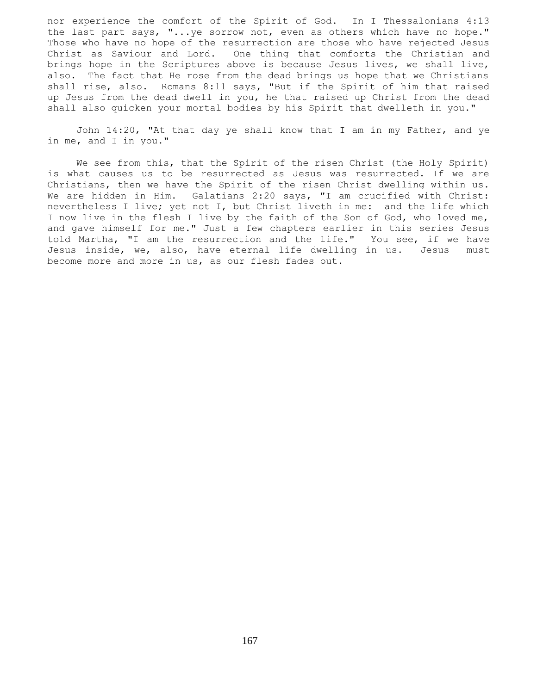nor experience the comfort of the Spirit of God. In I Thessalonians 4:13 the last part says, "...ye sorrow not, even as others which have no hope." Those who have no hope of the resurrection are those who have rejected Jesus Christ as Saviour and Lord. One thing that comforts the Christian and brings hope in the Scriptures above is because Jesus lives, we shall live, also. The fact that He rose from the dead brings us hope that we Christians shall rise, also. Romans 8:11 says, "But if the Spirit of him that raised up Jesus from the dead dwell in you, he that raised up Christ from the dead shall also quicken your mortal bodies by his Spirit that dwelleth in you."

 John 14:20, "At that day ye shall know that I am in my Father, and ye in me, and I in you."

 We see from this, that the Spirit of the risen Christ (the Holy Spirit) is what causes us to be resurrected as Jesus was resurrected. If we are Christians, then we have the Spirit of the risen Christ dwelling within us. We are hidden in Him. Galatians 2:20 says, "I am crucified with Christ: nevertheless I live; yet not I, but Christ liveth in me: and the life which I now live in the flesh I live by the faith of the Son of God, who loved me, and gave himself for me." Just a few chapters earlier in this series Jesus told Martha, "I am the resurrection and the life." You see, if we have Jesus inside, we, also, have eternal life dwelling in us. Jesus must become more and more in us, as our flesh fades out.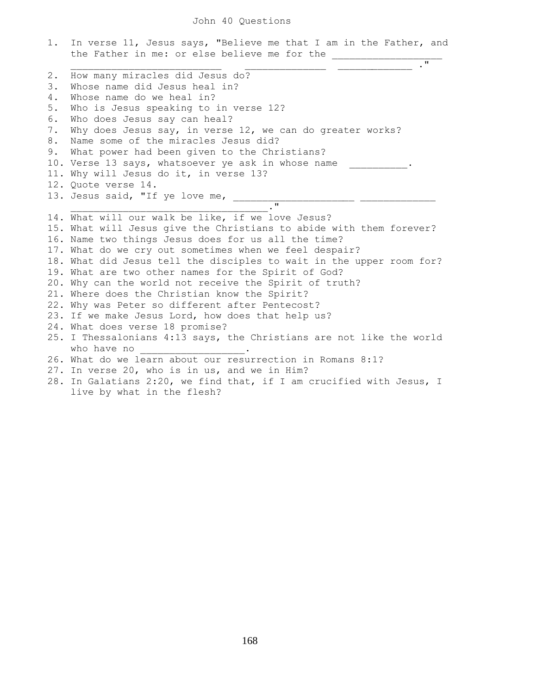|    | 1. In verse 11, Jesus says, "Believe me that I am in the Father, and<br>the Father in me: or else believe me for the _____________ |
|----|------------------------------------------------------------------------------------------------------------------------------------|
|    |                                                                                                                                    |
| 2. | How many miracles did Jesus do?                                                                                                    |
| 3. | Whose name did Jesus heal in?                                                                                                      |
| 4. | Whose name do we heal in?                                                                                                          |
| 5. | Who is Jesus speaking to in verse 12?                                                                                              |
| 6. | Who does Jesus say can heal?                                                                                                       |
| 7. | Why does Jesus say, in verse 12, we can do greater works?                                                                          |
| 8. | Name some of the miracles Jesus did?                                                                                               |
| 9. | What power had been given to the Christians?                                                                                       |
|    | 10. Verse 13 says, whatsoever ye ask in whose name                                                                                 |
|    | 11. Why will Jesus do it, in verse 13?                                                                                             |
|    | 12. Quote verse 14.                                                                                                                |
|    |                                                                                                                                    |
|    | 12. Quote villionalism<br>13. Jesus said, "If ye love me, __________."                                                             |
|    | 14. What will our walk be like, if we love Jesus?                                                                                  |
|    | 15. What will Jesus give the Christians to abide with them forever?                                                                |
|    | 16. Name two things Jesus does for us all the time?                                                                                |
|    | 17. What do we cry out sometimes when we feel despair?                                                                             |
|    | 18. What did Jesus tell the disciples to wait in the upper room for?                                                               |
|    | 19. What are two other names for the Spirit of God?                                                                                |
|    | 20. Why can the world not receive the Spirit of truth?                                                                             |
|    | 21. Where does the Christian know the Spirit?                                                                                      |
|    | 22. Why was Peter so different after Pentecost?                                                                                    |
|    | 23. If we make Jesus Lord, how does that help us?                                                                                  |
|    | 24. What does verse 18 promise?                                                                                                    |
|    | 25. I Thessalonians 4:13 says, the Christians are not like the world                                                               |
|    | who have no                                                                                                                        |
|    | 26. What do we learn about our resurrection in Romans 8:1?                                                                         |
|    | 27. In verse 20, who is in us, and we in Him?                                                                                      |
|    | 28. In Galatians 2:20, we find that, if I am crucified with Jesus, I                                                               |
|    | live by what in the flesh?                                                                                                         |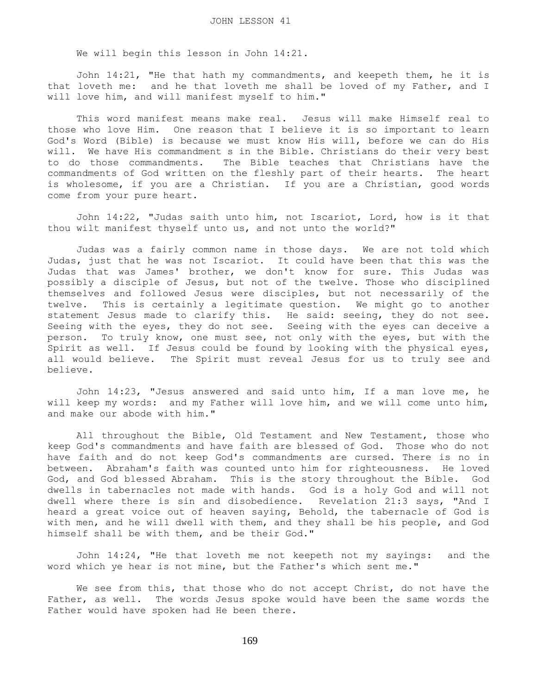We will begin this lesson in John 14:21.

 John 14:21, "He that hath my commandments, and keepeth them, he it is that loveth me: and he that loveth me shall be loved of my Father, and I will love him, and will manifest myself to him."

 This word manifest means make real. Jesus will make Himself real to those who love Him. One reason that I believe it is so important to learn God's Word (Bible) is because we must know His will, before we can do His will. We have His commandment s in the Bible. Christians do their very best to do those commandments. The Bible teaches that Christians have the commandments of God written on the fleshly part of their hearts. The heart is wholesome, if you are a Christian. If you are a Christian, good words come from your pure heart.

 John 14:22, "Judas saith unto him, not Iscariot, Lord, how is it that thou wilt manifest thyself unto us, and not unto the world?"

 Judas was a fairly common name in those days. We are not told which Judas, just that he was not Iscariot. It could have been that this was the Judas that was James' brother, we don't know for sure. This Judas was possibly a disciple of Jesus, but not of the twelve. Those who disciplined themselves and followed Jesus were disciples, but not necessarily of the twelve. This is certainly a legitimate question. We might go to another statement Jesus made to clarify this. He said: seeing, they do not see. Seeing with the eyes, they do not see. Seeing with the eyes can deceive a person. To truly know, one must see, not only with the eyes, but with the Spirit as well. If Jesus could be found by looking with the physical eyes, all would believe. The Spirit must reveal Jesus for us to truly see and believe.

 John 14:23, "Jesus answered and said unto him, If a man love me, he will keep my words: and my Father will love him, and we will come unto him, and make our abode with him."

 All throughout the Bible, Old Testament and New Testament, those who keep God's commandments and have faith are blessed of God. Those who do not have faith and do not keep God's commandments are cursed. There is no in between. Abraham's faith was counted unto him for righteousness. He loved God, and God blessed Abraham. This is the story throughout the Bible. God dwells in tabernacles not made with hands. God is a holy God and will not dwell where there is sin and disobedience. Revelation 21:3 says, "And I heard a great voice out of heaven saying, Behold, the tabernacle of God is with men, and he will dwell with them, and they shall be his people, and God himself shall be with them, and be their God."

 John 14:24, "He that loveth me not keepeth not my sayings: and the word which ye hear is not mine, but the Father's which sent me."

We see from this, that those who do not accept Christ, do not have the Father, as well. The words Jesus spoke would have been the same words the Father would have spoken had He been there.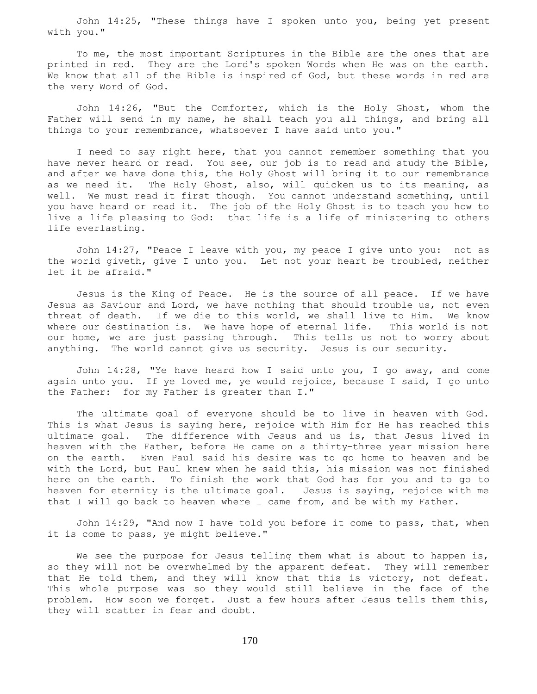John 14:25, "These things have I spoken unto you, being yet present with you."

 To me, the most important Scriptures in the Bible are the ones that are printed in red. They are the Lord's spoken Words when He was on the earth. We know that all of the Bible is inspired of God, but these words in red are the very Word of God.

 John 14:26, "But the Comforter, which is the Holy Ghost, whom the Father will send in my name, he shall teach you all things, and bring all things to your remembrance, whatsoever I have said unto you."

 I need to say right here, that you cannot remember something that you have never heard or read. You see, our job is to read and study the Bible, and after we have done this, the Holy Ghost will bring it to our remembrance as we need it. The Holy Ghost, also, will quicken us to its meaning, as well. We must read it first though. You cannot understand something, until you have heard or read it. The job of the Holy Ghost is to teach you how to live a life pleasing to God: that life is a life of ministering to others life everlasting.

 John 14:27, "Peace I leave with you, my peace I give unto you: not as the world giveth, give I unto you. Let not your heart be troubled, neither let it be afraid."

 Jesus is the King of Peace. He is the source of all peace. If we have Jesus as Saviour and Lord, we have nothing that should trouble us, not even threat of death. If we die to this world, we shall live to Him. We know where our destination is. We have hope of eternal life. This world is not our home, we are just passing through. This tells us not to worry about anything. The world cannot give us security. Jesus is our security.

 John 14:28, "Ye have heard how I said unto you, I go away, and come again unto you. If ye loved me, ye would rejoice, because I said, I go unto the Father: for my Father is greater than I."

 The ultimate goal of everyone should be to live in heaven with God. This is what Jesus is saying here, rejoice with Him for He has reached this ultimate goal. The difference with Jesus and us is, that Jesus lived in heaven with the Father, before He came on a thirty-three year mission here on the earth. Even Paul said his desire was to go home to heaven and be with the Lord, but Paul knew when he said this, his mission was not finished here on the earth. To finish the work that God has for you and to go to heaven for eternity is the ultimate goal. Jesus is saying, rejoice with me that I will go back to heaven where I came from, and be with my Father.

John 14:29, "And now I have told you before it come to pass, that, when it is come to pass, ye might believe."

We see the purpose for Jesus telling them what is about to happen is, so they will not be overwhelmed by the apparent defeat. They will remember that He told them, and they will know that this is victory, not defeat. This whole purpose was so they would still believe in the face of the problem. How soon we forget. Just a few hours after Jesus tells them this, they will scatter in fear and doubt.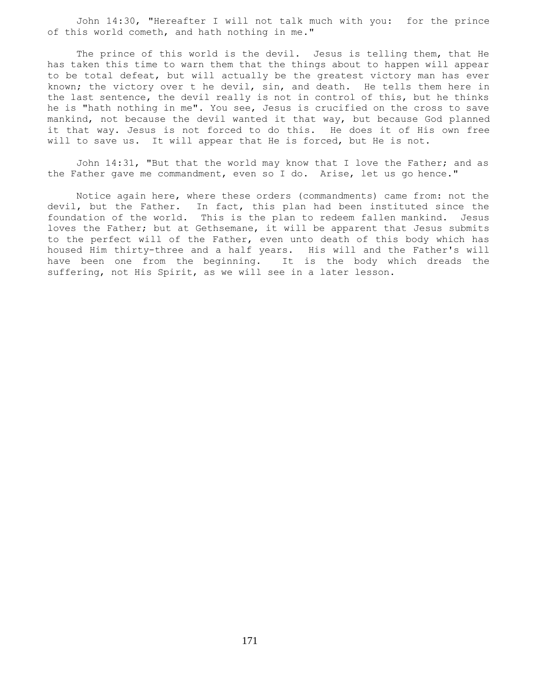John 14:30, "Hereafter I will not talk much with you: for the prince of this world cometh, and hath nothing in me."

 The prince of this world is the devil. Jesus is telling them, that He has taken this time to warn them that the things about to happen will appear to be total defeat, but will actually be the greatest victory man has ever known; the victory over t he devil, sin, and death. He tells them here in the last sentence, the devil really is not in control of this, but he thinks he is "hath nothing in me". You see, Jesus is crucified on the cross to save mankind, not because the devil wanted it that way, but because God planned it that way. Jesus is not forced to do this. He does it of His own free will to save us. It will appear that He is forced, but He is not.

 John 14:31, "But that the world may know that I love the Father; and as the Father gave me commandment, even so I do. Arise, let us go hence."

 Notice again here, where these orders (commandments) came from: not the devil, but the Father. In fact, this plan had been instituted since the foundation of the world. This is the plan to redeem fallen mankind. Jesus loves the Father; but at Gethsemane, it will be apparent that Jesus submits to the perfect will of the Father, even unto death of this body which has housed Him thirty-three and a half years. His will and the Father's will have been one from the beginning. It is the body which dreads the suffering, not His Spirit, as we will see in a later lesson.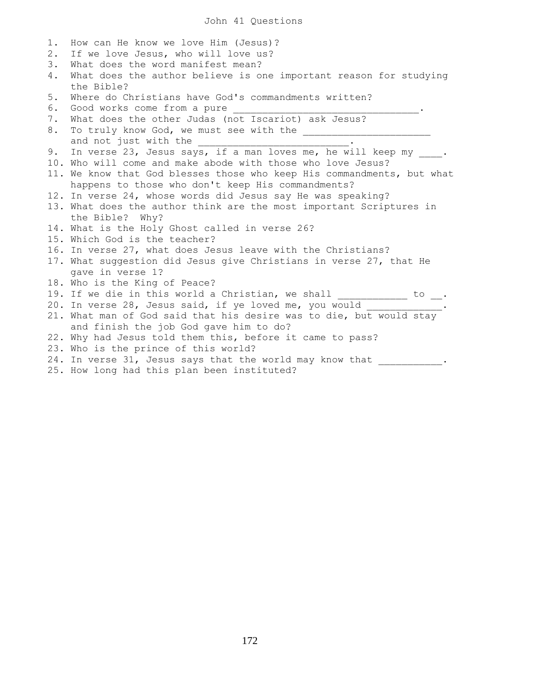| 1. | How can He know we love Him (Jesus)?                                   |
|----|------------------------------------------------------------------------|
| 2. | If we love Jesus, who will love us?                                    |
| 3. | What does the word manifest mean?                                      |
| 4. | What does the author believe is one important reason for studying      |
|    | the Bible?                                                             |
| 5. | Where do Christians have God's commandments written?                   |
| 6. | Good works come from a pure                                            |
| 7. | What does the other Judas (not Iscariot) ask Jesus?                    |
| 8. |                                                                        |
|    | and not just with the                                                  |
| 9. | In verse 23, Jesus says, if a man loves me, he will keep my .          |
|    | 10. Who will come and make abode with those who love Jesus?            |
|    | 11. We know that God blesses those who keep His commandments, but what |
|    | happens to those who don't keep His commandments?                      |
|    | 12. In verse 24, whose words did Jesus say He was speaking?            |
|    | 13. What does the author think are the most important Scriptures in    |
|    | the Bible? Why?                                                        |
|    | 14. What is the Holy Ghost called in verse 26?                         |
|    | 15. Which God is the teacher?                                          |
|    | 16. In verse 27, what does Jesus leave with the Christians?            |
|    | 17. What suggestion did Jesus give Christians in verse 27, that He     |
|    | gave in verse 1?                                                       |
|    | 18. Who is the King of Peace?                                          |
|    | 19. If we die in this world a Christian, we shall ____________ to __.  |
|    | 20. In verse 28, Jesus said, if ye loved me, you would ____________.   |
|    | 21. What man of God said that his desire was to die, but would stay    |
|    | and finish the job God gave him to do?                                 |
|    | 22. Why had Jesus told them this, before it came to pass?              |
|    | 23. Who is the prince of this world?                                   |
|    | 24. In verse 31, Jesus says that the world may know that               |
|    | 25. How long had this plan been instituted?                            |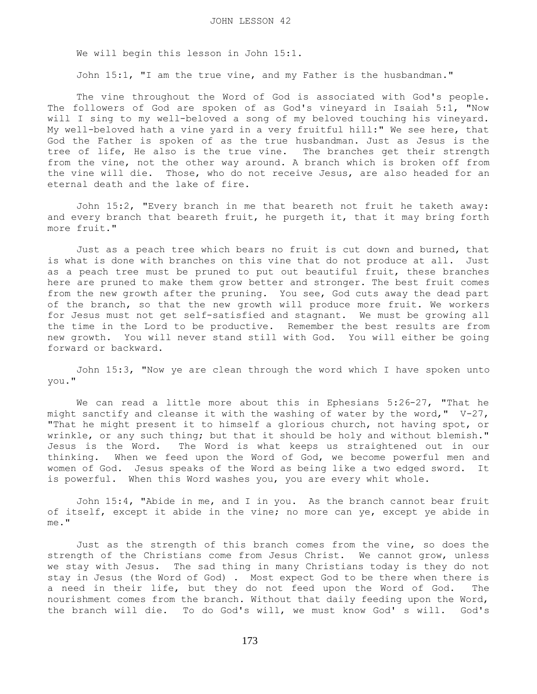We will begin this lesson in John 15:1.

John 15:1, "I am the true vine, and my Father is the husbandman."

 The vine throughout the Word of God is associated with God's people. The followers of God are spoken of as God's vineyard in Isaiah 5:1, "Now will I sing to my well-beloved a song of my beloved touching his vineyard. My well-beloved hath a vine yard in a very fruitful hill:" We see here, that God the Father is spoken of as the true husbandman. Just as Jesus is the tree of life, He also is the true vine. The branches get their strength from the vine, not the other way around. A branch which is broken off from the vine will die. Those, who do not receive Jesus, are also headed for an eternal death and the lake of fire.

 John 15:2, "Every branch in me that beareth not fruit he taketh away: and every branch that beareth fruit, he purgeth it, that it may bring forth more fruit."

 Just as a peach tree which bears no fruit is cut down and burned, that is what is done with branches on this vine that do not produce at all. Just as a peach tree must be pruned to put out beautiful fruit, these branches here are pruned to make them grow better and stronger. The best fruit comes from the new growth after the pruning. You see, God cuts away the dead part of the branch, so that the new growth will produce more fruit. We workers for Jesus must not get self-satisfied and stagnant. We must be growing all the time in the Lord to be productive. Remember the best results are from new growth. You will never stand still with God. You will either be going forward or backward.

 John 15:3, "Now ye are clean through the word which I have spoken unto you."

 We can read a little more about this in Ephesians 5:26-27, "That he might sanctify and cleanse it with the washing of water by the word,"  $V-27$ , "That he might present it to himself a glorious church, not having spot, or wrinkle, or any such thing; but that it should be holy and without blemish." Jesus is the Word. The Word is what keeps us straightened out in our thinking. When we feed upon the Word of God, we become powerful men and women of God. Jesus speaks of the Word as being like a two edged sword. It is powerful. When this Word washes you, you are every whit whole.

 John 15:4, "Abide in me, and I in you. As the branch cannot bear fruit of itself, except it abide in the vine; no more can ye, except ye abide in me."

 Just as the strength of this branch comes from the vine, so does the strength of the Christians come from Jesus Christ. We cannot grow, unless we stay with Jesus. The sad thing in many Christians today is they do not stay in Jesus (the Word of God) . Most expect God to be there when there is a need in their life, but they do not feed upon the Word of God. The nourishment comes from the branch. Without that daily feeding upon the Word, the branch will die. To do God's will, we must know God's will. God's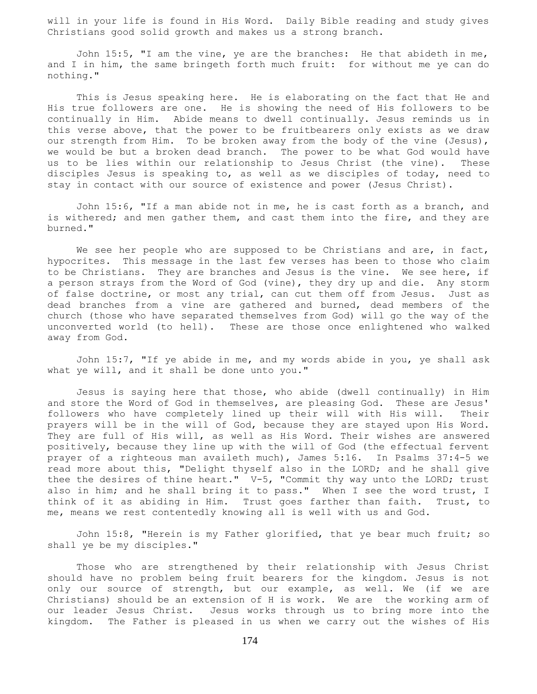will in your life is found in His Word. Daily Bible reading and study gives Christians good solid growth and makes us a strong branch.

 John 15:5, "I am the vine, ye are the branches: He that abideth in me, and I in him, the same bringeth forth much fruit: for without me ye can do nothing."

 This is Jesus speaking here. He is elaborating on the fact that He and His true followers are one. He is showing the need of His followers to be continually in Him. Abide means to dwell continually. Jesus reminds us in this verse above, that the power to be fruitbearers only exists as we draw our strength from Him. To be broken away from the body of the vine (Jesus), we would be but a broken dead branch. The power to be what God would have us to be lies within our relationship to Jesus Christ (the vine). These disciples Jesus is speaking to, as well as we disciples of today, need to stay in contact with our source of existence and power (Jesus Christ).

 John 15:6, "If a man abide not in me, he is cast forth as a branch, and is withered; and men gather them, and cast them into the fire, and they are burned."

We see her people who are supposed to be Christians and are, in fact, hypocrites. This message in the last few verses has been to those who claim to be Christians. They are branches and Jesus is the vine. We see here, if a person strays from the Word of God (vine), they dry up and die. Any storm of false doctrine, or most any trial, can cut them off from Jesus. Just as dead branches from a vine are gathered and burned, dead members of the church (those who have separated themselves from God) will go the way of the unconverted world (to hell). These are those once enlightened who walked away from God.

 John 15:7, "If ye abide in me, and my words abide in you, ye shall ask what ye will, and it shall be done unto you."

 Jesus is saying here that those, who abide (dwell continually) in Him and store the Word of God in themselves, are pleasing God. These are Jesus' followers who have completely lined up their will with His will. Their prayers will be in the will of God, because they are stayed upon His Word. They are full of His will, as well as His Word. Their wishes are answered positively, because they line up with the will of God (the effectual fervent prayer of a righteous man availeth much), James 5:16. In Psalms 37:4-5 we read more about this, "Delight thyself also in the LORD; and he shall give thee the desires of thine heart." V-5, "Commit thy way unto the LORD; trust also in him; and he shall bring it to pass." When I see the word trust, I think of it as abiding in Him. Trust goes farther than faith. Trust, to me, means we rest contentedly knowing all is well with us and God.

 John 15:8, "Herein is my Father glorified, that ye bear much fruit; so shall ye be my disciples."

 Those who are strengthened by their relationship with Jesus Christ should have no problem being fruit bearers for the kingdom. Jesus is not only our source of strength, but our example, as well. We (if we are Christians) should be an extension of H is work. We are the working arm of our leader Jesus Christ. Jesus works through us to bring more into the kingdom. The Father is pleased in us when we carry out the wishes of His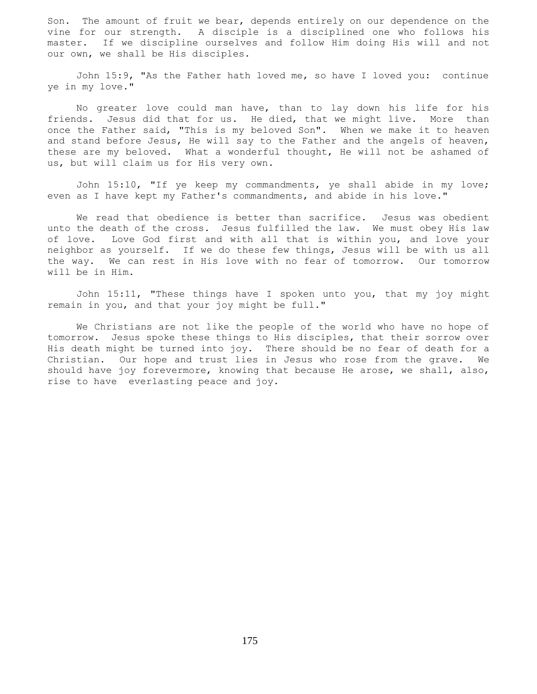Son. The amount of fruit we bear, depends entirely on our dependence on the vine for our strength. A disciple is a disciplined one who follows his master. If we discipline ourselves and follow Him doing His will and not our own, we shall be His disciples.

 John 15:9, "As the Father hath loved me, so have I loved you: continue ye in my love."

 No greater love could man have, than to lay down his life for his friends. Jesus did that for us. He died, that we might live. More than once the Father said, "This is my beloved Son". When we make it to heaven and stand before Jesus, He will say to the Father and the angels of heaven, these are my beloved. What a wonderful thought, He will not be ashamed of us, but will claim us for His very own.

 John 15:10, "If ye keep my commandments, ye shall abide in my love; even as I have kept my Father's commandments, and abide in his love."

We read that obedience is better than sacrifice. Jesus was obedient unto the death of the cross. Jesus fulfilled the law. We must obey His law of love. Love God first and with all that is within you, and love your neighbor as yourself. If we do these few things, Jesus will be with us all the way. We can rest in His love with no fear of tomorrow. Our tomorrow will be in Him.

 John 15:11, "These things have I spoken unto you, that my joy might remain in you, and that your joy might be full."

 We Christians are not like the people of the world who have no hope of tomorrow. Jesus spoke these things to His disciples, that their sorrow over His death might be turned into joy. There should be no fear of death for a Christian. Our hope and trust lies in Jesus who rose from the grave. We should have joy forevermore, knowing that because He arose, we shall, also, rise to have everlasting peace and joy.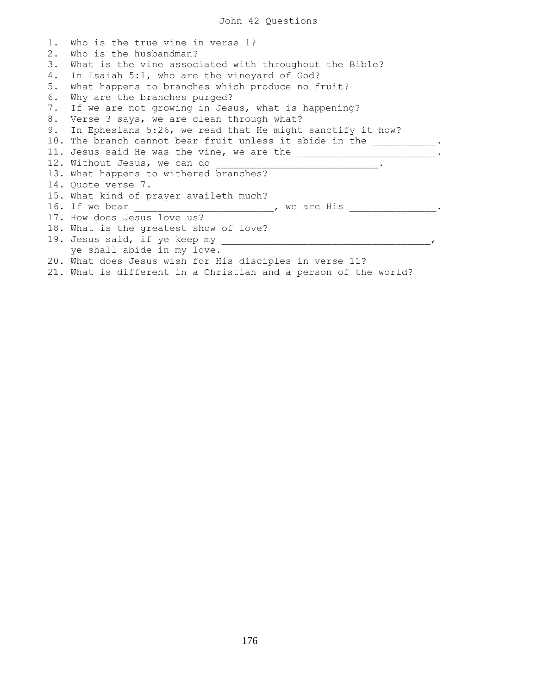| $1$ . | Who is the true vine in verse 1?                                |
|-------|-----------------------------------------------------------------|
| 2.    | Who is the husbandman?                                          |
| 3.    | What is the vine associated with throughout the Bible?          |
| 4.    | In Isaiah 5:1, who are the vineyard of God?                     |
| 5.    | What happens to branches which produce no fruit?                |
| 6.    | Why are the branches purged?                                    |
| 7.    | If we are not growing in Jesus, what is happening?              |
|       | 8. Verse 3 says, we are clean through what?                     |
|       | 9. In Ephesians 5:26, we read that He might sanctify it how?    |
|       | 10. The branch cannot bear fruit unless it abide in the         |
|       | 11. Jesus said He was the vine, we are the                      |
|       | 12. Without Jesus, we can do                                    |
|       | 13. What happens to withered branches?                          |
|       | 14. Quote verse 7.                                              |
|       | 15. What kind of prayer availeth much?                          |
|       | 16. If we bear<br>, we are His                                  |
|       | 17. How does Jesus love us?                                     |
|       | 18. What is the greatest show of love?                          |
|       | 19. Jesus said, if ye keep my                                   |
|       | ye shall abide in my love.                                      |
|       | 20. What does Jesus wish for His disciples in verse 11?         |
|       | 21. What is different in a Christian and a person of the world? |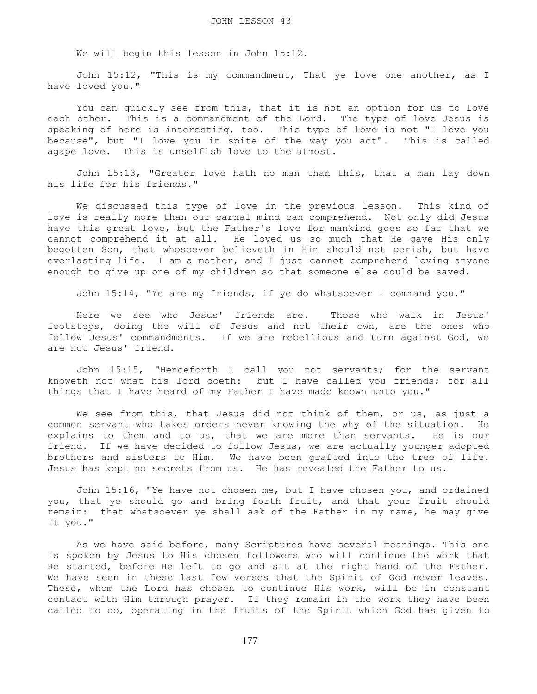We will begin this lesson in John 15:12.

 John 15:12, "This is my commandment, That ye love one another, as I have loved you."

 You can quickly see from this, that it is not an option for us to love each other. This is a commandment of the Lord. The type of love Jesus is speaking of here is interesting, too. This type of love is not "I love you because", but "I love you in spite of the way you act". This is called agape love. This is unselfish love to the utmost.

 John 15:13, "Greater love hath no man than this, that a man lay down his life for his friends."

 We discussed this type of love in the previous lesson. This kind of love is really more than our carnal mind can comprehend. Not only did Jesus have this great love, but the Father's love for mankind goes so far that we cannot comprehend it at all. He loved us so much that He gave His only begotten Son, that whosoever believeth in Him should not perish, but have everlasting life. I am a mother, and I just cannot comprehend loving anyone enough to give up one of my children so that someone else could be saved.

John 15:14, "Ye are my friends, if ye do whatsoever I command you."

 Here we see who Jesus' friends are. Those who walk in Jesus' footsteps, doing the will of Jesus and not their own, are the ones who follow Jesus' commandments. If we are rebellious and turn against God, we are not Jesus' friend.

 John 15:15, "Henceforth I call you not servants; for the servant knoweth not what his lord doeth: but I have called you friends; for all things that I have heard of my Father I have made known unto you."

 We see from this, that Jesus did not think of them, or us, as just a common servant who takes orders never knowing the why of the situation. He explains to them and to us, that we are more than servants. He is our friend. If we have decided to follow Jesus, we are actually younger adopted brothers and sisters to Him. We have been grafted into the tree of life. Jesus has kept no secrets from us. He has revealed the Father to us.

 John 15:16, "Ye have not chosen me, but I have chosen you, and ordained you, that ye should go and bring forth fruit, and that your fruit should remain: that whatsoever ye shall ask of the Father in my name, he may give it you."

 As we have said before, many Scriptures have several meanings. This one is spoken by Jesus to His chosen followers who will continue the work that He started, before He left to go and sit at the right hand of the Father. We have seen in these last few verses that the Spirit of God never leaves. These, whom the Lord has chosen to continue His work, will be in constant contact with Him through prayer. If they remain in the work they have been called to do, operating in the fruits of the Spirit which God has given to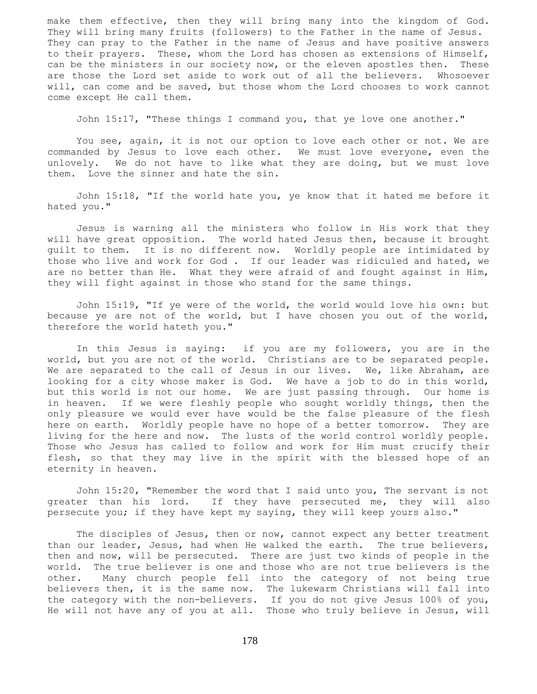make them effective, then they will bring many into the kingdom of God. They will bring many fruits (followers) to the Father in the name of Jesus. They can pray to the Father in the name of Jesus and have positive answers to their prayers. These, whom the Lord has chosen as extensions of Himself, can be the ministers in our society now, or the eleven apostles then. These are those the Lord set aside to work out of all the believers. Whosoever will, can come and be saved, but those whom the Lord chooses to work cannot come except He call them.

John 15:17, "These things I command you, that ye love one another."

 You see, again, it is not our option to love each other or not. We are commanded by Jesus to love each other. We must love everyone, even the unlovely. We do not have to like what they are doing, but we must love them. Love the sinner and hate the sin.

 John 15:18, "If the world hate you, ye know that it hated me before it hated you."

 Jesus is warning all the ministers who follow in His work that they will have great opposition. The world hated Jesus then, because it brought guilt to them. It is no different now. Worldly people are intimidated by those who live and work for God . If our leader was ridiculed and hated, we are no better than He. What they were afraid of and fought against in Him, they will fight against in those who stand for the same things.

 John 15:19, "If ye were of the world, the world would love his own: but because ye are not of the world, but I have chosen you out of the world, therefore the world hateth you."

 In this Jesus is saying: if you are my followers, you are in the world, but you are not of the world. Christians are to be separated people. We are separated to the call of Jesus in our lives. We, like Abraham, are looking for a city whose maker is God. We have a job to do in this world, but this world is not our home. We are just passing through. Our home is in heaven. If we were fleshly people who sought worldly things, then the only pleasure we would ever have would be the false pleasure of the flesh here on earth. Worldly people have no hope of a better tomorrow. They are living for the here and now. The lusts of the world control worldly people. Those who Jesus has called to follow and work for Him must crucify their flesh, so that they may live in the spirit with the blessed hope of an eternity in heaven.

 John 15:20, "Remember the word that I said unto you, The servant is not greater than his lord. If they have persecuted me, they will also persecute you; if they have kept my saying, they will keep yours also."

 The disciples of Jesus, then or now, cannot expect any better treatment than our leader, Jesus, had when He walked the earth. The true believers, then and now, will be persecuted. There are just two kinds of people in the world. The true believer is one and those who are not true believers is the other. Many church people fell into the category of not being true believers then, it is the same now. The lukewarm Christians will fall into the category with the non-believers. If you do not give Jesus 100% of you, He will not have any of you at all. Those who truly believe in Jesus, will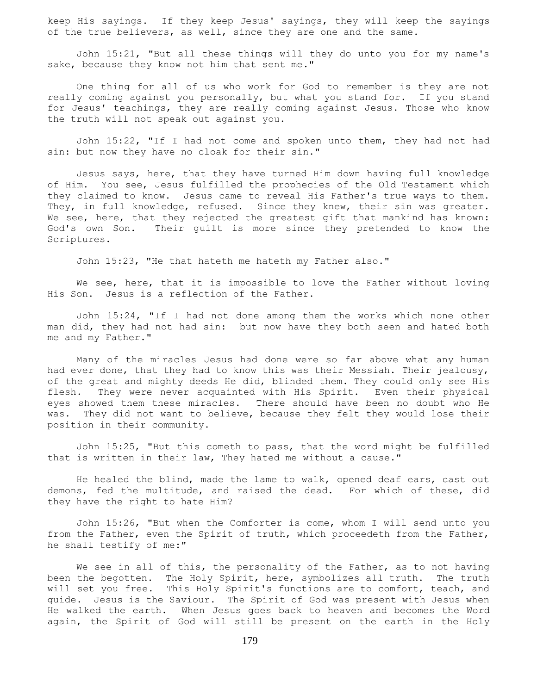keep His sayings. If they keep Jesus' sayings, they will keep the sayings of the true believers, as well, since they are one and the same.

 John 15:21, "But all these things will they do unto you for my name's sake, because they know not him that sent me."

 One thing for all of us who work for God to remember is they are not really coming against you personally, but what you stand for. If you stand for Jesus' teachings, they are really coming against Jesus. Those who know the truth will not speak out against you.

 John 15:22, "If I had not come and spoken unto them, they had not had sin: but now they have no cloak for their sin."

 Jesus says, here, that they have turned Him down having full knowledge of Him. You see, Jesus fulfilled the prophecies of the Old Testament which they claimed to know. Jesus came to reveal His Father's true ways to them. They, in full knowledge, refused. Since they knew, their sin was greater. We see, here, that they rejected the greatest gift that mankind has known: God's own Son. Their guilt is more since they pretended to know the Scriptures.

John 15:23, "He that hateth me hateth my Father also."

We see, here, that it is impossible to love the Father without loving His Son. Jesus is a reflection of the Father.

 John 15:24, "If I had not done among them the works which none other man did, they had not had sin: but now have they both seen and hated both me and my Father."

 Many of the miracles Jesus had done were so far above what any human had ever done, that they had to know this was their Messiah. Their jealousy, of the great and mighty deeds He did, blinded them. They could only see His flesh. They were never acquainted with His Spirit. Even their physical eyes showed them these miracles. There should have been no doubt who He was. They did not want to believe, because they felt they would lose their position in their community.

 John 15:25, "But this cometh to pass, that the word might be fulfilled that is written in their law, They hated me without a cause."

 He healed the blind, made the lame to walk, opened deaf ears, cast out demons, fed the multitude, and raised the dead. For which of these, did they have the right to hate Him?

 John 15:26, "But when the Comforter is come, whom I will send unto you from the Father, even the Spirit of truth, which proceedeth from the Father, he shall testify of me:"

We see in all of this, the personality of the Father, as to not having been the begotten. The Holy Spirit, here, symbolizes all truth. The truth will set you free. This Holy Spirit's functions are to comfort, teach, and guide. Jesus is the Saviour. The Spirit of God was present with Jesus when He walked the earth. When Jesus goes back to heaven and becomes the Word again, the Spirit of God will still be present on the earth in the Holy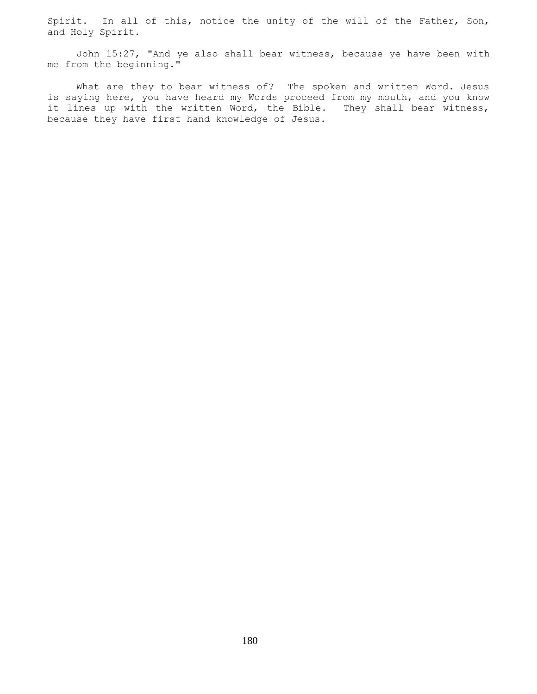Spirit. In all of this, notice the unity of the will of the Father, Son, and Holy Spirit.

 John 15:27, "And ye also shall bear witness, because ye have been with me from the beginning."

 What are they to bear witness of? The spoken and written Word. Jesus is saying here, you have heard my Words proceed from my mouth, and you know it lines up with the written Word, the Bible. They shall bear witness, because they have first hand knowledge of Jesus.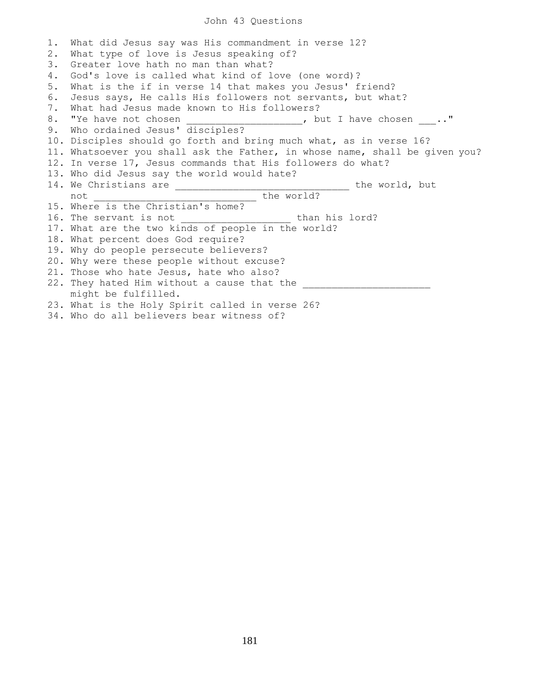## John 43 Questions

1. What did Jesus say was His commandment in verse 12? 2. What type of love is Jesus speaking of? 3. Greater love hath no man than what? 4. God's love is called what kind of love (one word)? 5. What is the if in verse 14 that makes you Jesus' friend? 6. Jesus says, He calls His followers not servants, but what? 7. What had Jesus made known to His followers? 8. "Ye have not chosen \_\_\_\_\_\_\_\_\_\_\_\_\_\_\_\_\_\_\_, but I have chosen ..." 9. Who ordained Jesus' disciples? 10. Disciples should go forth and bring much what, as in verse 16? 11. Whatsoever you shall ask the Father, in whose name, shall be given you? 12. In verse 17, Jesus commands that His followers do what? 13. Who did Jesus say the world would hate? 14. We Christians are \_\_\_\_\_\_\_\_\_\_\_\_\_\_\_\_\_\_\_\_\_\_\_\_\_\_\_\_\_\_ the world, but not \_\_\_\_\_\_\_\_\_\_\_\_\_\_\_\_\_\_\_\_\_\_\_\_\_\_\_\_ the world? 15. Where is the Christian's home? 16. The servant is not than his lord? 17. What are the two kinds of people in the world? 18. What percent does God require? 19. Why do people persecute believers? 20. Why were these people without excuse? 21. Those who hate Jesus, hate who also? 22. They hated Him without a cause that the might be fulfilled. 23. What is the Holy Spirit called in verse 26?

34. Who do all believers bear witness of?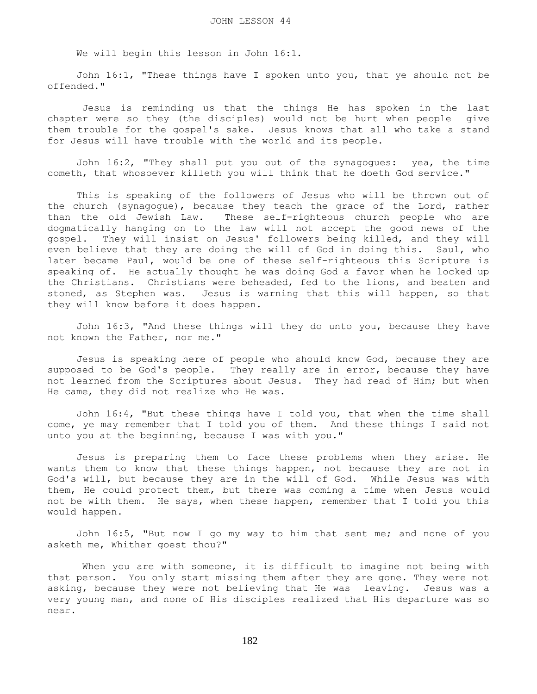We will begin this lesson in John 16:1.

 John 16:1, "These things have I spoken unto you, that ye should not be offended."

 Jesus is reminding us that the things He has spoken in the last chapter were so they (the disciples) would not be hurt when people give them trouble for the gospel's sake. Jesus knows that all who take a stand for Jesus will have trouble with the world and its people.

 John 16:2, "They shall put you out of the synagogues: yea, the time cometh, that whosoever killeth you will think that he doeth God service."

 This is speaking of the followers of Jesus who will be thrown out of the church (synagogue), because they teach the grace of the Lord, rather than the old Jewish Law. These self-righteous church people who are dogmatically hanging on to the law will not accept the good news of the gospel. They will insist on Jesus' followers being killed, and they will even believe that they are doing the will of God in doing this. Saul, who later became Paul, would be one of these self-righteous this Scripture is speaking of. He actually thought he was doing God a favor when he locked up the Christians. Christians were beheaded, fed to the lions, and beaten and stoned, as Stephen was. Jesus is warning that this will happen, so that they will know before it does happen.

 John 16:3, "And these things will they do unto you, because they have not known the Father, nor me."

 Jesus is speaking here of people who should know God, because they are supposed to be God's people. They really are in error, because they have not learned from the Scriptures about Jesus. They had read of Him; but when He came, they did not realize who He was.

 John 16:4, "But these things have I told you, that when the time shall come, ye may remember that I told you of them. And these things I said not unto you at the beginning, because I was with you."

 Jesus is preparing them to face these problems when they arise. He wants them to know that these things happen, not because they are not in God's will, but because they are in the will of God. While Jesus was with them, He could protect them, but there was coming a time when Jesus would not be with them. He says, when these happen, remember that I told you this would happen.

 John 16:5, "But now I go my way to him that sent me; and none of you asketh me, Whither goest thou?"

When you are with someone, it is difficult to imagine not being with that person. You only start missing them after they are gone. They were not asking, because they were not believing that He was leaving. Jesus was a very young man, and none of His disciples realized that His departure was so near.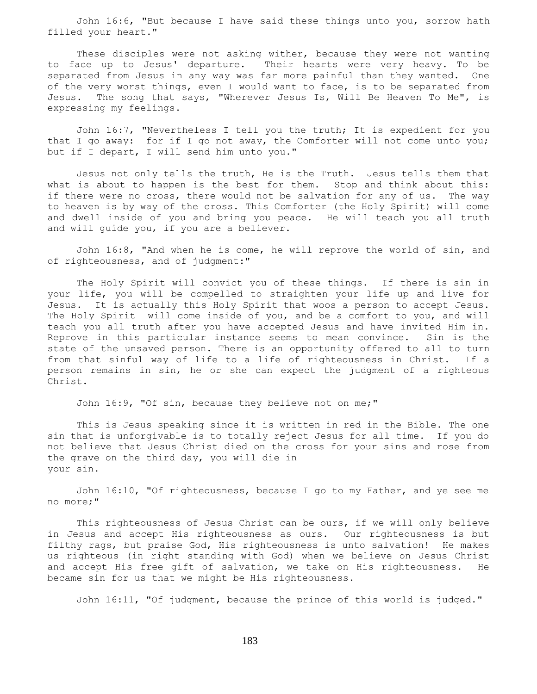John 16:6, "But because I have said these things unto you, sorrow hath filled your heart."

 These disciples were not asking wither, because they were not wanting to face up to Jesus' departure. Their hearts were very heavy. To be separated from Jesus in any way was far more painful than they wanted. One of the very worst things, even I would want to face, is to be separated from Jesus. The song that says, "Wherever Jesus Is, Will Be Heaven To Me", is expressing my feelings.

 John 16:7, "Nevertheless I tell you the truth; It is expedient for you that I go away: for if I go not away, the Comforter will not come unto you; but if I depart, I will send him unto you."

 Jesus not only tells the truth, He is the Truth. Jesus tells them that what is about to happen is the best for them. Stop and think about this: if there were no cross, there would not be salvation for any of us. The way to heaven is by way of the cross. This Comforter (the Holy Spirit) will come and dwell inside of you and bring you peace. He will teach you all truth and will guide you, if you are a believer.

 John 16:8, "And when he is come, he will reprove the world of sin, and of righteousness, and of judgment:"

 The Holy Spirit will convict you of these things. If there is sin in your life, you will be compelled to straighten your life up and live for Jesus. It is actually this Holy Spirit that woos a person to accept Jesus. The Holy Spirit will come inside of you, and be a comfort to you, and will teach you all truth after you have accepted Jesus and have invited Him in. Reprove in this particular instance seems to mean convince. Sin is the state of the unsaved person. There is an opportunity offered to all to turn from that sinful way of life to a life of righteousness in Christ. If a person remains in sin, he or she can expect the judgment of a righteous Christ.

John 16:9, "Of sin, because they believe not on me;"

 This is Jesus speaking since it is written in red in the Bible. The one sin that is unforgivable is to totally reject Jesus for all time. If you do not believe that Jesus Christ died on the cross for your sins and rose from the grave on the third day, you will die in your sin.

 John 16:10, "Of righteousness, because I go to my Father, and ye see me no more;"

 This righteousness of Jesus Christ can be ours, if we will only believe in Jesus and accept His righteousness as ours. Our righteousness is but filthy rags, but praise God, His righteousness is unto salvation! He makes us righteous (in right standing with God) when we believe on Jesus Christ and accept His free gift of salvation, we take on His righteousness. He became sin for us that we might be His righteousness.

John 16:11, "Of judgment, because the prince of this world is judged."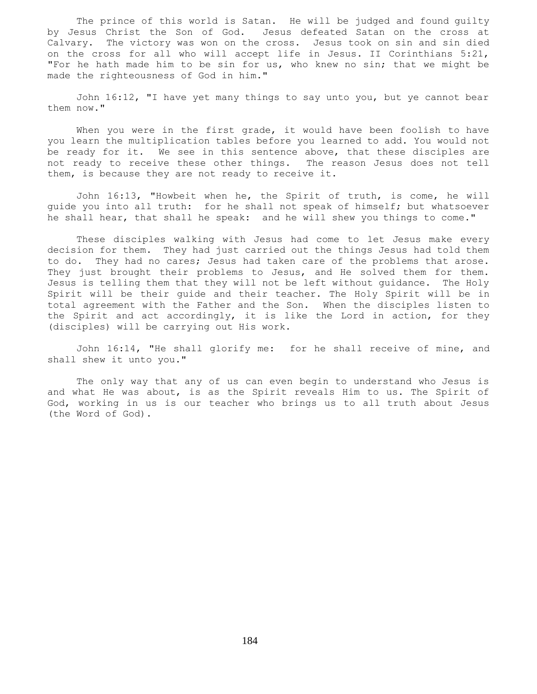The prince of this world is Satan. He will be judged and found guilty by Jesus Christ the Son of God. Jesus defeated Satan on the cross at Calvary. The victory was won on the cross. Jesus took on sin and sin died on the cross for all who will accept life in Jesus. II Corinthians 5:21, "For he hath made him to be sin for us, who knew no sin; that we might be made the righteousness of God in him."

 John 16:12, "I have yet many things to say unto you, but ye cannot bear them now."

When you were in the first grade, it would have been foolish to have you learn the multiplication tables before you learned to add. You would not be ready for it. We see in this sentence above, that these disciples are not ready to receive these other things. The reason Jesus does not tell them, is because they are not ready to receive it.

 John 16:13, "Howbeit when he, the Spirit of truth, is come, he will guide you into all truth: for he shall not speak of himself; but whatsoever he shall hear, that shall he speak: and he will shew you things to come."

 These disciples walking with Jesus had come to let Jesus make every decision for them. They had just carried out the things Jesus had told them to do. They had no cares; Jesus had taken care of the problems that arose. They just brought their problems to Jesus, and He solved them for them. Jesus is telling them that they will not be left without guidance. The Holy Spirit will be their guide and their teacher. The Holy Spirit will be in total agreement with the Father and the Son. When the disciples listen to the Spirit and act accordingly, it is like the Lord in action, for they (disciples) will be carrying out His work.

 John 16:14, "He shall glorify me: for he shall receive of mine, and shall shew it unto you."

 The only way that any of us can even begin to understand who Jesus is and what He was about, is as the Spirit reveals Him to us. The Spirit of God, working in us is our teacher who brings us to all truth about Jesus (the Word of God).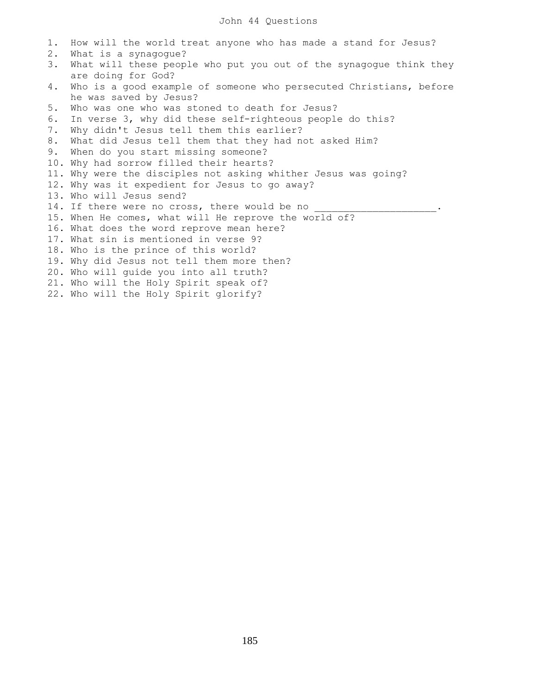1. How will the world treat anyone who has made a stand for Jesus? 2. What is a synagogue? 3. What will these people who put you out of the synagogue think they are doing for God? 4. Who is a good example of someone who persecuted Christians, before he was saved by Jesus? 5. Who was one who was stoned to death for Jesus? 6. In verse 3, why did these self-righteous people do this? 7. Why didn't Jesus tell them this earlier? 8. What did Jesus tell them that they had not asked Him? 9. When do you start missing someone? 10. Why had sorrow filled their hearts? 11. Why were the disciples not asking whither Jesus was going? 12. Why was it expedient for Jesus to go away? 13. Who will Jesus send? 14. If there were no cross, there would be no \_\_\_\_\_\_\_\_\_\_\_\_\_\_\_\_\_\_\_\_\_\_.. 15. When He comes, what will He reprove the world of? 16. What does the word reprove mean here? 17. What sin is mentioned in verse 9? 18. Who is the prince of this world? 19. Why did Jesus not tell them more then? 20. Who will guide you into all truth? 21. Who will the Holy Spirit speak of? 22. Who will the Holy Spirit glorify?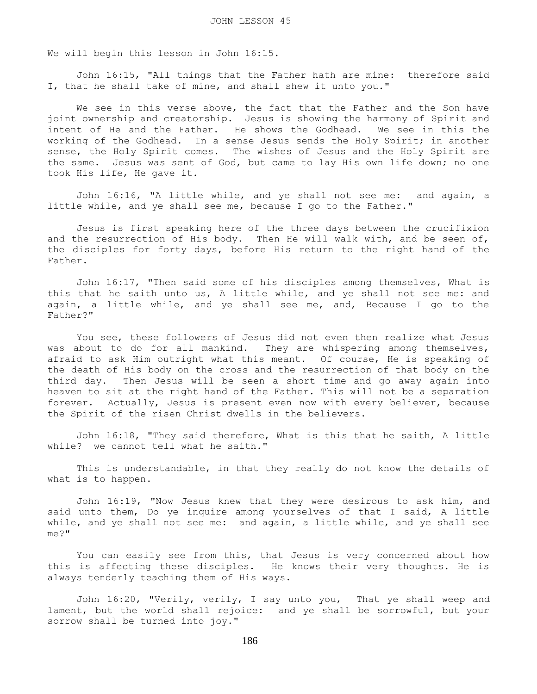We will begin this lesson in John 16:15.

 John 16:15, "All things that the Father hath are mine: therefore said I, that he shall take of mine, and shall shew it unto you."

 We see in this verse above, the fact that the Father and the Son have joint ownership and creatorship. Jesus is showing the harmony of Spirit and intent of He and the Father. He shows the Godhead. We see in this the working of the Godhead. In a sense Jesus sends the Holy Spirit; in another sense, the Holy Spirit comes. The wishes of Jesus and the Holy Spirit are the same. Jesus was sent of God, but came to lay His own life down; no one took His life, He gave it.

 John 16:16, "A little while, and ye shall not see me: and again, a little while, and ye shall see me, because I go to the Father."

 Jesus is first speaking here of the three days between the crucifixion and the resurrection of His body. Then He will walk with, and be seen of, the disciples for forty days, before His return to the right hand of the Father.

 John 16:17, "Then said some of his disciples among themselves, What is this that he saith unto us, A little while, and ye shall not see me: and again, a little while, and ye shall see me, and, Because I go to the Father?"

 You see, these followers of Jesus did not even then realize what Jesus was about to do for all mankind. They are whispering among themselves, afraid to ask Him outright what this meant. Of course, He is speaking of the death of His body on the cross and the resurrection of that body on the third day. Then Jesus will be seen a short time and go away again into heaven to sit at the right hand of the Father. This will not be a separation forever. Actually, Jesus is present even now with every believer, because the Spirit of the risen Christ dwells in the believers.

 John 16:18, "They said therefore, What is this that he saith, A little while? we cannot tell what he saith."

 This is understandable, in that they really do not know the details of what is to happen.

 John 16:19, "Now Jesus knew that they were desirous to ask him, and said unto them, Do ye inquire among yourselves of that I said, A little while, and ye shall not see me: and again, a little while, and ye shall see me?"

 You can easily see from this, that Jesus is very concerned about how this is affecting these disciples. He knows their very thoughts. He is always tenderly teaching them of His ways.

John 16:20, "Verily, verily, I say unto you, That ye shall weep and lament, but the world shall rejoice: and ye shall be sorrowful, but your sorrow shall be turned into joy."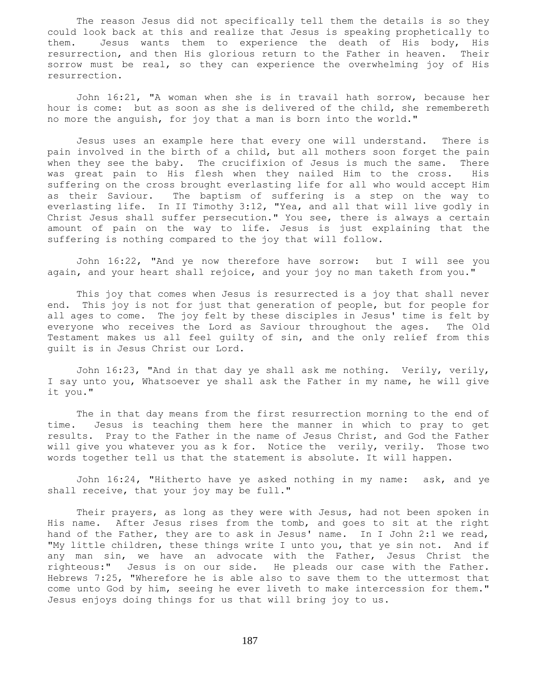The reason Jesus did not specifically tell them the details is so they could look back at this and realize that Jesus is speaking prophetically to them. Jesus wants them to experience the death of His body, His resurrection, and then His glorious return to the Father in heaven. Their sorrow must be real, so they can experience the overwhelming joy of His resurrection.

 John 16:21, "A woman when she is in travail hath sorrow, because her hour is come: but as soon as she is delivered of the child, she remembereth no more the anguish, for joy that a man is born into the world."

 Jesus uses an example here that every one will understand. There is pain involved in the birth of a child, but all mothers soon forget the pain when they see the baby. The crucifixion of Jesus is much the same. There was great pain to His flesh when they nailed Him to the cross. His suffering on the cross brought everlasting life for all who would accept Him as their Saviour. The baptism of suffering is a step on the way to everlasting life. In II Timothy 3:12, "Yea, and all that will live godly in Christ Jesus shall suffer persecution." You see, there is always a certain amount of pain on the way to life. Jesus is just explaining that the suffering is nothing compared to the joy that will follow.

 John 16:22, "And ye now therefore have sorrow: but I will see you again, and your heart shall rejoice, and your joy no man taketh from you."

 This joy that comes when Jesus is resurrected is a joy that shall never end. This joy is not for just that generation of people, but for people for all ages to come. The joy felt by these disciples in Jesus' time is felt by everyone who receives the Lord as Saviour throughout the ages. The Old Testament makes us all feel guilty of sin, and the only relief from this guilt is in Jesus Christ our Lord.

 John 16:23, "And in that day ye shall ask me nothing. Verily, verily, I say unto you, Whatsoever ye shall ask the Father in my name, he will give it you."

 The in that day means from the first resurrection morning to the end of time. Jesus is teaching them here the manner in which to pray to get results. Pray to the Father in the name of Jesus Christ, and God the Father will give you whatever you as k for. Notice the verily, verily. Those two words together tell us that the statement is absolute. It will happen.

 John 16:24, "Hitherto have ye asked nothing in my name: ask, and ye shall receive, that your joy may be full."

 Their prayers, as long as they were with Jesus, had not been spoken in His name. After Jesus rises from the tomb, and goes to sit at the right hand of the Father, they are to ask in Jesus' name. In I John 2:1 we read, "My little children, these things write I unto you, that ye sin not. And if any man sin, we have an advocate with the Father, Jesus Christ the righteous:" Jesus is on our side. He pleads our case with the Father. Hebrews 7:25, "Wherefore he is able also to save them to the uttermost that come unto God by him, seeing he ever liveth to make intercession for them." Jesus enjoys doing things for us that will bring joy to us.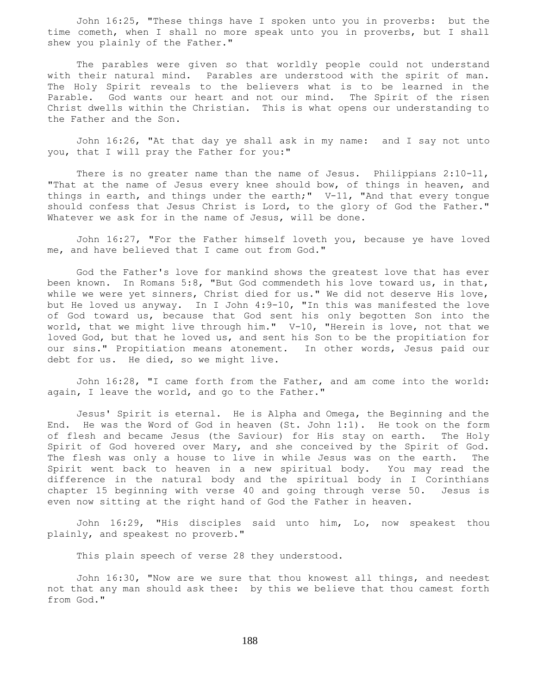John 16:25, "These things have I spoken unto you in proverbs: but the time cometh, when I shall no more speak unto you in proverbs, but I shall shew you plainly of the Father."

 The parables were given so that worldly people could not understand with their natural mind. Parables are understood with the spirit of man. The Holy Spirit reveals to the believers what is to be learned in the Parable. God wants our heart and not our mind. The Spirit of the risen Christ dwells within the Christian. This is what opens our understanding to the Father and the Son.

 John 16:26, "At that day ye shall ask in my name: and I say not unto you, that I will pray the Father for you:"

There is no greater name than the name of Jesus. Philippians 2:10-11, "That at the name of Jesus every knee should bow, of things in heaven, and things in earth, and things under the earth;" V-11, "And that every tongue should confess that Jesus Christ is Lord, to the glory of God the Father." Whatever we ask for in the name of Jesus, will be done.

 John 16:27, "For the Father himself loveth you, because ye have loved me, and have believed that I came out from God."

 God the Father's love for mankind shows the greatest love that has ever been known. In Romans 5:8, "But God commendeth his love toward us, in that, while we were yet sinners, Christ died for us." We did not deserve His love, but He loved us anyway. In I John 4:9-10, "In this was manifested the love of God toward us, because that God sent his only begotten Son into the world, that we might live through him." V-10, "Herein is love, not that we loved God, but that he loved us, and sent his Son to be the propitiation for our sins." Propitiation means atonement. In other words, Jesus paid our debt for us. He died, so we might live.

 John 16:28, "I came forth from the Father, and am come into the world: again, I leave the world, and go to the Father."

 Jesus' Spirit is eternal. He is Alpha and Omega, the Beginning and the End. He was the Word of God in heaven (St. John 1:1). He took on the form of flesh and became Jesus (the Saviour) for His stay on earth. The Holy Spirit of God hovered over Mary, and she conceived by the Spirit of God. The flesh was only a house to live in while Jesus was on the earth. The Spirit went back to heaven in a new spiritual body. You may read the difference in the natural body and the spiritual body in I Corinthians chapter 15 beginning with verse 40 and going through verse 50. Jesus is even now sitting at the right hand of God the Father in heaven.

 John 16:29, "His disciples said unto him, Lo, now speakest thou plainly, and speakest no proverb."

This plain speech of verse 28 they understood.

 John 16:30, "Now are we sure that thou knowest all things, and needest not that any man should ask thee: by this we believe that thou camest forth from God."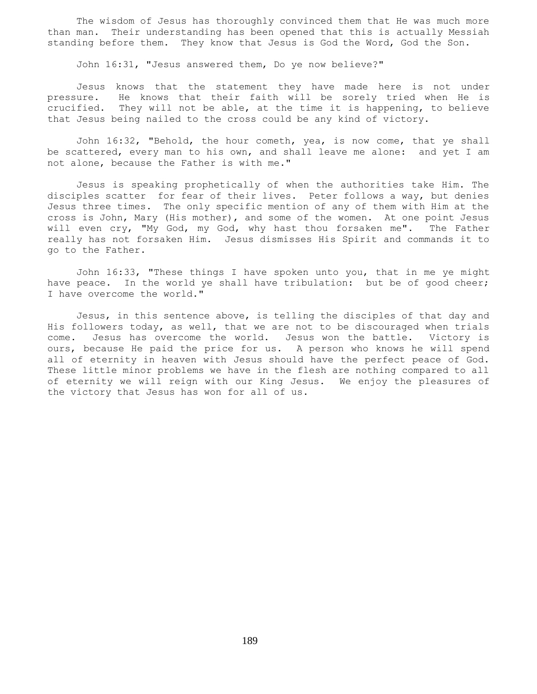The wisdom of Jesus has thoroughly convinced them that He was much more than man. Their understanding has been opened that this is actually Messiah standing before them. They know that Jesus is God the Word, God the Son.

John 16:31, "Jesus answered them, Do ye now believe?"

 Jesus knows that the statement they have made here is not under pressure. He knows that their faith will be sorely tried when He is crucified. They will not be able, at the time it is happening, to believe that Jesus being nailed to the cross could be any kind of victory.

 John 16:32, "Behold, the hour cometh, yea, is now come, that ye shall be scattered, every man to his own, and shall leave me alone: and yet I am not alone, because the Father is with me."

 Jesus is speaking prophetically of when the authorities take Him. The disciples scatter for fear of their lives. Peter follows a way, but denies Jesus three times. The only specific mention of any of them with Him at the cross is John, Mary (His mother), and some of the women. At one point Jesus will even cry, "My God, my God, why hast thou forsaken me". The Father really has not forsaken Him. Jesus dismisses His Spirit and commands it to go to the Father.

 John 16:33, "These things I have spoken unto you, that in me ye might have peace. In the world ye shall have tribulation: but be of good cheer; I have overcome the world."

 Jesus, in this sentence above, is telling the disciples of that day and His followers today, as well, that we are not to be discouraged when trials come. Jesus has overcome the world. Jesus won the battle. Victory is ours, because He paid the price for us. A person who knows he will spend all of eternity in heaven with Jesus should have the perfect peace of God. These little minor problems we have in the flesh are nothing compared to all of eternity we will reign with our King Jesus. We enjoy the pleasures of the victory that Jesus has won for all of us.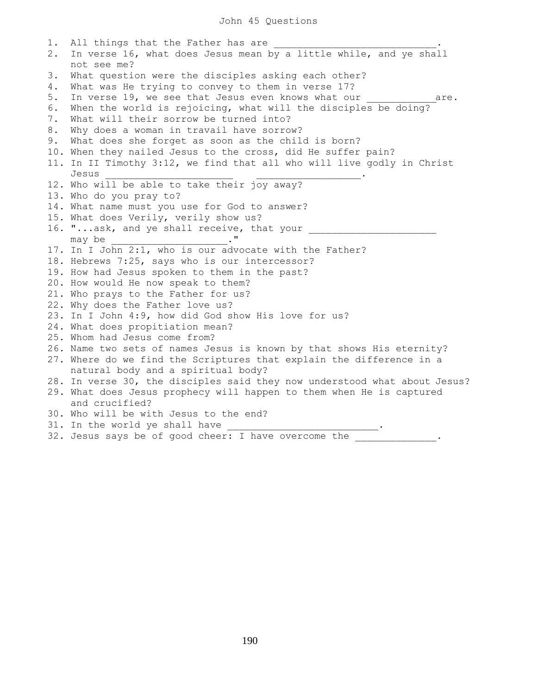1. All things that the Father has are 2. In verse 16, what does Jesus mean by a little while, and ye shall not see me? 3. What question were the disciples asking each other? 4. What was He trying to convey to them in verse 17? 5. In verse 19, we see that Jesus even knows what our example are. 6. When the world is rejoicing, what will the disciples be doing? 7. What will their sorrow be turned into? 8. Why does a woman in travail have sorrow? 9. What does she forget as soon as the child is born? 10. When they nailed Jesus to the cross, did He suffer pain? 11. In II Timothy 3:12, we find that all who will live godly in Christ Jesus  $\cdot$ 12. Who will be able to take their joy away? 13. Who do you pray to? 14. What name must you use for God to answer? 15. What does Verily, verily show us? 16. "...ask, and ye shall receive, that your may be the contract of the contract of  $\cdot$  " 17. In I John 2:1, who is our advocate with the Father? 18. Hebrews 7:25, says who is our intercessor? 19. How had Jesus spoken to them in the past? 20. How would He now speak to them? 21. Who prays to the Father for us? 22. Why does the Father love us? 23. In I John 4:9, how did God show His love for us? 24. What does propitiation mean? 25. Whom had Jesus come from? 26. Name two sets of names Jesus is known by that shows His eternity? 27. Where do we find the Scriptures that explain the difference in a natural body and a spiritual body? 28. In verse 30, the disciples said they now understood what about Jesus? 29. What does Jesus prophecy will happen to them when He is captured and crucified? 30. Who will be with Jesus to the end? 31. In the world ye shall have 32. Jesus says be of good cheer: I have overcome the \_\_\_\_\_\_\_\_\_\_\_\_.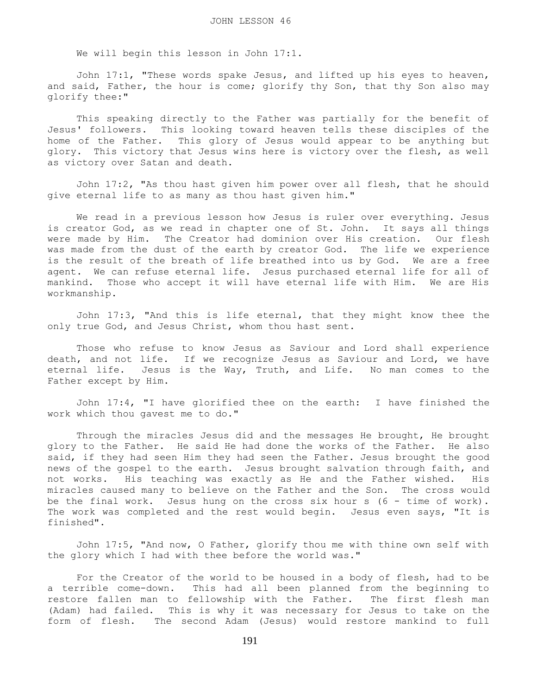We will begin this lesson in John 17:1.

 John 17:1, "These words spake Jesus, and lifted up his eyes to heaven, and said, Father, the hour is come; glorify thy Son, that thy Son also may glorify thee:"

 This speaking directly to the Father was partially for the benefit of Jesus' followers. This looking toward heaven tells these disciples of the home of the Father. This glory of Jesus would appear to be anything but glory. This victory that Jesus wins here is victory over the flesh, as well as victory over Satan and death.

 John 17:2, "As thou hast given him power over all flesh, that he should give eternal life to as many as thou hast given him."

 We read in a previous lesson how Jesus is ruler over everything. Jesus is creator God, as we read in chapter one of St. John. It says all things were made by Him. The Creator had dominion over His creation. Our flesh was made from the dust of the earth by creator God. The life we experience is the result of the breath of life breathed into us by God. We are a free agent. We can refuse eternal life. Jesus purchased eternal life for all of mankind. Those who accept it will have eternal life with Him. We are His workmanship.

 John 17:3, "And this is life eternal, that they might know thee the only true God, and Jesus Christ, whom thou hast sent.

 Those who refuse to know Jesus as Saviour and Lord shall experience death, and not life. If we recognize Jesus as Saviour and Lord, we have eternal life. Jesus is the Way, Truth, and Life. No man comes to the Father except by Him.

 John 17:4, "I have glorified thee on the earth: I have finished the work which thou gavest me to do."

 Through the miracles Jesus did and the messages He brought, He brought glory to the Father. He said He had done the works of the Father. He also said, if they had seen Him they had seen the Father. Jesus brought the good news of the gospel to the earth. Jesus brought salvation through faith, and not works. His teaching was exactly as He and the Father wished. His miracles caused many to believe on the Father and the Son. The cross would be the final work. Jesus hung on the cross six hour s (6 - time of work). The work was completed and the rest would begin. Jesus even says, "It is finished".

 John 17:5, "And now, O Father, glorify thou me with thine own self with the glory which I had with thee before the world was."

 For the Creator of the world to be housed in a body of flesh, had to be a terrible come-down. This had all been planned from the beginning to restore fallen man to fellowship with the Father. The first flesh man (Adam) had failed. This is why it was necessary for Jesus to take on the form of flesh. The second Adam (Jesus) would restore mankind to full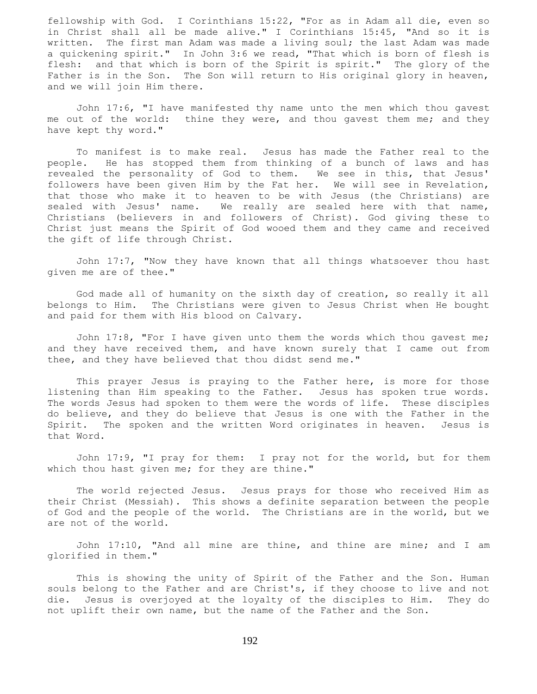fellowship with God. I Corinthians 15:22, "For as in Adam all die, even so in Christ shall all be made alive." I Corinthians 15:45, "And so it is written. The first man Adam was made a living soul; the last Adam was made a quickening spirit." In John 3:6 we read, "That which is born of flesh is flesh: and that which is born of the Spirit is spirit." The glory of the Father is in the Son. The Son will return to His original glory in heaven, and we will join Him there.

 John 17:6, "I have manifested thy name unto the men which thou gavest me out of the world: thine they were, and thou gavest them me; and they have kept thy word."

 To manifest is to make real. Jesus has made the Father real to the people. He has stopped them from thinking of a bunch of laws and has revealed the personality of God to them. We see in this, that Jesus' followers have been given Him by the Fat her. We will see in Revelation, that those who make it to heaven to be with Jesus (the Christians) are sealed with Jesus' name. We really are sealed here with that name, Christians (believers in and followers of Christ). God giving these to Christ just means the Spirit of God wooed them and they came and received the gift of life through Christ.

 John 17:7, "Now they have known that all things whatsoever thou hast given me are of thee."

 God made all of humanity on the sixth day of creation, so really it all belongs to Him. The Christians were given to Jesus Christ when He bought and paid for them with His blood on Calvary.

 John 17:8, "For I have given unto them the words which thou gavest me; and they have received them, and have known surely that I came out from thee, and they have believed that thou didst send me."

 This prayer Jesus is praying to the Father here, is more for those listening than Him speaking to the Father. Jesus has spoken true words. The words Jesus had spoken to them were the words of life. These disciples do believe, and they do believe that Jesus is one with the Father in the Spirit. The spoken and the written Word originates in heaven. Jesus is that Word.

 John 17:9, "I pray for them: I pray not for the world, but for them which thou hast given me; for they are thine."

 The world rejected Jesus. Jesus prays for those who received Him as their Christ (Messiah). This shows a definite separation between the people of God and the people of the world. The Christians are in the world, but we are not of the world.

 John 17:10, "And all mine are thine, and thine are mine; and I am glorified in them."

 This is showing the unity of Spirit of the Father and the Son. Human souls belong to the Father and are Christ's, if they choose to live and not die. Jesus is overjoyed at the loyalty of the disciples to Him. They do not uplift their own name, but the name of the Father and the Son.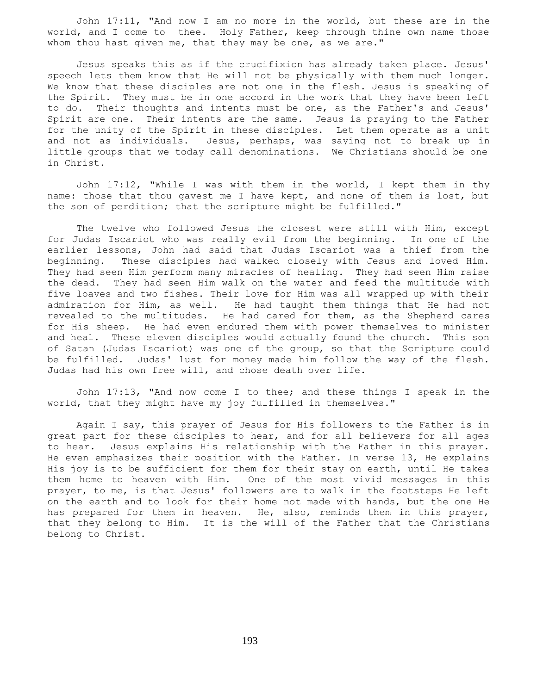John 17:11, "And now I am no more in the world, but these are in the world, and I come to thee. Holy Father, keep through thine own name those whom thou hast given me, that they may be one, as we are."

 Jesus speaks this as if the crucifixion has already taken place. Jesus' speech lets them know that He will not be physically with them much longer. We know that these disciples are not one in the flesh. Jesus is speaking of the Spirit. They must be in one accord in the work that they have been left to do. Their thoughts and intents must be one, as the Father's and Jesus' Spirit are one. Their intents are the same. Jesus is praying to the Father for the unity of the Spirit in these disciples. Let them operate as a unit and not as individuals. Jesus, perhaps, was saying not to break up in little groups that we today call denominations. We Christians should be one in Christ.

 John 17:12, "While I was with them in the world, I kept them in thy name: those that thou gavest me I have kept, and none of them is lost, but the son of perdition; that the scripture might be fulfilled."

 The twelve who followed Jesus the closest were still with Him, except for Judas Iscariot who was really evil from the beginning. In one of the earlier lessons, John had said that Judas Iscariot was a thief from the beginning. These disciples had walked closely with Jesus and loved Him. They had seen Him perform many miracles of healing. They had seen Him raise the dead. They had seen Him walk on the water and feed the multitude with five loaves and two fishes. Their love for Him was all wrapped up with their admiration for Him, as well. He had taught them things that He had not revealed to the multitudes. He had cared for them, as the Shepherd cares for His sheep. He had even endured them with power themselves to minister and heal. These eleven disciples would actually found the church. This son of Satan (Judas Iscariot) was one of the group, so that the Scripture could be fulfilled. Judas' lust for money made him follow the way of the flesh. Judas had his own free will, and chose death over life.

 John 17:13, "And now come I to thee; and these things I speak in the world, that they might have my joy fulfilled in themselves."

 Again I say, this prayer of Jesus for His followers to the Father is in great part for these disciples to hear, and for all believers for all ages to hear. Jesus explains His relationship with the Father in this prayer. He even emphasizes their position with the Father. In verse 13, He explains His joy is to be sufficient for them for their stay on earth, until He takes them home to heaven with Him. One of the most vivid messages in this prayer, to me, is that Jesus' followers are to walk in the footsteps He left on the earth and to look for their home not made with hands, but the one He has prepared for them in heaven. He, also, reminds them in this prayer, that they belong to Him. It is the will of the Father that the Christians belong to Christ.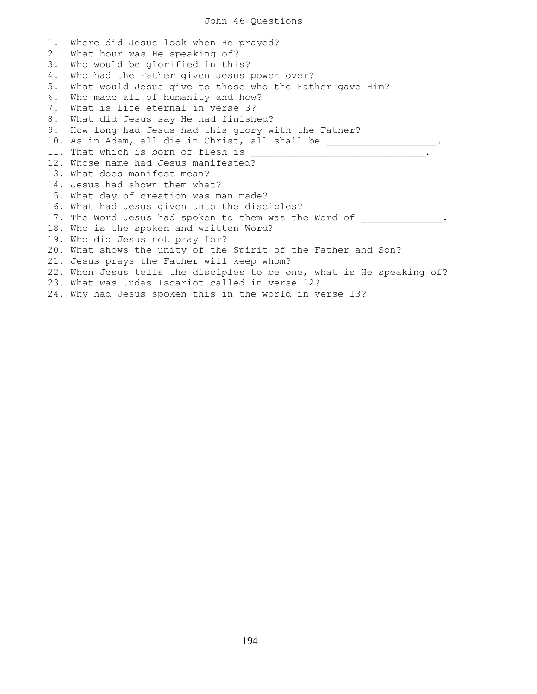1. Where did Jesus look when He prayed? 2. What hour was He speaking of? 3. Who would be glorified in this? 4. Who had the Father given Jesus power over? 5. What would Jesus give to those who the Father gave Him? 6. Who made all of humanity and how? 7. What is life eternal in verse 3? 8. What did Jesus say He had finished? 9. How long had Jesus had this glory with the Father? 10. As in Adam, all die in Christ, all shall be \_\_\_\_\_\_\_\_\_\_\_\_\_\_\_\_\_\_\_\_\_. 11. That which is born of flesh is 12. Whose name had Jesus manifested? 13. What does manifest mean? 14. Jesus had shown them what? 15. What day of creation was man made? 16. What had Jesus given unto the disciples? 17. The Word Jesus had spoken to them was the Word of  $\cdot$ 18. Who is the spoken and written Word? 19. Who did Jesus not pray for? 20. What shows the unity of the Spirit of the Father and Son? 21. Jesus prays the Father will keep whom? 22. When Jesus tells the disciples to be one, what is He speaking of? 23. What was Judas Iscariot called in verse 12? 24. Why had Jesus spoken this in the world in verse 13?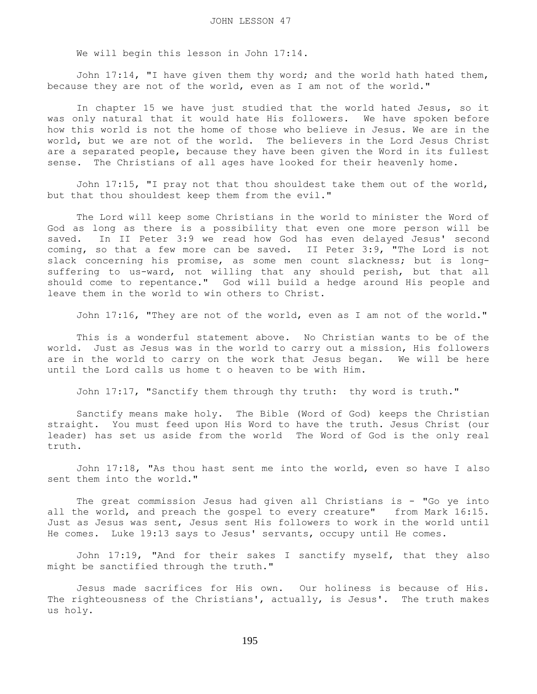We will begin this lesson in John 17:14.

 John 17:14, "I have given them thy word; and the world hath hated them, because they are not of the world, even as I am not of the world."

 In chapter 15 we have just studied that the world hated Jesus, so it was only natural that it would hate His followers. We have spoken before how this world is not the home of those who believe in Jesus. We are in the world, but we are not of the world. The believers in the Lord Jesus Christ are a separated people, because they have been given the Word in its fullest sense. The Christians of all ages have looked for their heavenly home.

 John 17:15, "I pray not that thou shouldest take them out of the world, but that thou shouldest keep them from the evil."

 The Lord will keep some Christians in the world to minister the Word of God as long as there is a possibility that even one more person will be saved. In II Peter 3:9 we read how God has even delayed Jesus' second coming, so that a few more can be saved. II Peter 3:9, "The Lord is not slack concerning his promise, as some men count slackness; but is longsuffering to us-ward, not willing that any should perish, but that all should come to repentance." God will build a hedge around His people and leave them in the world to win others to Christ.

John 17:16, "They are not of the world, even as I am not of the world."

 This is a wonderful statement above. No Christian wants to be of the world. Just as Jesus was in the world to carry out a mission, His followers are in the world to carry on the work that Jesus began. We will be here until the Lord calls us home t o heaven to be with Him.

John 17:17, "Sanctify them through thy truth: thy word is truth."

 Sanctify means make holy. The Bible (Word of God) keeps the Christian straight. You must feed upon His Word to have the truth. Jesus Christ (our leader) has set us aside from the world The Word of God is the only real truth.

 John 17:18, "As thou hast sent me into the world, even so have I also sent them into the world."

The great commission Jesus had given all Christians is - "Go ye into all the world, and preach the gospel to every creature" from Mark 16:15. Just as Jesus was sent, Jesus sent His followers to work in the world until He comes. Luke 19:13 says to Jesus' servants, occupy until He comes.

 John 17:19, "And for their sakes I sanctify myself, that they also might be sanctified through the truth."

 Jesus made sacrifices for His own. Our holiness is because of His. The righteousness of the Christians', actually, is Jesus'. The truth makes us holy.

195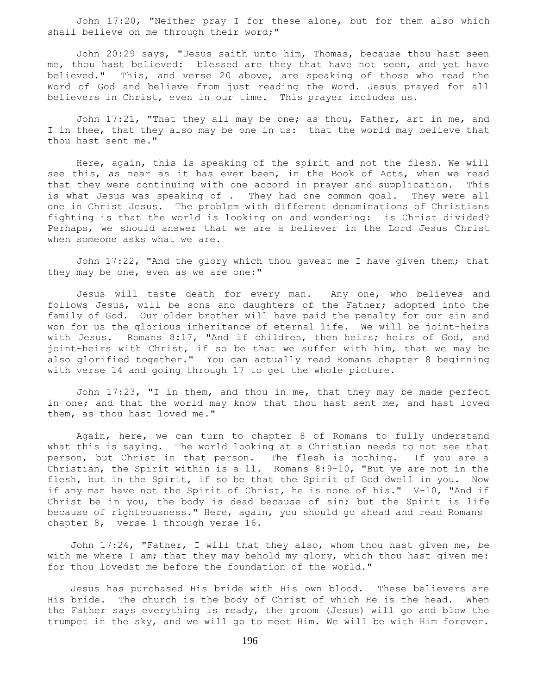John 17:20, "Neither pray I for these alone, but for them also which shall believe on me through their word;"

 John 20:29 says, "Jesus saith unto him, Thomas, because thou hast seen me, thou hast believed: blessed are they that have not seen, and yet have believed." This, and verse 20 above, are speaking of those who read the Word of God and believe from just reading the Word. Jesus prayed for all believers in Christ, even in our time. This prayer includes us.

 John 17:21, "That they all may be one; as thou, Father, art in me, and I in thee, that they also may be one in us: that the world may believe that thou hast sent me."

 Here, again, this is speaking of the spirit and not the flesh. We will see this, as near as it has ever been, in the Book of Acts, when we read that they were continuing with one accord in prayer and supplication. This is what Jesus was speaking of . They had one common goal. They were all one in Christ Jesus. The problem with different denominations of Christians fighting is that the world is looking on and wondering: is Christ divided? Perhaps, we should answer that we are a believer in the Lord Jesus Christ when someone asks what we are.

 John 17:22, "And the glory which thou gavest me I have given them; that they may be one, even as we are one:"

 Jesus will taste death for every man. Any one, who believes and follows Jesus, will be sons and daughters of the Father; adopted into the family of God. Our older brother will have paid the penalty for our sin and won for us the glorious inheritance of eternal life. We will be joint-heirs with Jesus. Romans 8:17, "And if children, then heirs; heirs of God, and joint-heirs with Christ, if so be that we suffer with him, that we may be also glorified together." You can actually read Romans chapter 8 beginning with verse 14 and going through 17 to get the whole picture.

 John 17:23, "I in them, and thou in me, that they may be made perfect in one; and that the world may know that thou hast sent me, and hast loved them, as thou hast loved me."

 Again, here, we can turn to chapter 8 of Romans to fully understand what this is saying. The world looking at a Christian needs to not see that person, but Christ in that person. The flesh is nothing. If you are a Christian, the Spirit within is a ll. Romans 8:9-10, "But ye are not in the flesh, but in the Spirit, if so be that the Spirit of God dwell in you. Now if any man have not the Spirit of Christ, he is none of his." V-10, "And if Christ be in you, the body is dead because of sin; but the Spirit is life because of righteousness." Here, again, you should go ahead and read Romans chapter 8, verse 1 through verse 16.

 John 17:24, "Father, I will that they also, whom thou hast given me, be with me where I am; that they may behold my glory, which thou hast given me: for thou lovedst me before the foundation of the world."

 Jesus has purchased His bride with His own blood. These believers are His bride. The church is the body of Christ of which He is the head. When the Father says everything is ready, the groom (Jesus) will go and blow the trumpet in the sky, and we will go to meet Him. We will be with Him forever.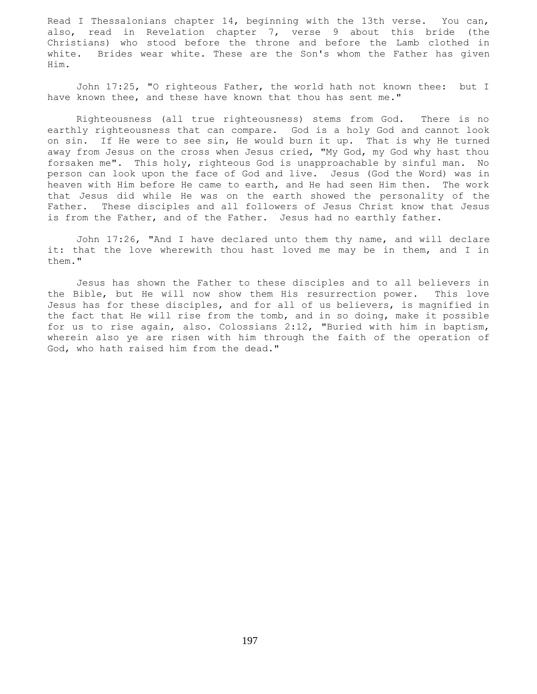Read I Thessalonians chapter 14, beginning with the 13th verse. You can, also, read in Revelation chapter 7, verse 9 about this bride (the Christians) who stood before the throne and before the Lamb clothed in white. Brides wear white. These are the Son's whom the Father has given Him.

 John 17:25, "O righteous Father, the world hath not known thee: but I have known thee, and these have known that thou has sent me."

 Righteousness (all true righteousness) stems from God. There is no earthly righteousness that can compare. God is a holy God and cannot look on sin. If He were to see sin, He would burn it up. That is why He turned away from Jesus on the cross when Jesus cried, "My God, my God why hast thou forsaken me". This holy, righteous God is unapproachable by sinful man. No person can look upon the face of God and live. Jesus (God the Word) was in heaven with Him before He came to earth, and He had seen Him then. The work that Jesus did while He was on the earth showed the personality of the Father. These disciples and all followers of Jesus Christ know that Jesus is from the Father, and of the Father. Jesus had no earthly father.

 John 17:26, "And I have declared unto them thy name, and will declare it: that the love wherewith thou hast loved me may be in them, and I in them."

 Jesus has shown the Father to these disciples and to all believers in the Bible, but He will now show them His resurrection power. This love Jesus has for these disciples, and for all of us believers, is magnified in the fact that He will rise from the tomb, and in so doing, make it possible for us to rise again, also. Colossians 2:12, "Buried with him in baptism, wherein also ye are risen with him through the faith of the operation of God, who hath raised him from the dead."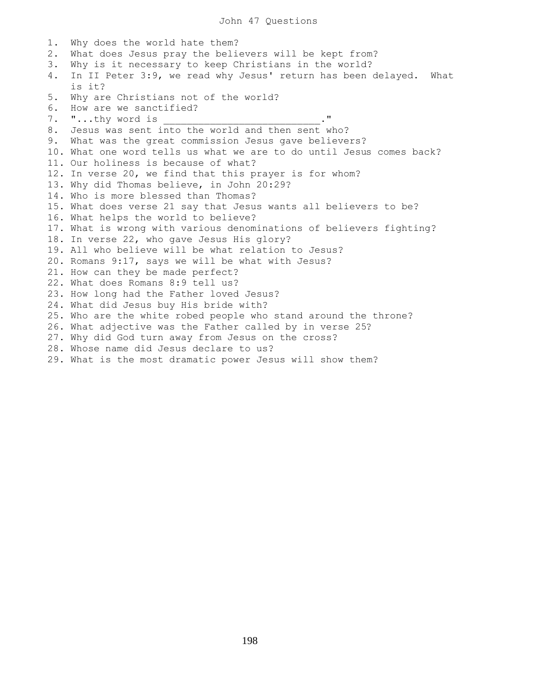1. Why does the world hate them? 2. What does Jesus pray the believers will be kept from? 3. Why is it necessary to keep Christians in the world? 4. In II Peter 3:9, we read why Jesus' return has been delayed. What is it? 5. Why are Christians not of the world? 6. How are we sanctified? 7. "...thy word is 8. Jesus was sent into the world and then sent who? 9. What was the great commission Jesus gave believers? 10. What one word tells us what we are to do until Jesus comes back? 11. Our holiness is because of what? 12. In verse 20, we find that this prayer is for whom? 13. Why did Thomas believe, in John 20:29? 14. Who is more blessed than Thomas? 15. What does verse 21 say that Jesus wants all believers to be? 16. What helps the world to believe? 17. What is wrong with various denominations of believers fighting? 18. In verse 22, who gave Jesus His glory? 19. All who believe will be what relation to Jesus? 20. Romans 9:17, says we will be what with Jesus? 21. How can they be made perfect? 22. What does Romans 8:9 tell us? 23. How long had the Father loved Jesus? 24. What did Jesus buy His bride with? 25. Who are the white robed people who stand around the throne? 26. What adjective was the Father called by in verse 25? 27. Why did God turn away from Jesus on the cross? 28. Whose name did Jesus declare to us? 29. What is the most dramatic power Jesus will show them?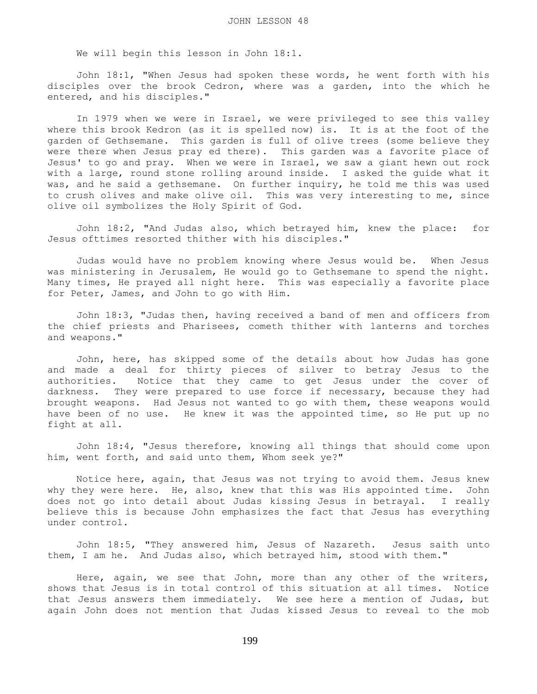We will begin this lesson in John 18:1.

 John 18:1, "When Jesus had spoken these words, he went forth with his disciples over the brook Cedron, where was a garden, into the which he entered, and his disciples."

 In 1979 when we were in Israel, we were privileged to see this valley where this brook Kedron (as it is spelled now) is. It is at the foot of the garden of Gethsemane. This garden is full of olive trees (some believe they were there when Jesus pray ed there). This garden was a favorite place of Jesus' to go and pray. When we were in Israel, we saw a giant hewn out rock with a large, round stone rolling around inside. I asked the guide what it was, and he said a gethsemane. On further inquiry, he told me this was used to crush olives and make olive oil. This was very interesting to me, since olive oil symbolizes the Holy Spirit of God.

 John 18:2, "And Judas also, which betrayed him, knew the place: for Jesus ofttimes resorted thither with his disciples."

 Judas would have no problem knowing where Jesus would be. When Jesus was ministering in Jerusalem, He would go to Gethsemane to spend the night. Many times, He prayed all night here. This was especially a favorite place for Peter, James, and John to go with Him.

 John 18:3, "Judas then, having received a band of men and officers from the chief priests and Pharisees, cometh thither with lanterns and torches and weapons."

 John, here, has skipped some of the details about how Judas has gone and made a deal for thirty pieces of silver to betray Jesus to the authorities. Notice that they came to get Jesus under the cover of darkness. They were prepared to use force if necessary, because they had brought weapons. Had Jesus not wanted to go with them, these weapons would have been of no use. He knew it was the appointed time, so He put up no fight at all.

 John 18:4, "Jesus therefore, knowing all things that should come upon him, went forth, and said unto them, Whom seek ye?"

 Notice here, again, that Jesus was not trying to avoid them. Jesus knew why they were here. He, also, knew that this was His appointed time. John does not go into detail about Judas kissing Jesus in betrayal. I really believe this is because John emphasizes the fact that Jesus has everything under control.

 John 18:5, "They answered him, Jesus of Nazareth. Jesus saith unto them, I am he. And Judas also, which betrayed him, stood with them."

 Here, again, we see that John, more than any other of the writers, shows that Jesus is in total control of this situation at all times. Notice that Jesus answers them immediately. We see here a mention of Judas, but again John does not mention that Judas kissed Jesus to reveal to the mob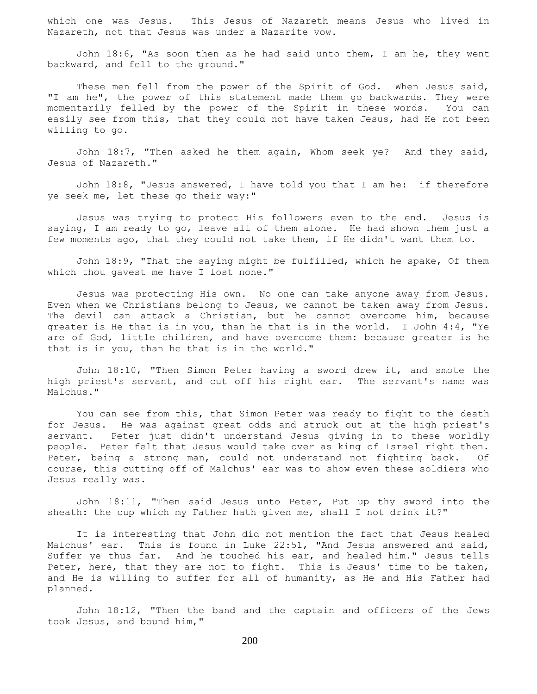which one was Jesus. This Jesus of Nazareth means Jesus who lived in Nazareth, not that Jesus was under a Nazarite vow.

 John 18:6, "As soon then as he had said unto them, I am he, they went backward, and fell to the ground."

These men fell from the power of the Spirit of God. When Jesus said, "I am he", the power of this statement made them go backwards. They were momentarily felled by the power of the Spirit in these words. You can easily see from this, that they could not have taken Jesus, had He not been willing to go.

 John 18:7, "Then asked he them again, Whom seek ye? And they said, Jesus of Nazareth."

 John 18:8, "Jesus answered, I have told you that I am he: if therefore ye seek me, let these go their way:"

 Jesus was trying to protect His followers even to the end. Jesus is saying, I am ready to go, leave all of them alone. He had shown them just a few moments ago, that they could not take them, if He didn't want them to.

 John 18:9, "That the saying might be fulfilled, which he spake, Of them which thou gavest me have I lost none."

 Jesus was protecting His own. No one can take anyone away from Jesus. Even when we Christians belong to Jesus, we cannot be taken away from Jesus. The devil can attack a Christian, but he cannot overcome him, because greater is He that is in you, than he that is in the world. I John 4:4, "Ye are of God, little children, and have overcome them: because greater is he that is in you, than he that is in the world."

 John 18:10, "Then Simon Peter having a sword drew it, and smote the high priest's servant, and cut off his right ear. The servant's name was Malchus."

 You can see from this, that Simon Peter was ready to fight to the death for Jesus. He was against great odds and struck out at the high priest's servant. Peter just didn't understand Jesus giving in to these worldly people. Peter felt that Jesus would take over as king of Israel right then. Peter, being a strong man, could not understand not fighting back. Of course, this cutting off of Malchus' ear was to show even these soldiers who Jesus really was.

 John 18:11, "Then said Jesus unto Peter, Put up thy sword into the sheath: the cup which my Father hath given me, shall I not drink it?"

 It is interesting that John did not mention the fact that Jesus healed Malchus' ear. This is found in Luke 22:51, "And Jesus answered and said, Suffer ye thus far. And he touched his ear, and healed him." Jesus tells Peter, here, that they are not to fight. This is Jesus' time to be taken, and He is willing to suffer for all of humanity, as He and His Father had planned.

 John 18:12, "Then the band and the captain and officers of the Jews took Jesus, and bound him,"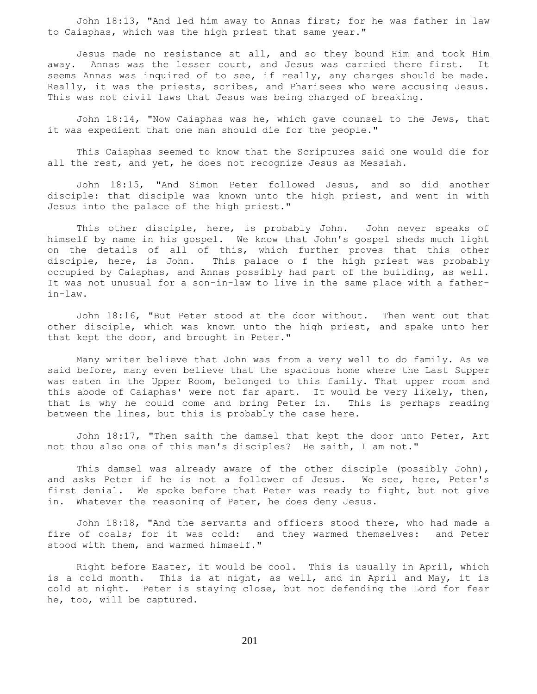John 18:13, "And led him away to Annas first; for he was father in law to Caiaphas, which was the high priest that same year."

 Jesus made no resistance at all, and so they bound Him and took Him away. Annas was the lesser court, and Jesus was carried there first. It seems Annas was inquired of to see, if really, any charges should be made. Really, it was the priests, scribes, and Pharisees who were accusing Jesus. This was not civil laws that Jesus was being charged of breaking.

 John 18:14, "Now Caiaphas was he, which gave counsel to the Jews, that it was expedient that one man should die for the people."

 This Caiaphas seemed to know that the Scriptures said one would die for all the rest, and yet, he does not recognize Jesus as Messiah.

 John 18:15, "And Simon Peter followed Jesus, and so did another disciple: that disciple was known unto the high priest, and went in with Jesus into the palace of the high priest."

 This other disciple, here, is probably John. John never speaks of himself by name in his gospel. We know that John's gospel sheds much light on the details of all of this, which further proves that this other disciple, here, is John. This palace o f the high priest was probably occupied by Caiaphas, and Annas possibly had part of the building, as well. It was not unusual for a son-in-law to live in the same place with a fatherin-law.

 John 18:16, "But Peter stood at the door without. Then went out that other disciple, which was known unto the high priest, and spake unto her that kept the door, and brought in Peter."

 Many writer believe that John was from a very well to do family. As we said before, many even believe that the spacious home where the Last Supper was eaten in the Upper Room, belonged to this family. That upper room and this abode of Caiaphas' were not far apart. It would be very likely, then, that is why he could come and bring Peter in. This is perhaps reading between the lines, but this is probably the case here.

 John 18:17, "Then saith the damsel that kept the door unto Peter, Art not thou also one of this man's disciples? He saith, I am not."

 This damsel was already aware of the other disciple (possibly John), and asks Peter if he is not a follower of Jesus. We see, here, Peter's first denial. We spoke before that Peter was ready to fight, but not give in. Whatever the reasoning of Peter, he does deny Jesus.

 John 18:18, "And the servants and officers stood there, who had made a fire of coals; for it was cold: and they warmed themselves: and Peter stood with them, and warmed himself."

 Right before Easter, it would be cool. This is usually in April, which is a cold month. This is at night, as well, and in April and May, it is cold at night. Peter is staying close, but not defending the Lord for fear he, too, will be captured.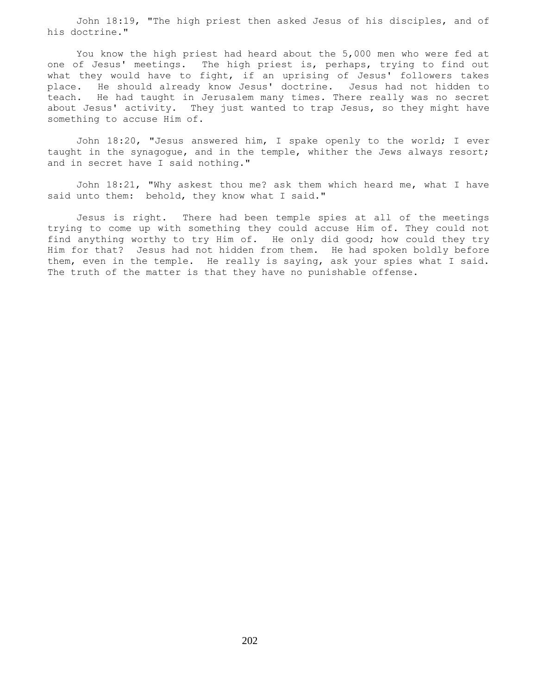John 18:19, "The high priest then asked Jesus of his disciples, and of his doctrine."

 You know the high priest had heard about the 5,000 men who were fed at one of Jesus' meetings. The high priest is, perhaps, trying to find out what they would have to fight, if an uprising of Jesus' followers takes place. He should already know Jesus' doctrine. Jesus had not hidden to teach. He had taught in Jerusalem many times. There really was no secret about Jesus' activity. They just wanted to trap Jesus, so they might have something to accuse Him of.

 John 18:20, "Jesus answered him, I spake openly to the world; I ever taught in the synagogue, and in the temple, whither the Jews always resort; and in secret have I said nothing."

 John 18:21, "Why askest thou me? ask them which heard me, what I have said unto them: behold, they know what I said."

 Jesus is right. There had been temple spies at all of the meetings trying to come up with something they could accuse Him of. They could not find anything worthy to try Him of. He only did good; how could they try Him for that? Jesus had not hidden from them. He had spoken boldly before them, even in the temple. He really is saying, ask your spies what I said. The truth of the matter is that they have no punishable offense.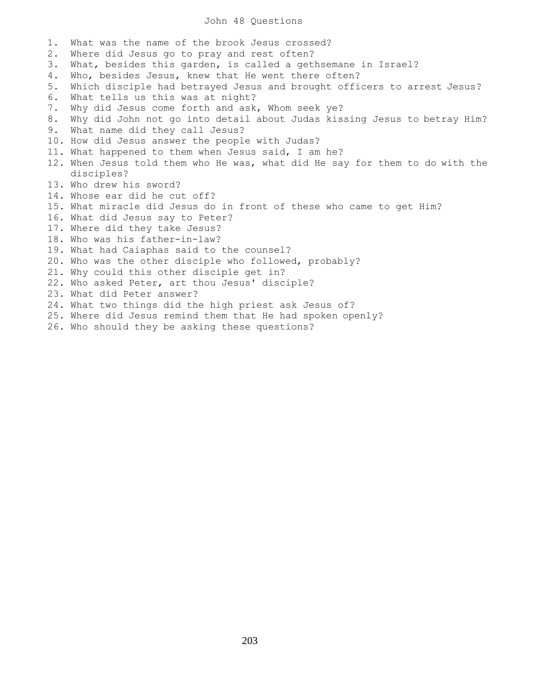## John 48 Questions

1. What was the name of the brook Jesus crossed? 2. Where did Jesus go to pray and rest often? 3. What, besides this garden, is called a gethsemane in Israel? 4. Who, besides Jesus, knew that He went there often? 5. Which disciple had betrayed Jesus and brought officers to arrest Jesus? 6. What tells us this was at night? 7. Why did Jesus come forth and ask, Whom seek ye? 8. Why did John not go into detail about Judas kissing Jesus to betray Him? 9. What name did they call Jesus? 10. How did Jesus answer the people with Judas? 11. What happened to them when Jesus said, I am he? 12. When Jesus told them who He was, what did He say for them to do with the disciples? 13. Who drew his sword? 14. Whose ear did he cut off? 15. What miracle did Jesus do in front of these who came to get Him? 16. What did Jesus say to Peter? 17. Where did they take Jesus? 18. Who was his father-in-law? 19. What had Caiaphas said to the counsel? 20. Who was the other disciple who followed, probably? 21. Why could this other disciple get in? 22. Who asked Peter, art thou Jesus' disciple? 23. What did Peter answer? 24. What two things did the high priest ask Jesus of? 25. Where did Jesus remind them that He had spoken openly? 26. Who should they be asking these questions?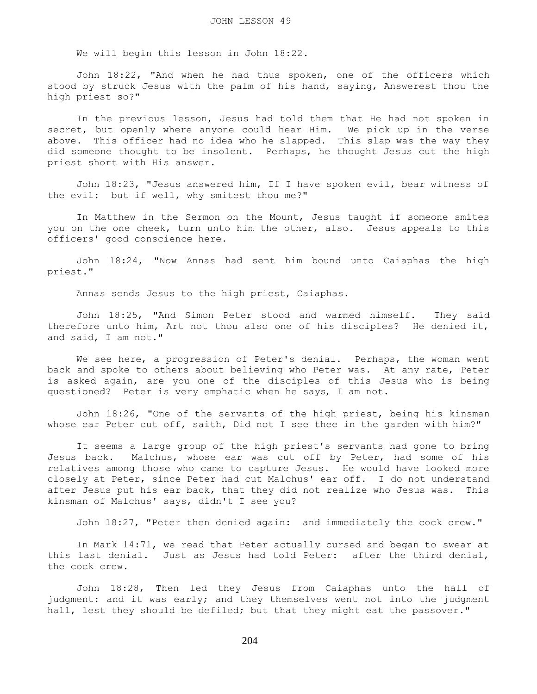We will begin this lesson in John 18:22.

 John 18:22, "And when he had thus spoken, one of the officers which stood by struck Jesus with the palm of his hand, saying, Answerest thou the high priest so?"

 In the previous lesson, Jesus had told them that He had not spoken in secret, but openly where anyone could hear Him. We pick up in the verse above. This officer had no idea who he slapped. This slap was the way they did someone thought to be insolent. Perhaps, he thought Jesus cut the high priest short with His answer.

 John 18:23, "Jesus answered him, If I have spoken evil, bear witness of the evil: but if well, why smitest thou me?"

 In Matthew in the Sermon on the Mount, Jesus taught if someone smites you on the one cheek, turn unto him the other, also. Jesus appeals to this officers' good conscience here.

 John 18:24, "Now Annas had sent him bound unto Caiaphas the high priest."

Annas sends Jesus to the high priest, Caiaphas.

 John 18:25, "And Simon Peter stood and warmed himself. They said therefore unto him, Art not thou also one of his disciples? He denied it, and said, I am not."

We see here, a progression of Peter's denial. Perhaps, the woman went back and spoke to others about believing who Peter was. At any rate, Peter is asked again, are you one of the disciples of this Jesus who is being questioned? Peter is very emphatic when he says, I am not.

 John 18:26, "One of the servants of the high priest, being his kinsman whose ear Peter cut off, saith, Did not I see thee in the garden with him?"

 It seems a large group of the high priest's servants had gone to bring Jesus back. Malchus, whose ear was cut off by Peter, had some of his relatives among those who came to capture Jesus. He would have looked more closely at Peter, since Peter had cut Malchus' ear off. I do not understand after Jesus put his ear back, that they did not realize who Jesus was. This kinsman of Malchus' says, didn't I see you?

John 18:27, "Peter then denied again: and immediately the cock crew."

 In Mark 14:71, we read that Peter actually cursed and began to swear at this last denial. Just as Jesus had told Peter: after the third denial, the cock crew.

 John 18:28, Then led they Jesus from Caiaphas unto the hall of judgment: and it was early; and they themselves went not into the judgment hall, lest they should be defiled; but that they might eat the passover."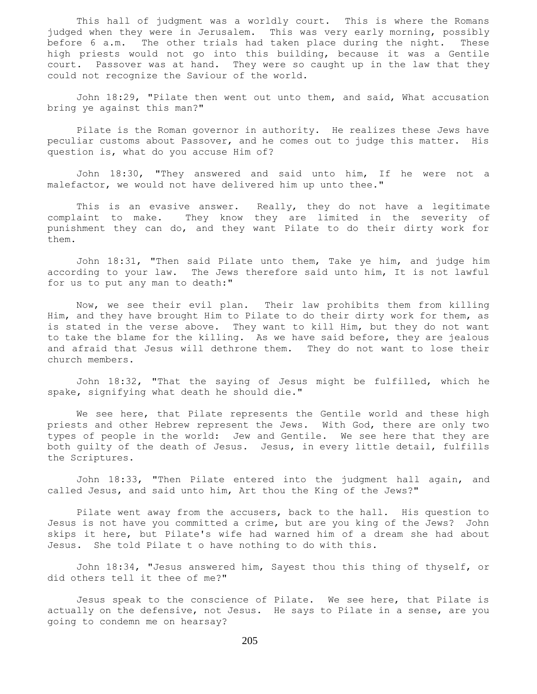This hall of judgment was a worldly court. This is where the Romans judged when they were in Jerusalem. This was very early morning, possibly before 6 a.m. The other trials had taken place during the night. These high priests would not go into this building, because it was a Gentile court. Passover was at hand. They were so caught up in the law that they could not recognize the Saviour of the world.

 John 18:29, "Pilate then went out unto them, and said, What accusation bring ye against this man?"

 Pilate is the Roman governor in authority. He realizes these Jews have peculiar customs about Passover, and he comes out to judge this matter. His question is, what do you accuse Him of?

 John 18:30, "They answered and said unto him, If he were not a malefactor, we would not have delivered him up unto thee."

This is an evasive answer. Really, they do not have a legitimate complaint to make. They know they are limited in the severity of punishment they can do, and they want Pilate to do their dirty work for them.

 John 18:31, "Then said Pilate unto them, Take ye him, and judge him according to your law. The Jews therefore said unto him, It is not lawful for us to put any man to death:"

 Now, we see their evil plan. Their law prohibits them from killing Him, and they have brought Him to Pilate to do their dirty work for them, as is stated in the verse above. They want to kill Him, but they do not want to take the blame for the killing. As we have said before, they are jealous and afraid that Jesus will dethrone them. They do not want to lose their church members.

 John 18:32, "That the saying of Jesus might be fulfilled, which he spake, signifying what death he should die."

 We see here, that Pilate represents the Gentile world and these high priests and other Hebrew represent the Jews. With God, there are only two types of people in the world: Jew and Gentile. We see here that they are both guilty of the death of Jesus. Jesus, in every little detail, fulfills the Scriptures.

 John 18:33, "Then Pilate entered into the judgment hall again, and called Jesus, and said unto him, Art thou the King of the Jews?"

 Pilate went away from the accusers, back to the hall. His question to Jesus is not have you committed a crime, but are you king of the Jews? John skips it here, but Pilate's wife had warned him of a dream she had about Jesus. She told Pilate t o have nothing to do with this.

 John 18:34, "Jesus answered him, Sayest thou this thing of thyself, or did others tell it thee of me?"

 Jesus speak to the conscience of Pilate. We see here, that Pilate is actually on the defensive, not Jesus. He says to Pilate in a sense, are you going to condemn me on hearsay?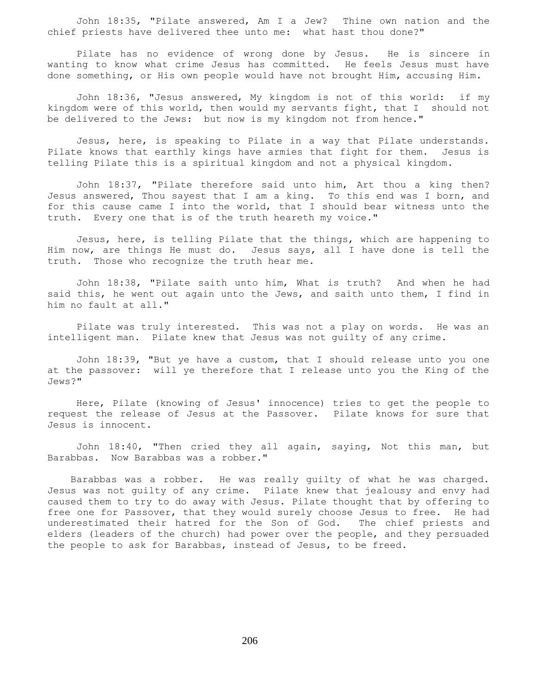John 18:35, "Pilate answered, Am I a Jew? Thine own nation and the chief priests have delivered thee unto me: what hast thou done?"

 Pilate has no evidence of wrong done by Jesus. He is sincere in wanting to know what crime Jesus has committed. He feels Jesus must have done something, or His own people would have not brought Him, accusing Him.

 John 18:36, "Jesus answered, My kingdom is not of this world: if my kingdom were of this world, then would my servants fight, that I should not be delivered to the Jews: but now is my kingdom not from hence."

 Jesus, here, is speaking to Pilate in a way that Pilate understands. Pilate knows that earthly kings have armies that fight for them. Jesus is telling Pilate this is a spiritual kingdom and not a physical kingdom.

 John 18:37, "Pilate therefore said unto him, Art thou a king then? Jesus answered, Thou sayest that I am a king. To this end was I born, and for this cause came I into the world, that I should bear witness unto the truth. Every one that is of the truth heareth my voice."

 Jesus, here, is telling Pilate that the things, which are happening to Him now, are things He must do. Jesus says, all I have done is tell the truth. Those who recognize the truth hear me.

 John 18:38, "Pilate saith unto him, What is truth? And when he had said this, he went out again unto the Jews, and saith unto them, I find in him no fault at all."

 Pilate was truly interested. This was not a play on words. He was an intelligent man. Pilate knew that Jesus was not guilty of any crime.

 John 18:39, "But ye have a custom, that I should release unto you one at the passover: will ye therefore that I release unto you the King of the Jews?"

 Here, Pilate (knowing of Jesus' innocence) tries to get the people to request the release of Jesus at the Passover. Pilate knows for sure that Jesus is innocent.

 John 18:40, "Then cried they all again, saying, Not this man, but Barabbas. Now Barabbas was a robber."

 Barabbas was a robber. He was really guilty of what he was charged. Jesus was not guilty of any crime. Pilate knew that jealousy and envy had caused them to try to do away with Jesus. Pilate thought that by offering to free one for Passover, that they would surely choose Jesus to free. He had underestimated their hatred for the Son of God. The chief priests and elders (leaders of the church) had power over the people, and they persuaded the people to ask for Barabbas, instead of Jesus, to be freed.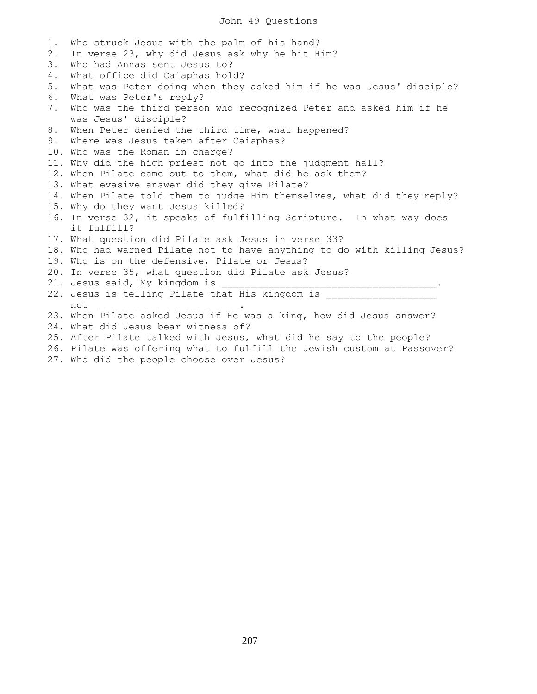## John 49 Questions

1. Who struck Jesus with the palm of his hand? 2. In verse 23, why did Jesus ask why he hit Him? 3. Who had Annas sent Jesus to? 4. What office did Caiaphas hold? 5. What was Peter doing when they asked him if he was Jesus' disciple? 6. What was Peter's reply? 7. Who was the third person who recognized Peter and asked him if he was Jesus' disciple? 8. When Peter denied the third time, what happened? 9. Where was Jesus taken after Caiaphas? 10. Who was the Roman in charge? 11. Why did the high priest not go into the judgment hall? 12. When Pilate came out to them, what did he ask them? 13. What evasive answer did they give Pilate? 14. When Pilate told them to judge Him themselves, what did they reply? 15. Why do they want Jesus killed? 16. In verse 32, it speaks of fulfilling Scripture. In what way does it fulfill? 17. What question did Pilate ask Jesus in verse 33? 18. Who had warned Pilate not to have anything to do with killing Jesus? 19. Who is on the defensive, Pilate or Jesus? 20. In verse 35, what question did Pilate ask Jesus? 21. Jesus said, My kingdom is 22. Jesus is telling Pilate that His kingdom is not \_\_\_\_\_\_\_\_\_\_\_\_\_\_\_\_\_\_\_\_\_\_\_\_. 23. When Pilate asked Jesus if He was a king, how did Jesus answer? 24. What did Jesus bear witness of? 25. After Pilate talked with Jesus, what did he say to the people?

- 26. Pilate was offering what to fulfill the Jewish custom at Passover?
- 27. Who did the people choose over Jesus?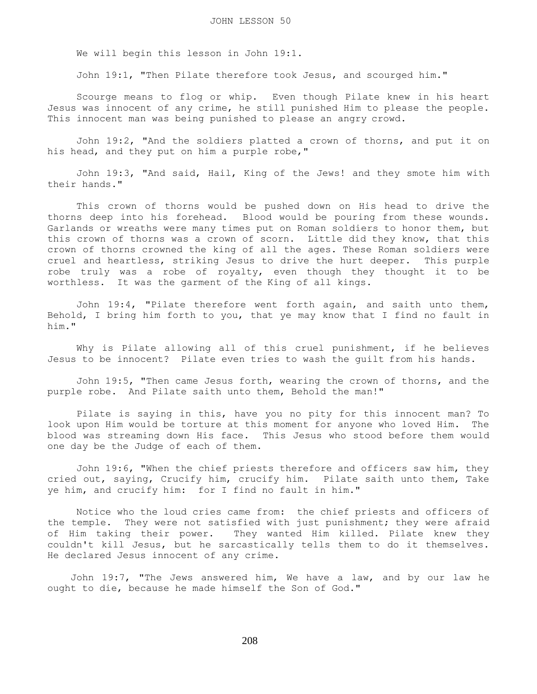We will begin this lesson in John 19:1.

John 19:1, "Then Pilate therefore took Jesus, and scourged him."

 Scourge means to flog or whip. Even though Pilate knew in his heart Jesus was innocent of any crime, he still punished Him to please the people. This innocent man was being punished to please an angry crowd.

 John 19:2, "And the soldiers platted a crown of thorns, and put it on his head, and they put on him a purple robe,"

 John 19:3, "And said, Hail, King of the Jews! and they smote him with their hands."

 This crown of thorns would be pushed down on His head to drive the thorns deep into his forehead. Blood would be pouring from these wounds. Garlands or wreaths were many times put on Roman soldiers to honor them, but this crown of thorns was a crown of scorn. Little did they know, that this crown of thorns crowned the king of all the ages. These Roman soldiers were cruel and heartless, striking Jesus to drive the hurt deeper. This purple robe truly was a robe of royalty, even though they thought it to be worthless. It was the garment of the King of all kings.

 John 19:4, "Pilate therefore went forth again, and saith unto them, Behold, I bring him forth to you, that ye may know that I find no fault in him."

 Why is Pilate allowing all of this cruel punishment, if he believes Jesus to be innocent? Pilate even tries to wash the guilt from his hands.

 John 19:5, "Then came Jesus forth, wearing the crown of thorns, and the purple robe. And Pilate saith unto them, Behold the man!"

 Pilate is saying in this, have you no pity for this innocent man? To look upon Him would be torture at this moment for anyone who loved Him. The blood was streaming down His face. This Jesus who stood before them would one day be the Judge of each of them.

 John 19:6, "When the chief priests therefore and officers saw him, they cried out, saying, Crucify him, crucify him. Pilate saith unto them, Take ye him, and crucify him: for I find no fault in him."

 Notice who the loud cries came from: the chief priests and officers of the temple. They were not satisfied with just punishment; they were afraid of Him taking their power. They wanted Him killed. Pilate knew they couldn't kill Jesus, but he sarcastically tells them to do it themselves. He declared Jesus innocent of any crime.

 John 19:7, "The Jews answered him, We have a law, and by our law he ought to die, because he made himself the Son of God."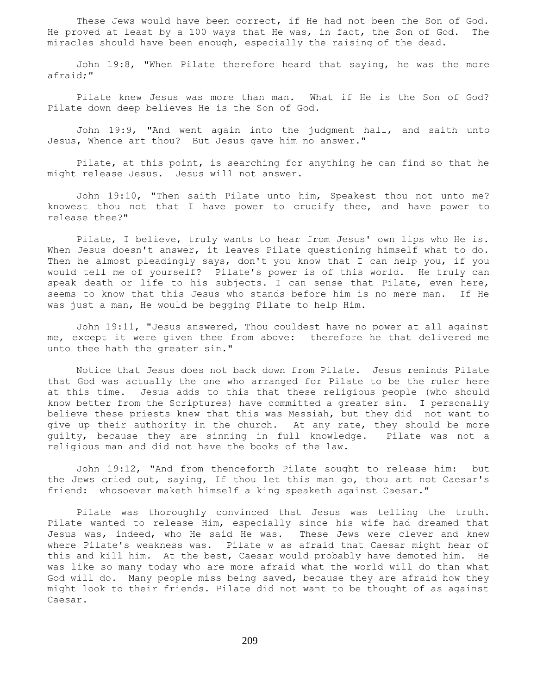These Jews would have been correct, if He had not been the Son of God. He proved at least by a 100 ways that He was, in fact, the Son of God. The miracles should have been enough, especially the raising of the dead.

 John 19:8, "When Pilate therefore heard that saying, he was the more afraid;"

 Pilate knew Jesus was more than man. What if He is the Son of God? Pilate down deep believes He is the Son of God.

 John 19:9, "And went again into the judgment hall, and saith unto Jesus, Whence art thou? But Jesus gave him no answer."

 Pilate, at this point, is searching for anything he can find so that he might release Jesus. Jesus will not answer.

 John 19:10, "Then saith Pilate unto him, Speakest thou not unto me? knowest thou not that I have power to crucify thee, and have power to release thee?"

 Pilate, I believe, truly wants to hear from Jesus' own lips who He is. When Jesus doesn't answer, it leaves Pilate questioning himself what to do. Then he almost pleadingly says, don't you know that I can help you, if you would tell me of yourself? Pilate's power is of this world. He truly can speak death or life to his subjects. I can sense that Pilate, even here, seems to know that this Jesus who stands before him is no mere man. If He was just a man, He would be begging Pilate to help Him.

 John 19:11, "Jesus answered, Thou couldest have no power at all against me, except it were given thee from above: therefore he that delivered me unto thee hath the greater sin."

 Notice that Jesus does not back down from Pilate. Jesus reminds Pilate that God was actually the one who arranged for Pilate to be the ruler here at this time. Jesus adds to this that these religious people (who should know better from the Scriptures) have committed a greater sin. I personally believe these priests knew that this was Messiah, but they did not want to give up their authority in the church. At any rate, they should be more guilty, because they are sinning in full knowledge. Pilate was not a religious man and did not have the books of the law.

 John 19:12, "And from thenceforth Pilate sought to release him: but the Jews cried out, saying, If thou let this man go, thou art not Caesar's friend: whosoever maketh himself a king speaketh against Caesar."

 Pilate was thoroughly convinced that Jesus was telling the truth. Pilate wanted to release Him, especially since his wife had dreamed that Jesus was, indeed, who He said He was. These Jews were clever and knew where Pilate's weakness was. Pilate w as afraid that Caesar might hear of this and kill him. At the best, Caesar would probably have demoted him. He was like so many today who are more afraid what the world will do than what God will do. Many people miss being saved, because they are afraid how they might look to their friends. Pilate did not want to be thought of as against Caesar.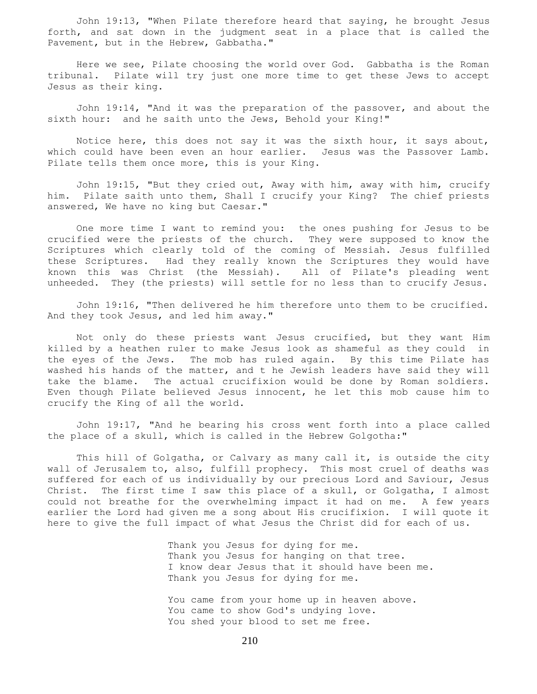John 19:13, "When Pilate therefore heard that saying, he brought Jesus forth, and sat down in the judgment seat in a place that is called the Pavement, but in the Hebrew, Gabbatha."

 Here we see, Pilate choosing the world over God. Gabbatha is the Roman tribunal. Pilate will try just one more time to get these Jews to accept Jesus as their king.

 John 19:14, "And it was the preparation of the passover, and about the sixth hour: and he saith unto the Jews, Behold your King!"

 Notice here, this does not say it was the sixth hour, it says about, which could have been even an hour earlier. Jesus was the Passover Lamb. Pilate tells them once more, this is your King.

 John 19:15, "But they cried out, Away with him, away with him, crucify him. Pilate saith unto them, Shall I crucify your King? The chief priests answered, We have no king but Caesar."

 One more time I want to remind you: the ones pushing for Jesus to be crucified were the priests of the church. They were supposed to know the Scriptures which clearly told of the coming of Messiah. Jesus fulfilled these Scriptures. Had they really known the Scriptures they would have known this was Christ (the Messiah). All of Pilate's pleading went unheeded. They (the priests) will settle for no less than to crucify Jesus.

 John 19:16, "Then delivered he him therefore unto them to be crucified. And they took Jesus, and led him away."

 Not only do these priests want Jesus crucified, but they want Him killed by a heathen ruler to make Jesus look as shameful as they could in the eyes of the Jews. The mob has ruled again. By this time Pilate has washed his hands of the matter, and t he Jewish leaders have said they will take the blame. The actual crucifixion would be done by Roman soldiers. Even though Pilate believed Jesus innocent, he let this mob cause him to crucify the King of all the world.

 John 19:17, "And he bearing his cross went forth into a place called the place of a skull, which is called in the Hebrew Golgotha:"

This hill of Golgatha, or Calvary as many call it, is outside the city wall of Jerusalem to, also, fulfill prophecy. This most cruel of deaths was suffered for each of us individually by our precious Lord and Saviour, Jesus Christ. The first time I saw this place of a skull, or Golgatha, I almost could not breathe for the overwhelming impact it had on me. A few years earlier the Lord had given me a song about His crucifixion. I will quote it here to give the full impact of what Jesus the Christ did for each of us.

> Thank you Jesus for dying for me. Thank you Jesus for hanging on that tree. I know dear Jesus that it should have been me. Thank you Jesus for dying for me.

You came from your home up in heaven above. You came to show God's undying love. You shed your blood to set me free.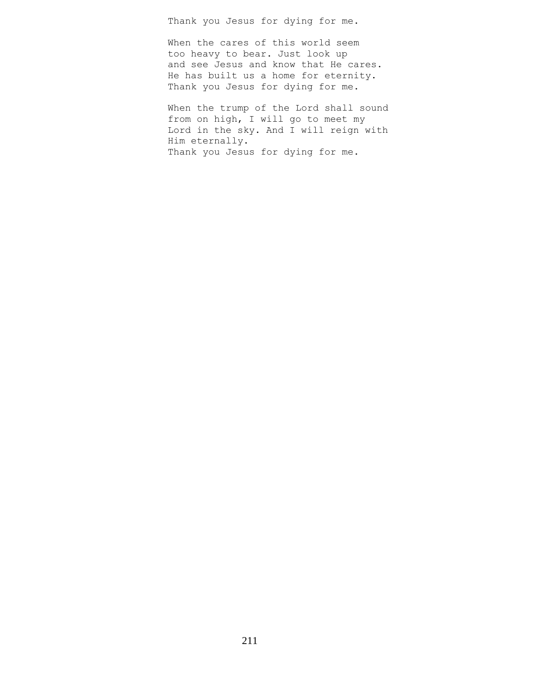Thank you Jesus for dying for me.

When the cares of this world seem too heavy to bear. Just look up and see Jesus and know that He cares. He has built us a home for eternity. Thank you Jesus for dying for me.

When the trump of the Lord shall sound from on high, I will go to meet my Lord in the sky. And I will reign with Him eternally. Thank you Jesus for dying for me.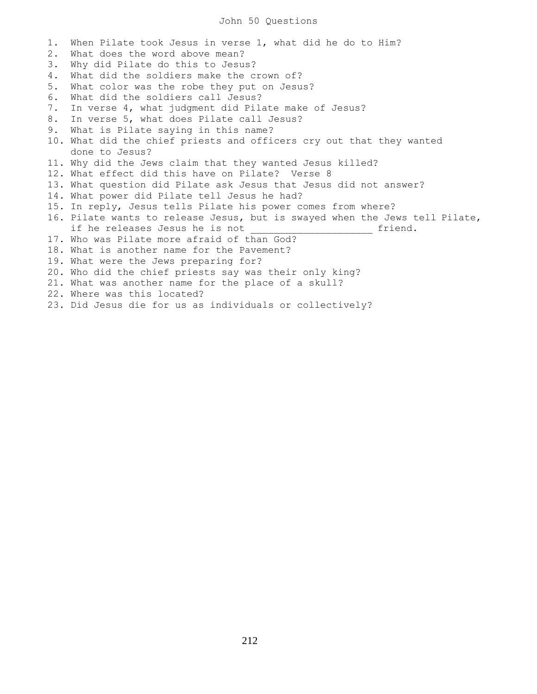## John 50 Questions

1. When Pilate took Jesus in verse 1, what did he do to Him? 2. What does the word above mean? 3. Why did Pilate do this to Jesus? 4. What did the soldiers make the crown of? 5. What color was the robe they put on Jesus? 6. What did the soldiers call Jesus? 7. In verse 4, what judgment did Pilate make of Jesus? 8. In verse 5, what does Pilate call Jesus? 9. What is Pilate saying in this name? 10. What did the chief priests and officers cry out that they wanted done to Jesus? 11. Why did the Jews claim that they wanted Jesus killed? 12. What effect did this have on Pilate? Verse 8 13. What question did Pilate ask Jesus that Jesus did not answer? 14. What power did Pilate tell Jesus he had? 15. In reply, Jesus tells Pilate his power comes from where? 16. Pilate wants to release Jesus, but is swayed when the Jews tell Pilate, if he releases Jesus he is not \_\_\_\_\_\_\_\_\_\_\_\_\_\_\_\_\_\_\_\_\_\_\_\_ friend. 17. Who was Pilate more afraid of than God? 18. What is another name for the Pavement? 19. What were the Jews preparing for? 20. Who did the chief priests say was their only king? 21. What was another name for the place of a skull? 22. Where was this located? 23. Did Jesus die for us as individuals or collectively?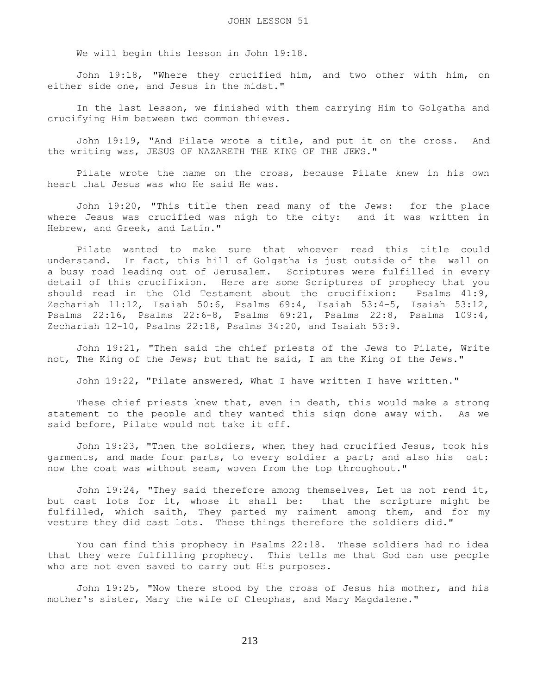We will begin this lesson in John 19:18.

 John 19:18, "Where they crucified him, and two other with him, on either side one, and Jesus in the midst."

 In the last lesson, we finished with them carrying Him to Golgatha and crucifying Him between two common thieves.

 John 19:19, "And Pilate wrote a title, and put it on the cross. And the writing was, JESUS OF NAZARETH THE KING OF THE JEWS."

 Pilate wrote the name on the cross, because Pilate knew in his own heart that Jesus was who He said He was.

 John 19:20, "This title then read many of the Jews: for the place where Jesus was crucified was nigh to the city: and it was written in Hebrew, and Greek, and Latin."

 Pilate wanted to make sure that whoever read this title could understand. In fact, this hill of Golgatha is just outside of the wall on a busy road leading out of Jerusalem. Scriptures were fulfilled in every detail of this crucifixion. Here are some Scriptures of prophecy that you should read in the Old Testament about the crucifixion: Psalms 41:9, Zechariah 11:12, Isaiah 50:6, Psalms 69:4, Isaiah 53:4-5, Isaiah 53:12, Psalms 22:16, Psalms 22:6-8, Psalms 69:21, Psalms 22:8, Psalms 109:4, Zechariah 12-10, Psalms 22:18, Psalms 34:20, and Isaiah 53:9.

 John 19:21, "Then said the chief priests of the Jews to Pilate, Write not, The King of the Jews; but that he said, I am the King of the Jews."

John 19:22, "Pilate answered, What I have written I have written."

 These chief priests knew that, even in death, this would make a strong statement to the people and they wanted this sign done away with. As we said before, Pilate would not take it off.

 John 19:23, "Then the soldiers, when they had crucified Jesus, took his garments, and made four parts, to every soldier a part; and also his oat: now the coat was without seam, woven from the top throughout."

 John 19:24, "They said therefore among themselves, Let us not rend it, but cast lots for it, whose it shall be: that the scripture might be fulfilled, which saith, They parted my raiment among them, and for my vesture they did cast lots. These things therefore the soldiers did."

 You can find this prophecy in Psalms 22:18. These soldiers had no idea that they were fulfilling prophecy. This tells me that God can use people who are not even saved to carry out His purposes.

 John 19:25, "Now there stood by the cross of Jesus his mother, and his mother's sister, Mary the wife of Cleophas, and Mary Magdalene."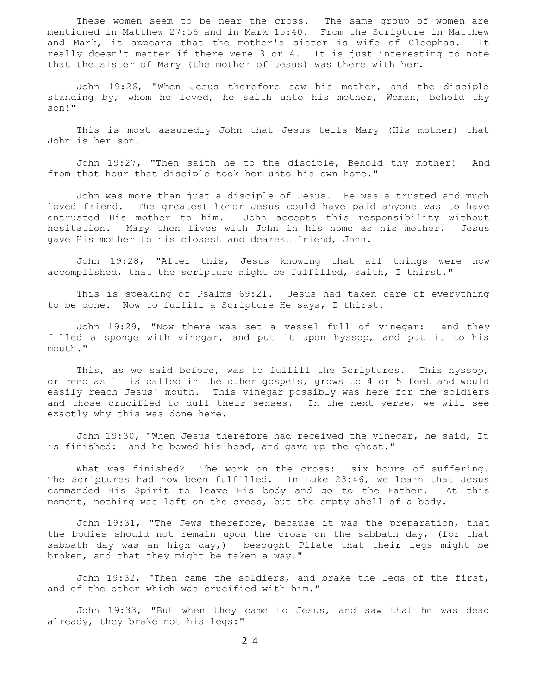These women seem to be near the cross. The same group of women are mentioned in Matthew 27:56 and in Mark 15:40. From the Scripture in Matthew and Mark, it appears that the mother's sister is wife of Cleophas. It really doesn't matter if there were 3 or 4. It is just interesting to note that the sister of Mary (the mother of Jesus) was there with her.

 John 19:26, "When Jesus therefore saw his mother, and the disciple standing by, whom he loved, he saith unto his mother, Woman, behold thy son!"

 This is most assuredly John that Jesus tells Mary (His mother) that John is her son.

 John 19:27, "Then saith he to the disciple, Behold thy mother! And from that hour that disciple took her unto his own home."

 John was more than just a disciple of Jesus. He was a trusted and much loved friend. The greatest honor Jesus could have paid anyone was to have entrusted His mother to him. John accepts this responsibility without hesitation. Mary then lives with John in his home as his mother. Jesus gave His mother to his closest and dearest friend, John.

 John 19:28, "After this, Jesus knowing that all things were now accomplished, that the scripture might be fulfilled, saith, I thirst."

 This is speaking of Psalms 69:21. Jesus had taken care of everything to be done. Now to fulfill a Scripture He says, I thirst.

 John 19:29, "Now there was set a vessel full of vinegar: and they filled a sponge with vinegar, and put it upon hyssop, and put it to his mouth."

 This, as we said before, was to fulfill the Scriptures. This hyssop, or reed as it is called in the other gospels, grows to 4 or 5 feet and would easily reach Jesus' mouth. This vinegar possibly was here for the soldiers and those crucified to dull their senses. In the next verse, we will see exactly why this was done here.

 John 19:30, "When Jesus therefore had received the vinegar, he said, It is finished: and he bowed his head, and gave up the ghost."

What was finished? The work on the cross: six hours of suffering. The Scriptures had now been fulfilled. In Luke 23:46, we learn that Jesus commanded His Spirit to leave His body and go to the Father. At this moment, nothing was left on the cross, but the empty shell of a body.

 John 19:31, "The Jews therefore, because it was the preparation, that the bodies should not remain upon the cross on the sabbath day, (for that sabbath day was an high day,) besought Pilate that their legs might be broken, and that they might be taken a way."

 John 19:32, "Then came the soldiers, and brake the legs of the first, and of the other which was crucified with him."

 John 19:33, "But when they came to Jesus, and saw that he was dead already, they brake not his legs:"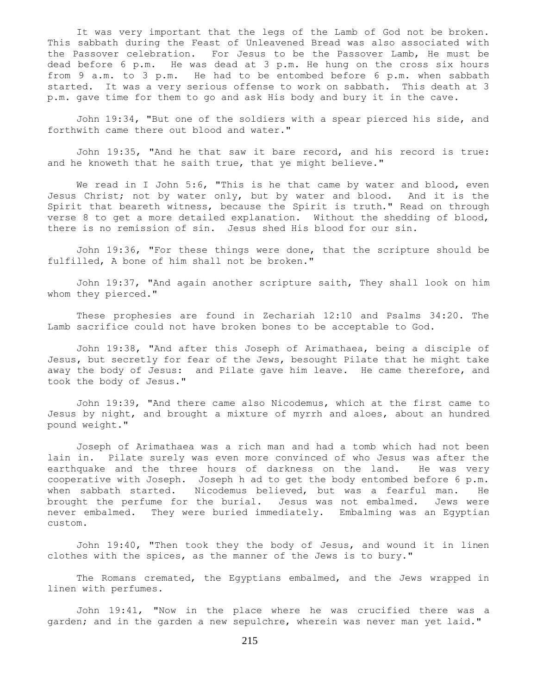It was very important that the legs of the Lamb of God not be broken. This sabbath during the Feast of Unleavened Bread was also associated with the Passover celebration. For Jesus to be the Passover Lamb, He must be dead before 6 p.m. He was dead at 3 p.m. He hung on the cross six hours from 9 a.m. to 3 p.m. He had to be entombed before 6 p.m. when sabbath started. It was a very serious offense to work on sabbath. This death at 3 p.m. gave time for them to go and ask His body and bury it in the cave.

 John 19:34, "But one of the soldiers with a spear pierced his side, and forthwith came there out blood and water."

 John 19:35, "And he that saw it bare record, and his record is true: and he knoweth that he saith true, that ye might believe."

We read in I John 5:6, "This is he that came by water and blood, even Jesus Christ; not by water only, but by water and blood. And it is the Spirit that beareth witness, because the Spirit is truth." Read on through verse 8 to get a more detailed explanation. Without the shedding of blood, there is no remission of sin. Jesus shed His blood for our sin.

 John 19:36, "For these things were done, that the scripture should be fulfilled, A bone of him shall not be broken."

 John 19:37, "And again another scripture saith, They shall look on him whom they pierced."

 These prophesies are found in Zechariah 12:10 and Psalms 34:20. The Lamb sacrifice could not have broken bones to be acceptable to God.

 John 19:38, "And after this Joseph of Arimathaea, being a disciple of Jesus, but secretly for fear of the Jews, besought Pilate that he might take away the body of Jesus: and Pilate gave him leave. He came therefore, and took the body of Jesus."

 John 19:39, "And there came also Nicodemus, which at the first came to Jesus by night, and brought a mixture of myrrh and aloes, about an hundred pound weight."

 Joseph of Arimathaea was a rich man and had a tomb which had not been lain in. Pilate surely was even more convinced of who Jesus was after the earthquake and the three hours of darkness on the land. He was very cooperative with Joseph. Joseph h ad to get the body entombed before 6 p.m. when sabbath started. Nicodemus believed, but was a fearful man. He brought the perfume for the burial. Jesus was not embalmed. Jews were never embalmed. They were buried immediately. Embalming was an Egyptian custom.

 John 19:40, "Then took they the body of Jesus, and wound it in linen clothes with the spices, as the manner of the Jews is to bury."

The Romans cremated, the Egyptians embalmed, and the Jews wrapped in linen with perfumes.

 John 19:41, "Now in the place where he was crucified there was a garden; and in the garden a new sepulchre, wherein was never man yet laid."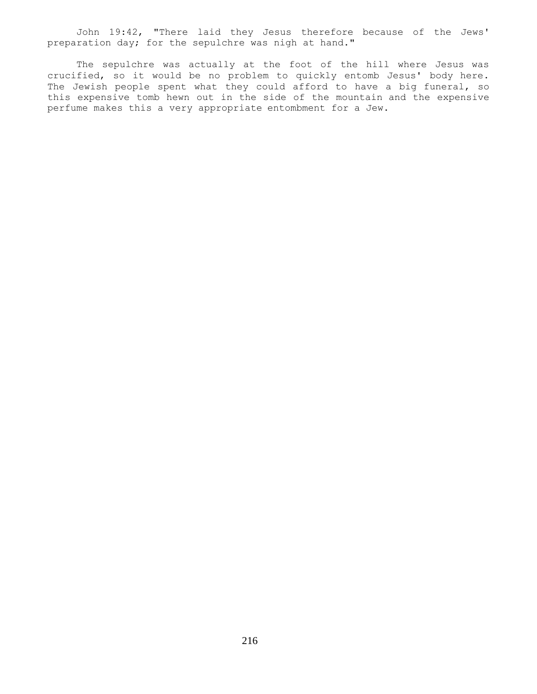John 19:42, "There laid they Jesus therefore because of the Jews' preparation day; for the sepulchre was nigh at hand."

 The sepulchre was actually at the foot of the hill where Jesus was crucified, so it would be no problem to quickly entomb Jesus' body here. The Jewish people spent what they could afford to have a big funeral, so this expensive tomb hewn out in the side of the mountain and the expensive perfume makes this a very appropriate entombment for a Jew.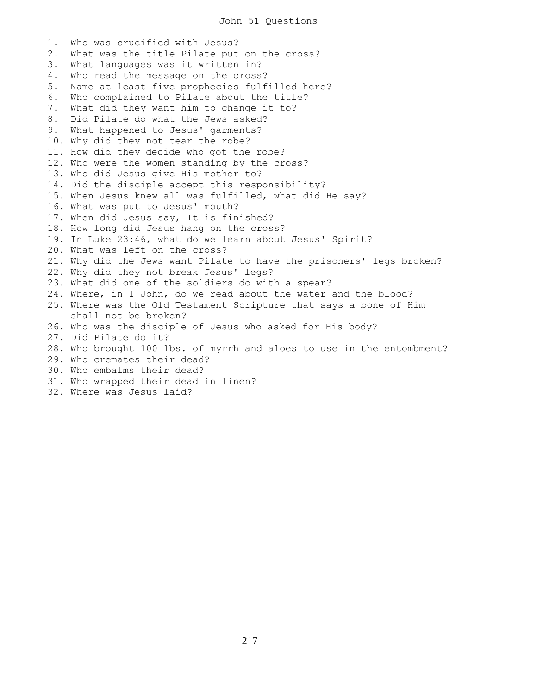1. Who was crucified with Jesus? 2. What was the title Pilate put on the cross? 3. What languages was it written in? 4. Who read the message on the cross? 5. Name at least five prophecies fulfilled here? 6. Who complained to Pilate about the title? 7. What did they want him to change it to? 8. Did Pilate do what the Jews asked? 9. What happened to Jesus' garments? 10. Why did they not tear the robe? 11. How did they decide who got the robe? 12. Who were the women standing by the cross? 13. Who did Jesus give His mother to? 14. Did the disciple accept this responsibility? 15. When Jesus knew all was fulfilled, what did He say? 16. What was put to Jesus' mouth? 17. When did Jesus say, It is finished? 18. How long did Jesus hang on the cross? 19. In Luke 23:46, what do we learn about Jesus' Spirit? 20. What was left on the cross? 21. Why did the Jews want Pilate to have the prisoners' legs broken? 22. Why did they not break Jesus' legs? 23. What did one of the soldiers do with a spear? 24. Where, in I John, do we read about the water and the blood? 25. Where was the Old Testament Scripture that says a bone of Him shall not be broken? 26. Who was the disciple of Jesus who asked for His body? 27. Did Pilate do it? 28. Who brought 100 lbs. of myrrh and aloes to use in the entombment? 29. Who cremates their dead? 30. Who embalms their dead? 31. Who wrapped their dead in linen? 32. Where was Jesus laid?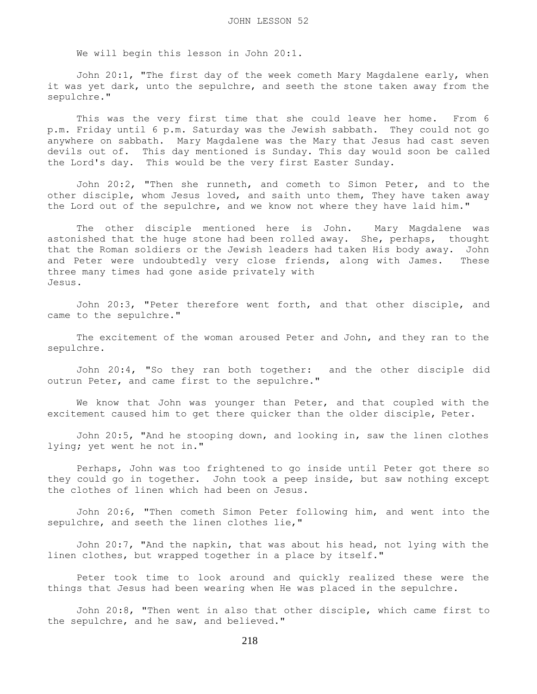We will begin this lesson in John 20:1.

 John 20:1, "The first day of the week cometh Mary Magdalene early, when it was yet dark, unto the sepulchre, and seeth the stone taken away from the sepulchre."

 This was the very first time that she could leave her home. From 6 p.m. Friday until 6 p.m. Saturday was the Jewish sabbath. They could not go anywhere on sabbath. Mary Magdalene was the Mary that Jesus had cast seven devils out of. This day mentioned is Sunday. This day would soon be called the Lord's day. This would be the very first Easter Sunday.

 John 20:2, "Then she runneth, and cometh to Simon Peter, and to the other disciple, whom Jesus loved, and saith unto them, They have taken away the Lord out of the sepulchre, and we know not where they have laid him."

 The other disciple mentioned here is John. Mary Magdalene was astonished that the huge stone had been rolled away. She, perhaps, thought that the Roman soldiers or the Jewish leaders had taken His body away. John and Peter were undoubtedly very close friends, along with James. These three many times had gone aside privately with Jesus.

 John 20:3, "Peter therefore went forth, and that other disciple, and came to the sepulchre."

 The excitement of the woman aroused Peter and John, and they ran to the sepulchre.

 John 20:4, "So they ran both together: and the other disciple did outrun Peter, and came first to the sepulchre."

 We know that John was younger than Peter, and that coupled with the excitement caused him to get there quicker than the older disciple, Peter.

 John 20:5, "And he stooping down, and looking in, saw the linen clothes lying; yet went he not in."

 Perhaps, John was too frightened to go inside until Peter got there so they could go in together. John took a peep inside, but saw nothing except the clothes of linen which had been on Jesus.

 John 20:6, "Then cometh Simon Peter following him, and went into the sepulchre, and seeth the linen clothes lie,"

 John 20:7, "And the napkin, that was about his head, not lying with the linen clothes, but wrapped together in a place by itself."

 Peter took time to look around and quickly realized these were the things that Jesus had been wearing when He was placed in the sepulchre.

 John 20:8, "Then went in also that other disciple, which came first to the sepulchre, and he saw, and believed."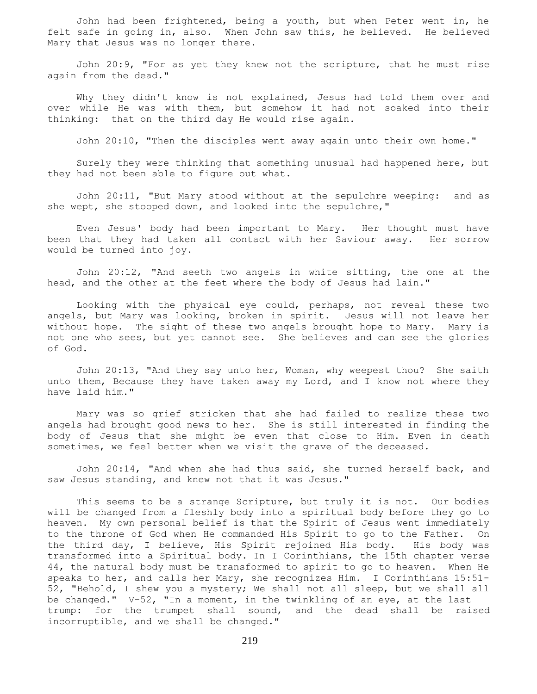John had been frightened, being a youth, but when Peter went in, he felt safe in going in, also. When John saw this, he believed. He believed Mary that Jesus was no longer there.

 John 20:9, "For as yet they knew not the scripture, that he must rise again from the dead."

 Why they didn't know is not explained, Jesus had told them over and over while He was with them, but somehow it had not soaked into their thinking: that on the third day He would rise again.

John 20:10, "Then the disciples went away again unto their own home."

 Surely they were thinking that something unusual had happened here, but they had not been able to figure out what.

 John 20:11, "But Mary stood without at the sepulchre weeping: and as she wept, she stooped down, and looked into the sepulchre,"

 Even Jesus' body had been important to Mary. Her thought must have been that they had taken all contact with her Saviour away. Her sorrow would be turned into joy.

 John 20:12, "And seeth two angels in white sitting, the one at the head, and the other at the feet where the body of Jesus had lain."

 Looking with the physical eye could, perhaps, not reveal these two angels, but Mary was looking, broken in spirit. Jesus will not leave her without hope. The sight of these two angels brought hope to Mary. Mary is not one who sees, but yet cannot see. She believes and can see the glories of God.

 John 20:13, "And they say unto her, Woman, why weepest thou? She saith unto them, Because they have taken away my Lord, and I know not where they have laid him."

 Mary was so grief stricken that she had failed to realize these two angels had brought good news to her. She is still interested in finding the body of Jesus that she might be even that close to Him. Even in death sometimes, we feel better when we visit the grave of the deceased.

 John 20:14, "And when she had thus said, she turned herself back, and saw Jesus standing, and knew not that it was Jesus."

 This seems to be a strange Scripture, but truly it is not. Our bodies will be changed from a fleshly body into a spiritual body before they go to heaven. My own personal belief is that the Spirit of Jesus went immediately to the throne of God when He commanded His Spirit to go to the Father. On the third day, I believe, His Spirit rejoined His body. His body was transformed into a Spiritual body. In I Corinthians, the 15th chapter verse 44, the natural body must be transformed to spirit to go to heaven. When He speaks to her, and calls her Mary, she recognizes Him. I Corinthians 15:51- 52, "Behold, I shew you a mystery; We shall not all sleep, but we shall all be changed." V-52, "In a moment, in the twinkling of an eye, at the last trump: for the trumpet shall sound, and the dead shall be raised incorruptible, and we shall be changed."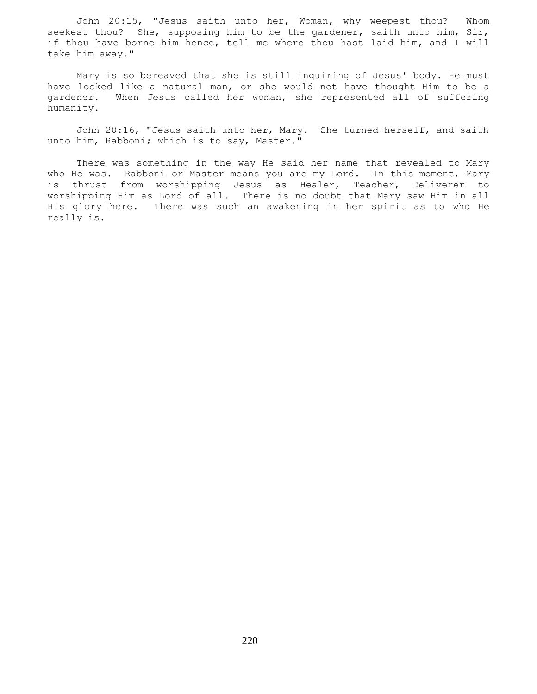John 20:15, "Jesus saith unto her, Woman, why weepest thou? Whom seekest thou? She, supposing him to be the gardener, saith unto him, Sir, if thou have borne him hence, tell me where thou hast laid him, and I will take him away."

 Mary is so bereaved that she is still inquiring of Jesus' body. He must have looked like a natural man, or she would not have thought Him to be a gardener. When Jesus called her woman, she represented all of suffering humanity.

 John 20:16, "Jesus saith unto her, Mary. She turned herself, and saith unto him, Rabboni; which is to say, Master."

 There was something in the way He said her name that revealed to Mary who He was. Rabboni or Master means you are my Lord. In this moment, Mary is thrust from worshipping Jesus as Healer, Teacher, Deliverer to worshipping Him as Lord of all. There is no doubt that Mary saw Him in all His glory here. There was such an awakening in her spirit as to who He really is.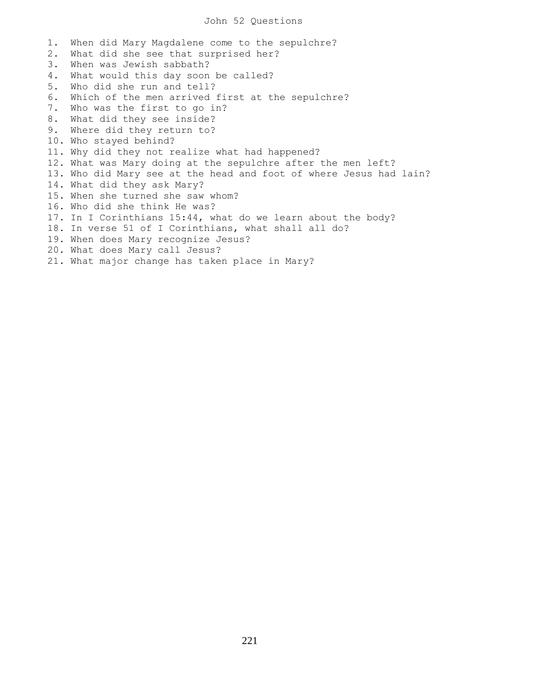## John 52 Questions

1. When did Mary Magdalene come to the sepulchre? 2. What did she see that surprised her? 3. When was Jewish sabbath? 4. What would this day soon be called? 5. Who did she run and tell? 6. Which of the men arrived first at the sepulchre? 7. Who was the first to go in? 8. What did they see inside? 9. Where did they return to? 10. Who stayed behind? 11. Why did they not realize what had happened? 12. What was Mary doing at the sepulchre after the men left? 13. Who did Mary see at the head and foot of where Jesus had lain? 14. What did they ask Mary? 15. When she turned she saw whom? 16. Who did she think He was? 17. In I Corinthians 15:44, what do we learn about the body? 18. In verse 51 of I Corinthians, what shall all do? 19. When does Mary recognize Jesus? 20. What does Mary call Jesus? 21. What major change has taken place in Mary?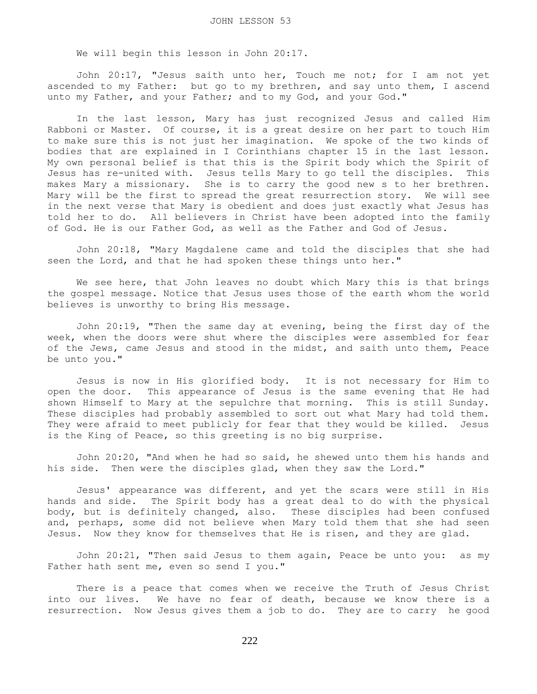We will begin this lesson in John 20:17.

 John 20:17, "Jesus saith unto her, Touch me not; for I am not yet ascended to my Father: but go to my brethren, and say unto them, I ascend unto my Father, and your Father; and to my God, and your God."

 In the last lesson, Mary has just recognized Jesus and called Him Rabboni or Master. Of course, it is a great desire on her part to touch Him to make sure this is not just her imagination. We spoke of the two kinds of bodies that are explained in I Corinthians chapter 15 in the last lesson. My own personal belief is that this is the Spirit body which the Spirit of Jesus has re-united with. Jesus tells Mary to go tell the disciples. This makes Mary a missionary. She is to carry the good new s to her brethren. Mary will be the first to spread the great resurrection story. We will see in the next verse that Mary is obedient and does just exactly what Jesus has told her to do. All believers in Christ have been adopted into the family of God. He is our Father God, as well as the Father and God of Jesus.

 John 20:18, "Mary Magdalene came and told the disciples that she had seen the Lord, and that he had spoken these things unto her."

 We see here, that John leaves no doubt which Mary this is that brings the gospel message. Notice that Jesus uses those of the earth whom the world believes is unworthy to bring His message.

 John 20:19, "Then the same day at evening, being the first day of the week, when the doors were shut where the disciples were assembled for fear of the Jews, came Jesus and stood in the midst, and saith unto them, Peace be unto you."

 Jesus is now in His glorified body. It is not necessary for Him to open the door. This appearance of Jesus is the same evening that He had shown Himself to Mary at the sepulchre that morning. This is still Sunday. These disciples had probably assembled to sort out what Mary had told them. They were afraid to meet publicly for fear that they would be killed. Jesus is the King of Peace, so this greeting is no big surprise.

 John 20:20, "And when he had so said, he shewed unto them his hands and his side. Then were the disciples glad, when they saw the Lord."

 Jesus' appearance was different, and yet the scars were still in His hands and side. The Spirit body has a great deal to do with the physical body, but is definitely changed, also. These disciples had been confused and, perhaps, some did not believe when Mary told them that she had seen Jesus. Now they know for themselves that He is risen, and they are glad.

 John 20:21, "Then said Jesus to them again, Peace be unto you: as my Father hath sent me, even so send I you."

 There is a peace that comes when we receive the Truth of Jesus Christ into our lives. We have no fear of death, because we know there is a resurrection. Now Jesus gives them a job to do. They are to carry he good

222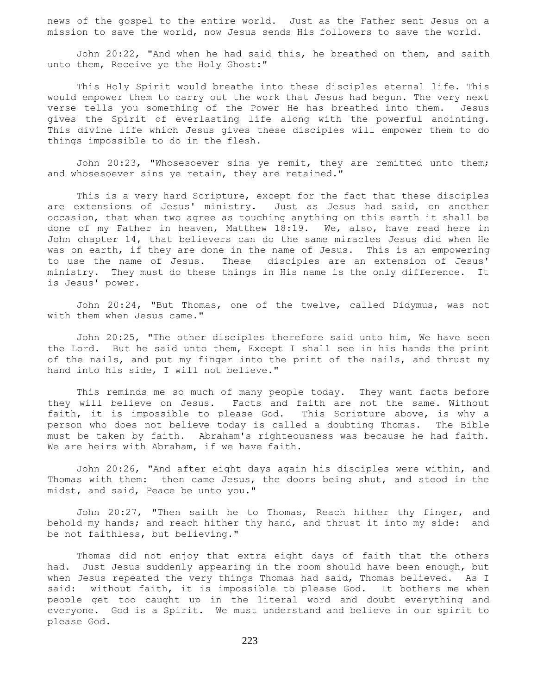news of the gospel to the entire world. Just as the Father sent Jesus on a mission to save the world, now Jesus sends His followers to save the world.

 John 20:22, "And when he had said this, he breathed on them, and saith unto them, Receive ye the Holy Ghost:"

 This Holy Spirit would breathe into these disciples eternal life. This would empower them to carry out the work that Jesus had begun. The very next verse tells you something of the Power He has breathed into them. Jesus gives the Spirit of everlasting life along with the powerful anointing. This divine life which Jesus gives these disciples will empower them to do things impossible to do in the flesh.

 John 20:23, "Whosesoever sins ye remit, they are remitted unto them; and whosesoever sins ye retain, they are retained."

 This is a very hard Scripture, except for the fact that these disciples are extensions of Jesus' ministry. Just as Jesus had said, on another occasion, that when two agree as touching anything on this earth it shall be done of my Father in heaven, Matthew 18:19. We, also, have read here in John chapter 14, that believers can do the same miracles Jesus did when He was on earth, if they are done in the name of Jesus. This is an empowering to use the name of Jesus. These disciples are an extension of Jesus' ministry. They must do these things in His name is the only difference. It is Jesus' power.

 John 20:24, "But Thomas, one of the twelve, called Didymus, was not with them when Jesus came."

 John 20:25, "The other disciples therefore said unto him, We have seen the Lord. But he said unto them, Except I shall see in his hands the print of the nails, and put my finger into the print of the nails, and thrust my hand into his side, I will not believe."

 This reminds me so much of many people today. They want facts before they will believe on Jesus. Facts and faith are not the same. Without faith, it is impossible to please God. This Scripture above, is why a person who does not believe today is called a doubting Thomas. The Bible must be taken by faith. Abraham's righteousness was because he had faith. We are heirs with Abraham, if we have faith.

 John 20:26, "And after eight days again his disciples were within, and Thomas with them: then came Jesus, the doors being shut, and stood in the midst, and said, Peace be unto you."

 John 20:27, "Then saith he to Thomas, Reach hither thy finger, and behold my hands; and reach hither thy hand, and thrust it into my side: and be not faithless, but believing."

 Thomas did not enjoy that extra eight days of faith that the others had. Just Jesus suddenly appearing in the room should have been enough, but when Jesus repeated the very things Thomas had said, Thomas believed. As I said: without faith, it is impossible to please God. It bothers me when people get too caught up in the literal word and doubt everything and everyone. God is a Spirit. We must understand and believe in our spirit to please God.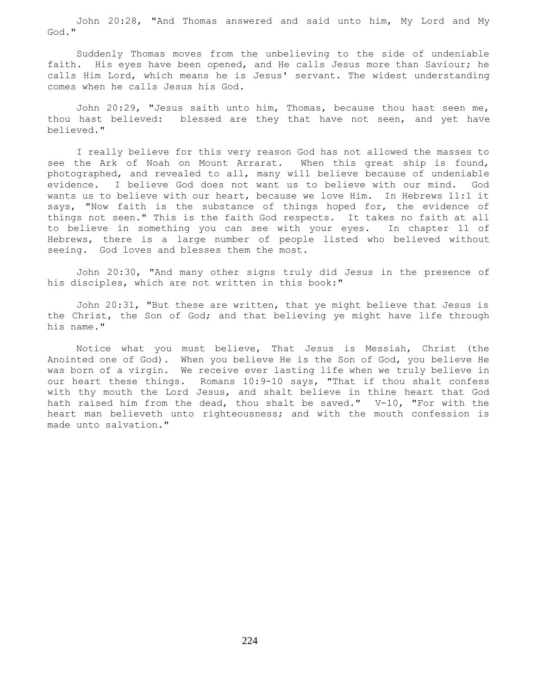John 20:28, "And Thomas answered and said unto him, My Lord and My God."

 Suddenly Thomas moves from the unbelieving to the side of undeniable faith. His eyes have been opened, and He calls Jesus more than Saviour; he calls Him Lord, which means he is Jesus' servant. The widest understanding comes when he calls Jesus his God.

 John 20:29, "Jesus saith unto him, Thomas, because thou hast seen me, thou hast believed: blessed are they that have not seen, and yet have believed."

 I really believe for this very reason God has not allowed the masses to see the Ark of Noah on Mount Arrarat. When this great ship is found, photographed, and revealed to all, many will believe because of undeniable evidence. I believe God does not want us to believe with our mind. God wants us to believe with our heart, because we love Him. In Hebrews 11:1 it says, "Now faith is the substance of things hoped for, the evidence of things not seen." This is the faith God respects. It takes no faith at all to believe in something you can see with your eyes. In chapter 11 of Hebrews, there is a large number of people listed who believed without seeing. God loves and blesses them the most.

 John 20:30, "And many other signs truly did Jesus in the presence of his disciples, which are not written in this book:"

 John 20:31, "But these are written, that ye might believe that Jesus is the Christ, the Son of God; and that believing ye might have life through his name."

 Notice what you must believe, That Jesus is Messiah, Christ (the Anointed one of God). When you believe He is the Son of God, you believe He was born of a virgin. We receive ever lasting life when we truly believe in our heart these things. Romans 10:9-10 says, "That if thou shalt confess with thy mouth the Lord Jesus, and shalt believe in thine heart that God hath raised him from the dead, thou shalt be saved." V-10, "For with the heart man believeth unto righteousness; and with the mouth confession is made unto salvation."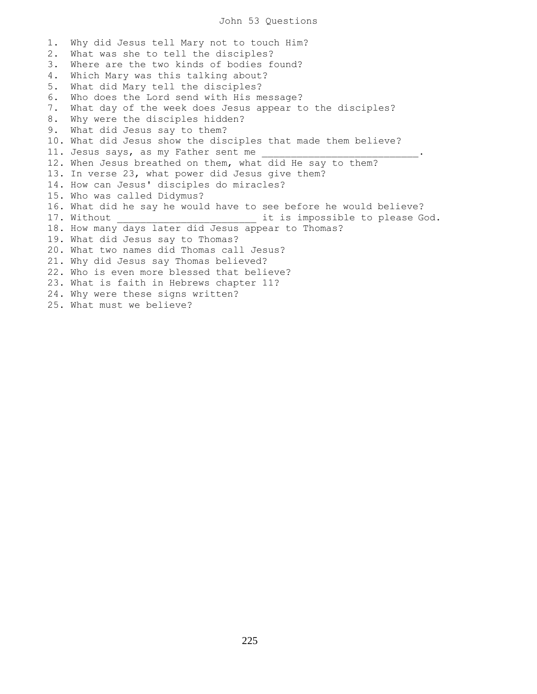## John 53 Questions

1. Why did Jesus tell Mary not to touch Him? 2. What was she to tell the disciples? 3. Where are the two kinds of bodies found? 4. Which Mary was this talking about? 5. What did Mary tell the disciples? 6. Who does the Lord send with His message? 7. What day of the week does Jesus appear to the disciples? 8. Why were the disciples hidden? 9. What did Jesus say to them? 10. What did Jesus show the disciples that made them believe? 11. Jesus says, as my Father sent me 12. When Jesus breathed on them, what did He say to them? 13. In verse 23, what power did Jesus give them? 14. How can Jesus' disciples do miracles? 15. Who was called Didymus? 16. What did he say he would have to see before he would believe? 17. Without \_\_\_\_\_\_\_\_\_\_\_\_\_\_\_\_\_\_\_\_\_\_\_\_\_\_\_\_\_ it is impossible to please God. 18. How many days later did Jesus appear to Thomas? 19. What did Jesus say to Thomas? 20. What two names did Thomas call Jesus? 21. Why did Jesus say Thomas believed? 22. Who is even more blessed that believe? 23. What is faith in Hebrews chapter 11? 24. Why were these signs written? 25. What must we believe?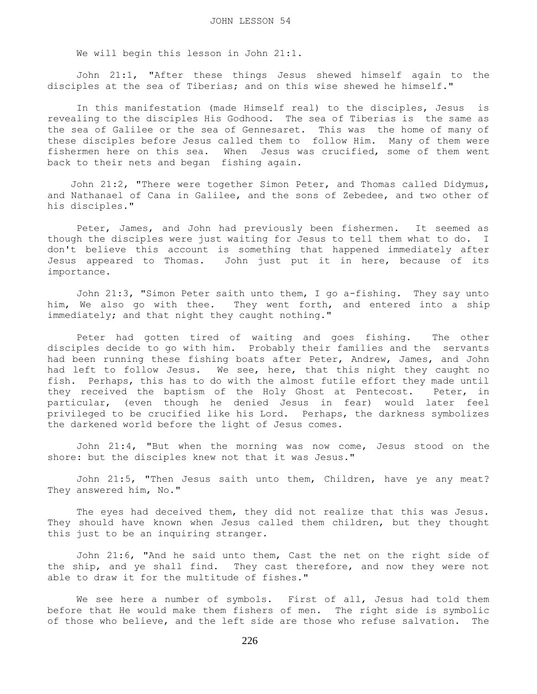We will begin this lesson in John 21:1.

 John 21:1, "After these things Jesus shewed himself again to the disciples at the sea of Tiberias; and on this wise shewed he himself."

 In this manifestation (made Himself real) to the disciples, Jesus is revealing to the disciples His Godhood. The sea of Tiberias is the same as the sea of Galilee or the sea of Gennesaret. This was the home of many of these disciples before Jesus called them to follow Him. Many of them were fishermen here on this sea. When Jesus was crucified, some of them went back to their nets and began fishing again.

 John 21:2, "There were together Simon Peter, and Thomas called Didymus, and Nathanael of Cana in Galilee, and the sons of Zebedee, and two other of his disciples."

 Peter, James, and John had previously been fishermen. It seemed as though the disciples were just waiting for Jesus to tell them what to do. I don't believe this account is something that happened immediately after Jesus appeared to Thomas. John just put it in here, because of its importance.

 John 21:3, "Simon Peter saith unto them, I go a-fishing. They say unto him, We also go with thee. They went forth, and entered into a ship immediately; and that night they caught nothing."

 Peter had gotten tired of waiting and goes fishing. The other disciples decide to go with him. Probably their families and the servants had been running these fishing boats after Peter, Andrew, James, and John had left to follow Jesus. We see, here, that this night they caught no fish. Perhaps, this has to do with the almost futile effort they made until they received the baptism of the Holy Ghost at Pentecost. Peter, in particular, (even though he denied Jesus in fear) would later feel privileged to be crucified like his Lord. Perhaps, the darkness symbolizes the darkened world before the light of Jesus comes.

 John 21:4, "But when the morning was now come, Jesus stood on the shore: but the disciples knew not that it was Jesus."

 John 21:5, "Then Jesus saith unto them, Children, have ye any meat? They answered him, No."

 The eyes had deceived them, they did not realize that this was Jesus. They should have known when Jesus called them children, but they thought this just to be an inquiring stranger.

 John 21:6, "And he said unto them, Cast the net on the right side of the ship, and ye shall find. They cast therefore, and now they were not able to draw it for the multitude of fishes."

 We see here a number of symbols. First of all, Jesus had told them before that He would make them fishers of men. The right side is symbolic of those who believe, and the left side are those who refuse salvation. The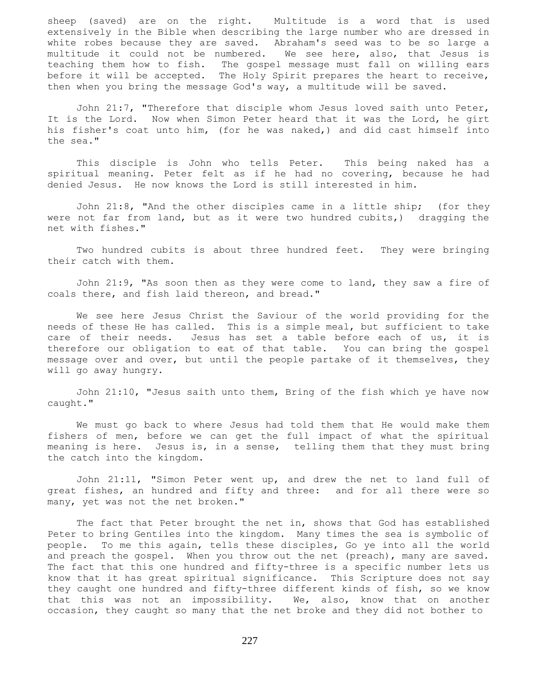sheep (saved) are on the right. Multitude is a word that is used extensively in the Bible when describing the large number who are dressed in white robes because they are saved. Abraham's seed was to be so large a multitude it could not be numbered. We see here, also, that Jesus is teaching them how to fish. The gospel message must fall on willing ears before it will be accepted. The Holy Spirit prepares the heart to receive, then when you bring the message God's way, a multitude will be saved.

 John 21:7, "Therefore that disciple whom Jesus loved saith unto Peter, It is the Lord. Now when Simon Peter heard that it was the Lord, he girt his fisher's coat unto him, (for he was naked,) and did cast himself into the sea."

 This disciple is John who tells Peter. This being naked has a spiritual meaning. Peter felt as if he had no covering, because he had denied Jesus. He now knows the Lord is still interested in him.

 John 21:8, "And the other disciples came in a little ship; (for they were not far from land, but as it were two hundred cubits,) dragging the net with fishes."

 Two hundred cubits is about three hundred feet. They were bringing their catch with them.

 John 21:9, "As soon then as they were come to land, they saw a fire of coals there, and fish laid thereon, and bread."

 We see here Jesus Christ the Saviour of the world providing for the needs of these He has called. This is a simple meal, but sufficient to take care of their needs. Jesus has set a table before each of us, it is therefore our obligation to eat of that table. You can bring the gospel message over and over, but until the people partake of it themselves, they will go away hungry.

 John 21:10, "Jesus saith unto them, Bring of the fish which ye have now caught."

 We must go back to where Jesus had told them that He would make them fishers of men, before we can get the full impact of what the spiritual meaning is here. Jesus is, in a sense, telling them that they must bring the catch into the kingdom.

 John 21:11, "Simon Peter went up, and drew the net to land full of great fishes, an hundred and fifty and three: and for all there were so many, yet was not the net broken."

 The fact that Peter brought the net in, shows that God has established Peter to bring Gentiles into the kingdom. Many times the sea is symbolic of people. To me this again, tells these disciples, Go ye into all the world and preach the gospel. When you throw out the net (preach), many are saved. The fact that this one hundred and fifty-three is a specific number lets us know that it has great spiritual significance. This Scripture does not say they caught one hundred and fifty-three different kinds of fish, so we know that this was not an impossibility. We, also, know that on another occasion, they caught so many that the net broke and they did not bother to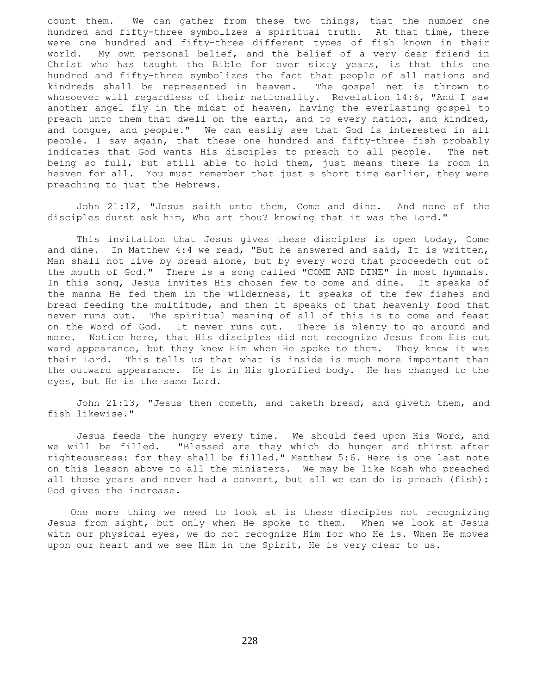count them. We can gather from these two things, that the number one hundred and fifty-three symbolizes a spiritual truth. At that time, there were one hundred and fifty-three different types of fish known in their world. My own personal belief, and the belief of a very dear friend in Christ who has taught the Bible for over sixty years, is that this one hundred and fifty-three symbolizes the fact that people of all nations and kindreds shall be represented in heaven. The gospel net is thrown to whosoever will regardless of their nationality. Revelation 14:6, "And I saw another angel fly in the midst of heaven, having the everlasting gospel to preach unto them that dwell on the earth, and to every nation, and kindred, and tongue, and people." We can easily see that God is interested in all people. I say again, that these one hundred and fifty-three fish probably indicates that God wants His disciples to preach to all people. The net being so full, but still able to hold them, just means there is room in heaven for all. You must remember that just a short time earlier, they were preaching to just the Hebrews.

 John 21:12, "Jesus saith unto them, Come and dine. And none of the disciples durst ask him, Who art thou? knowing that it was the Lord."

 This invitation that Jesus gives these disciples is open today, Come and dine. In Matthew 4:4 we read, "But he answered and said, It is written, Man shall not live by bread alone, but by every word that proceedeth out of the mouth of God." There is a song called "COME AND DINE" in most hymnals. In this song, Jesus invites His chosen few to come and dine. It speaks of the manna He fed them in the wilderness, it speaks of the few fishes and bread feeding the multitude, and then it speaks of that heavenly food that never runs out. The spiritual meaning of all of this is to come and feast on the Word of God. It never runs out. There is plenty to go around and more. Notice here, that His disciples did not recognize Jesus from His out ward appearance, but they knew Him when He spoke to them. They knew it was their Lord. This tells us that what is inside is much more important than the outward appearance. He is in His glorified body. He has changed to the eyes, but He is the same Lord.

 John 21:13, "Jesus then cometh, and taketh bread, and giveth them, and fish likewise."

 Jesus feeds the hungry every time. We should feed upon His Word, and we will be filled. "Blessed are they which do hunger and thirst after righteousness: for they shall be filled." Matthew 5:6. Here is one last note on this lesson above to all the ministers. We may be like Noah who preached all those years and never had a convert, but all we can do is preach (fish): God gives the increase.

 One more thing we need to look at is these disciples not recognizing Jesus from sight, but only when He spoke to them. When we look at Jesus with our physical eyes, we do not recognize Him for who He is. When He moves upon our heart and we see Him in the Spirit, He is very clear to us.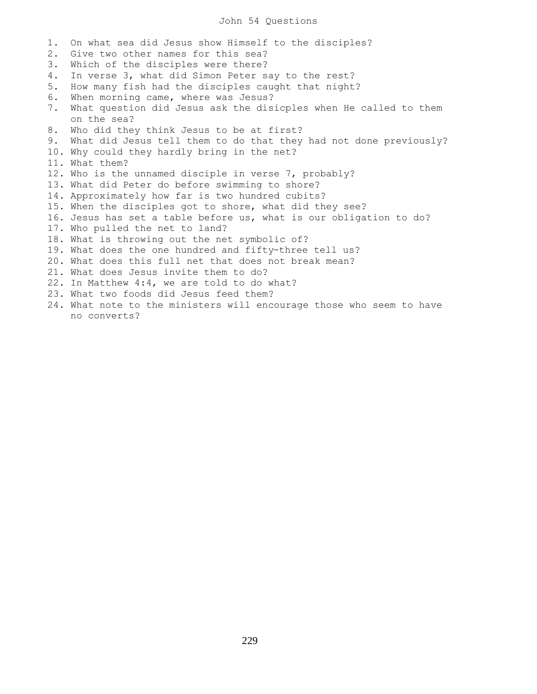## John 54 Questions

1. On what sea did Jesus show Himself to the disciples? 2. Give two other names for this sea? 3. Which of the disciples were there? 4. In verse 3, what did Simon Peter say to the rest? 5. How many fish had the disciples caught that night? 6. When morning came, where was Jesus? 7. What question did Jesus ask the disicples when He called to them on the sea? 8. Who did they think Jesus to be at first? 9. What did Jesus tell them to do that they had not done previously? 10. Why could they hardly bring in the net? 11. What them? 12. Who is the unnamed disciple in verse 7, probably? 13. What did Peter do before swimming to shore? 14. Approximately how far is two hundred cubits? 15. When the disciples got to shore, what did they see? 16. Jesus has set a table before us, what is our obligation to do? 17. Who pulled the net to land? 18. What is throwing out the net symbolic of? 19. What does the one hundred and fifty-three tell us? 20. What does this full net that does not break mean? 21. What does Jesus invite them to do? 22. In Matthew 4:4, we are told to do what? 23. What two foods did Jesus feed them? 24. What note to the ministers will encourage those who seem to have no converts?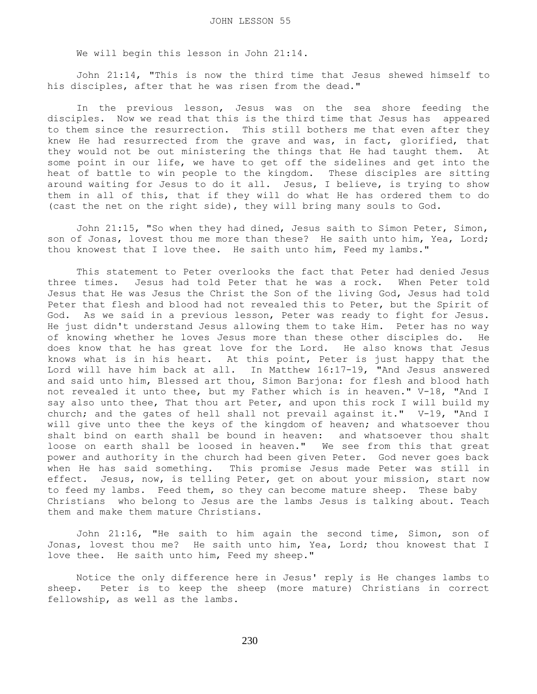We will begin this lesson in John 21:14.

 John 21:14, "This is now the third time that Jesus shewed himself to his disciples, after that he was risen from the dead."

 In the previous lesson, Jesus was on the sea shore feeding the disciples. Now we read that this is the third time that Jesus has appeared to them since the resurrection. This still bothers me that even after they knew He had resurrected from the grave and was, in fact, glorified, that they would not be out ministering the things that He had taught them. At some point in our life, we have to get off the sidelines and get into the heat of battle to win people to the kingdom. These disciples are sitting around waiting for Jesus to do it all. Jesus, I believe, is trying to show them in all of this, that if they will do what He has ordered them to do (cast the net on the right side), they will bring many souls to God.

John 21:15, "So when they had dined, Jesus saith to Simon Peter, Simon, son of Jonas, lovest thou me more than these? He saith unto him, Yea, Lord; thou knowest that I love thee. He saith unto him, Feed my lambs."

 This statement to Peter overlooks the fact that Peter had denied Jesus three times. Jesus had told Peter that he was a rock. When Peter told Jesus that He was Jesus the Christ the Son of the living God, Jesus had told Peter that flesh and blood had not revealed this to Peter, but the Spirit of God. As we said in a previous lesson, Peter was ready to fight for Jesus. He just didn't understand Jesus allowing them to take Him. Peter has no way of knowing whether he loves Jesus more than these other disciples do. He does know that he has great love for the Lord. He also knows that Jesus knows what is in his heart. At this point, Peter is just happy that the Lord will have him back at all. In Matthew 16:17-19, "And Jesus answered and said unto him, Blessed art thou, Simon Barjona: for flesh and blood hath not revealed it unto thee, but my Father which is in heaven." V-18, "And I say also unto thee, That thou art Peter, and upon this rock I will build my church; and the gates of hell shall not prevail against it." V-19, "And I will give unto thee the keys of the kingdom of heaven; and whatsoever thou shalt bind on earth shall be bound in heaven: and whatsoever thou shalt loose on earth shall be loosed in heaven." We see from this that great power and authority in the church had been given Peter. God never goes back when He has said something. This promise Jesus made Peter was still in effect. Jesus, now, is telling Peter, get on about your mission, start now to feed my lambs. Feed them, so they can become mature sheep. These baby Christians who belong to Jesus are the lambs Jesus is talking about. Teach them and make them mature Christians.

 John 21:16, "He saith to him again the second time, Simon, son of Jonas, lovest thou me? He saith unto him, Yea, Lord; thou knowest that I love thee. He saith unto him, Feed my sheep."

 Notice the only difference here in Jesus' reply is He changes lambs to sheep. Peter is to keep the sheep (more mature) Christians in correct fellowship, as well as the lambs.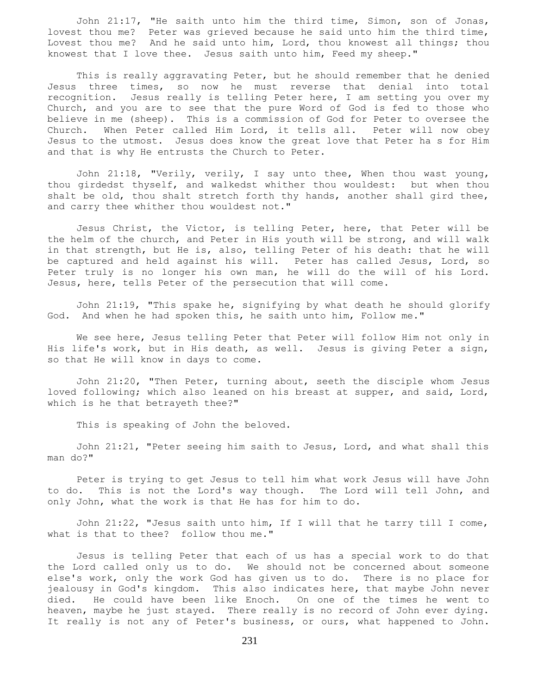John 21:17, "He saith unto him the third time, Simon, son of Jonas, lovest thou me? Peter was grieved because he said unto him the third time, Lovest thou me? And he said unto him, Lord, thou knowest all things; thou knowest that I love thee. Jesus saith unto him, Feed my sheep."

 This is really aggravating Peter, but he should remember that he denied Jesus three times, so now he must reverse that denial into total recognition. Jesus really is telling Peter here, I am setting you over my Church, and you are to see that the pure Word of God is fed to those who believe in me (sheep). This is a commission of God for Peter to oversee the Church. When Peter called Him Lord, it tells all. Peter will now obey Jesus to the utmost. Jesus does know the great love that Peter ha s for Him and that is why He entrusts the Church to Peter.

 John 21:18, "Verily, verily, I say unto thee, When thou wast young, thou girdedst thyself, and walkedst whither thou wouldest: but when thou shalt be old, thou shalt stretch forth thy hands, another shall gird thee, and carry thee whither thou wouldest not."

 Jesus Christ, the Victor, is telling Peter, here, that Peter will be the helm of the church, and Peter in His youth will be strong, and will walk in that strength, but He is, also, telling Peter of his death: that he will be captured and held against his will. Peter has called Jesus, Lord, so Peter truly is no longer his own man, he will do the will of his Lord. Jesus, here, tells Peter of the persecution that will come.

 John 21:19, "This spake he, signifying by what death he should glorify God. And when he had spoken this, he saith unto him, Follow me."

 We see here, Jesus telling Peter that Peter will follow Him not only in His life's work, but in His death, as well. Jesus is giving Peter a sign, so that He will know in days to come.

 John 21:20, "Then Peter, turning about, seeth the disciple whom Jesus loved following; which also leaned on his breast at supper, and said, Lord, which is he that betrayeth thee?"

This is speaking of John the beloved.

 John 21:21, "Peter seeing him saith to Jesus, Lord, and what shall this man do?"

 Peter is trying to get Jesus to tell him what work Jesus will have John to do. This is not the Lord's way though. The Lord will tell John, and only John, what the work is that He has for him to do.

 John 21:22, "Jesus saith unto him, If I will that he tarry till I come, what is that to thee? follow thou me."

 Jesus is telling Peter that each of us has a special work to do that the Lord called only us to do. We should not be concerned about someone else's work, only the work God has given us to do. There is no place for jealousy in God's kingdom. This also indicates here, that maybe John never died. He could have been like Enoch. On one of the times he went to heaven, maybe he just stayed. There really is no record of John ever dying. It really is not any of Peter's business, or ours, what happened to John.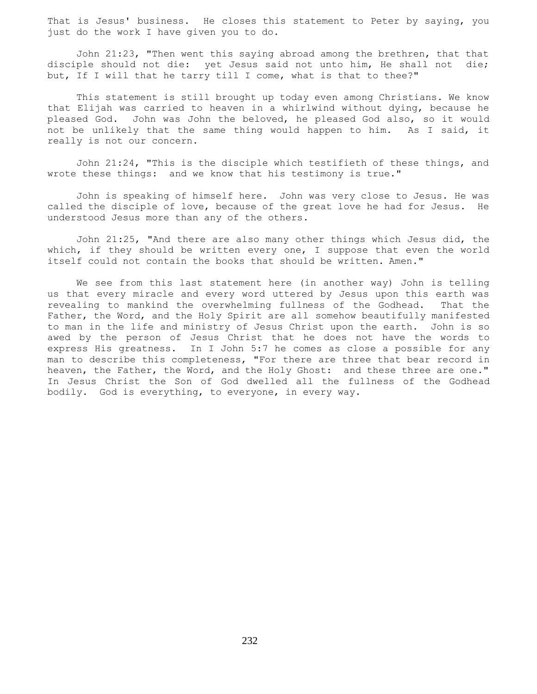That is Jesus' business. He closes this statement to Peter by saying, you just do the work I have given you to do.

 John 21:23, "Then went this saying abroad among the brethren, that that disciple should not die: yet Jesus said not unto him, He shall not die; but, If I will that he tarry till I come, what is that to thee?"

 This statement is still brought up today even among Christians. We know that Elijah was carried to heaven in a whirlwind without dying, because he pleased God. John was John the beloved, he pleased God also, so it would not be unlikely that the same thing would happen to him. As I said, it really is not our concern.

 John 21:24, "This is the disciple which testifieth of these things, and wrote these things: and we know that his testimony is true."

 John is speaking of himself here. John was very close to Jesus. He was called the disciple of love, because of the great love he had for Jesus. He understood Jesus more than any of the others.

 John 21:25, "And there are also many other things which Jesus did, the which, if they should be written every one, I suppose that even the world itself could not contain the books that should be written. Amen."

 We see from this last statement here (in another way) John is telling us that every miracle and every word uttered by Jesus upon this earth was revealing to mankind the overwhelming fullness of the Godhead. That the Father, the Word, and the Holy Spirit are all somehow beautifully manifested to man in the life and ministry of Jesus Christ upon the earth. John is so awed by the person of Jesus Christ that he does not have the words to express His greatness. In I John 5:7 he comes as close a possible for any man to describe this completeness, "For there are three that bear record in heaven, the Father, the Word, and the Holy Ghost: and these three are one." In Jesus Christ the Son of God dwelled all the fullness of the Godhead bodily. God is everything, to everyone, in every way.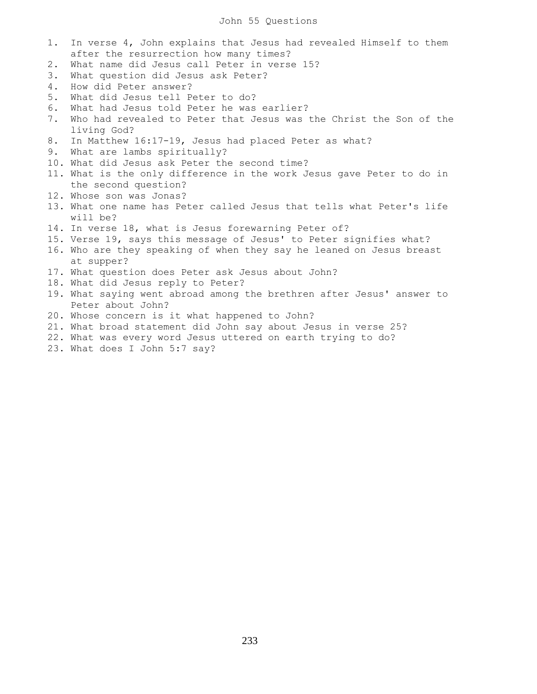## John 55 Questions

- 1. In verse 4, John explains that Jesus had revealed Himself to them after the resurrection how many times?
- 2. What name did Jesus call Peter in verse 15?
- 3. What question did Jesus ask Peter?
- 4. How did Peter answer?
- 5. What did Jesus tell Peter to do?
- 6. What had Jesus told Peter he was earlier?
- 7. Who had revealed to Peter that Jesus was the Christ the Son of the living God?
- 8. In Matthew 16:17-19, Jesus had placed Peter as what?
- 9. What are lambs spiritually?
- 10. What did Jesus ask Peter the second time?
- 11. What is the only difference in the work Jesus gave Peter to do in the second question?
- 12. Whose son was Jonas?
- 13. What one name has Peter called Jesus that tells what Peter's life will be?
- 14. In verse 18, what is Jesus forewarning Peter of?
- 15. Verse 19, says this message of Jesus' to Peter signifies what?
- 16. Who are they speaking of when they say he leaned on Jesus breast at supper?
- 17. What question does Peter ask Jesus about John?
- 18. What did Jesus reply to Peter?
- 19. What saying went abroad among the brethren after Jesus' answer to Peter about John?
- 20. Whose concern is it what happened to John?
- 21. What broad statement did John say about Jesus in verse 25?
- 22. What was every word Jesus uttered on earth trying to do?
- 23. What does I John 5:7 say?